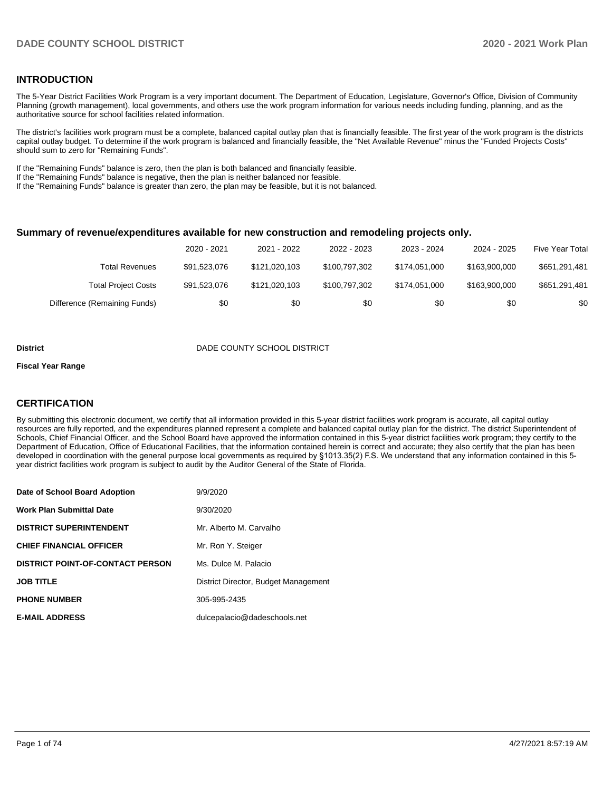#### **INTRODUCTION**

The 5-Year District Facilities Work Program is a very important document. The Department of Education, Legislature, Governor's Office, Division of Community Planning (growth management), local governments, and others use the work program information for various needs including funding, planning, and as the authoritative source for school facilities related information.

The district's facilities work program must be a complete, balanced capital outlay plan that is financially feasible. The first year of the work program is the districts capital outlay budget. To determine if the work program is balanced and financially feasible, the "Net Available Revenue" minus the "Funded Projects Costs" should sum to zero for "Remaining Funds".

If the "Remaining Funds" balance is zero, then the plan is both balanced and financially feasible.

If the "Remaining Funds" balance is negative, then the plan is neither balanced nor feasible.

If the "Remaining Funds" balance is greater than zero, the plan may be feasible, but it is not balanced.

#### **Summary of revenue/expenditures available for new construction and remodeling projects only.**

|                              | 2020 - 2021  | 2021 - 2022   | 2022 - 2023   | 2023 - 2024   | 2024 - 2025   | <b>Five Year Total</b> |
|------------------------------|--------------|---------------|---------------|---------------|---------------|------------------------|
| <b>Total Revenues</b>        | \$91.523.076 | \$121.020.103 | \$100,797,302 | \$174.051.000 | \$163,900,000 | \$651,291,481          |
| <b>Total Project Costs</b>   | \$91.523.076 | \$121.020.103 | \$100.797.302 | \$174.051.000 | \$163.900.000 | \$651,291,481          |
| Difference (Remaining Funds) | \$0          | \$0           | \$0           | \$0           | \$0           | \$0                    |

#### **District** District DADE COUNTY SCHOOL DISTRICT

#### **Fiscal Year Range**

#### **CERTIFICATION**

By submitting this electronic document, we certify that all information provided in this 5-year district facilities work program is accurate, all capital outlay resources are fully reported, and the expenditures planned represent a complete and balanced capital outlay plan for the district. The district Superintendent of Schools, Chief Financial Officer, and the School Board have approved the information contained in this 5-year district facilities work program; they certify to the Department of Education, Office of Educational Facilities, that the information contained herein is correct and accurate; they also certify that the plan has been developed in coordination with the general purpose local governments as required by §1013.35(2) F.S. We understand that any information contained in this 5 year district facilities work program is subject to audit by the Auditor General of the State of Florida.

| Date of School Board Adoption           | 9/9/2020                             |
|-----------------------------------------|--------------------------------------|
| Work Plan Submittal Date                | 9/30/2020                            |
| <b>DISTRICT SUPERINTENDENT</b>          | Mr. Alberto M. Carvalho              |
| <b>CHIEF FINANCIAL OFFICER</b>          | Mr. Ron Y. Steiger                   |
| <b>DISTRICT POINT-OF-CONTACT PERSON</b> | Ms. Dulce M. Palacio                 |
| JOB TITLE                               | District Director, Budget Management |
| <b>PHONE NUMBER</b>                     | 305-995-2435                         |
| <b>E-MAIL ADDRESS</b>                   | dulcepalacio@dadeschools.net         |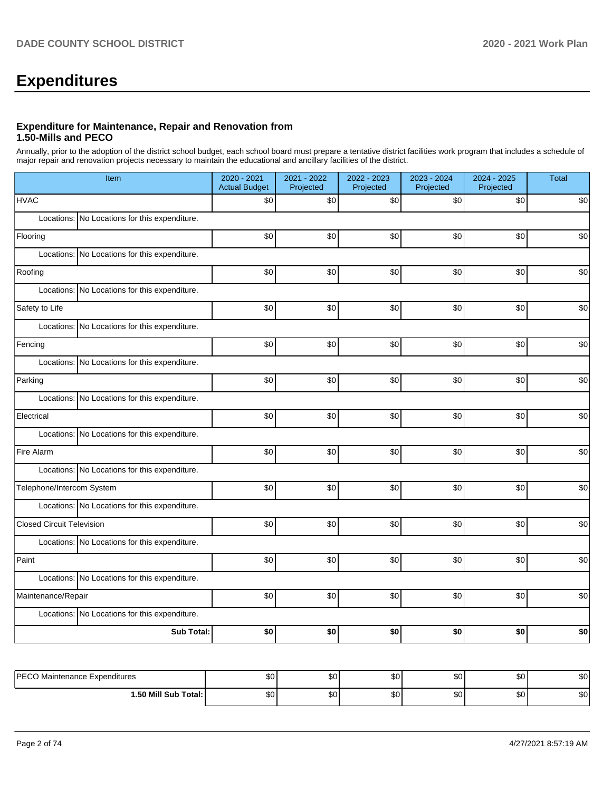# **Expenditures**

#### **Expenditure for Maintenance, Repair and Renovation from 1.50-Mills and PECO**

Annually, prior to the adoption of the district school budget, each school board must prepare a tentative district facilities work program that includes a schedule of major repair and renovation projects necessary to maintain the educational and ancillary facilities of the district.

|                                  | Item                                          |     | 2021 - 2022<br>Projected | 2022 - 2023<br>Projected | 2023 - 2024<br>Projected | 2024 - 2025<br>Projected | <b>Total</b> |  |  |  |  |
|----------------------------------|-----------------------------------------------|-----|--------------------------|--------------------------|--------------------------|--------------------------|--------------|--|--|--|--|
| <b>HVAC</b>                      |                                               | \$0 | \$0                      | \$0                      | \$0                      | \$0                      | \$0          |  |  |  |  |
|                                  | Locations: No Locations for this expenditure. |     |                          |                          |                          |                          |              |  |  |  |  |
| Flooring                         |                                               | \$0 | \$0                      | \$0                      | \$0                      | \$0                      | \$0          |  |  |  |  |
|                                  | Locations: No Locations for this expenditure. |     |                          |                          |                          |                          |              |  |  |  |  |
| Roofing                          |                                               | \$0 | \$0                      | \$0                      | \$0                      | \$0                      | \$0          |  |  |  |  |
|                                  | Locations: No Locations for this expenditure. |     |                          |                          |                          |                          |              |  |  |  |  |
| Safety to Life                   |                                               | \$0 | \$0                      | \$0                      | \$0                      | \$0                      | \$0          |  |  |  |  |
| Locations:                       | No Locations for this expenditure.            |     |                          |                          |                          |                          |              |  |  |  |  |
| Fencing                          |                                               | \$0 | \$0                      | \$0                      | \$0                      | \$0                      | \$0          |  |  |  |  |
|                                  | Locations: No Locations for this expenditure. |     |                          |                          |                          |                          |              |  |  |  |  |
| Parking                          |                                               | \$0 | \$0                      | \$0                      | \$0                      | \$0                      | \$0          |  |  |  |  |
|                                  | Locations: No Locations for this expenditure. |     |                          |                          |                          |                          |              |  |  |  |  |
| Electrical                       |                                               | \$0 | \$0                      | \$0                      | \$0                      | \$0                      | \$0          |  |  |  |  |
|                                  | Locations: No Locations for this expenditure. |     |                          |                          |                          |                          |              |  |  |  |  |
| Fire Alarm                       |                                               | \$0 | \$0                      | \$0                      | \$0                      | \$0                      | \$0          |  |  |  |  |
|                                  | Locations: No Locations for this expenditure. |     |                          |                          |                          |                          |              |  |  |  |  |
| Telephone/Intercom System        |                                               | \$0 | \$0                      | \$0                      | \$0                      | \$0                      | \$0          |  |  |  |  |
|                                  | Locations: No Locations for this expenditure. |     |                          |                          |                          |                          |              |  |  |  |  |
| <b>Closed Circuit Television</b> |                                               | \$0 | \$0                      | \$0                      | \$0                      | \$0                      | \$0          |  |  |  |  |
|                                  | Locations: No Locations for this expenditure. |     |                          |                          |                          |                          |              |  |  |  |  |
| Paint                            |                                               | \$0 | \$0                      | \$0                      | \$0                      | \$0                      | \$0          |  |  |  |  |
|                                  | Locations: No Locations for this expenditure. |     |                          |                          |                          |                          |              |  |  |  |  |
| Maintenance/Repair               |                                               | \$0 | \$0                      | \$0                      | \$0                      | \$0                      | \$0          |  |  |  |  |
|                                  | Locations: No Locations for this expenditure. |     |                          |                          |                          |                          |              |  |  |  |  |
|                                  | <b>Sub Total:</b>                             | \$0 | \$0                      | \$0                      | \$0                      | \$0                      | \$0          |  |  |  |  |
|                                  |                                               |     |                          |                          |                          |                          |              |  |  |  |  |
| PECO Maintenance Expenditures    |                                               | \$0 | \$0                      | \$0                      | \$0                      | \$0                      | \$0          |  |  |  |  |

| <b>DECC</b>              | ሶሳ     | $\sim$       | $\sim$    | $\sim$      | $\sim$ | \$0      |
|--------------------------|--------|--------------|-----------|-------------|--------|----------|
| Maintenance Expenditures | ພບ     | υU           | w         | w           | .      |          |
| l.50 Mill Sub Total:     | ሖ<br>Ψ | $\sim$<br>υU | n o<br>υu | $\sim$<br>w | $\sim$ | ឹឹ<br>ა∪ |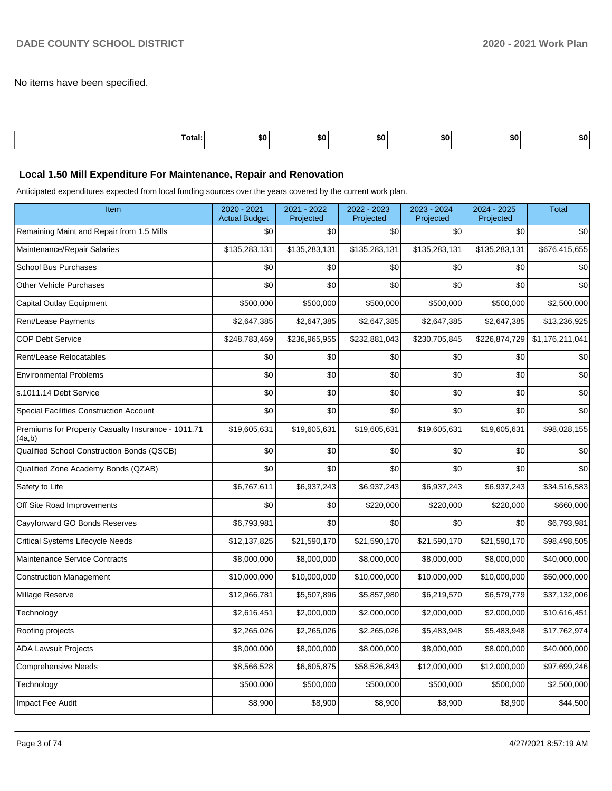No items have been specified.

| Total: | ы | . .<br>лU | æи | æи | SO. | DU. |
|--------|---|-----------|----|----|-----|-----|
|        |   |           |    |    |     |     |

#### **Local 1.50 Mill Expenditure For Maintenance, Repair and Renovation**

Anticipated expenditures expected from local funding sources over the years covered by the current work plan.

| Item                                                         | 2020 - 2021<br><b>Actual Budget</b> | 2021 - 2022<br>Projected | 2022 - 2023<br>Projected | 2023 - 2024<br>Projected | 2024 - 2025<br>Projected | <b>Total</b>    |
|--------------------------------------------------------------|-------------------------------------|--------------------------|--------------------------|--------------------------|--------------------------|-----------------|
| Remaining Maint and Repair from 1.5 Mills                    | \$0                                 | \$0                      | \$0                      | \$0                      | \$0                      | \$0             |
| Maintenance/Repair Salaries                                  | \$135,283,131                       | \$135,283,131            | \$135,283,131            | \$135,283,131            | \$135,283,131            | \$676,415,655   |
| <b>School Bus Purchases</b>                                  | \$0                                 | \$0                      | \$0                      | \$0                      | \$0                      | \$0             |
| <b>Other Vehicle Purchases</b>                               | \$0                                 | \$0                      | \$0                      | \$0                      | \$0                      | \$0             |
| Capital Outlay Equipment                                     | \$500,000                           | \$500,000                | \$500,000                | \$500,000                | \$500,000                | \$2,500,000     |
| Rent/Lease Payments                                          | \$2,647,385                         | \$2,647,385              | \$2,647,385              | \$2,647,385              | \$2,647,385              | \$13,236,925    |
| <b>COP Debt Service</b>                                      | \$248,783,469                       | \$236,965,955            | \$232,881,043            | \$230,705,845            | \$226,874,729            | \$1,176,211,041 |
| Rent/Lease Relocatables                                      | \$0                                 | \$0                      | \$0                      | \$0                      | \$0                      | \$0             |
| <b>Environmental Problems</b>                                | \$0                                 | \$0                      | \$0                      | \$0                      | \$0                      | \$0             |
| s.1011.14 Debt Service                                       | \$0                                 | \$0                      | \$0                      | \$0                      | \$0                      | \$0             |
| <b>Special Facilities Construction Account</b>               | \$0                                 | \$0                      | \$0                      | \$0                      | \$0                      | \$0             |
| Premiums for Property Casualty Insurance - 1011.71<br>(4a,b) | \$19,605,631                        | \$19,605,631             | \$19,605,631             | \$19,605,631             | \$19,605,631             | \$98,028,155    |
| Qualified School Construction Bonds (QSCB)                   | \$0                                 | \$0                      | \$0                      | \$0                      | \$0                      | \$0             |
| Qualified Zone Academy Bonds (QZAB)                          | \$0                                 | \$0                      | \$0                      | \$0                      | \$0                      | \$0             |
| Safety to Life                                               | \$6,767,611                         | \$6,937,243              | \$6,937,243              | \$6,937,243              | \$6,937,243              | \$34,516,583    |
| Off Site Road Improvements                                   | \$0                                 | \$0                      | \$220,000                | \$220,000                | \$220,000                | \$660,000       |
| Cayyforward GO Bonds Reserves                                | \$6,793,981                         | \$0                      | \$0                      | \$0                      | \$0                      | \$6,793,981     |
| <b>Critical Systems Lifecycle Needs</b>                      | \$12,137,825                        | \$21,590,170             | \$21,590,170             | \$21,590,170             | \$21,590,170             | \$98,498,505    |
| <b>Maintenance Service Contracts</b>                         | \$8,000,000                         | \$8,000,000              | \$8,000,000              | \$8,000,000              | \$8,000,000              | \$40,000,000    |
| <b>Construction Management</b>                               | \$10,000,000                        | \$10,000,000             | \$10,000,000             | \$10,000,000             | \$10,000,000             | \$50,000,000    |
| Millage Reserve                                              | \$12,966,781                        | \$5,507,896              | \$5,857,980              | \$6,219,570              | \$6,579,779              | \$37,132,006    |
| Technology                                                   | \$2,616,451                         | \$2,000,000              | \$2,000,000              | \$2,000,000              | \$2,000,000              | \$10,616,451    |
| Roofing projects                                             | \$2,265,026                         | \$2,265,026              | \$2,265,026              | \$5,483,948              | \$5,483,948              | \$17,762,974    |
| <b>ADA Lawsuit Projects</b>                                  | \$8,000,000                         | \$8,000,000              | \$8,000,000              | \$8,000,000              | \$8,000,000              | \$40,000,000    |
| <b>Comprehensive Needs</b>                                   | \$8,566,528                         | \$6,605,875              | \$58,526,843             | \$12,000,000             | \$12,000,000             | \$97,699,246    |
| Technology                                                   | \$500,000                           | \$500,000                | \$500,000                | \$500,000                | \$500,000                | \$2,500,000     |
| Impact Fee Audit                                             | \$8,900                             | \$8,900                  | \$8,900                  | \$8,900                  | \$8,900                  | \$44,500        |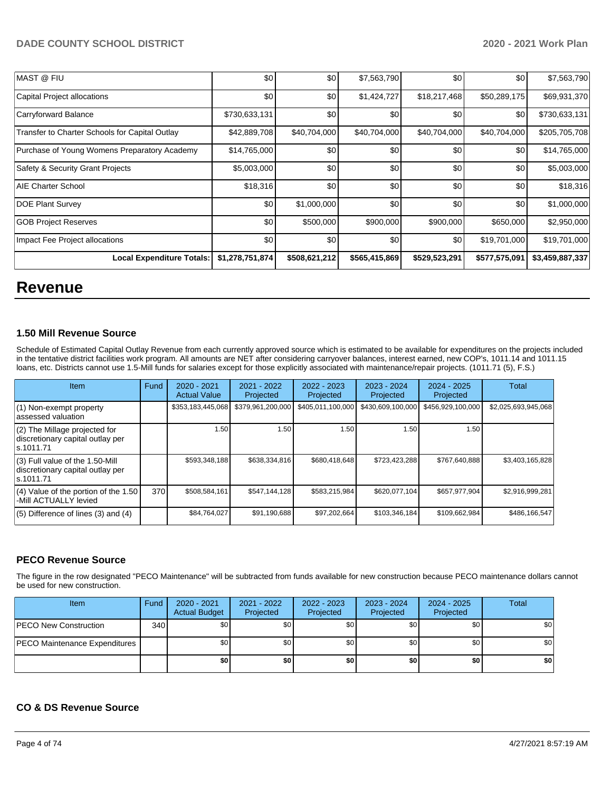| <b>MAST @ FIU</b>                              | \$0              | \$0           | \$7,563,790   | \$0           | \$0           | \$7,563,790     |
|------------------------------------------------|------------------|---------------|---------------|---------------|---------------|-----------------|
| Capital Project allocations                    | \$0 <sub>1</sub> | \$0           | \$1,424,727   | \$18,217,468  | \$50,289,175  | \$69,931,370    |
| Carryforward Balance                           | \$730,633,131    | \$0           | \$0           | \$0           | \$0           | \$730,633,131   |
| Transfer to Charter Schools for Capital Outlay | \$42,889,708     | \$40,704,000  | \$40,704,000  | \$40,704,000  | \$40,704,000  | \$205,705,708   |
| Purchase of Young Womens Preparatory Academy   | \$14,765,000     | \$0           | \$0           | \$0           | \$0           | \$14,765,000    |
| Safety & Security Grant Projects               | \$5,003,000      | \$0           | \$0           | \$0           | \$0           | \$5,003,000     |
| AIE Charter School                             | \$18,316         | \$0           | \$0           | \$0           | \$0           | \$18,316        |
| DOE Plant Survey                               | \$0              | \$1,000,000   | \$0           | \$0           | \$0           | \$1,000,000     |
| <b>GOB Project Reserves</b>                    | \$0              | \$500,000     | \$900,000     | \$900,000     | \$650,000     | \$2,950,000     |
| Impact Fee Project allocations                 | \$0 <sub>1</sub> | \$0           | \$0           | \$0           | \$19,701,000  | \$19,701,000    |
| <b>Local Expenditure Totals:</b>               | \$1,278,751,874  | \$508,621,212 | \$565,415,869 | \$529,523,291 | \$577,575,091 | \$3,459,887,337 |

# **Revenue**

#### **1.50 Mill Revenue Source**

Schedule of Estimated Capital Outlay Revenue from each currently approved source which is estimated to be available for expenditures on the projects included in the tentative district facilities work program. All amounts are NET after considering carryover balances, interest earned, new COP's, 1011.14 and 1011.15 loans, etc. Districts cannot use 1.5-Mill funds for salaries except for those explicitly associated with maintenance/repair projects. (1011.71 (5), F.S.)

| Item                                                                              | Fund | $2020 - 2021$<br><b>Actual Value</b> | $2021 - 2022$<br>Projected | $2022 - 2023$<br>Projected | $2023 - 2024$<br>Projected | $2024 - 2025$<br>Projected | Total               |
|-----------------------------------------------------------------------------------|------|--------------------------------------|----------------------------|----------------------------|----------------------------|----------------------------|---------------------|
| $(1)$ Non-exempt property<br>lassessed valuation                                  |      | \$353,183,445,068                    | \$379,961,200,000          | \$405,011,100,000          | \$430,609,100,000          | \$456,929,100,000          | \$2,025,693,945,068 |
| $(2)$ The Millage projected for<br>discretionary capital outlay per<br>ls.1011.71 |      | 1.50                                 | 1.50                       | 1.50                       | 1.50                       | 1.50                       |                     |
| (3) Full value of the 1.50-Mill<br>discretionary capital outlay per<br>ls.1011.71 |      | \$593,348,188                        | \$638,334,816              | \$680,418,648              | \$723,423,288              | \$767,640,888              | \$3,403,165,828     |
| (4) Value of the portion of the 1.50<br>-Mill ACTUALLY levied                     | 370  | \$508,584,161                        | \$547.144.128              | \$583,215,984              | \$620,077,104              | \$657,977,904              | \$2,916,999,281     |
| $(5)$ Difference of lines $(3)$ and $(4)$                                         |      | \$84,764,027                         | \$91,190,688               | \$97,202,664               | \$103,346,184              | \$109,662,984              | \$486.166.547       |

#### **PECO Revenue Source**

The figure in the row designated "PECO Maintenance" will be subtracted from funds available for new construction because PECO maintenance dollars cannot be used for new construction.

| <b>Item</b>                          | Fund             | $2020 - 2021$<br><b>Actual Budget</b> | 2021 - 2022<br>Projected | 2022 - 2023<br>Projected | 2023 - 2024<br>Projected | 2024 - 2025<br>Projected | Total |
|--------------------------------------|------------------|---------------------------------------|--------------------------|--------------------------|--------------------------|--------------------------|-------|
| <b>PECO New Construction</b>         | 340 <sup>1</sup> | \$0 <sub>1</sub>                      | \$0                      | \$0                      | \$0                      | \$0 <sub>1</sub>         | \$0   |
| <b>PECO Maintenance Expenditures</b> |                  | \$0 <sub>1</sub>                      | \$0                      | \$0                      | \$0                      | \$0                      | \$0   |
|                                      |                  | \$0                                   | \$0                      | \$0                      | \$0                      | \$0                      | \$0   |

#### **CO & DS Revenue Source**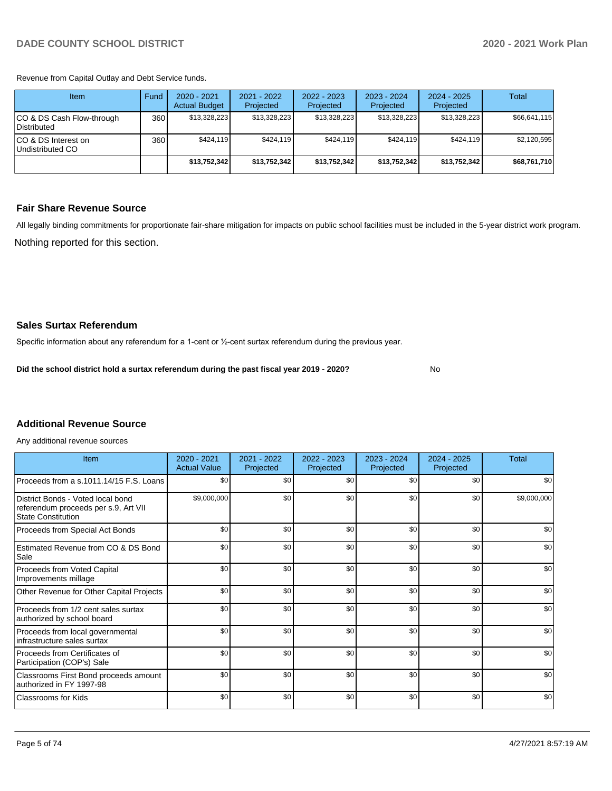Revenue from Capital Outlay and Debt Service funds.

| Item                                     | Fund | $2020 - 2021$<br><b>Actual Budget</b> | 2021 - 2022<br>Projected | 2022 - 2023<br>Projected | $2023 - 2024$<br>Projected | $2024 - 2025$<br>Projected | Total        |
|------------------------------------------|------|---------------------------------------|--------------------------|--------------------------|----------------------------|----------------------------|--------------|
| CO & DS Cash Flow-through<br>Distributed | 360  | \$13.328.223                          | \$13,328,223             | \$13,328,223             | \$13,328,223               | \$13,328,223               | \$66,641,115 |
| ICO & DS Interest on<br>Undistributed CO | 360  | \$424.119                             | \$424.119                | \$424.119                | \$424.119                  | \$424.119                  | \$2,120,595  |
|                                          |      | \$13,752,342                          | \$13,752,342             | \$13,752,342             | \$13,752,342               | \$13.752.342               | \$68,761,710 |

#### **Fair Share Revenue Source**

Nothing reported for this section. All legally binding commitments for proportionate fair-share mitigation for impacts on public school facilities must be included in the 5-year district work program.

No

#### **Sales Surtax Referendum**

Specific information about any referendum for a 1-cent or ½-cent surtax referendum during the previous year.

**Did the school district hold a surtax referendum during the past fiscal year 2019 - 2020?**

#### **Additional Revenue Source**

Any additional revenue sources

| Item                                                                                                   | $2020 - 2021$<br><b>Actual Value</b> | $2021 - 2022$<br>Projected | 2022 - 2023<br>Projected | $2023 - 2024$<br>Projected | $2024 - 2025$<br>Projected | Total       |
|--------------------------------------------------------------------------------------------------------|--------------------------------------|----------------------------|--------------------------|----------------------------|----------------------------|-------------|
| Proceeds from a s.1011.14/15 F.S. Loans                                                                | \$0                                  | \$0                        | \$0                      | \$0                        | \$0                        | \$0         |
| District Bonds - Voted local bond<br>referendum proceeds per s.9, Art VII<br><b>State Constitution</b> | \$9,000,000                          | \$0                        | \$0                      | \$0                        | \$0                        | \$9,000,000 |
| Proceeds from Special Act Bonds                                                                        | \$0                                  | \$0                        | \$0                      | \$0                        | \$0                        | \$0         |
| Estimated Revenue from CO & DS Bond<br>Sale                                                            | \$0                                  | \$0                        | \$0                      | \$0                        | \$0                        | \$0         |
| Proceeds from Voted Capital<br>Improvements millage                                                    | \$0                                  | \$0                        | \$0                      | \$0                        | \$0                        | \$0         |
| Other Revenue for Other Capital Projects                                                               | \$0                                  | \$0                        | \$0                      | \$0                        | \$0                        | \$0         |
| Proceeds from 1/2 cent sales surtax<br>authorized by school board                                      | \$0                                  | \$0                        | \$0                      | \$0                        | \$0                        | \$0         |
| Proceeds from local governmental<br>infrastructure sales surtax                                        | \$0                                  | \$0                        | \$0                      | \$0                        | \$0                        | \$0         |
| Proceeds from Certificates of<br>Participation (COP's) Sale                                            | \$0                                  | \$0                        | \$0                      | \$0                        | \$0                        | \$0         |
| Classrooms First Bond proceeds amount<br>authorized in FY 1997-98                                      | \$0                                  | \$0                        | \$0                      | \$0                        | \$0                        | \$0         |
| Classrooms for Kids                                                                                    | \$0                                  | \$0                        | \$0                      | \$0                        | \$0                        | \$0         |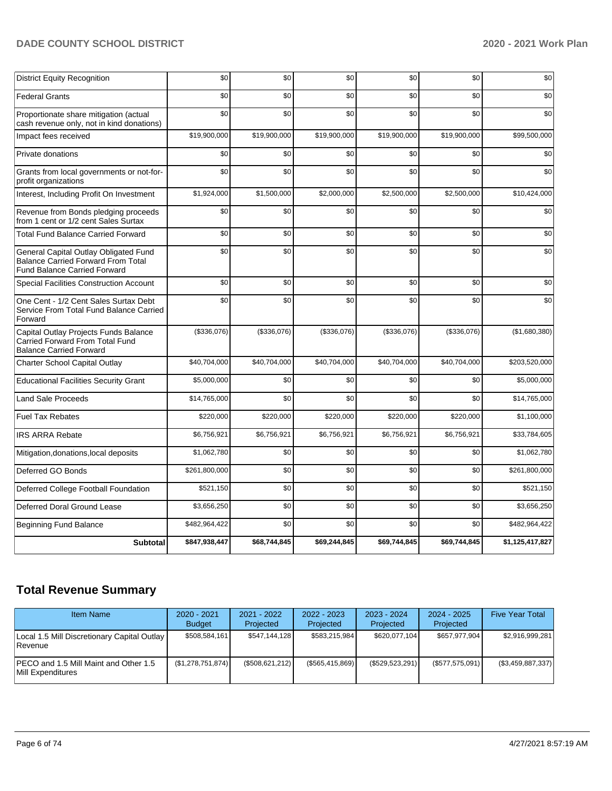| <b>District Equity Recognition</b>                                                                                        | \$0           | \$0          | \$0          | \$0          | \$0          | \$0             |
|---------------------------------------------------------------------------------------------------------------------------|---------------|--------------|--------------|--------------|--------------|-----------------|
| <b>Federal Grants</b>                                                                                                     | \$0           | \$0          | \$0          | \$0          | \$0          | \$0             |
| Proportionate share mitigation (actual<br>cash revenue only, not in kind donations)                                       | \$0           | \$0          | \$0          | \$0          | \$0          | \$0             |
| Impact fees received                                                                                                      | \$19,900,000  | \$19,900,000 | \$19,900,000 | \$19,900,000 | \$19,900,000 | \$99,500,000    |
| Private donations                                                                                                         | \$0           | \$0          | \$0          | \$0          | \$0          | \$0             |
| Grants from local governments or not-for-<br>profit organizations                                                         | \$0           | \$0          | \$0          | \$0          | \$0          | \$0             |
| Interest, Including Profit On Investment                                                                                  | \$1,924,000   | \$1,500,000  | \$2,000,000  | \$2,500,000  | \$2,500,000  | \$10,424,000    |
| Revenue from Bonds pledging proceeds<br>from 1 cent or 1/2 cent Sales Surtax                                              | \$0           | \$0          | \$0          | \$0          | \$0          | \$0             |
| <b>Total Fund Balance Carried Forward</b>                                                                                 | \$0           | \$0          | \$0          | \$0          | \$0          | \$0             |
| General Capital Outlay Obligated Fund<br><b>Balance Carried Forward From Total</b><br><b>Fund Balance Carried Forward</b> | \$0           | \$0          | \$0          | \$0          | \$0          | \$0             |
| <b>Special Facilities Construction Account</b>                                                                            | \$0           | \$0          | \$0          | \$0          | \$0          | \$0             |
| One Cent - 1/2 Cent Sales Surtax Debt<br>Service From Total Fund Balance Carried<br>Forward                               | \$0           | \$0          | \$0          | \$0          | \$0          | \$0             |
| Capital Outlay Projects Funds Balance<br>Carried Forward From Total Fund<br><b>Balance Carried Forward</b>                | (\$336,076)   | (\$336,076)  | (\$336,076)  | (\$336,076)  | (\$336,076)  | (\$1,680,380)   |
| Charter School Capital Outlay                                                                                             | \$40,704,000  | \$40,704,000 | \$40,704,000 | \$40,704,000 | \$40,704,000 | \$203,520,000   |
| <b>Educational Facilities Security Grant</b>                                                                              | \$5,000,000   | \$0          | \$0          | \$0          | \$0          | \$5,000,000     |
| <b>Land Sale Proceeds</b>                                                                                                 | \$14,765,000  | \$0          | \$0          | \$0          | \$0          | \$14,765,000    |
| <b>Fuel Tax Rebates</b>                                                                                                   | \$220,000     | \$220,000    | \$220,000    | \$220,000    | \$220,000    | \$1,100,000     |
| <b>IRS ARRA Rebate</b>                                                                                                    | \$6.756.921   | \$6,756,921  | \$6,756,921  | \$6,756,921  | \$6,756,921  | \$33,784,605    |
| Mitigation, donations, local deposits                                                                                     | \$1,062,780   | \$0          | \$0          | \$0          | \$0          | \$1,062,780     |
| Deferred GO Bonds                                                                                                         | \$261,800,000 | \$0          | \$0          | \$0          | \$0          | \$261,800,000   |
| Deferred College Football Foundation                                                                                      | \$521,150     | \$0          | \$0          | \$0          | \$0          | \$521,150       |
| Deferred Doral Ground Lease                                                                                               | \$3,656,250   | \$0          | \$0          | \$0          | \$0          | \$3,656,250     |
| <b>Beginning Fund Balance</b>                                                                                             | \$482,964,422 | \$0          | \$0          | \$0          | \$0          | \$482,964,422   |
| <b>Subtotal</b>                                                                                                           | \$847,938,447 | \$68,744,845 | \$69,244,845 | \$69,744,845 | \$69,744,845 | \$1,125,417,827 |

# **Total Revenue Summary**

| <b>Item Name</b>                                              | 2020 - 2021<br><b>Budget</b> | 2021 - 2022<br>Projected | 2022 - 2023<br>Projected | 2023 - 2024<br>Projected | $2024 - 2025$<br>Projected | <b>Five Year Total</b> |
|---------------------------------------------------------------|------------------------------|--------------------------|--------------------------|--------------------------|----------------------------|------------------------|
| Local 1.5 Mill Discretionary Capital Outlay<br><b>Revenue</b> | \$508,584,161                | \$547.144.128            | \$583.215.984            | \$620,077,104            | \$657.977.904              | \$2,916,999,281        |
| IPECO and 1.5 Mill Maint and Other 1.5<br>Mill Expenditures   | (\$1,278,751,874)            | (\$508,621,212)          | (\$565,415,869)          | $(\$529,523,291)$        | $(\$577,575,091)$          | $(\$3,459,887,337)$    |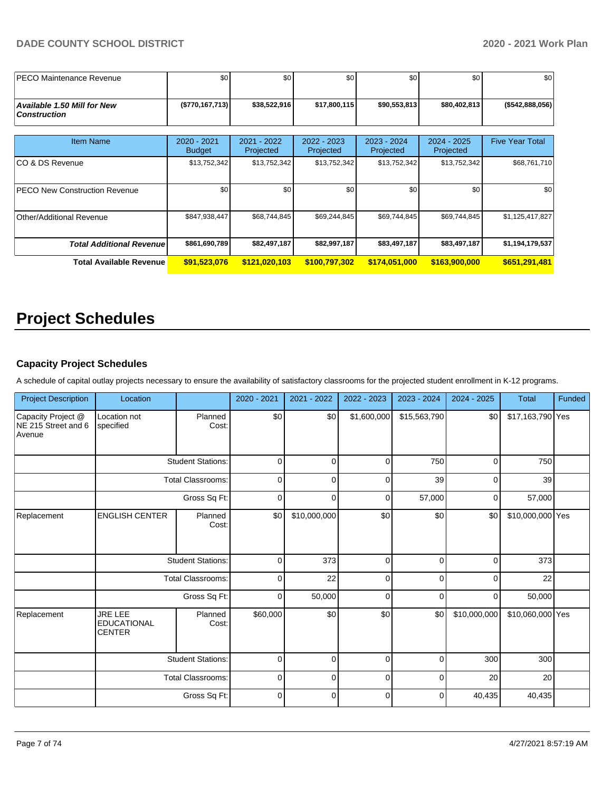| <b>IPECO Maintenance Revenue</b>                          | \$0                          | \$0 <sub>1</sub>         | \$0                      | \$0                        | \$0                        | \$0                    |
|-----------------------------------------------------------|------------------------------|--------------------------|--------------------------|----------------------------|----------------------------|------------------------|
| <b>Available 1.50 Mill for New</b><br><b>Construction</b> | (\$770, 167, 713)            | \$38,522,916             | \$17,800,115             | \$90,553,813               | \$80,402,813               | ( \$542, 888, 056)     |
| <b>Item Name</b>                                          | 2020 - 2021<br><b>Budget</b> | 2021 - 2022<br>Projected | 2022 - 2023<br>Projected | $2023 - 2024$<br>Projected | $2024 - 2025$<br>Projected | <b>Five Year Total</b> |
| ICO & DS Revenue                                          | \$13,752,342                 | \$13,752,342             | \$13,752,342             | \$13,752,342               | \$13,752,342               | \$68,761,710           |
| <b>PECO New Construction Revenue</b>                      | \$0                          | \$0                      | \$0                      | \$0                        | \$0                        | \$0                    |
| <b>Other/Additional Revenue</b>                           | \$847,938,447                | \$68,744,845             | \$69,244,845             | \$69,744,845               | \$69,744,845               | \$1,125,417,827        |
| <b>Total Additional Revenue</b>                           | \$861,690,789                | \$82,497,187             | \$82,997,187             | \$83,497,187               | \$83,497,187               | \$1,194,179,537        |
| Total Available Revenue                                   | \$91,523,076                 | \$121,020,103            | \$100,797,302            | \$174,051,000              | \$163,900,000              | \$651,291,481          |

# **Project Schedules**

#### **Capacity Project Schedules**

A schedule of capital outlay projects necessary to ensure the availability of satisfactory classrooms for the projected student enrollment in K-12 programs.

| <b>Project Description</b>                          | Location                                              |                          | 2020 - 2021    | 2021 - 2022    | 2022 - 2023    | 2023 - 2024    | $2024 - 2025$ | <b>Total</b>     | Funded |
|-----------------------------------------------------|-------------------------------------------------------|--------------------------|----------------|----------------|----------------|----------------|---------------|------------------|--------|
| Capacity Project @<br>NE 215 Street and 6<br>Avenue | Location not<br>specified                             | Planned<br>Cost:         | \$0            | \$0            | \$1,600,000    | \$15,563,790   | \$0           | \$17,163,790 Yes |        |
|                                                     |                                                       | <b>Student Stations:</b> | 0              | 0              | $\mathbf 0$    | 750            | $\mathbf 0$   | 750              |        |
|                                                     |                                                       | <b>Total Classrooms:</b> | $\pmb{0}$      | 0              | $\mathbf 0$    | 39             | $\mathbf 0$   | 39               |        |
|                                                     |                                                       | Gross Sq Ft:             | $\mathbf 0$    | $\mathbf 0$    | $\mathbf 0$    | 57,000         | $\mathbf 0$   | 57,000           |        |
| Replacement                                         | <b>ENGLISH CENTER</b>                                 | Planned<br>Cost:         | \$0            | \$10,000,000   | \$0            | \$0            | \$0           | \$10,000,000 Yes |        |
|                                                     |                                                       | <b>Student Stations:</b> | 0              | 373            | $\mathbf 0$    | $\mathbf 0$    | $\mathbf 0$   | 373              |        |
|                                                     |                                                       | <b>Total Classrooms:</b> | $\mathbf 0$    | 22             | $\mathbf 0$    | $\overline{0}$ | 0             | 22               |        |
|                                                     |                                                       | Gross Sq Ft:             | $\mathbf 0$    | 50,000         | 0              | 0              | $\mathbf 0$   | 50,000           |        |
| Replacement                                         | <b>JRE LEE</b><br><b>EDUCATIONAL</b><br><b>CENTER</b> | Planned<br>Cost:         | \$60,000       | \$0            | \$0            | \$0            | \$10,000,000  | \$10,060,000 Yes |        |
|                                                     |                                                       | <b>Student Stations:</b> | 0              | 0              | 0              | $\overline{0}$ | 300           | 300              |        |
|                                                     |                                                       | <b>Total Classrooms:</b> | $\overline{0}$ | $\overline{0}$ | $\overline{0}$ | $\overline{0}$ | 20            | 20               |        |
|                                                     |                                                       | Gross Sq Ft:             | $\mathbf 0$    | 0              | $\mathbf 0$    | 0              | 40,435        | 40,435           |        |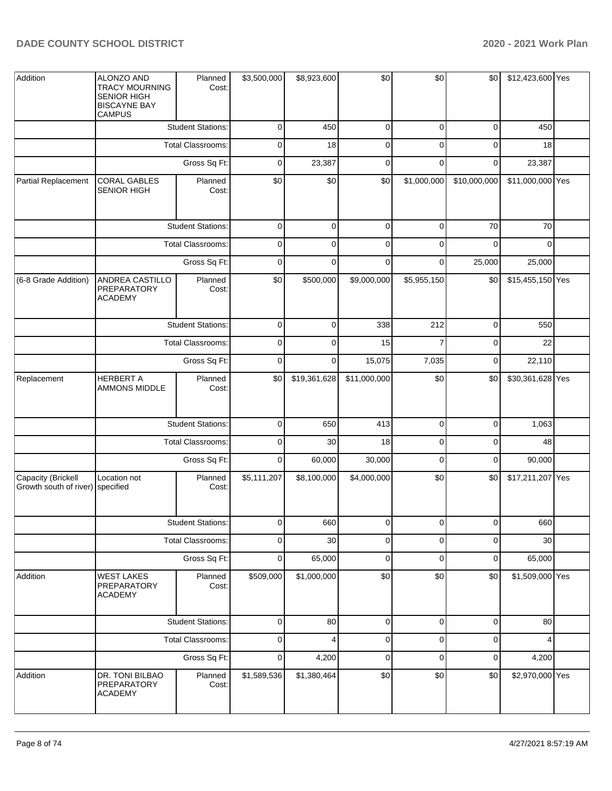| Addition                                               | ALONZO AND<br><b>TRACY MOURNING</b><br>SENIOR HIGH<br><b>BISCAYNE BAY</b><br><b>CAMPUS</b> | Planned<br>Cost:         | \$3,500,000  | \$8,923,600  | \$0          | \$0            | \$0            | \$12,423,600 Yes |  |
|--------------------------------------------------------|--------------------------------------------------------------------------------------------|--------------------------|--------------|--------------|--------------|----------------|----------------|------------------|--|
|                                                        |                                                                                            | <b>Student Stations:</b> | $\mathbf 0$  | 450          | 0            | $\overline{0}$ | $\overline{0}$ | 450              |  |
|                                                        |                                                                                            | Total Classrooms:        | 0            | 18           | 0            | $\overline{0}$ | 0              | 18               |  |
|                                                        |                                                                                            | Gross Sq Ft:             | 0            | 23,387       | 0            | $\mathbf 0$    | $\mathbf 0$    | 23,387           |  |
| Partial Replacement                                    | <b>CORAL GABLES</b><br><b>SENIOR HIGH</b>                                                  | Planned<br>Cost:         | \$0          | \$0          | \$0          | \$1,000,000    | \$10,000,000   | \$11,000,000 Yes |  |
|                                                        |                                                                                            | <b>Student Stations:</b> | 0            | $\mathbf 0$  | $\mathbf 0$  | $\overline{0}$ | 70             | 70               |  |
|                                                        |                                                                                            | Total Classrooms:        | $\mathbf 0$  | 0            | $\mathbf 0$  | $\mathbf 0$    | $\mathbf 0$    | $\mathbf 0$      |  |
|                                                        |                                                                                            | Gross Sq Ft:             | $\mathbf 0$  | $\mathbf 0$  | $\mathbf 0$  | $\overline{0}$ | 25,000         | 25,000           |  |
| (6-8 Grade Addition)                                   | ANDREA CASTILLO<br>PREPARATORY<br><b>ACADEMY</b>                                           | Planned<br>Cost:         | \$0          | \$500,000    | \$9,000,000  | \$5,955,150    | \$0            | \$15,455,150 Yes |  |
|                                                        |                                                                                            | <b>Student Stations:</b> | 0            | 0            | 338          | 212            | $\mathbf 0$    | 550              |  |
|                                                        |                                                                                            | Total Classrooms:        | 0            | 0            | 15           | $\overline{7}$ | $\mathbf 0$    | 22               |  |
|                                                        |                                                                                            | Gross Sq Ft:             | 0            | 0            | 15,075       | 7,035          | $\mathbf 0$    | 22,110           |  |
| Replacement                                            | <b>HERBERT A</b><br>AMMONS MIDDLE                                                          | Planned<br>Cost:         | \$0          | \$19,361,628 | \$11,000,000 | \$0            | \$0            | \$30,361,628 Yes |  |
|                                                        |                                                                                            | <b>Student Stations:</b> | $\mathbf 0$  | 650          | 413          | $\overline{0}$ | $\mathbf 0$    | 1,063            |  |
|                                                        |                                                                                            | Total Classrooms:        | $\mathbf 0$  | 30           | 18           | $\mathbf 0$    | 0              | 48               |  |
|                                                        |                                                                                            | Gross Sq Ft:             | $\mathbf 0$  | 60,000       | 30,000       | $\overline{0}$ | $\mathbf 0$    | 90,000           |  |
| Capacity (Brickell<br>Growth south of river) specified | Location not                                                                               | Planned<br>Cost:         | \$5,111,207  | \$8,100,000  | \$4,000,000  | \$0            | \$0            | \$17,211,207 Yes |  |
|                                                        |                                                                                            | <b>Student Stations:</b> | $\mathbf{0}$ | 660          | $\cup$       | $\cup$         | $\cup$         | 660              |  |
|                                                        |                                                                                            | Total Classrooms:        | 0            | 30           | 0            | $\overline{0}$ | $\overline{0}$ | 30               |  |
|                                                        |                                                                                            | Gross Sq Ft:             | 0            | 65,000       | 0            | $\mathbf 0$    | $\mathbf 0$    | 65,000           |  |
| Addition                                               | <b>WEST LAKES</b><br>PREPARATORY<br><b>ACADEMY</b>                                         | Planned<br>Cost:         | \$509,000    | \$1,000,000  | \$0          | \$0            | \$0            | \$1,509,000 Yes  |  |
|                                                        |                                                                                            | <b>Student Stations:</b> | 0            | 80           | $\mathbf 0$  | $\mathbf 0$    | $\mathbf 0$    | 80               |  |
|                                                        |                                                                                            | Total Classrooms:        | $\mathbf 0$  | 4            | $\pmb{0}$    | $\pmb{0}$      | $\pmb{0}$      | 4                |  |
|                                                        |                                                                                            | Gross Sq Ft:             | 0            | 4,200        | 0            | $\mathbf 0$    | $\mathbf 0$    | 4,200            |  |
| Addition                                               | DR. TONI BILBAO<br>PREPARATORY<br><b>ACADEMY</b>                                           | Planned<br>Cost:         | \$1,589,536  | \$1,380,464  | \$0          | \$0            | \$0            | \$2,970,000 Yes  |  |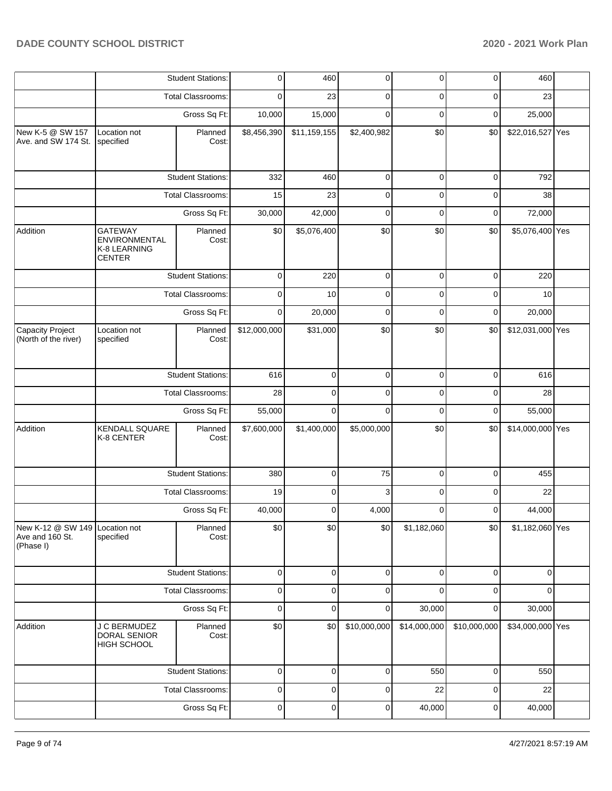|                                                                |                                                                  | <b>Student Stations:</b> | 0            | 460            | $\overline{0}$ | $\mathbf 0$  | $\mathbf 0$  | 460              |  |
|----------------------------------------------------------------|------------------------------------------------------------------|--------------------------|--------------|----------------|----------------|--------------|--------------|------------------|--|
|                                                                |                                                                  | <b>Total Classrooms:</b> | 0            | 23             | $\mathbf 0$    | $\mathbf 0$  | $\mathbf 0$  | 23               |  |
|                                                                |                                                                  | Gross Sq Ft:             | 10,000       | 15,000         | $\Omega$       | $\mathbf 0$  | $\mathbf 0$  | 25,000           |  |
| New K-5 @ SW 157<br>Ave. and SW 174 St.                        | Location not<br>specified                                        | Planned<br>Cost:         | \$8,456,390  | \$11,159,155   | \$2,400,982    | \$0          | \$0          | \$22,016,527 Yes |  |
|                                                                |                                                                  | <b>Student Stations:</b> | 332          | 460            | $\mathbf 0$    | $\mathbf 0$  | $\mathbf 0$  | 792              |  |
|                                                                |                                                                  | Total Classrooms:        | 15           | 23             | $\mathbf 0$    | 0            | $\mathbf 0$  | 38               |  |
|                                                                |                                                                  | Gross Sq Ft:             | 30,000       | 42,000         | $\mathbf 0$    | $\mathbf 0$  | $\mathbf 0$  | 72,000           |  |
| Addition                                                       | <b>GATEWAY</b><br>ENVIRONMENTAL<br>K-8 LEARNING<br><b>CENTER</b> | Planned<br>Cost:         | \$0          | \$5,076,400    | \$0            | \$0          | \$0          | \$5,076,400 Yes  |  |
|                                                                |                                                                  | <b>Student Stations:</b> | 0            | 220            | 0              | 0            | $\mathbf 0$  | 220              |  |
|                                                                |                                                                  | <b>Total Classrooms:</b> | 0            | 10             | $\mathbf 0$    | 0            | $\mathbf 0$  | 10               |  |
|                                                                |                                                                  | Gross Sq Ft:             | $\mathbf 0$  | 20,000         | $\mathbf 0$    | $\mathbf 0$  | 0            | 20,000           |  |
| Capacity Project<br>(North of the river)                       | Location not<br>specified                                        | Planned<br>Cost:         | \$12,000,000 | \$31,000       | \$0            | \$0          | \$0          | \$12,031,000 Yes |  |
|                                                                |                                                                  | <b>Student Stations:</b> | 616          | $\mathbf 0$    | $\mathbf 0$    | $\mathbf 0$  | $\mathbf 0$  | 616              |  |
|                                                                |                                                                  | Total Classrooms:        | 28           | 0              | $\mathbf 0$    | $\mathbf 0$  | $\mathbf 0$  | 28               |  |
|                                                                |                                                                  | Gross Sq Ft:             | 55,000       | $\Omega$       | $\Omega$       | $\Omega$     | $\mathbf 0$  | 55,000           |  |
| Addition                                                       | <b>KENDALL SQUARE</b><br>K-8 CENTER                              | Planned<br>Cost:         | \$7,600,000  | \$1,400,000    | \$5,000,000    | \$0          | \$0          | \$14,000,000 Yes |  |
|                                                                |                                                                  | <b>Student Stations:</b> | 380          | $\Omega$       | 75             | $\mathbf 0$  | $\mathbf 0$  | 455              |  |
|                                                                |                                                                  | Total Classrooms:        | 19           | 0              | 3              | $\mathbf 0$  | $\mathbf 0$  | 22               |  |
|                                                                |                                                                  | Gross Sq Ft:             | 40,000       | $\Omega$       | 4,000          | 0            | $\mathbf 0$  | 44,000           |  |
| New K-12 @ SW 149 Location not<br>Ave and 160 St.<br>(Phase I) | specified                                                        | Planned<br>Cost:         | \$0          | \$0            | \$0            | \$1,182,060  | \$0          | \$1,182,060 Yes  |  |
|                                                                |                                                                  | <b>Student Stations:</b> | $\mathbf 0$  | $\overline{0}$ | $\mathbf 0$    | $\mathbf 0$  | 0            | $\mathbf 0$      |  |
|                                                                |                                                                  | <b>Total Classrooms:</b> | $\pmb{0}$    | 0              | $\mathbf 0$    | $\Omega$     | $\mathbf 0$  | $\Omega$         |  |
|                                                                |                                                                  | Gross Sq Ft:             | $\pmb{0}$    | $\mathbf 0$    | $\mathbf 0$    | 30,000       | $\mathbf 0$  | 30,000           |  |
| Addition                                                       | J C BERMUDEZ<br>DORAL SENIOR<br>HIGH SCHOOL                      | Planned<br>Cost:         | \$0          | \$0            | \$10,000,000   | \$14,000,000 | \$10,000,000 | \$34,000,000 Yes |  |
|                                                                |                                                                  | <b>Student Stations:</b> | 0            | $\mathbf 0$    | $\mathbf 0$    | 550          | $\mathbf 0$  | 550              |  |
|                                                                |                                                                  | Total Classrooms:        | $\pmb{0}$    | 0              | 0              | 22           | $\pmb{0}$    | 22               |  |
|                                                                |                                                                  | Gross Sq Ft:             | $\pmb{0}$    | $\mathbf 0$    | $\pmb{0}$      | 40,000       | 0            | 40,000           |  |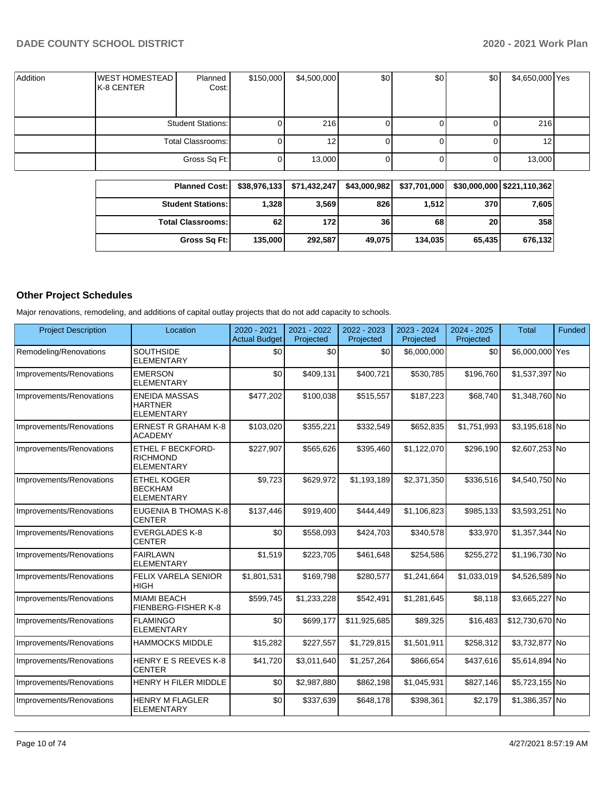| Addition | <b>WEST HOMESTEAD</b><br>K-8 CENTER | Planned<br>Cost:         | \$150,000 | \$4,500,000 | \$0 | \$0 | \$0 | \$4,650,000 Yes |  |
|----------|-------------------------------------|--------------------------|-----------|-------------|-----|-----|-----|-----------------|--|
|          |                                     | <b>Student Stations:</b> |           | 216         |     |     | Ü   | 216             |  |
|          |                                     | Total Classrooms:        |           | 12          |     |     |     | 12 I            |  |
|          |                                     | Gross Sq Ft:             |           | 13,000      |     |     | 0   | 13,000          |  |

| <b>Planned Cost:</b>     | \$38.976.133 | \$71,432,247 | \$43,000,982 | \$37,701,000 |        | \$30,000,000   \$221,110,362 |
|--------------------------|--------------|--------------|--------------|--------------|--------|------------------------------|
| <b>Student Stations:</b> | 1.328        | 3,569        | 826          | 1,512        | 370    | 7,605                        |
| <b>Total Classrooms:</b> | 62           | 172 l        | 36           | 68           | 20     | 358                          |
| Gross Sq Ft:             | 135,000      | 292,587      | 49,075       | 134.035      | 65,435 | 676,132                      |

# **Other Project Schedules**

Major renovations, remodeling, and additions of capital outlay projects that do not add capacity to schools.

| <b>Project Description</b> | Location                                                         | 2020 - 2021<br><b>Actual Budget</b> | 2021 - 2022<br>Projected | 2022 - 2023<br>Projected | 2023 - 2024<br>Projected | $2024 - 2025$<br>Projected | Total           | Funded |
|----------------------------|------------------------------------------------------------------|-------------------------------------|--------------------------|--------------------------|--------------------------|----------------------------|-----------------|--------|
| Remodeling/Renovations     | <b>SOUTHSIDE</b><br><b>ELEMENTARY</b>                            | \$0                                 | \$0                      | \$0                      | \$6,000,000              | \$0                        | \$6,000,000 Yes |        |
| Improvements/Renovations   | <b>EMERSON</b><br><b>ELEMENTARY</b>                              | \$0                                 | \$409,131                | \$400,721                | \$530,785                | \$196.760                  | \$1,537,397 No  |        |
| Improvements/Renovations   | <b>ENEIDA MASSAS</b><br><b>HARTNER</b><br><b>ELEMENTARY</b>      | \$477,202                           | \$100,038                | \$515,557                | \$187,223                | \$68,740                   | \$1,348,760 No  |        |
| Improvements/Renovations   | <b>ERNEST R GRAHAM K-8</b><br><b>ACADEMY</b>                     | \$103,020                           | \$355,221                | \$332,549                | \$652,835                | \$1,751,993                | \$3.195.618 No  |        |
| Improvements/Renovations   | <b>ETHEL F BECKFORD-</b><br><b>RICHMOND</b><br><b>ELEMENTARY</b> | \$227,907                           | \$565,626                | \$395,460                | \$1,122,070              | \$296,190                  | \$2,607,253 No  |        |
| Improvements/Renovations   | <b>ETHEL KOGER</b><br><b>BECKHAM</b><br><b>ELEMENTARY</b>        | \$9,723                             | \$629,972                | \$1,193,189              | \$2,371,350              | \$336,516                  | \$4,540,750 No  |        |
| Improvements/Renovations   | EUGENIA B THOMAS K-8<br><b>CENTER</b>                            | \$137,446                           | \$919,400                | \$444,449                | \$1,106,823              | \$985,133                  | \$3,593,251 No  |        |
| Improvements/Renovations   | <b>EVERGLADES K-8</b><br><b>CENTER</b>                           | \$0                                 | \$558,093                | \$424,703                | \$340,578                | \$33,970                   | \$1,357,344 No  |        |
| Improvements/Renovations   | <b>FAIRLAWN</b><br><b>ELEMENTARY</b>                             | \$1,519                             | \$223,705                | \$461,648                | \$254,586                | \$255,272                  | \$1,196,730 No  |        |
| Improvements/Renovations   | FELIX VARELA SENIOR<br><b>HIGH</b>                               | \$1,801,531                         | \$169,798                | \$280,577                | \$1,241,664              | \$1,033,019                | \$4,526,589 No  |        |
| Improvements/Renovations   | <b>MIAMI BEACH</b><br>FIENBERG-FISHER K-8                        | \$599,745                           | \$1,233,228              | \$542,491                | \$1,281,645              | \$8,118                    | \$3,665,227 No  |        |
| Improvements/Renovations   | <b>FLAMINGO</b><br><b>ELEMENTARY</b>                             | \$0                                 | \$699,177                | \$11,925,685             | \$89,325                 | \$16,483                   | \$12,730,670 No |        |
| Improvements/Renovations   | <b>HAMMOCKS MIDDLE</b>                                           | \$15,282                            | \$227,557                | \$1,729,815              | \$1,501,911              | \$258,312                  | \$3,732,877 No  |        |
| Improvements/Renovations   | <b>HENRY E S REEVES K-8</b><br><b>CENTER</b>                     | \$41,720                            | \$3,011,640              | \$1,257,264              | \$866,654                | \$437,616                  | \$5,614,894 No  |        |
| Improvements/Renovations   | HENRY H FILER MIDDLE                                             | \$0                                 | \$2,987,880              | \$862,198                | \$1,045,931              | \$827,146                  | \$5,723,155 No  |        |
| Improvements/Renovations   | <b>HENRY M FLAGLER</b><br><b>ELEMENTARY</b>                      | \$0                                 | \$337,639                | \$648,178                | \$398,361                | \$2,179                    | \$1,386,357 No  |        |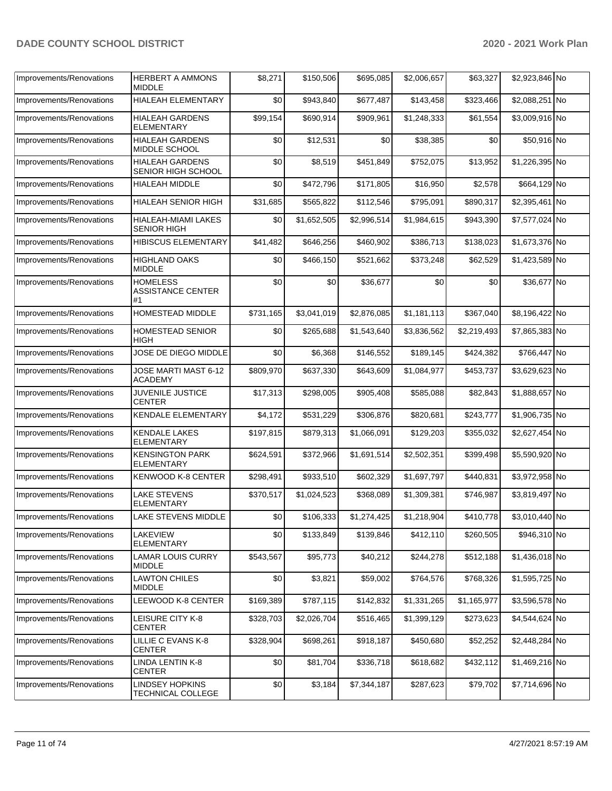| Improvements/Renovations | <b>HERBERT A AMMONS</b><br>MIDDLE                 | \$8,271   | \$150,506   | \$695,085   | \$2,006,657 | \$63,327    | \$2,923,846 No |  |
|--------------------------|---------------------------------------------------|-----------|-------------|-------------|-------------|-------------|----------------|--|
| Improvements/Renovations | HIALEAH ELEMENTARY                                | \$0       | \$943,840   | \$677,487   | \$143,458   | \$323,466   | \$2,088,251 No |  |
| Improvements/Renovations | <b>HIALEAH GARDENS</b><br>ELEMENTARY              | \$99,154  | \$690,914   | \$909,961   | \$1,248,333 | \$61,554    | \$3,009,916 No |  |
| Improvements/Renovations | <b>HIALEAH GARDENS</b><br>MIDDLE SCHOOL           | \$0       | \$12,531    | \$0         | \$38,385    | \$0         | \$50,916 No    |  |
| Improvements/Renovations | <b>HIALEAH GARDENS</b><br>SENIOR HIGH SCHOOL      | \$0       | \$8,519     | \$451,849   | \$752,075   | \$13,952    | \$1,226,395 No |  |
| Improvements/Renovations | HIALEAH MIDDLE                                    | \$0       | \$472,796   | \$171,805   | \$16,950    | \$2,578     | \$664,129 No   |  |
| Improvements/Renovations | <b>HIALEAH SENIOR HIGH</b>                        | \$31,685  | \$565,822   | \$112,546   | \$795,091   | \$890,317   | \$2,395,461 No |  |
| Improvements/Renovations | HIALEAH-MIAMI LAKES<br><b>SENIOR HIGH</b>         | \$0       | \$1,652,505 | \$2,996,514 | \$1,984,615 | \$943,390   | \$7,577,024 No |  |
| Improvements/Renovations | <b>HIBISCUS ELEMENTARY</b>                        | \$41,482  | \$646,256   | \$460,902   | \$386,713   | \$138,023   | \$1,673,376 No |  |
| Improvements/Renovations | <b>HIGHLAND OAKS</b><br><b>MIDDLE</b>             | \$0       | \$466,150   | \$521,662   | \$373,248   | \$62,529    | \$1,423,589 No |  |
| Improvements/Renovations | <b>HOMELESS</b><br><b>ASSISTANCE CENTER</b><br>#1 | \$0       | \$0         | \$36,677    | \$0         | \$0         | \$36,677 No    |  |
| Improvements/Renovations | HOMESTEAD MIDDLE                                  | \$731,165 | \$3,041,019 | \$2,876,085 | \$1,181,113 | \$367,040   | \$8,196,422 No |  |
| Improvements/Renovations | <b>HOMESTEAD SENIOR</b><br>HIGH                   | \$0       | \$265,688   | \$1,543,640 | \$3,836,562 | \$2,219,493 | \$7,865,383 No |  |
| Improvements/Renovations | JOSE DE DIEGO MIDDLE                              | \$0       | \$6,368     | \$146,552   | \$189,145   | \$424,382   | \$766,447 No   |  |
| Improvements/Renovations | JOSE MARTI MAST 6-12<br>ACADEMY                   | \$809,970 | \$637,330   | \$643,609   | \$1,084,977 | \$453,737   | \$3,629,623 No |  |
| Improvements/Renovations | <b>JUVENILE JUSTICE</b><br>CENTER                 | \$17,313  | \$298,005   | \$905,408   | \$585,088   | \$82,843    | \$1,888,657 No |  |
| Improvements/Renovations | KENDALE ELEMENTARY                                | \$4,172   | \$531,229   | \$306,876   | \$820,681   | \$243,777   | \$1,906,735 No |  |
| Improvements/Renovations | <b>KENDALE LAKES</b><br><b>ELEMENTARY</b>         | \$197,815 | \$879,313   | \$1,066,091 | \$129,203   | \$355,032   | \$2,627,454 No |  |
| Improvements/Renovations | <b>KENSINGTON PARK</b><br><b>ELEMENTARY</b>       | \$624,591 | \$372,966   | \$1,691,514 | \$2,502,351 | \$399,498   | \$5,590,920 No |  |
| Improvements/Renovations | KENWOOD K-8 CENTER                                | \$298,491 | \$933,510   | \$602,329   | \$1,697,797 | \$440,831   | \$3,972,958 No |  |
| Improvements/Renovations | <b>LAKE STEVENS</b><br><b>ELEMENTARY</b>          | \$370,517 | \$1,024,523 | \$368,089   | \$1,309,381 | \$746,987   | \$3.819.497 No |  |
| Improvements/Renovations | LAKE STEVENS MIDDLE                               | $$0$$     | \$106,333   | \$1,274,425 | \$1,218,904 | \$410,778   | \$3,010,440 No |  |
| Improvements/Renovations | LAKEVIEW<br><b>ELEMENTARY</b>                     | \$0       | \$133,849   | \$139,846   | \$412,110   | \$260,505   | \$946,310 No   |  |
| Improvements/Renovations | <b>LAMAR LOUIS CURRY</b><br><b>MIDDLE</b>         | \$543,567 | \$95,773    | \$40,212    | \$244,278   | \$512,188   | \$1,436,018 No |  |
| Improvements/Renovations | <b>LAWTON CHILES</b><br>MIDDLE                    | \$0       | \$3,821     | \$59,002    | \$764,576   | \$768,326   | \$1,595,725 No |  |
| Improvements/Renovations | LEEWOOD K-8 CENTER                                | \$169,389 | \$787,115   | \$142,832   | \$1,331,265 | \$1,165,977 | \$3,596,578 No |  |
| Improvements/Renovations | LEISURE CITY K-8<br><b>CENTER</b>                 | \$328,703 | \$2,026,704 | \$516,465   | \$1,399,129 | \$273,623   | \$4,544,624 No |  |
| Improvements/Renovations | LILLIE C EVANS K-8<br><b>CENTER</b>               | \$328,904 | \$698,261   | \$918,187   | \$450,680   | \$52,252    | \$2,448,284 No |  |
| Improvements/Renovations | LINDA LENTIN K-8<br>CENTER                        | \$0       | \$81,704    | \$336,718   | \$618,682   | \$432,112   | \$1,469,216 No |  |
| Improvements/Renovations | <b>LINDSEY HOPKINS</b><br>TECHNICAL COLLEGE       | \$0       | \$3,184     | \$7,344,187 | \$287,623   | \$79,702    | \$7,714,696 No |  |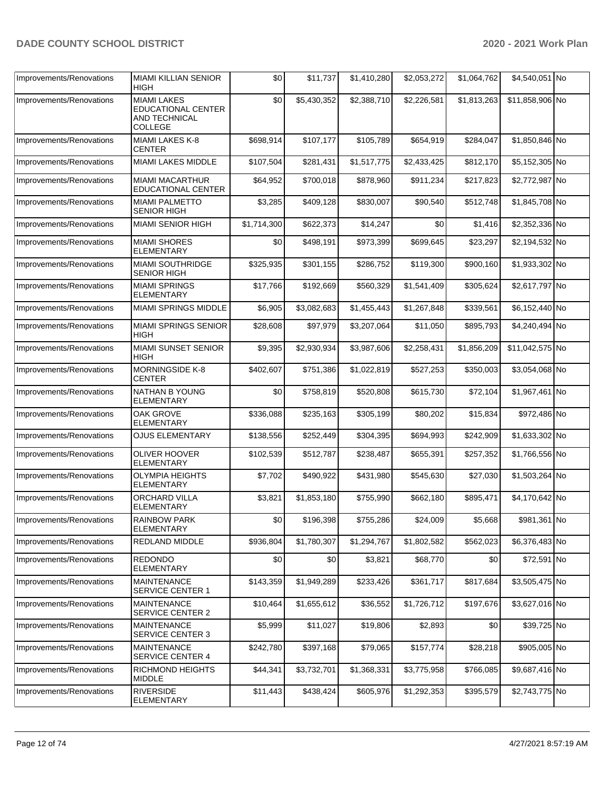| Improvements/Renovations | <b>MIAMI KILLIAN SENIOR</b><br><b>HIGH</b>                                         | \$0         | \$11,737    | \$1,410,280 | \$2,053,272 | \$1,064,762 | \$4,540,051 No  |  |
|--------------------------|------------------------------------------------------------------------------------|-------------|-------------|-------------|-------------|-------------|-----------------|--|
| Improvements/Renovations | <b>MIAMI LAKES</b><br><b>EDUCATIONAL CENTER</b><br>AND TECHNICAL<br><b>COLLEGE</b> | \$0         | \$5,430,352 | \$2,388,710 | \$2,226,581 | \$1,813,263 | \$11,858,906 No |  |
| Improvements/Renovations | MIAMI LAKES K-8<br><b>CENTER</b>                                                   | \$698,914   | \$107,177   | \$105,789   | \$654,919   | \$284,047   | \$1,850,846 No  |  |
| Improvements/Renovations | MIAMI LAKES MIDDLE                                                                 | \$107,504   | \$281,431   | \$1,517,775 | \$2,433,425 | \$812,170   | \$5,152,305 No  |  |
| Improvements/Renovations | <b>MIAMI MACARTHUR</b><br><b>EDUCATIONAL CENTER</b>                                | \$64,952    | \$700,018   | \$878,960   | \$911,234   | \$217,823   | \$2,772,987 No  |  |
| Improvements/Renovations | <b>MIAMI PALMETTO</b><br><b>SENIOR HIGH</b>                                        | \$3,285     | \$409,128   | \$830,007   | \$90,540    | \$512,748   | \$1,845,708 No  |  |
| Improvements/Renovations | <b>MIAMI SENIOR HIGH</b>                                                           | \$1,714,300 | \$622,373   | \$14,247    | \$0         | \$1,416     | \$2,352,336 No  |  |
| Improvements/Renovations | <b>MIAMI SHORES</b><br><b>ELEMENTARY</b>                                           | \$0         | \$498,191   | \$973,399   | \$699,645   | \$23,297    | \$2,194,532 No  |  |
| Improvements/Renovations | <b>MIAMI SOUTHRIDGE</b><br><b>SENIOR HIGH</b>                                      | \$325,935   | \$301,155   | \$286,752   | \$119,300   | \$900,160   | \$1,933,302 No  |  |
| Improvements/Renovations | <b>MIAMI SPRINGS</b><br><b>ELEMENTARY</b>                                          | \$17,766    | \$192,669   | \$560,329   | \$1,541,409 | \$305,624   | \$2,617,797 No  |  |
| Improvements/Renovations | MIAMI SPRINGS MIDDLE                                                               | \$6,905     | \$3,082,683 | \$1,455,443 | \$1,267,848 | \$339,561   | \$6,152,440 No  |  |
| Improvements/Renovations | MIAMI SPRINGS SENIOR<br><b>HIGH</b>                                                | \$28,608    | \$97,979    | \$3,207,064 | \$11,050    | \$895,793   | \$4,240,494 No  |  |
| Improvements/Renovations | <b>MIAMI SUNSET SENIOR</b><br><b>HIGH</b>                                          | \$9,395     | \$2,930,934 | \$3,987,606 | \$2,258,431 | \$1,856,209 | \$11,042,575 No |  |
| Improvements/Renovations | <b>MORNINGSIDE K-8</b><br><b>CENTER</b>                                            | \$402,607   | \$751,386   | \$1,022,819 | \$527,253   | \$350,003   | \$3,054,068 No  |  |
| Improvements/Renovations | NATHAN B YOUNG<br>ELEMENTARY                                                       | \$0         | \$758,819   | \$520,808   | \$615,730   | \$72,104    | \$1,967,461 No  |  |
| Improvements/Renovations | <b>OAK GROVE</b><br>ELEMENTARY                                                     | \$336,088   | \$235,163   | \$305,199   | \$80,202    | \$15,834    | \$972,486 No    |  |
| Improvements/Renovations | OJUS ELEMENTARY                                                                    | \$138,556   | \$252,449   | \$304,395   | \$694,993   | \$242,909   | \$1,633,302 No  |  |
| Improvements/Renovations | <b>OLIVER HOOVER</b><br><b>ELEMENTARY</b>                                          | \$102,539   | \$512,787   | \$238,487   | \$655,391   | \$257,352   | \$1,766,556 No  |  |
| Improvements/Renovations | <b>OLYMPIA HEIGHTS</b><br>ELEMENTARY                                               | \$7,702     | \$490,922   | \$431,980   | \$545,630   | \$27,030    | \$1,503,264 No  |  |
| Improvements/Renovations | ORCHARD VILLA<br>ELEMENTARY                                                        | \$3,821     | \$1,853,180 | \$755,990   | \$662,180   | \$895,471   | \$4,170,642 No  |  |
| Improvements/Renovations | <b>RAINBOW PARK</b><br><b>ELEMENTARY</b>                                           | \$0         | \$196,398   | \$755,286   | \$24,009    | \$5,668     | \$981,361 No    |  |
| Improvements/Renovations | <b>REDLAND MIDDLE</b>                                                              | \$936,804   | \$1,780,307 | \$1,294,767 | \$1,802,582 | \$562,023   | \$6,376,483 No  |  |
| Improvements/Renovations | <b>REDONDO</b><br><b>ELEMENTARY</b>                                                | \$0         | \$0         | \$3,821     | \$68,770    | \$0         | \$72,591 No     |  |
| Improvements/Renovations | <b>MAINTENANCE</b><br>SERVICE CENTER 1                                             | \$143,359   | \$1,949,289 | \$233,426   | \$361,717   | \$817,684   | \$3,505,475 No  |  |
| Improvements/Renovations | <b>MAINTENANCE</b><br><b>SERVICE CENTER 2</b>                                      | \$10,464    | \$1,655,612 | \$36,552    | \$1,726,712 | \$197,676   | \$3,627,016 No  |  |
| Improvements/Renovations | <b>MAINTENANCE</b><br><b>SERVICE CENTER 3</b>                                      | \$5,999     | \$11,027    | \$19,806    | \$2,893     | \$0         | \$39,725 No     |  |
| Improvements/Renovations | <b>MAINTENANCE</b><br><b>SERVICE CENTER 4</b>                                      | \$242,780   | \$397,168   | \$79,065    | \$157,774   | \$28,218    | \$905,005 No    |  |
| Improvements/Renovations | RICHMOND HEIGHTS<br><b>MIDDLE</b>                                                  | \$44,341    | \$3,732,701 | \$1,368,331 | \$3,775,958 | \$766,085   | \$9,687,416 No  |  |
| Improvements/Renovations | <b>RIVERSIDE</b><br>ELEMENTARY                                                     | \$11,443    | \$438,424   | \$605,976   | \$1,292,353 | \$395,579   | \$2,743,775 No  |  |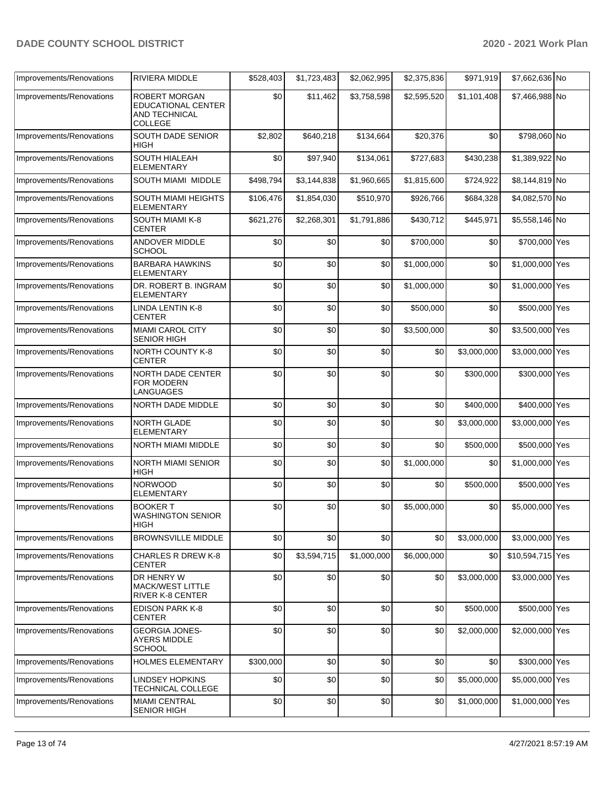| Improvements/Renovations | <b>RIVIERA MIDDLE</b>                                                         | \$528,403 | \$1,723,483 | \$2,062,995 | \$2,375,836 | \$971,919   | \$7,662,636 No   |  |
|--------------------------|-------------------------------------------------------------------------------|-----------|-------------|-------------|-------------|-------------|------------------|--|
| Improvements/Renovations | <b>ROBERT MORGAN</b><br><b>EDUCATIONAL CENTER</b><br>AND TECHNICAL<br>COLLEGE | \$0       | \$11,462    | \$3,758,598 | \$2,595,520 | \$1,101,408 | \$7,466,988 No   |  |
| Improvements/Renovations | SOUTH DADE SENIOR<br><b>HIGH</b>                                              | \$2,802   | \$640,218   | \$134,664   | \$20,376    | \$0         | \$798,060 No     |  |
| Improvements/Renovations | SOUTH HIALEAH<br><b>ELEMENTARY</b>                                            | \$0       | \$97,940    | \$134,061   | \$727,683   | \$430,238   | \$1,389,922 No   |  |
| Improvements/Renovations | SOUTH MIAMI MIDDLE                                                            | \$498,794 | \$3,144,838 | \$1,960,665 | \$1,815,600 | \$724,922   | \$8,144,819 No   |  |
| Improvements/Renovations | SOUTH MIAMI HEIGHTS<br><b>ELEMENTARY</b>                                      | \$106,476 | \$1,854,030 | \$510,970   | \$926,766   | \$684,328   | \$4,082,570 No   |  |
| Improvements/Renovations | SOUTH MIAMI K-8<br><b>CENTER</b>                                              | \$621,276 | \$2,268,301 | \$1,791,886 | \$430,712   | \$445,971   | \$5,558,146 No   |  |
| Improvements/Renovations | ANDOVER MIDDLE<br><b>SCHOOL</b>                                               | \$0       | \$0         | \$0         | \$700,000   | \$0         | \$700,000 Yes    |  |
| Improvements/Renovations | <b>BARBARA HAWKINS</b><br>ELEMENTARY                                          | \$0       | \$0         | \$0         | \$1,000,000 | \$0         | \$1,000,000 Yes  |  |
| Improvements/Renovations | DR. ROBERT B. INGRAM<br><b>ELEMENTARY</b>                                     | \$0       | \$0         | \$0         | \$1,000,000 | \$0         | \$1,000,000 Yes  |  |
| Improvements/Renovations | <b>LINDA LENTIN K-8</b><br><b>CENTER</b>                                      | \$0       | \$0         | \$0         | \$500,000   | \$0         | \$500,000 Yes    |  |
| Improvements/Renovations | MIAMI CAROL CITY<br><b>SENIOR HIGH</b>                                        | \$0       | \$0         | \$0         | \$3,500,000 | \$0         | \$3,500,000 Yes  |  |
| Improvements/Renovations | <b>NORTH COUNTY K-8</b><br><b>CENTER</b>                                      | \$0       | \$0         | \$0         | \$0         | \$3,000,000 | \$3,000,000 Yes  |  |
| Improvements/Renovations | NORTH DADE CENTER<br>FOR MODERN<br>LANGUAGES                                  | \$0       | \$0         | \$0         | \$0         | \$300,000   | \$300,000 Yes    |  |
| Improvements/Renovations | NORTH DADE MIDDLE                                                             | \$0       | \$0         | \$0         | \$0         | \$400,000   | \$400,000 Yes    |  |
| Improvements/Renovations | NORTH GLADE<br><b>ELEMENTARY</b>                                              | \$0       | \$0         | \$0         | \$0         | \$3,000,000 | \$3,000,000 Yes  |  |
| Improvements/Renovations | <b>NORTH MIAMI MIDDLE</b>                                                     | \$0       | \$0         | \$0         | \$0         | \$500,000   | \$500,000 Yes    |  |
| Improvements/Renovations | NORTH MIAMI SENIOR<br>HIGH                                                    | \$0       | \$0         | \$0         | \$1,000,000 | \$0         | \$1,000,000 Yes  |  |
| Improvements/Renovations | <b>NORWOOD</b><br><b>ELEMENTARY</b>                                           | \$0       | \$0         | \$0         | \$0         | \$500,000   | \$500,000 Yes    |  |
| Improvements/Renovations | <b>BOOKER T</b><br><b>WASHINGTON SENIOR</b><br><b>HIGH</b>                    | \$0       | \$0         | \$0         | \$5,000,000 | \$0         | \$5,000,000 Yes  |  |
| Improvements/Renovations | <b>BROWNSVILLE MIDDLE</b>                                                     | \$0       | \$0         | \$0         | \$0         | \$3,000,000 | \$3,000,000 Yes  |  |
| Improvements/Renovations | <b>CHARLES R DREW K-8</b><br><b>CENTER</b>                                    | \$0       | \$3,594,715 | \$1,000,000 | \$6,000,000 | \$0         | \$10,594,715 Yes |  |
| Improvements/Renovations | DR HENRY W<br><b>MACK/WEST LITTLE</b><br>RIVER K-8 CENTER                     | \$0       | \$0         | \$0         | \$0         | \$3,000,000 | \$3,000,000 Yes  |  |
| Improvements/Renovations | <b>EDISON PARK K-8</b><br><b>CENTER</b>                                       | \$0       | \$0         | \$0         | \$0         | \$500,000   | \$500,000 Yes    |  |
| Improvements/Renovations | <b>GEORGIA JONES-</b><br><b>AYERS MIDDLE</b><br><b>SCHOOL</b>                 | \$0       | \$0         | \$0         | \$0         | \$2,000,000 | \$2,000,000 Yes  |  |
| Improvements/Renovations | <b>HOLMES ELEMENTARY</b>                                                      | \$300,000 | \$0         | \$0         | \$0         | \$0         | \$300,000 Yes    |  |
| Improvements/Renovations | <b>LINDSEY HOPKINS</b><br>TECHNICAL COLLEGE                                   | \$0       | \$0         | \$0         | \$0         | \$5,000,000 | \$5,000,000 Yes  |  |
| Improvements/Renovations | <b>MIAMI CENTRAL</b><br><b>SENIOR HIGH</b>                                    | \$0       | \$0         | \$0         | \$0         | \$1,000,000 | \$1,000,000 Yes  |  |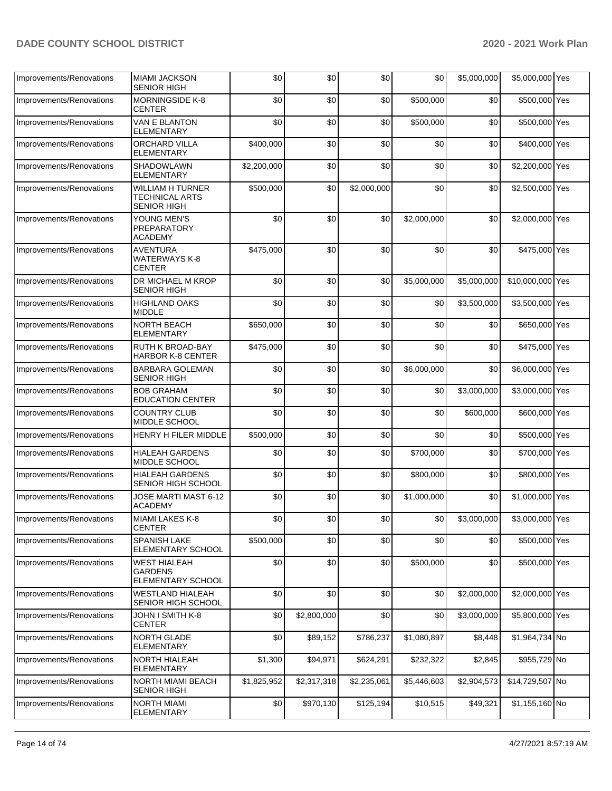| Improvements/Renovations | <b>MIAMI JACKSON</b><br><b>SENIOR HIGH</b>                             | \$0         | \$0         | \$0         | \$0         | \$5,000,000 | \$5,000,000 Yes  |  |
|--------------------------|------------------------------------------------------------------------|-------------|-------------|-------------|-------------|-------------|------------------|--|
| Improvements/Renovations | <b>MORNINGSIDE K-8</b><br><b>CENTER</b>                                | \$0         | \$0         | \$0         | \$500,000   | \$0         | \$500,000 Yes    |  |
| Improvements/Renovations | <b>VAN E BLANTON</b><br><b>ELEMENTARY</b>                              | \$0         | \$0         | \$0         | \$500,000   | \$0         | \$500,000 Yes    |  |
| Improvements/Renovations | ORCHARD VILLA<br>ELEMENTARY                                            | \$400,000   | \$0         | \$0         | \$0         | \$0         | \$400,000 Yes    |  |
| Improvements/Renovations | <b>SHADOWLAWN</b><br><b>ELEMENTARY</b>                                 | \$2,200,000 | \$0         | \$0         | \$0         | \$0         | \$2,200,000 Yes  |  |
| Improvements/Renovations | <b>WILLIAM H TURNER</b><br><b>TECHNICAL ARTS</b><br><b>SENIOR HIGH</b> | \$500,000   | \$0         | \$2,000,000 | \$0         | \$0         | \$2,500,000 Yes  |  |
| Improvements/Renovations | YOUNG MEN'S<br>PREPARATORY<br><b>ACADEMY</b>                           | \$0         | \$0         | \$0         | \$2,000,000 | \$0         | \$2,000,000 Yes  |  |
| Improvements/Renovations | <b>AVENTURA</b><br><b>WATERWAYS K-8</b><br><b>CENTER</b>               | \$475,000   | \$0         | \$0         | \$0         | \$0         | \$475,000 Yes    |  |
| Improvements/Renovations | DR MICHAEL M KROP<br><b>SENIOR HIGH</b>                                | \$0         | \$0         | \$0         | \$5,000,000 | \$5,000,000 | \$10,000,000 Yes |  |
| Improvements/Renovations | <b>HIGHLAND OAKS</b><br><b>MIDDLE</b>                                  | \$0         | \$0         | \$0         | \$0         | \$3,500,000 | \$3,500,000 Yes  |  |
| Improvements/Renovations | <b>NORTH BEACH</b><br><b>ELEMENTARY</b>                                | \$650,000   | \$0         | \$0         | \$0         | \$0         | \$650,000 Yes    |  |
| Improvements/Renovations | <b>RUTH K BROAD-BAY</b><br><b>HARBOR K-8 CENTER</b>                    | \$475,000   | \$0         | \$0         | \$0         | \$0         | \$475,000 Yes    |  |
| Improvements/Renovations | <b>BARBARA GOLEMAN</b><br><b>SENIOR HIGH</b>                           | \$0         | \$0         | \$0         | \$6,000,000 | \$0         | \$6,000,000 Yes  |  |
| Improvements/Renovations | <b>BOB GRAHAM</b><br><b>EDUCATION CENTER</b>                           | \$0         | \$0         | \$0         | \$0         | \$3,000,000 | \$3,000,000 Yes  |  |
| Improvements/Renovations | <b>COUNTRY CLUB</b><br>MIDDLE SCHOOL                                   | \$0         | \$0         | \$0         | \$0         | \$600,000   | \$600,000 Yes    |  |
| Improvements/Renovations | <b>HENRY H FILER MIDDLE</b>                                            | \$500,000   | \$0         | \$0         | \$0         | \$0         | \$500,000 Yes    |  |
| Improvements/Renovations | <b>HIALEAH GARDENS</b><br>MIDDLE SCHOOL                                | \$0         | \$0         | \$0         | \$700,000   | \$0         | \$700,000 Yes    |  |
| Improvements/Renovations | <b>HIALEAH GARDENS</b><br>SENIOR HIGH SCHOOL                           | \$0         | \$0         | \$0         | \$800,000   | \$0         | \$800,000 Yes    |  |
| Improvements/Renovations | JOSE MARTI MAST 6-12<br><b>ACADEMY</b>                                 | \$0         | \$0         | \$0         | \$1,000,000 | \$0         | \$1,000,000 Yes  |  |
| Improvements/Renovations | MIAMI LAKES K-8<br><b>CENTER</b>                                       | \$0         | \$0         | \$0         | \$0         | \$3,000,000 | \$3,000,000 Yes  |  |
| Improvements/Renovations | <b>SPANISH LAKE</b><br><b>ELEMENTARY SCHOOL</b>                        | \$500,000   | \$0         | \$0         | \$0         | \$0         | \$500,000 Yes    |  |
| Improvements/Renovations | <b>WEST HIALEAH</b><br><b>GARDENS</b><br><b>ELEMENTARY SCHOOL</b>      | \$0         | \$0         | \$0         | \$500,000   | \$0         | \$500,000 Yes    |  |
| Improvements/Renovations | <b>WESTLAND HIALEAH</b><br><b>SENIOR HIGH SCHOOL</b>                   | \$0         | \$0         | \$0         | \$0         | \$2,000,000 | \$2,000,000 Yes  |  |
| Improvements/Renovations | JOHN I SMITH K-8<br><b>CENTER</b>                                      | \$0         | \$2,800,000 | \$0         | \$0         | \$3,000,000 | \$5,800,000 Yes  |  |
| Improvements/Renovations | NORTH GLADE<br><b>ELEMENTARY</b>                                       | \$0         | \$89,152    | \$786,237   | \$1,080,897 | \$8,448     | \$1,964,734 No   |  |
| Improvements/Renovations | <b>NORTH HIALEAH</b><br><b>ELEMENTARY</b>                              | \$1,300     | \$94,971    | \$624,291   | \$232,322   | \$2,845     | \$955,729 No     |  |
| Improvements/Renovations | <b>NORTH MIAMI BEACH</b><br><b>SENIOR HIGH</b>                         | \$1,825,952 | \$2,317,318 | \$2,235,061 | \$5,446,603 | \$2,904,573 | \$14,729,507 No  |  |
| Improvements/Renovations | <b>NORTH MIAMI</b><br><b>ELEMENTARY</b>                                | \$0         | \$970,130   | \$125,194   | \$10,515    | \$49,321    | \$1,155,160 No   |  |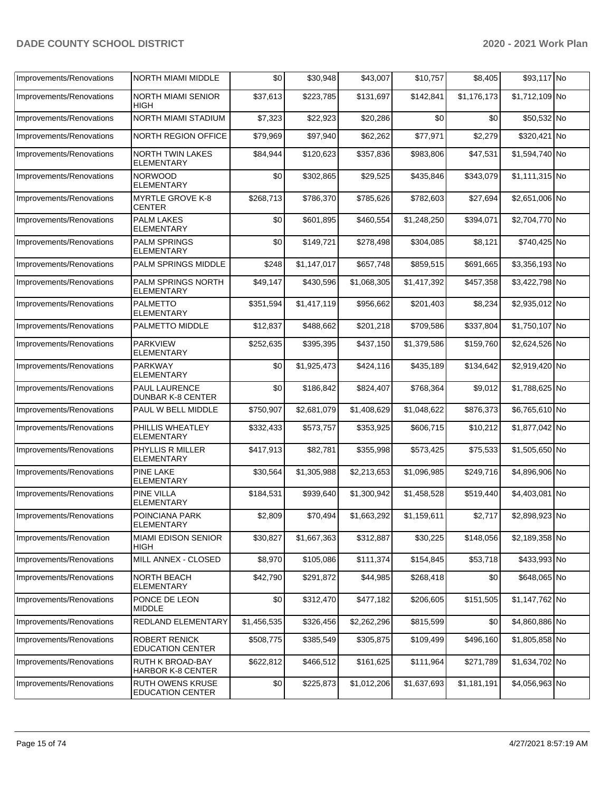| Improvements/Renovations | <b>NORTH MIAMI MIDDLE</b>                          | \$0         | \$30,948    | \$43,007    | \$10,757    | \$8,405     | \$93,117 No    |  |
|--------------------------|----------------------------------------------------|-------------|-------------|-------------|-------------|-------------|----------------|--|
| Improvements/Renovations | <b>NORTH MIAMI SENIOR</b><br>HIGH                  | \$37,613    | \$223,785   | \$131,697   | \$142,841   | \$1,176,173 | \$1,712,109 No |  |
| Improvements/Renovations | NORTH MIAMI STADIUM                                | \$7,323     | \$22,923    | \$20,286    | \$0         | \$0         | \$50,532 No    |  |
| Improvements/Renovations | <b>NORTH REGION OFFICE</b>                         | \$79,969    | \$97,940    | \$62,262    | \$77,971    | \$2,279     | \$320,421 No   |  |
| Improvements/Renovations | <b>NORTH TWIN LAKES</b><br>ELEMENTARY              | \$84,944    | \$120,623   | \$357,836   | \$983,806   | \$47,531    | \$1,594,740 No |  |
| Improvements/Renovations | <b>NORWOOD</b><br><b>ELEMENTARY</b>                | \$0         | \$302,865   | \$29,525    | \$435,846   | \$343,079   | \$1,111,315 No |  |
| Improvements/Renovations | <b>MYRTLE GROVE K-8</b><br><b>CENTER</b>           | \$268,713   | \$786.370   | \$785,626   | \$782,603   | \$27,694    | \$2,651,006 No |  |
| Improvements/Renovations | <b>PALM LAKES</b><br><b>ELEMENTARY</b>             | \$0         | \$601,895   | \$460,554   | \$1,248,250 | \$394,071   | \$2,704,770 No |  |
| Improvements/Renovations | <b>PALM SPRINGS</b><br><b>ELEMENTARY</b>           | \$0         | \$149,721   | \$278,498   | \$304,085   | \$8,121     | \$740,425 No   |  |
| Improvements/Renovations | PALM SPRINGS MIDDLE                                | \$248       | \$1,147,017 | \$657,748   | \$859,515   | \$691,665   | \$3,356,193 No |  |
| Improvements/Renovations | PALM SPRINGS NORTH<br>ELEMENTARY                   | \$49,147    | \$430,596   | \$1,068,305 | \$1,417,392 | \$457,358   | \$3,422,798 No |  |
| Improvements/Renovations | <b>PALMETTO</b><br><b>ELEMENTARY</b>               | \$351,594   | \$1,417,119 | \$956,662   | \$201,403   | \$8,234     | \$2,935,012 No |  |
| Improvements/Renovations | PALMETTO MIDDLE                                    | \$12,837    | \$488,662   | \$201,218   | \$709,586   | \$337,804   | \$1,750,107 No |  |
| Improvements/Renovations | <b>PARKVIEW</b><br>ELEMENTARY                      | \$252,635   | \$395,395   | \$437,150   | \$1,379,586 | \$159,760   | \$2,624,526 No |  |
| Improvements/Renovations | <b>PARKWAY</b><br>ELEMENTARY                       | \$0         | \$1,925,473 | \$424,116   | \$435,189   | \$134,642   | \$2,919,420 No |  |
| Improvements/Renovations | PAUL LAURENCE<br><b>DUNBAR K-8 CENTER</b>          | \$0         | \$186,842   | \$824,407   | \$768,364   | \$9,012     | \$1,788,625 No |  |
| Improvements/Renovations | PAUL W BELL MIDDLE                                 | \$750,907   | \$2,681,079 | \$1,408,629 | \$1,048,622 | \$876,373   | \$6,765,610 No |  |
| Improvements/Renovations | PHILLIS WHEATLEY<br>ELEMENTARY                     | \$332,433   | \$573,757   | \$353,925   | \$606,715   | \$10,212    | \$1,877,042 No |  |
| Improvements/Renovations | PHYLLIS R MILLER<br>ELEMENTARY                     | \$417,913   | \$82,781    | \$355,998   | \$573,425   | \$75,533    | \$1,505,650 No |  |
| Improvements/Renovations | <b>PINE LAKE</b><br><b>ELEMENTARY</b>              | \$30,564    | \$1,305,988 | \$2,213,653 | \$1,096,985 | \$249,716   | \$4,896,906 No |  |
| Improvements/Renovations | <b>PINE VILLA</b><br><b>ELEMENTARY</b>             | \$184,531   | \$939,640   | \$1,300,942 | \$1,458,528 | \$519,440   | \$4,403,081 No |  |
| Improvements/Renovations | POINCIANA PARK<br>ELEMENTARY                       | \$2,809     | \$70,494    | \$1,663,292 | \$1,159,611 | \$2,717     | \$2,898,923 No |  |
| Improvements/Renovation  | MIAMI EDISON SENIOR<br><b>HIGH</b>                 | \$30,827    | \$1,667,363 | \$312,887   | \$30,225    | \$148,056   | \$2,189,358 No |  |
| Improvements/Renovations | MILL ANNEX - CLOSED                                | \$8,970     | \$105,086   | \$111,374   | \$154,845   | \$53,718    | \$433,993 No   |  |
| Improvements/Renovations | <b>NORTH BEACH</b><br>ELEMENTARY                   | \$42,790    | \$291,872   | \$44,985    | \$268,418   | \$0         | \$648,065 No   |  |
| Improvements/Renovations | PONCE DE LEON<br><b>MIDDLE</b>                     | \$0         | \$312,470   | \$477,182   | \$206,605   | \$151,505   | \$1,147,762 No |  |
| Improvements/Renovations | REDLAND ELEMENTARY                                 | \$1,456,535 | \$326,456   | \$2,262,296 | \$815,599   | \$0         | \$4,860,886 No |  |
| Improvements/Renovations | ROBERT RENICK<br><b>EDUCATION CENTER</b>           | \$508,775   | \$385,549   | \$305,875   | \$109,499   | \$496,160   | \$1,805,858 No |  |
| Improvements/Renovations | RUTH K BROAD-BAY<br><b>HARBOR K-8 CENTER</b>       | \$622,812   | \$466,512   | \$161,625   | \$111,964   | \$271,789   | \$1,634,702 No |  |
| Improvements/Renovations | <b>RUTH OWENS KRUSE</b><br><b>EDUCATION CENTER</b> | \$0         | \$225,873   | \$1,012,206 | \$1,637,693 | \$1,181,191 | \$4,056,963 No |  |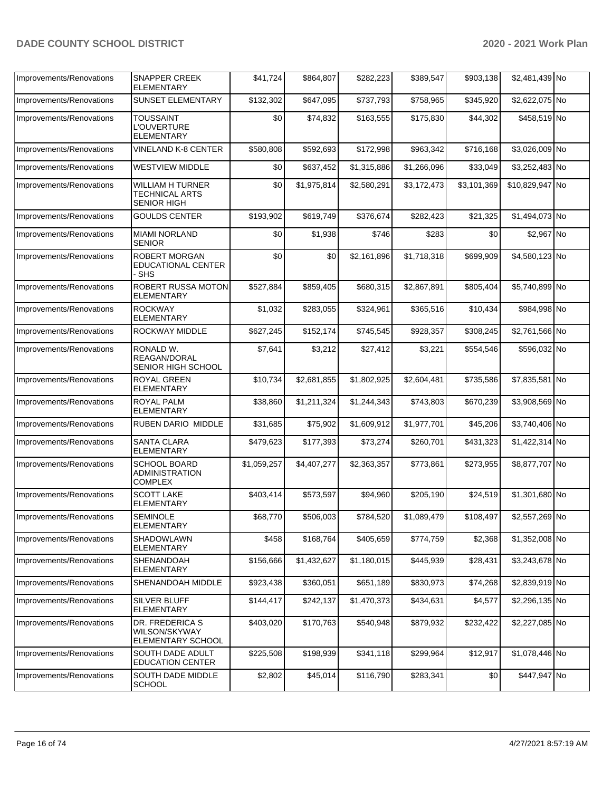| Improvements/Renovations | <b>SNAPPER CREEK</b><br><b>ELEMENTARY</b>                       | \$41,724    | \$864,807   | \$282,223   | \$389,547   | \$903,138   | \$2,481,439 No  |  |
|--------------------------|-----------------------------------------------------------------|-------------|-------------|-------------|-------------|-------------|-----------------|--|
| Improvements/Renovations | <b>SUNSET ELEMENTARY</b>                                        | \$132,302   | \$647,095   | \$737,793   | \$758,965   | \$345,920   | \$2,622,075 No  |  |
| Improvements/Renovations | <b>TOUSSAINT</b><br><b>L'OUVERTURE</b><br><b>ELEMENTARY</b>     | \$0         | \$74,832    | \$163,555   | \$175,830   | \$44,302    | \$458,519 No    |  |
| Improvements/Renovations | VINELAND K-8 CENTER                                             | \$580,808   | \$592,693   | \$172,998   | \$963,342   | \$716,168   | \$3,026,009 No  |  |
| Improvements/Renovations | <b>WESTVIEW MIDDLE</b>                                          | \$0         | \$637,452   | \$1,315,886 | \$1,266,096 | \$33,049    | \$3,252,483 No  |  |
| Improvements/Renovations | <b>WILLIAM H TURNER</b><br>TECHNICAL ARTS<br><b>SENIOR HIGH</b> | \$0         | \$1,975,814 | \$2,580,291 | \$3,172,473 | \$3,101,369 | \$10,829,947 No |  |
| Improvements/Renovations | <b>GOULDS CENTER</b>                                            | \$193,902   | \$619,749   | \$376,674   | \$282,423   | \$21,325    | \$1,494,073 No  |  |
| Improvements/Renovations | <b>MIAMI NORLAND</b><br><b>SENIOR</b>                           | \$0         | \$1,938     | \$746       | \$283       | \$0         | \$2,967 No      |  |
| Improvements/Renovations | <b>ROBERT MORGAN</b><br><b>EDUCATIONAL CENTER</b><br>- SHS      | \$0         | \$0         | \$2,161,896 | \$1,718,318 | \$699,909   | \$4,580,123 No  |  |
| Improvements/Renovations | ROBERT RUSSA MOTON<br>ELEMENTARY                                | \$527,884   | \$859,405   | \$680,315   | \$2,867,891 | \$805,404   | \$5,740,899 No  |  |
| Improvements/Renovations | <b>ROCKWAY</b><br><b>ELEMENTARY</b>                             | \$1.032     | \$283,055   | \$324,961   | \$365,516   | \$10,434    | \$984,998 No    |  |
| Improvements/Renovations | ROCKWAY MIDDLE                                                  | \$627,245   | \$152,174   | \$745,545   | \$928,357   | \$308,245   | \$2,761,566 No  |  |
| Improvements/Renovations | RONALD W.<br>REAGAN/DORAL<br>SENIOR HIGH SCHOOL                 | \$7,641     | \$3,212     | \$27,412    | \$3,221     | \$554,546   | \$596,032 No    |  |
| Improvements/Renovations | <b>ROYAL GREEN</b><br><b>ELEMENTARY</b>                         | \$10,734    | \$2,681,855 | \$1,802,925 | \$2,604,481 | \$735,586   | \$7,835,581 No  |  |
| Improvements/Renovations | <b>ROYAL PALM</b><br>ELEMENTARY                                 | \$38,860    | \$1,211,324 | \$1,244,343 | \$743,803   | \$670,239   | \$3,908,569 No  |  |
| Improvements/Renovations | RUBEN DARIO MIDDLE                                              | \$31,685    | \$75,902    | \$1,609,912 | \$1,977,701 | \$45,206    | \$3,740,406 No  |  |
| Improvements/Renovations | SANTA CLARA<br><b>ELEMENTARY</b>                                | \$479,623   | \$177,393   | \$73,274    | \$260,701   | \$431,323   | \$1,422,314 No  |  |
| Improvements/Renovations | <b>SCHOOL BOARD</b><br><b>ADMINISTRATION</b><br><b>COMPLEX</b>  | \$1,059,257 | \$4,407,277 | \$2,363,357 | \$773,861   | \$273,955   | \$8,877,707 No  |  |
| Improvements/Renovations | <b>SCOTT LAKE</b><br><b>ELEMENTARY</b>                          | \$403,414   | \$573,597   | \$94,960    | \$205,190   | \$24,519    | \$1,301,680 No  |  |
| Improvements/Renovations | <b>SEMINOLE</b><br><b>ELEMENTARY</b>                            | \$68,770    | \$506,003   | \$784,520   | \$1,089,479 | \$108,497   | \$2,557,269 No  |  |
| Improvements/Renovations | SHADOWLAWN<br>ELEMENTARY                                        | \$458       | \$168,764   | \$405,659   | \$774,759   | \$2,368     | \$1,352,008 No  |  |
| Improvements/Renovations | SHENANDOAH<br><b>ELEMENTARY</b>                                 | \$156,666   | \$1,432,627 | \$1,180,015 | \$445,939   | \$28,431    | \$3,243,678 No  |  |
| Improvements/Renovations | SHENANDOAH MIDDLE                                               | \$923,438   | \$360,051   | \$651,189   | \$830,973   | \$74,268    | \$2,839,919 No  |  |
| Improvements/Renovations | SILVER BLUFF<br>ELEMENTARY                                      | \$144,417   | \$242,137   | \$1,470,373 | \$434,631   | \$4,577     | \$2,296,135 No  |  |
| Improvements/Renovations | DR. FREDERICA S<br>WILSON/SKYWAY<br>ELEMENTARY SCHOOL           | \$403,020   | \$170,763   | \$540,948   | \$879,932   | \$232,422   | \$2,227,085 No  |  |
| Improvements/Renovations | SOUTH DADE ADULT<br><b>EDUCATION CENTER</b>                     | \$225,508   | \$198,939   | \$341,118   | \$299,964   | \$12,917    | \$1,078,446 No  |  |
| Improvements/Renovations | SOUTH DADE MIDDLE<br><b>SCHOOL</b>                              | \$2,802     | \$45,014    | \$116,790   | \$283,341   | \$0         | \$447,947 No    |  |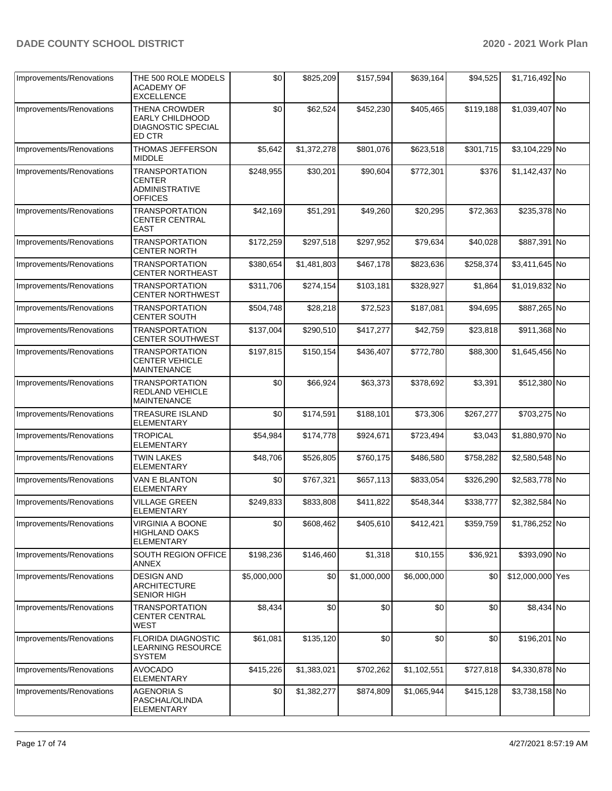| Improvements/Renovations | THE 500 ROLE MODELS<br><b>ACADEMY OF</b><br><b>EXCELLENCE</b>                     | \$0         | \$825,209   | \$157,594   | \$639,164   | \$94,525  | \$1,716,492 No   |  |
|--------------------------|-----------------------------------------------------------------------------------|-------------|-------------|-------------|-------------|-----------|------------------|--|
| Improvements/Renovations | <b>THENA CROWDER</b><br>EARLY CHILDHOOD<br><b>DIAGNOSTIC SPECIAL</b><br>ED CTR    | \$0         | \$62,524    | \$452,230   | \$405,465   | \$119,188 | \$1,039,407 No   |  |
| Improvements/Renovations | THOMAS JEFFERSON<br><b>MIDDLE</b>                                                 | \$5,642     | \$1,372,278 | \$801,076   | \$623,518   | \$301,715 | \$3,104,229 No   |  |
| Improvements/Renovations | <b>TRANSPORTATION</b><br><b>CENTER</b><br><b>ADMINISTRATIVE</b><br><b>OFFICES</b> | \$248,955   | \$30,201    | \$90,604    | \$772,301   | \$376     | \$1,142,437 No   |  |
| Improvements/Renovations | <b>TRANSPORTATION</b><br>CENTER CENTRAL<br><b>EAST</b>                            | \$42,169    | \$51,291    | \$49,260    | \$20,295    | \$72,363  | \$235,378 No     |  |
| Improvements/Renovations | <b>TRANSPORTATION</b><br><b>CENTER NORTH</b>                                      | \$172,259   | \$297,518   | \$297,952   | \$79,634    | \$40,028  | \$887,391 No     |  |
| Improvements/Renovations | TRANSPORTATION<br><b>CENTER NORTHEAST</b>                                         | \$380,654   | \$1,481,803 | \$467,178   | \$823,636   | \$258,374 | \$3,411,645 No   |  |
| Improvements/Renovations | <b>TRANSPORTATION</b><br><b>CENTER NORTHWEST</b>                                  | \$311,706   | \$274,154   | \$103,181   | \$328,927   | \$1,864   | \$1,019,832 No   |  |
| Improvements/Renovations | <b>TRANSPORTATION</b><br><b>CENTER SOUTH</b>                                      | \$504,748   | \$28,218    | \$72,523    | \$187,081   | \$94,695  | \$887,265 No     |  |
| Improvements/Renovations | <b>TRANSPORTATION</b><br><b>CENTER SOUTHWEST</b>                                  | \$137,004   | \$290,510   | \$417,277   | \$42,759    | \$23,818  | \$911,368 No     |  |
| Improvements/Renovations | <b>TRANSPORTATION</b><br>CENTER VEHICLE<br><b>MAINTENANCE</b>                     | \$197,815   | \$150,154   | \$436,407   | \$772,780   | \$88,300  | \$1,645,456 No   |  |
| Improvements/Renovations | TRANSPORTATION<br><b>REDLAND VEHICLE</b><br><b>MAINTENANCE</b>                    | \$0         | \$66,924    | \$63,373    | \$378,692   | \$3,391   | \$512,380 No     |  |
| Improvements/Renovations | <b>TREASURE ISLAND</b><br>ELEMENTARY                                              | \$0         | \$174,591   | \$188,101   | \$73,306    | \$267,277 | \$703,275 No     |  |
| Improvements/Renovations | <b>TROPICAL</b><br><b>ELEMENTARY</b>                                              | \$54,984    | \$174,778   | \$924,671   | \$723,494   | \$3,043   | \$1,880,970 No   |  |
| Improvements/Renovations | <b>TWIN LAKES</b><br><b>ELEMENTARY</b>                                            | \$48,706    | \$526,805   | \$760,175   | \$486,580   | \$758,282 | \$2,580,548 No   |  |
| Improvements/Renovations | VAN E BLANTON<br><b>ELEMENTARY</b>                                                | \$0         | \$767,321   | \$657,113   | \$833,054   | \$326,290 | \$2,583,778 No   |  |
| Improvements/Renovations | VILLAGE GREEN<br><b>ELEMENTARY</b>                                                | \$249,833   | \$833,808   | \$411,822   | \$548,344   | \$338,777 | \$2,382,584 No   |  |
| Improvements/Renovations | VIRGINIA A BOONE<br>HIGHLAND OAKS<br><b>ELEMENTARY</b>                            | \$0         | \$608,462   | \$405,610   | \$412,421   | \$359,759 | \$1,786,252 No   |  |
| Improvements/Renovations | SOUTH REGION OFFICE<br>ANNEX                                                      | \$198,236   | \$146,460   | \$1,318     | \$10,155    | \$36,921  | \$393,090 No     |  |
| Improvements/Renovations | <b>DESIGN AND</b><br>ARCHITECTURE<br><b>SENIOR HIGH</b>                           | \$5,000,000 | \$0         | \$1,000,000 | \$6,000,000 | \$0       | \$12,000,000 Yes |  |
| Improvements/Renovations | <b>TRANSPORTATION</b><br><b>CENTER CENTRAL</b><br>WEST                            | \$8,434     | \$0         | \$0         | \$0         | \$0       | \$8,434 No       |  |
| Improvements/Renovations | <b>FLORIDA DIAGNOSTIC</b><br>LEARNING RESOURCE<br><b>SYSTEM</b>                   | \$61,081    | \$135,120   | \$0         | \$0         | \$0       | \$196,201 No     |  |
| Improvements/Renovations | <b>AVOCADO</b><br><b>ELEMENTARY</b>                                               | \$415,226   | \$1,383,021 | \$702,262   | \$1,102,551 | \$727,818 | \$4,330,878 No   |  |
| Improvements/Renovations | <b>AGENORIA S</b><br>PASCHAL/OLINDA<br><b>ELEMENTARY</b>                          | \$0         | \$1,382,277 | \$874,809   | \$1,065,944 | \$415,128 | \$3,738,158 No   |  |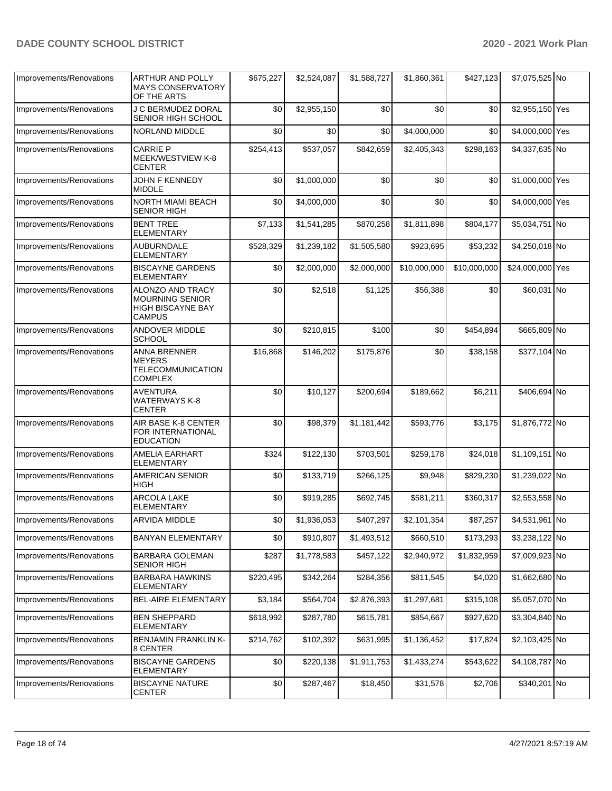| Improvements/Renovations | ARTHUR AND POLLY<br><b>MAYS CONSERVATORY</b><br>OF THE ARTS                        | \$675,227 | \$2,524,087 | \$1,588,727 | \$1,860,361  | \$427,123    | \$7,075,525 No   |  |
|--------------------------|------------------------------------------------------------------------------------|-----------|-------------|-------------|--------------|--------------|------------------|--|
| Improvements/Renovations | J C BERMUDEZ DORAL<br>SENIOR HIGH SCHOOL                                           | \$0       | \$2,955,150 | \$0         | \$0          | \$0          | \$2,955,150 Yes  |  |
| Improvements/Renovations | NORLAND MIDDLE                                                                     | \$0       | \$0         | \$0         | \$4,000,000  | \$0          | \$4,000,000 Yes  |  |
| Improvements/Renovations | <b>CARRIE P</b><br>MEEK/WESTVIEW K-8<br>CENTER                                     | \$254,413 | \$537,057   | \$842,659   | \$2,405,343  | \$298,163    | \$4,337,635 No   |  |
| Improvements/Renovations | JOHN F KENNEDY<br><b>MIDDLE</b>                                                    | \$0       | \$1,000,000 | \$0         | \$0          | \$0          | \$1,000,000 Yes  |  |
| Improvements/Renovations | NORTH MIAMI BEACH<br>SENIOR HIGH                                                   | \$0       | \$4,000,000 | \$0         | \$0          | \$0          | \$4,000,000 Yes  |  |
| Improvements/Renovations | <b>BENT TREE</b><br>ELEMENTARY                                                     | \$7,133   | \$1,541,285 | \$870,258   | \$1,811,898  | \$804,177    | \$5,034,751 No   |  |
| Improvements/Renovations | <b>AUBURNDALE</b><br>ELEMENTARY                                                    | \$528,329 | \$1,239,182 | \$1,505,580 | \$923,695    | \$53,232     | \$4,250,018 No   |  |
| Improvements/Renovations | <b>BISCAYNE GARDENS</b><br><b>ELEMENTARY</b>                                       | \$0       | \$2,000,000 | \$2,000,000 | \$10,000,000 | \$10,000,000 | \$24,000,000 Yes |  |
| Improvements/Renovations | ALONZO AND TRACY<br>MOURNING SENIOR<br><b>HIGH BISCAYNE BAY</b><br>CAMPUS          | \$0       | \$2,518     | \$1,125     | \$56,388     | \$0          | \$60,031 No      |  |
| Improvements/Renovations | <b>ANDOVER MIDDLE</b><br><b>SCHOOL</b>                                             | \$0       | \$210,815   | \$100       | \$0          | \$454,894    | \$665,809 No     |  |
| Improvements/Renovations | <b>ANNA BRENNER</b><br><b>MEYERS</b><br><b>TELECOMMUNICATION</b><br><b>COMPLEX</b> | \$16,868  | \$146,202   | \$175,876   | \$0          | \$38,158     | \$377,104 No     |  |
| Improvements/Renovations | AVENTURA<br><b>WATERWAYS K-8</b><br><b>CENTER</b>                                  | \$0       | \$10,127    | \$200,694   | \$189,662    | \$6,211      | \$406,694 No     |  |
| Improvements/Renovations | AIR BASE K-8 CENTER<br>FOR INTERNATIONAL<br><b>EDUCATION</b>                       | \$0       | \$98,379    | \$1,181,442 | \$593,776    | \$3,175      | \$1,876,772 No   |  |
| Improvements/Renovations | AMELIA EARHART<br><b>ELEMENTARY</b>                                                | \$324     | \$122,130   | \$703,501   | \$259,178    | \$24,018     | \$1,109,151 No   |  |
| Improvements/Renovations | <b>AMERICAN SENIOR</b><br>HIGH                                                     | \$0       | \$133,719   | \$266,125   | \$9,948      | \$829,230    | \$1,239,022 No   |  |
| Improvements/Renovations | <b>ARCOLA LAKE</b><br>ELEMENTARY                                                   | \$0       | \$919,285   | \$692,745   | \$581,211    | \$360,317    | \$2,553,558 No   |  |
| Improvements/Renovations | ARVIDA MIDDLE                                                                      | \$0       | \$1,936,053 | \$407,297   | \$2,101,354  | \$87,257     | \$4,531,961 No   |  |
| Improvements/Renovations | <b>BANYAN ELEMENTARY</b>                                                           | \$0       | \$910,807   | \$1,493,512 | \$660,510    | \$173,293    | \$3,238,122 No   |  |
| Improvements/Renovations | BARBARA GOLEMAN<br>SENIOR HIGH                                                     | \$287     | \$1,778,583 | \$457,122   | \$2,940,972  | \$1,832,959  | \$7,009,923 No   |  |
| Improvements/Renovations | <b>BARBARA HAWKINS</b><br>ELEMENTARY                                               | \$220,495 | \$342,264   | \$284,356   | \$811,545    | \$4,020      | \$1,662,680 No   |  |
| Improvements/Renovations | BEL-AIRE ELEMENTARY                                                                | \$3,184   | \$564,704   | \$2,876,393 | \$1,297,681  | \$315,108    | \$5,057,070 No   |  |
| Improvements/Renovations | <b>BEN SHEPPARD</b><br><b>ELEMENTARY</b>                                           | \$618,992 | \$287,780   | \$615,781   | \$854,667    | \$927,620    | \$3,304,840 No   |  |
| Improvements/Renovations | <b>BENJAMIN FRANKLIN K-</b><br>8 CENTER                                            | \$214,762 | \$102,392   | \$631,995   | \$1,136,452  | \$17,824     | \$2,103,425 No   |  |
| Improvements/Renovations | <b>BISCAYNE GARDENS</b><br><b>ELEMENTARY</b>                                       | \$0       | \$220,138   | \$1,911,753 | \$1,433,274  | \$543,622    | \$4,108,787 No   |  |
| Improvements/Renovations | <b>BISCAYNE NATURE</b><br>CENTER                                                   | \$0       | \$287,467   | \$18,450    | \$31,578     | \$2,706      | \$340,201 No     |  |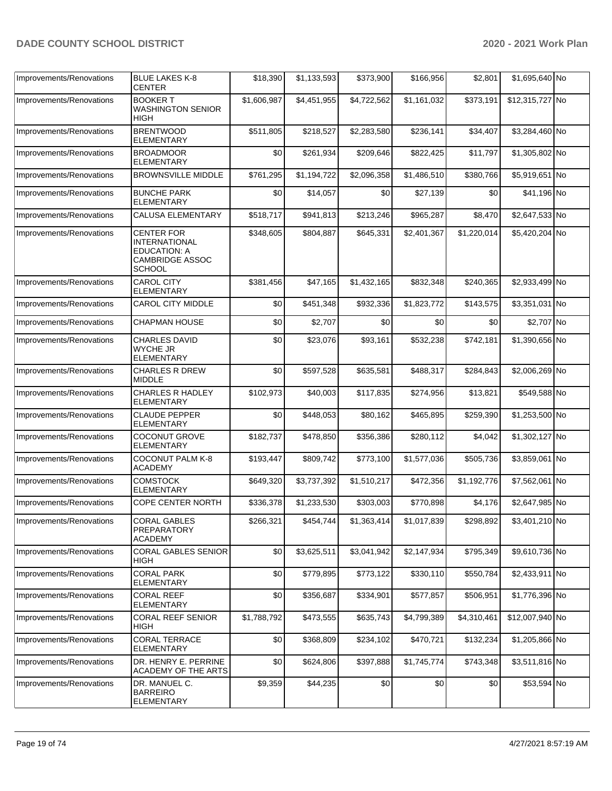| Improvements/Renovations | <b>BLUE LAKES K-8</b><br><b>CENTER</b>                                                                      | \$18,390    | \$1,133,593 | \$373,900   | \$166,956   | \$2,801     | \$1,695,640 No  |  |
|--------------------------|-------------------------------------------------------------------------------------------------------------|-------------|-------------|-------------|-------------|-------------|-----------------|--|
| Improvements/Renovations | <b>BOOKER T</b><br><b>WASHINGTON SENIOR</b><br>HIGH                                                         | \$1,606,987 | \$4,451,955 | \$4,722,562 | \$1,161,032 | \$373,191   | \$12,315,727 No |  |
| Improvements/Renovations | <b>BRENTWOOD</b><br>ELEMENTARY                                                                              | \$511,805   | \$218,527   | \$2,283,580 | \$236,141   | \$34,407    | \$3,284,460 No  |  |
| Improvements/Renovations | <b>BROADMOOR</b><br><b>ELEMENTARY</b>                                                                       | \$0         | \$261,934   | \$209,646   | \$822,425   | \$11,797    | \$1,305,802 No  |  |
| Improvements/Renovations | <b>BROWNSVILLE MIDDLE</b>                                                                                   | \$761,295   | \$1,194,722 | \$2,096,358 | \$1,486,510 | \$380,766   | \$5,919,651 No  |  |
| Improvements/Renovations | <b>BUNCHE PARK</b><br><b>ELEMENTARY</b>                                                                     | \$0         | \$14,057    | \$0         | \$27,139    | \$0         | \$41,196 No     |  |
| Improvements/Renovations | <b>CALUSA ELEMENTARY</b>                                                                                    | \$518,717   | \$941,813   | \$213,246   | \$965,287   | \$8,470     | \$2,647,533 No  |  |
| Improvements/Renovations | <b>CENTER FOR</b><br><b>INTERNATIONAL</b><br><b>EDUCATION: A</b><br><b>CAMBRIDGE ASSOC</b><br><b>SCHOOL</b> | \$348,605   | \$804,887   | \$645,331   | \$2,401,367 | \$1,220,014 | \$5,420,204 No  |  |
| Improvements/Renovations | <b>CAROL CITY</b><br><b>ELEMENTARY</b>                                                                      | \$381,456   | \$47,165    | \$1,432,165 | \$832,348   | \$240,365   | \$2,933,499 No  |  |
| Improvements/Renovations | <b>CAROL CITY MIDDLE</b>                                                                                    | \$0         | \$451,348   | \$932,336   | \$1,823,772 | \$143,575   | \$3,351,031 No  |  |
| Improvements/Renovations | <b>CHAPMAN HOUSE</b>                                                                                        | \$0         | \$2,707     | \$0         | \$0         | \$0         | \$2,707 No      |  |
| Improvements/Renovations | <b>CHARLES DAVID</b><br><b>WYCHE JR</b><br><b>ELEMENTARY</b>                                                | \$0         | \$23,076    | \$93,161    | \$532,238   | \$742,181   | \$1,390,656 No  |  |
| Improvements/Renovations | <b>CHARLES R DREW</b><br><b>MIDDLE</b>                                                                      | \$0         | \$597,528   | \$635,581   | \$488,317   | \$284,843   | \$2,006,269 No  |  |
| Improvements/Renovations | <b>CHARLES R HADLEY</b><br>ELEMENTARY                                                                       | \$102,973   | \$40,003    | \$117,835   | \$274,956   | \$13,821    | \$549,588 No    |  |
| Improvements/Renovations | <b>CLAUDE PEPPER</b><br><b>ELEMENTARY</b>                                                                   | \$0         | \$448,053   | \$80,162    | \$465,895   | \$259,390   | \$1,253,500 No  |  |
| Improvements/Renovations | <b>COCONUT GROVE</b><br><b>ELEMENTARY</b>                                                                   | \$182,737   | \$478,850   | \$356,386   | \$280,112   | \$4,042     | \$1,302,127 No  |  |
| Improvements/Renovations | <b>COCONUT PALM K-8</b><br><b>ACADEMY</b>                                                                   | \$193,447   | \$809,742   | \$773,100   | \$1,577,036 | \$505,736   | \$3,859,061 No  |  |
| Improvements/Renovations | <b>COMSTOCK</b><br><b>ELEMENTARY</b>                                                                        | \$649,320   | \$3,737,392 | \$1,510,217 | \$472,356   | \$1,192,776 | \$7,562,061 No  |  |
| Improvements/Renovations | COPE CENTER NORTH                                                                                           | \$336,378   | \$1,233,530 | \$303,003   | \$770,898   | \$4,176     | \$2,647,985 No  |  |
| Improvements/Renovations | <b>CORAL GABLES</b><br>PREPARATORY<br><b>ACADEMY</b>                                                        | \$266,321   | \$454,744   | \$1,363,414 | \$1,017,839 | \$298,892   | \$3,401,210 No  |  |
| Improvements/Renovations | CORAL GABLES SENIOR<br>HIGH                                                                                 | \$0         | \$3,625,511 | \$3,041,942 | \$2,147,934 | \$795,349   | \$9,610,736 No  |  |
| Improvements/Renovations | <b>CORAL PARK</b><br><b>ELEMENTARY</b>                                                                      | \$0         | \$779,895   | \$773,122   | \$330,110   | \$550,784   | \$2,433,911 No  |  |
| Improvements/Renovations | <b>CORAL REEF</b><br>ELEMENTARY                                                                             | \$0         | \$356,687   | \$334,901   | \$577,857   | \$506,951   | \$1,776,396 No  |  |
| Improvements/Renovations | CORAL REEF SENIOR<br>HIGH                                                                                   | \$1,788,792 | \$473,555   | \$635,743   | \$4,799,389 | \$4,310,461 | \$12,007,940 No |  |
| Improvements/Renovations | <b>CORAL TERRACE</b><br>ELEMENTARY                                                                          | \$0         | \$368,809   | \$234,102   | \$470,721   | \$132,234   | \$1,205,866 No  |  |
| Improvements/Renovations | DR. HENRY E. PERRINE<br>ACADEMY OF THE ARTS                                                                 | \$0         | \$624,806   | \$397,888   | \$1,745,774 | \$743,348   | \$3,511,816 No  |  |
| Improvements/Renovations | DR. MANUEL C.<br><b>BARREIRO</b><br>ELEMENTARY                                                              | \$9,359     | \$44,235    | \$0         | \$0         | \$0         | \$53,594 No     |  |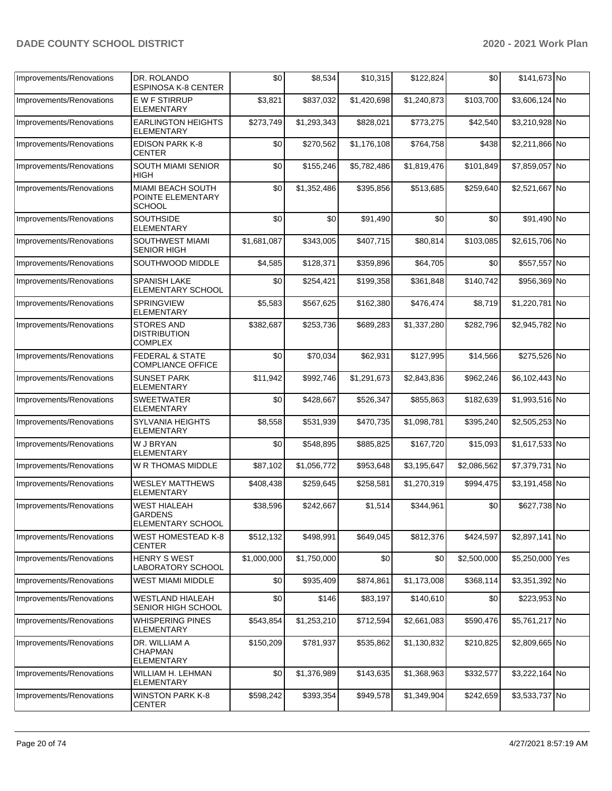| Improvements/Renovations | DR. ROLANDO<br><b>ESPINOSA K-8 CENTER</b>                  | \$0         | \$8,534     | \$10,315    | \$122,824   | \$0         | \$141,673 No    |  |
|--------------------------|------------------------------------------------------------|-------------|-------------|-------------|-------------|-------------|-----------------|--|
| Improvements/Renovations | <b>EW F STIRRUP</b><br>ELEMENTARY                          | \$3,821     | \$837,032   | \$1,420,698 | \$1,240,873 | \$103,700   | \$3,606,124 No  |  |
| Improvements/Renovations | <b>EARLINGTON HEIGHTS</b><br><b>ELEMENTARY</b>             | \$273,749   | \$1,293,343 | \$828,021   | \$773,275   | \$42,540    | \$3,210,928 No  |  |
| Improvements/Renovations | <b>EDISON PARK K-8</b><br><b>CENTER</b>                    | \$0         | \$270,562   | \$1,176,108 | \$764,758   | \$438       | \$2,211,866 No  |  |
| Improvements/Renovations | SOUTH MIAMI SENIOR<br>HIGH                                 | \$0         | \$155,246   | \$5,782,486 | \$1,819,476 | \$101,849   | \$7,859,057 No  |  |
| Improvements/Renovations | MIAMI BEACH SOUTH<br>POINTE ELEMENTARY<br><b>SCHOOL</b>    | \$0         | \$1,352,486 | \$395,856   | \$513,685   | \$259,640   | \$2,521,667 No  |  |
| Improvements/Renovations | <b>SOUTHSIDE</b><br><b>ELEMENTARY</b>                      | \$0         | \$0         | \$91,490    | \$0         | \$0         | \$91,490 No     |  |
| Improvements/Renovations | SOUTHWEST MIAMI<br><b>SENIOR HIGH</b>                      | \$1,681,087 | \$343,005   | \$407,715   | \$80,814    | \$103,085   | \$2,615,706 No  |  |
| Improvements/Renovations | SOUTHWOOD MIDDLE                                           | \$4,585     | \$128,371   | \$359,896   | \$64,705    | \$0         | \$557,557 No    |  |
| Improvements/Renovations | <b>SPANISH LAKE</b><br>ELEMENTARY SCHOOL                   | \$0         | \$254,421   | \$199,358   | \$361,848   | \$140,742   | \$956,369 No    |  |
| Improvements/Renovations | <b>SPRINGVIEW</b><br><b>ELEMENTARY</b>                     | \$5,583     | \$567,625   | \$162,380   | \$476,474   | \$8,719     | \$1,220,781 No  |  |
| Improvements/Renovations | <b>STORES AND</b><br><b>DISTRIBUTION</b><br><b>COMPLEX</b> | \$382,687   | \$253,736   | \$689,283   | \$1,337,280 | \$282,796   | \$2,945,782 No  |  |
| Improvements/Renovations | <b>FEDERAL &amp; STATE</b><br><b>COMPLIANCE OFFICE</b>     | \$0         | \$70,034    | \$62,931    | \$127,995   | \$14,566    | \$275,526 No    |  |
| Improvements/Renovations | <b>SUNSET PARK</b><br><b>ELEMENTARY</b>                    | \$11,942    | \$992,746   | \$1,291,673 | \$2,843,836 | \$962,246   | \$6,102,443 No  |  |
| Improvements/Renovations | <b>SWEETWATER</b><br>ELEMENTARY                            | \$0         | \$428,667   | \$526,347   | \$855,863   | \$182,639   | \$1,993,516 No  |  |
| Improvements/Renovations | <b>SYLVANIA HEIGHTS</b><br><b>ELEMENTARY</b>               | \$8,558     | \$531,939   | \$470,735   | \$1,098,781 | \$395,240   | \$2,505,253 No  |  |
| Improvements/Renovations | W J BRYAN<br><b>ELEMENTARY</b>                             | \$0         | \$548,895   | \$885,825   | \$167,720   | \$15,093    | \$1,617,533 No  |  |
| Improvements/Renovations | W R THOMAS MIDDLE                                          | \$87,102    | \$1,056,772 | \$953,648   | \$3,195,647 | \$2,086,562 | \$7,379,731 No  |  |
| Improvements/Renovations | <b>WESLEY MATTHEWS</b><br><b>ELEMENTARY</b>                | \$408,438   | \$259,645   | \$258,581   | \$1,270,319 | \$994,475   | \$3,191,458 No  |  |
| Improvements/Renovations | <b>WEST HIALEAH</b><br><b>GARDENS</b><br>ELEMENTARY SCHOOL | \$38,596    | \$242,667   | \$1,514     | \$344,961   | \$0         | \$627,738 No    |  |
| Improvements/Renovations | <b>WEST HOMESTEAD K-8</b><br><b>CENTER</b>                 | \$512,132   | \$498,991   | \$649,045   | \$812,376   | \$424,597   | \$2,897,141 No  |  |
| Improvements/Renovations | <b>HENRY S WEST</b><br><b>LABORATORY SCHOOL</b>            | \$1,000,000 | \$1,750,000 | \$0         | \$0         | \$2,500,000 | \$5,250,000 Yes |  |
| Improvements/Renovations | <b>WEST MIAMI MIDDLE</b>                                   | \$0         | \$935,409   | \$874,861   | \$1,173,008 | \$368,114   | \$3,351,392 No  |  |
| Improvements/Renovations | <b>WESTLAND HIALEAH</b><br>SENIOR HIGH SCHOOL              | \$0         | \$146       | \$83,197    | \$140,610   | \$0         | \$223,953 No    |  |
| Improvements/Renovations | <b>WHISPERING PINES</b><br><b>ELEMENTARY</b>               | \$543,854   | \$1,253,210 | \$712,594   | \$2,661,083 | \$590,476   | \$5,761,217 No  |  |
| Improvements/Renovations | DR. WILLIAM A<br><b>CHAPMAN</b><br>ELEMENTARY              | \$150,209   | \$781,937   | \$535,862   | \$1,130,832 | \$210,825   | \$2,809,665 No  |  |
| Improvements/Renovations | WILLIAM H. LEHMAN<br><b>ELEMENTARY</b>                     | \$0         | \$1,376,989 | \$143,635   | \$1,368,963 | \$332,577   | \$3,222,164 No  |  |
| Improvements/Renovations | <b>WINSTON PARK K-8</b><br><b>CENTER</b>                   | \$598,242   | \$393,354   | \$949,578   | \$1,349,904 | \$242,659   | \$3,533,737 No  |  |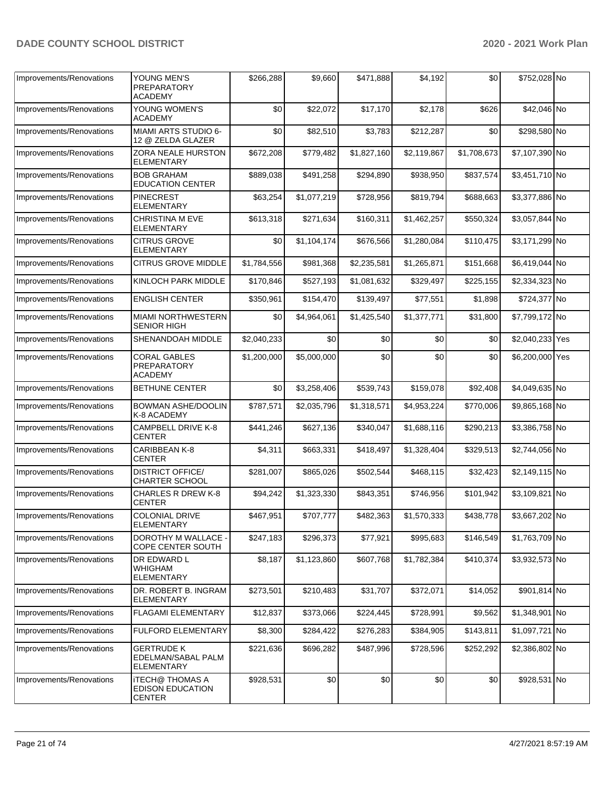| Improvements/Renovations | YOUNG MEN'S                                                        | \$266,288   | \$9,660     | \$471,888   | \$4,192     | \$0         | \$752,028 No    |  |
|--------------------------|--------------------------------------------------------------------|-------------|-------------|-------------|-------------|-------------|-----------------|--|
|                          | PREPARATORY<br><b>ACADEMY</b>                                      |             |             |             |             |             |                 |  |
| Improvements/Renovations | YOUNG WOMEN'S<br><b>ACADEMY</b>                                    | \$0         | \$22,072    | \$17,170    | \$2,178     | \$626       | \$42,046 No     |  |
| Improvements/Renovations | MIAMI ARTS STUDIO 6-<br>12 @ ZELDA GLAZER                          | \$0         | \$82,510    | \$3,783     | \$212,287   | \$0         | \$298,580 No    |  |
| Improvements/Renovations | ZORA NEALE HURSTON<br><b>ELEMENTARY</b>                            | \$672,208   | \$779,482   | \$1,827,160 | \$2,119,867 | \$1,708,673 | \$7,107,390 No  |  |
| Improvements/Renovations | <b>BOB GRAHAM</b><br><b>EDUCATION CENTER</b>                       | \$889,038   | \$491,258   | \$294,890   | \$938,950   | \$837,574   | \$3,451,710 No  |  |
| Improvements/Renovations | <b>PINECREST</b><br>ELEMENTARY                                     | \$63,254    | \$1,077,219 | \$728,956   | \$819,794   | \$688,663   | \$3,377,886 No  |  |
| Improvements/Renovations | <b>CHRISTINA M EVE</b><br><b>ELEMENTARY</b>                        | \$613,318   | \$271,634   | \$160,311   | \$1,462,257 | \$550,324   | \$3,057,844 No  |  |
| Improvements/Renovations | <b>CITRUS GROVE</b><br><b>ELEMENTARY</b>                           | \$0         | \$1,104,174 | \$676,566   | \$1,280,084 | \$110,475   | \$3,171,299 No  |  |
| Improvements/Renovations | <b>CITRUS GROVE MIDDLE</b>                                         | \$1,784,556 | \$981,368   | \$2,235,581 | \$1,265,871 | \$151,668   | \$6,419,044 No  |  |
| Improvements/Renovations | KINLOCH PARK MIDDLE                                                | \$170,846   | \$527,193   | \$1,081,632 | \$329,497   | \$225,155   | \$2,334,323 No  |  |
| Improvements/Renovations | <b>ENGLISH CENTER</b>                                              | \$350,961   | \$154,470   | \$139,497   | \$77,551    | \$1,898     | \$724,377 No    |  |
| Improvements/Renovations | <b>MIAMI NORTHWESTERN</b><br><b>SENIOR HIGH</b>                    | \$0         | \$4,964,061 | \$1,425,540 | \$1,377,771 | \$31,800    | \$7,799,172 No  |  |
| Improvements/Renovations | SHENANDOAH MIDDLE                                                  | \$2,040,233 | \$0         | \$0         | \$0         | \$0         | \$2,040,233 Yes |  |
| Improvements/Renovations | <b>CORAL GABLES</b><br>PREPARATORY<br><b>ACADEMY</b>               | \$1,200,000 | \$5,000,000 | \$0         | \$0         | \$0         | \$6,200,000 Yes |  |
| Improvements/Renovations | <b>BETHUNE CENTER</b>                                              | \$0         | \$3,258,406 | \$539,743   | \$159,078   | \$92,408    | \$4,049,635 No  |  |
| Improvements/Renovations | <b>BOWMAN ASHE/DOOLIN</b><br>K-8 ACADEMY                           | \$787,571   | \$2,035,796 | \$1,318,571 | \$4,953,224 | \$770,006   | \$9,865,168 No  |  |
| Improvements/Renovations | CAMPBELL DRIVE K-8<br><b>CENTER</b>                                | \$441,246   | \$627,136   | \$340,047   | \$1,688,116 | \$290,213   | \$3,386,758 No  |  |
| Improvements/Renovations | CARIBBEAN K-8<br>CENTER                                            | \$4,311     | \$663,331   | \$418,497   | \$1,328,404 | \$329,513   | \$2,744,056 No  |  |
| Improvements/Renovations | <b>DISTRICT OFFICE/</b><br><b>CHARTER SCHOOL</b>                   | \$281,007   | \$865,026   | \$502,544   | \$468,115   | \$32,423    | \$2,149,115 No  |  |
| Improvements/Renovations | <b>CHARLES R DREW K-8</b><br><b>CENTER</b>                         | \$94,242    | \$1,323,330 | \$843,351   | \$746,956   | \$101,942   | \$3,109,821 No  |  |
| Improvements/Renovations | <b>COLONIAL DRIVE</b><br><b>ELEMENTARY</b>                         | \$467,951   | \$707,777   | \$482,363   | \$1,570,333 | \$438,778   | \$3,667,202 No  |  |
| Improvements/Renovations | DOROTHY M WALLACE -<br>COPE CENTER SOUTH                           | \$247,183   | \$296,373   | \$77,921    | \$995,683   | \$146,549   | \$1,763,709 No  |  |
| Improvements/Renovations | DR EDWARD L<br><b>WHIGHAM</b><br><b>ELEMENTARY</b>                 | \$8,187     | \$1,123,860 | \$607,768   | \$1,782,384 | \$410,374   | \$3,932,573 No  |  |
| Improvements/Renovations | DR. ROBERT B. INGRAM<br><b>ELEMENTARY</b>                          | \$273,501   | \$210,483   | \$31,707    | \$372,071   | \$14,052    | \$901,814 No    |  |
| Improvements/Renovations | FLAGAMI ELEMENTARY                                                 | \$12,837    | \$373,066   | \$224,445   | \$728,991   | \$9,562     | \$1,348,901 No  |  |
| Improvements/Renovations | FULFORD ELEMENTARY                                                 | \$8,300     | \$284,422   | \$276,283   | \$384,905   | \$143,811   | \$1,097,721 No  |  |
| Improvements/Renovations | <b>GERTRUDE K</b><br>EDELMAN/SABAL PALM<br><b>ELEMENTARY</b>       | \$221,636   | \$696,282   | \$487,996   | \$728,596   | \$252,292   | \$2,386,802 No  |  |
| Improvements/Renovations | <b>iTECH@ THOMAS A</b><br><b>EDISON EDUCATION</b><br><b>CENTER</b> | \$928,531   | \$0         | \$0         | \$0         | \$0         | \$928,531 No    |  |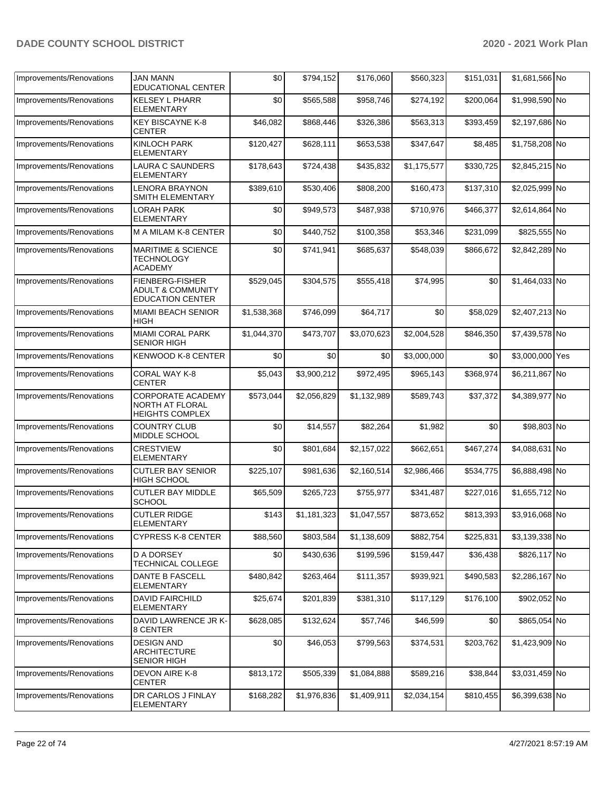| Improvements/Renovations | <b>JAN MANN</b><br><b>EDUCATIONAL CENTER</b>                               | \$0         | \$794,152   | \$176,060   | \$560,323   | \$151,031 | \$1,681,566 No  |  |
|--------------------------|----------------------------------------------------------------------------|-------------|-------------|-------------|-------------|-----------|-----------------|--|
| Improvements/Renovations | <b>KELSEY L PHARR</b><br>ELEMENTARY                                        | \$0         | \$565,588   | \$958,746   | \$274,192   | \$200,064 | \$1,998,590 No  |  |
| Improvements/Renovations | <b>KEY BISCAYNE K-8</b><br><b>CENTER</b>                                   | \$46,082    | \$868,446   | \$326,386   | \$563,313   | \$393,459 | \$2,197,686 No  |  |
| Improvements/Renovations | KINLOCH PARK<br><b>ELEMENTARY</b>                                          | \$120,427   | \$628,111   | \$653,538   | \$347,647   | \$8,485   | \$1,758,208 No  |  |
| Improvements/Renovations | <b>LAURA C SAUNDERS</b><br>ELEMENTARY                                      | \$178,643   | \$724,438   | \$435,832   | \$1,175,577 | \$330,725 | \$2,845,215 No  |  |
| Improvements/Renovations | <b>LENORA BRAYNON</b><br>SMITH ELEMENTARY                                  | \$389,610   | \$530,406   | \$808,200   | \$160,473   | \$137,310 | \$2,025,999 No  |  |
| Improvements/Renovations | <b>LORAH PARK</b><br><b>ELEMENTARY</b>                                     | \$0         | \$949,573   | \$487,938   | \$710,976   | \$466,377 | \$2,614,864 No  |  |
| Improvements/Renovations | M A MILAM K-8 CENTER                                                       | \$0         | \$440,752   | \$100,358   | \$53,346    | \$231,099 | \$825,555 No    |  |
| Improvements/Renovations | <b>MARITIME &amp; SCIENCE</b><br>TECHNOLOGY<br><b>ACADEMY</b>              | \$0         | \$741,941   | \$685,637   | \$548,039   | \$866,672 | \$2,842,289 No  |  |
| Improvements/Renovations | FIENBERG-FISHER<br><b>ADULT &amp; COMMUNITY</b><br><b>EDUCATION CENTER</b> | \$529,045   | \$304,575   | \$555,418   | \$74,995    | \$0       | \$1,464,033 No  |  |
| Improvements/Renovations | <b>MIAMI BEACH SENIOR</b><br>HIGH                                          | \$1,538,368 | \$746,099   | \$64,717    | \$0         | \$58,029  | \$2,407,213 No  |  |
| Improvements/Renovations | <b>MIAMI CORAL PARK</b><br><b>SENIOR HIGH</b>                              | \$1,044,370 | \$473,707   | \$3,070,623 | \$2,004,528 | \$846,350 | \$7,439,578 No  |  |
| Improvements/Renovations | KENWOOD K-8 CENTER                                                         | \$0         | \$0         | \$0         | \$3,000,000 | \$0       | \$3,000,000 Yes |  |
| Improvements/Renovations | CORAL WAY K-8<br><b>CENTER</b>                                             | \$5,043     | \$3,900,212 | \$972,495   | \$965,143   | \$368,974 | \$6,211,867 No  |  |
| Improvements/Renovations | <b>CORPORATE ACADEMY</b><br>NORTH AT FLORAL<br><b>HEIGHTS COMPLEX</b>      | \$573,044   | \$2,056,829 | \$1,132,989 | \$589,743   | \$37,372  | \$4,389,977 No  |  |
| Improvements/Renovations | <b>COUNTRY CLUB</b><br>MIDDLE SCHOOL                                       | \$0         | \$14,557    | \$82,264    | \$1,982     | \$0       | \$98,803 No     |  |
| Improvements/Renovations | <b>CRESTVIEW</b><br>ELEMENTARY                                             | \$0         | \$801,684   | \$2,157,022 | \$662,651   | \$467,274 | \$4,088,631 No  |  |
| Improvements/Renovations | <b>CUTLER BAY SENIOR</b><br><b>HIGH SCHOOL</b>                             | \$225,107   | \$981,636   | \$2,160,514 | \$2,986,466 | \$534,775 | \$6,888,498 No  |  |
| Improvements/Renovations | <b>CUTLER BAY MIDDLE</b><br><b>SCHOOL</b>                                  | \$65,509    | \$265,723   | \$755,977   | \$341,487   | \$227,016 | \$1,655,712 No  |  |
| Improvements/Renovations | <b>CUTLER RIDGE</b><br><b>ELEMENTARY</b>                                   | \$143       | \$1,181,323 | \$1,047,557 | \$873,652   | \$813,393 | \$3,916,068 No  |  |
| Improvements/Renovations | <b>CYPRESS K-8 CENTER</b>                                                  | \$88,560    | \$803,584   | \$1,138,609 | \$882,754   | \$225,831 | \$3,139,338 No  |  |
| Improvements/Renovations | <b>D A DORSEY</b><br>TECHNICAL COLLEGE                                     | \$0         | \$430,636   | \$199,596   | \$159,447   | \$36,438  | \$826,117 No    |  |
| Improvements/Renovations | <b>DANTE B FASCELL</b><br><b>ELEMENTARY</b>                                | \$480,842   | \$263,464   | \$111,357   | \$939,921   | \$490,583 | \$2,286,167 No  |  |
| Improvements/Renovations | <b>DAVID FAIRCHILD</b><br><b>ELEMENTARY</b>                                | \$25,674    | \$201,839   | \$381,310   | \$117,129   | \$176,100 | \$902,052 No    |  |
| Improvements/Renovations | DAVID LAWRENCE JR K-<br>8 CENTER                                           | \$628,085   | \$132,624   | \$57,746    | \$46,599    | \$0       | \$865,054 No    |  |
| Improvements/Renovations | <b>DESIGN AND</b><br><b>ARCHITECTURE</b><br><b>SENIOR HIGH</b>             | \$0         | \$46,053    | \$799,563   | \$374,531   | \$203,762 | \$1,423,909 No  |  |
| Improvements/Renovations | DEVON AIRE K-8<br><b>CENTER</b>                                            | \$813,172   | \$505,339   | \$1,084,888 | \$589,216   | \$38,844  | \$3,031,459 No  |  |
| Improvements/Renovations | DR CARLOS J FINLAY<br>ELEMENTARY                                           | \$168,282   | \$1,976,836 | \$1,409,911 | \$2,034,154 | \$810,455 | \$6,399,638 No  |  |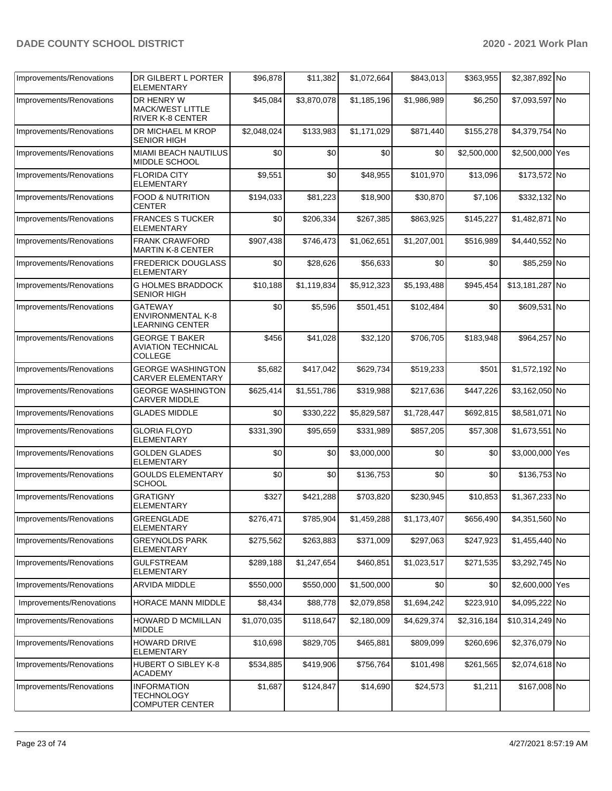| Improvements/Renovations | DR GILBERT L PORTER                                                  | \$96,878    | \$11,382    | \$1,072,664 | \$843,013   | \$363,955   | \$2,387,892 No  |  |
|--------------------------|----------------------------------------------------------------------|-------------|-------------|-------------|-------------|-------------|-----------------|--|
|                          | <b>ELEMENTARY</b>                                                    |             |             |             |             |             |                 |  |
| Improvements/Renovations | DR HENRY W<br><b>MACK/WEST LITTLE</b><br><b>RIVER K-8 CENTER</b>     | \$45,084    | \$3,870,078 | \$1,185,196 | \$1,986,989 | \$6,250     | \$7,093,597 No  |  |
| Improvements/Renovations | DR MICHAEL M KROP<br><b>SENIOR HIGH</b>                              | \$2,048,024 | \$133,983   | \$1,171,029 | \$871,440   | \$155,278   | \$4,379,754 No  |  |
| Improvements/Renovations | MIAMI BEACH NAUTILUS<br>MIDDLE SCHOOL                                | \$0         | \$0         | \$0         | \$0         | \$2,500,000 | \$2,500,000 Yes |  |
| Improvements/Renovations | <b>FLORIDA CITY</b><br><b>ELEMENTARY</b>                             | \$9,551     | \$0         | \$48,955    | \$101,970   | \$13,096    | \$173,572 No    |  |
| Improvements/Renovations | <b>FOOD &amp; NUTRITION</b><br><b>CENTER</b>                         | \$194,033   | \$81,223    | \$18,900    | \$30,870    | \$7,106     | \$332,132 No    |  |
| Improvements/Renovations | <b>FRANCES S TUCKER</b><br><b>ELEMENTARY</b>                         | \$0         | \$206,334   | \$267,385   | \$863,925   | \$145,227   | \$1,482,871 No  |  |
| Improvements/Renovations | <b>FRANK CRAWFORD</b><br><b>MARTIN K-8 CENTER</b>                    | \$907,438   | \$746,473   | \$1,062,651 | \$1,207,001 | \$516,989   | \$4,440,552 No  |  |
| Improvements/Renovations | <b>FREDERICK DOUGLASS</b><br><b>ELEMENTARY</b>                       | \$0         | \$28,626    | \$56,633    | \$0         | \$0         | \$85,259 No     |  |
| Improvements/Renovations | <b>G HOLMES BRADDOCK</b><br><b>SENIOR HIGH</b>                       | \$10,188    | \$1,119,834 | \$5,912,323 | \$5,193,488 | \$945,454   | \$13,181,287 No |  |
| Improvements/Renovations | <b>GATEWAY</b><br><b>ENVIRONMENTAL K-8</b><br><b>LEARNING CENTER</b> | \$0         | \$5,596     | \$501,451   | \$102,484   | \$0         | \$609,531 No    |  |
| Improvements/Renovations | <b>GEORGE T BAKER</b><br><b>AVIATION TECHNICAL</b><br><b>COLLEGE</b> | \$456       | \$41,028    | \$32,120    | \$706,705   | \$183,948   | \$964,257 No    |  |
| Improvements/Renovations | <b>GEORGE WASHINGTON</b><br><b>CARVER ELEMENTARY</b>                 | \$5,682     | \$417,042   | \$629,734   | \$519,233   | \$501       | \$1,572,192 No  |  |
| Improvements/Renovations | <b>GEORGE WASHINGTON</b><br><b>CARVER MIDDLE</b>                     | \$625,414   | \$1,551,786 | \$319,988   | \$217,636   | \$447,226   | \$3,162,050 No  |  |
| Improvements/Renovations | <b>GLADES MIDDLE</b>                                                 | \$0         | \$330,222   | \$5,829,587 | \$1,728,447 | \$692,815   | \$8,581,071 No  |  |
| Improvements/Renovations | <b>GLORIA FLOYD</b><br>ELEMENTARY                                    | \$331,390   | \$95,659    | \$331,989   | \$857,205   | \$57,308    | \$1,673,551 No  |  |
| Improvements/Renovations | <b>GOLDEN GLADES</b><br><b>ELEMENTARY</b>                            | \$0         | \$0         | \$3,000,000 | \$0         | \$0         | \$3,000,000 Yes |  |
| Improvements/Renovations | <b>GOULDS ELEMENTARY</b><br><b>SCHOOL</b>                            | \$0         | \$0         | \$136,753   | \$0         | \$0         | \$136,753 No    |  |
| Improvements/Renovations | <b>GRATIGNY</b><br>ELEMENTARY                                        | \$327       | \$421,288   | \$703,820   | \$230,945   | \$10,853    | \$1,367,233 No  |  |
| Improvements/Renovations | GREENGLADE<br><b>ELEMENTARY</b>                                      | \$276,471   | \$785,904   | \$1,459,288 | \$1,173,407 | \$656,490   | \$4,351,560 No  |  |
| Improvements/Renovations | <b>GREYNOLDS PARK</b><br>ELEMENTARY                                  | \$275,562   | \$263,883   | \$371,009   | \$297,063   | \$247,923   | \$1,455,440 No  |  |
| Improvements/Renovations | <b>GULFSTREAM</b><br>ELEMENTARY                                      | \$289,188   | \$1,247,654 | \$460,851   | \$1,023,517 | \$271,535   | \$3,292,745 No  |  |
| Improvements/Renovations | ARVIDA MIDDLE                                                        | \$550,000   | \$550,000   | \$1,500,000 | \$0         | \$0         | \$2,600,000 Yes |  |
| Improvements/Renovations | HORACE MANN MIDDLE                                                   | \$8,434     | \$88,778    | \$2,079,858 | \$1,694,242 | \$223,910   | \$4,095,222 No  |  |
| Improvements/Renovations | HOWARD D MCMILLAN<br><b>MIDDLE</b>                                   | \$1,070,035 | \$118,647   | \$2,180,009 | \$4,629,374 | \$2,316,184 | \$10,314,249 No |  |
| Improvements/Renovations | <b>HOWARD DRIVE</b><br>ELEMENTARY                                    | \$10,698    | \$829,705   | \$465,881   | \$809,099   | \$260,696   | \$2,376,079 No  |  |
| Improvements/Renovations | HUBERT O SIBLEY K-8<br><b>ACADEMY</b>                                | \$534,885   | \$419,906   | \$756,764   | \$101,498   | \$261,565   | \$2,074,618 No  |  |
| Improvements/Renovations | <b>INFORMATION</b><br>TECHNOLOGY<br><b>COMPUTER CENTER</b>           | \$1,687     | \$124,847   | \$14,690    | \$24,573    | \$1,211     | \$167,008 No    |  |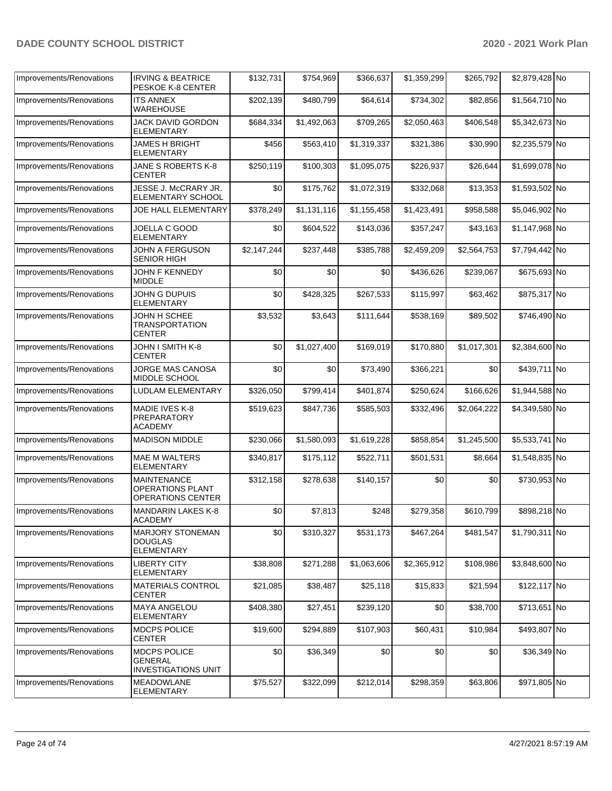| Improvements/Renovations | <b>IRVING &amp; BEATRICE</b><br>PESKOE K-8 CENTER                         | \$132,731   | \$754,969   | \$366,637   | \$1,359,299 | \$265,792   | \$2,879,428 No |  |
|--------------------------|---------------------------------------------------------------------------|-------------|-------------|-------------|-------------|-------------|----------------|--|
| Improvements/Renovations | <b>ITS ANNEX</b><br>WAREHOUSE                                             | \$202,139   | \$480,799   | \$64,614    | \$734,302   | \$82,856    | \$1,564,710 No |  |
| Improvements/Renovations | JACK DAVID GORDON<br><b>ELEMENTARY</b>                                    | \$684,334   | \$1,492,063 | \$709,265   | \$2,050,463 | \$406,548   | \$5,342,673 No |  |
| Improvements/Renovations | <b>JAMES H BRIGHT</b><br>ELEMENTARY                                       | \$456       | \$563,410   | \$1,319,337 | \$321,386   | \$30,990    | \$2,235,579 No |  |
| Improvements/Renovations | JANE S ROBERTS K-8<br><b>CENTER</b>                                       | \$250,119   | \$100,303   | \$1,095,075 | \$226,937   | \$26,644    | \$1,699,078 No |  |
| Improvements/Renovations | JESSE J. McCRARY JR.<br>ELEMENTARY SCHOOL                                 | \$0         | \$175,762   | \$1,072,319 | \$332,068   | \$13,353    | \$1,593,502 No |  |
| Improvements/Renovations | <b>JOE HALL ELEMENTARY</b>                                                | \$378,249   | \$1,131,116 | \$1,155,458 | \$1,423,491 | \$958,588   | \$5,046,902 No |  |
| Improvements/Renovations | JOELLA C GOOD<br><b>ELEMENTARY</b>                                        | \$0         | \$604,522   | \$143,036   | \$357,247   | \$43,163    | \$1,147,968 No |  |
| Improvements/Renovations | <b>JOHN A FERGUSON</b><br><b>SENIOR HIGH</b>                              | \$2,147,244 | \$237,448   | \$385,788   | \$2,459,209 | \$2,564,753 | \$7,794,442 No |  |
| Improvements/Renovations | JOHN F KENNEDY<br><b>MIDDLE</b>                                           | \$0         | \$0         | \$0         | \$436,626   | \$239,067   | \$675,693 No   |  |
| Improvements/Renovations | JOHN G DUPUIS<br><b>ELEMENTARY</b>                                        | \$0         | \$428,325   | \$267,533   | \$115,997   | \$63,462    | \$875,317 No   |  |
| Improvements/Renovations | JOHN H SCHEE<br>TRANSPORTATION<br><b>CENTER</b>                           | \$3,532     | \$3,643     | \$111,644   | \$538,169   | \$89,502    | \$746,490 No   |  |
| Improvements/Renovations | JOHN I SMITH K-8<br><b>CENTER</b>                                         | \$0         | \$1,027,400 | \$169,019   | \$170,880   | \$1,017,301 | \$2,384,600 No |  |
| Improvements/Renovations | JORGE MAS CANOSA<br>MIDDLE SCHOOL                                         | \$0         | \$0         | \$73,490    | \$366,221   | \$0         | \$439,711 No   |  |
| Improvements/Renovations | LUDLAM ELEMENTARY                                                         | \$326,050   | \$799,414   | \$401,874   | \$250,624   | \$166,626   | \$1,944,588 No |  |
| Improvements/Renovations | MADIE IVES K-8<br>PREPARATORY<br><b>ACADEMY</b>                           | \$519,623   | \$847,736   | \$585,503   | \$332,496   | \$2,064,222 | \$4,349,580 No |  |
| Improvements/Renovations | <b>MADISON MIDDLE</b>                                                     | \$230,066   | \$1,580,093 | \$1,619,228 | \$858,854   | \$1,245,500 | \$5,533,741 No |  |
| Improvements/Renovations | <b>MAE M WALTERS</b><br><b>ELEMENTARY</b>                                 | \$340,817   | \$175,112   | \$522,711   | \$501,531   | \$8,664     | \$1,548,835 No |  |
| Improvements/Renovations | <b>MAINTENANCE</b><br><b>OPERATIONS PLANT</b><br><b>OPERATIONS CENTER</b> | \$312,158   | \$278,638   | \$140,157   | \$0         | \$0         | \$730,953 No   |  |
| Improvements/Renovations | <b>MANDARIN LAKES K-8</b><br>ACADEMY                                      | \$0         | \$7,813     | \$248       | \$279,358   | \$610,799   | \$898,218 No   |  |
| Improvements/Renovations | <b>MARJORY STONEMAN</b><br><b>DOUGLAS</b><br><b>ELEMENTARY</b>            | \$0         | \$310,327   | \$531,173   | \$467,264   | \$481,547   | \$1,790,311 No |  |
| Improvements/Renovations | <b>LIBERTY CITY</b><br>ELEMENTARY                                         | \$38,808    | \$271,288   | \$1,063,606 | \$2,365,912 | \$108,986   | \$3,848,600 No |  |
| Improvements/Renovations | MATERIALS CONTROL<br><b>CENTER</b>                                        | \$21,085    | \$38,487    | \$25,118    | \$15,833    | \$21,594    | \$122,117 No   |  |
| Improvements/Renovations | <b>MAYA ANGELOU</b><br><b>ELEMENTARY</b>                                  | \$408,380   | \$27,451    | \$239,120   | \$0         | \$38,700    | \$713,651 No   |  |
| Improvements/Renovations | MDCPS POLICE<br><b>CENTER</b>                                             | \$19,600    | \$294,889   | \$107,903   | \$60,431    | \$10,984    | \$493,807 No   |  |
| Improvements/Renovations | MDCPS POLICE<br>GENERAL<br><b>INVESTIGATIONS UNIT</b>                     | \$0         | \$36,349    | \$0         | \$0         | \$0         | \$36,349 No    |  |
| Improvements/Renovations | <b>MEADOWLANE</b><br>ELEMENTARY                                           | \$75,527    | \$322,099   | \$212,014   | \$298,359   | \$63,806    | \$971,805 No   |  |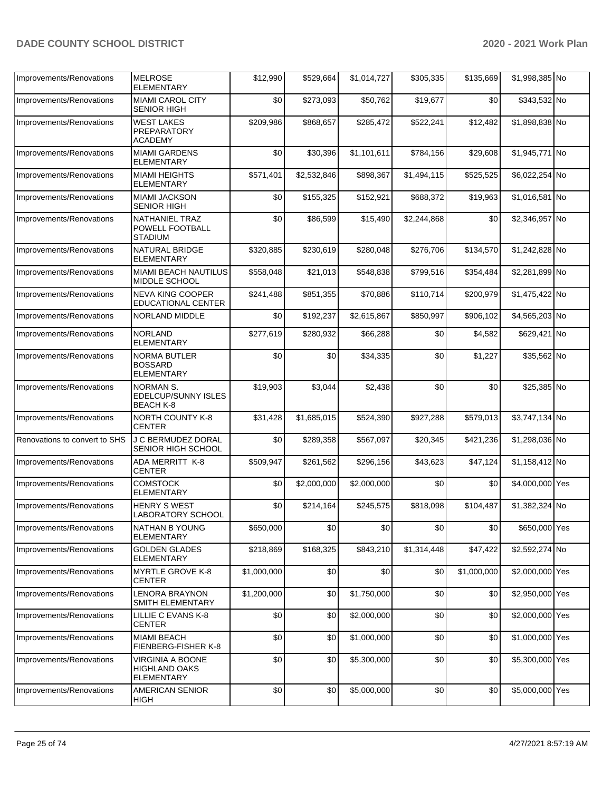| Improvements/Renovations      | <b>MELROSE</b><br><b>ELEMENTARY</b>                                  | \$12,990    | \$529,664   | \$1,014,727 | \$305,335   | \$135,669   | \$1,998,385 No  |  |
|-------------------------------|----------------------------------------------------------------------|-------------|-------------|-------------|-------------|-------------|-----------------|--|
| Improvements/Renovations      | <b>MIAMI CAROL CITY</b><br><b>SENIOR HIGH</b>                        | \$0         | \$273,093   | \$50,762    | \$19,677    | \$0         | \$343,532 No    |  |
| Improvements/Renovations      | <b>WEST LAKES</b><br><b>PREPARATORY</b><br><b>ACADEMY</b>            | \$209,986   | \$868,657   | \$285,472   | \$522,241   | \$12,482    | \$1,898,838 No  |  |
| Improvements/Renovations      | <b>MIAMI GARDENS</b><br><b>ELEMENTARY</b>                            | \$0         | \$30,396    | \$1,101,611 | \$784,156   | \$29,608    | \$1,945,771 No  |  |
| Improvements/Renovations      | <b>MIAMI HEIGHTS</b><br>ELEMENTARY                                   | \$571,401   | \$2,532,846 | \$898,367   | \$1,494,115 | \$525,525   | \$6,022,254 No  |  |
| Improvements/Renovations      | <b>MIAMI JACKSON</b><br>SENIOR HIGH                                  | \$0         | \$155,325   | \$152,921   | \$688,372   | \$19,963    | \$1,016,581 No  |  |
| Improvements/Renovations      | NATHANIEL TRAZ<br>POWELL FOOTBALL<br><b>STADIUM</b>                  | \$0         | \$86,599    | \$15,490    | \$2,244,868 | \$0         | \$2,346,957 No  |  |
| Improvements/Renovations      | NATURAL BRIDGE<br><b>ELEMENTARY</b>                                  | \$320,885   | \$230,619   | \$280,048   | \$276,706   | \$134,570   | \$1,242,828 No  |  |
| Improvements/Renovations      | <b>MIAMI BEACH NAUTILUS</b><br>MIDDLE SCHOOL                         | \$558,048   | \$21.013    | \$548,838   | \$799,516   | \$354,484   | \$2,281,899 No  |  |
| Improvements/Renovations      | <b>NEVA KING COOPER</b><br>EDUCATIONAL CENTER                        | \$241,488   | \$851,355   | \$70,886    | \$110,714   | \$200,979   | \$1,475,422 No  |  |
| Improvements/Renovations      | NORLAND MIDDLE                                                       | \$0         | \$192,237   | \$2,615,867 | \$850,997   | \$906,102   | \$4,565,203 No  |  |
| Improvements/Renovations      | <b>NORLAND</b><br><b>ELEMENTARY</b>                                  | \$277,619   | \$280,932   | \$66,288    | \$0         | \$4,582     | \$629,421 No    |  |
| Improvements/Renovations      | <b>NORMA BUTLER</b><br><b>BOSSARD</b><br>ELEMENTARY                  | \$0         | \$0         | \$34,335    | \$0         | \$1,227     | \$35,562 No     |  |
| Improvements/Renovations      | <b>NORMAN S.</b><br><b>EDELCUP/SUNNY ISLES</b><br><b>BEACH K-8</b>   | \$19,903    | \$3,044     | \$2,438     | \$0         | \$0         | \$25,385 No     |  |
| Improvements/Renovations      | <b>NORTH COUNTY K-8</b><br><b>CENTER</b>                             | \$31,428    | \$1,685,015 | \$524,390   | \$927,288   | \$579,013   | \$3,747,134 No  |  |
| Renovations to convert to SHS | <b>J C BERMUDEZ DORAL</b><br>SENIOR HIGH SCHOOL                      | \$0         | \$289,358   | \$567,097   | \$20,345    | \$421,236   | \$1,298,036 No  |  |
| Improvements/Renovations      | ADA MERRITT K-8<br><b>CENTER</b>                                     | \$509,947   | \$261,562   | \$296,156   | \$43,623    | \$47,124    | \$1,158,412 No  |  |
| Improvements/Renovations      | <b>COMSTOCK</b><br><b>ELEMENTARY</b>                                 | \$0         | \$2,000,000 | \$2,000,000 | \$0         | \$0         | \$4,000,000 Yes |  |
| Improvements/Renovations      | <b>HENRY S WEST</b><br><b>LABORATORY SCHOOL</b>                      | \$0         | \$214,164   | \$245,575   | \$818,098   | \$104,487   | \$1,382,324 No  |  |
| Improvements/Renovations      | <b>NATHAN B YOUNG</b><br><b>ELEMENTARY</b>                           | \$650,000   | \$0         | \$0         | \$0         | \$0         | \$650,000 Yes   |  |
| Improvements/Renovations      | <b>GOLDEN GLADES</b><br><b>ELEMENTARY</b>                            | \$218,869   | \$168,325   | \$843,210   | \$1,314,448 | \$47,422    | \$2,592,274 No  |  |
| Improvements/Renovations      | <b>MYRTLE GROVE K-8</b><br><b>CENTER</b>                             | \$1,000,000 | \$0         | \$0         | \$0         | \$1,000,000 | \$2,000,000 Yes |  |
| Improvements/Renovations      | <b>LENORA BRAYNON</b><br>SMITH ELEMENTARY                            | \$1,200,000 | \$0         | \$1,750,000 | \$0         | \$0         | \$2,950,000 Yes |  |
| Improvements/Renovations      | LILLIE C EVANS K-8<br><b>CENTER</b>                                  | \$0         | \$0         | \$2,000,000 | \$0         | \$0         | \$2,000,000 Yes |  |
| Improvements/Renovations      | <b>MIAMI BEACH</b><br>FIENBERG-FISHER K-8                            | \$0         | \$0         | \$1,000,000 | \$0         | \$0         | \$1,000,000 Yes |  |
| Improvements/Renovations      | <b>VIRGINIA A BOONE</b><br><b>HIGHLAND OAKS</b><br><b>ELEMENTARY</b> | \$0         | \$0         | \$5,300,000 | \$0         | \$0         | \$5,300,000 Yes |  |
| Improvements/Renovations      | <b>AMERICAN SENIOR</b><br><b>HIGH</b>                                | \$0         | \$0         | \$5,000,000 | \$0         | \$0         | \$5,000,000 Yes |  |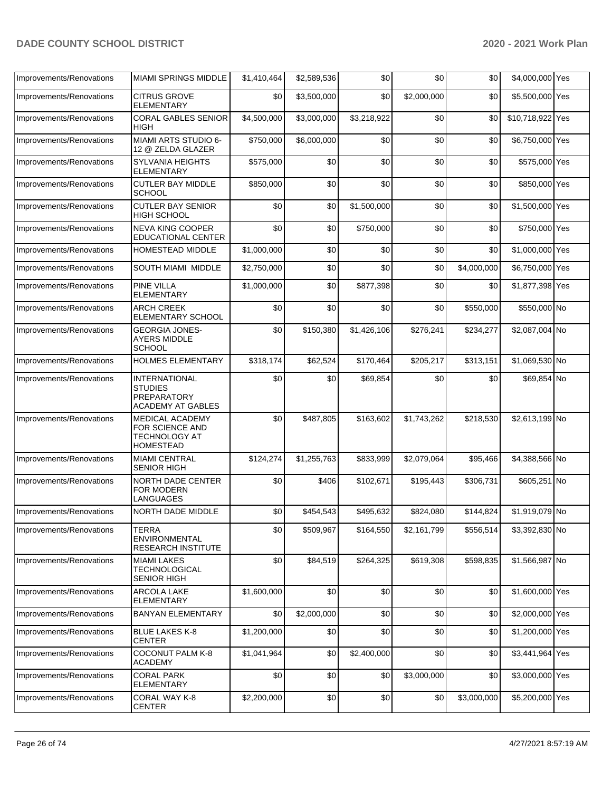|                          | <b>MIAMI SPRINGS MIDDLE</b>                                                              | \$1,410,464 |             | \$0         | \$0         | \$0         | \$4,000,000 Yes  |  |
|--------------------------|------------------------------------------------------------------------------------------|-------------|-------------|-------------|-------------|-------------|------------------|--|
| Improvements/Renovations |                                                                                          |             | \$2,589,536 |             |             |             |                  |  |
| Improvements/Renovations | <b>CITRUS GROVE</b><br><b>ELEMENTARY</b>                                                 | \$0         | \$3,500,000 | \$0         | \$2,000,000 | \$0         | \$5,500,000 Yes  |  |
| Improvements/Renovations | <b>CORAL GABLES SENIOR</b><br><b>HIGH</b>                                                | \$4,500,000 | \$3,000,000 | \$3,218,922 | \$0         | \$0         | \$10,718,922 Yes |  |
| Improvements/Renovations | MIAMI ARTS STUDIO 6-<br>12 @ ZELDA GLAZER                                                | \$750,000   | \$6,000,000 | \$0         | \$0         | \$0         | \$6,750,000 Yes  |  |
| Improvements/Renovations | <b>SYLVANIA HEIGHTS</b><br><b>ELEMENTARY</b>                                             | \$575,000   | \$0         | \$0         | \$0         | \$0         | \$575,000 Yes    |  |
| Improvements/Renovations | <b>CUTLER BAY MIDDLE</b><br><b>SCHOOL</b>                                                | \$850,000   | \$0         | \$0         | \$0         | \$0         | \$850,000 Yes    |  |
| Improvements/Renovations | <b>CUTLER BAY SENIOR</b><br>HIGH SCHOOL                                                  | \$0         | \$0         | \$1,500,000 | \$0         | \$0         | \$1,500,000 Yes  |  |
| Improvements/Renovations | <b>NEVA KING COOPER</b><br><b>EDUCATIONAL CENTER</b>                                     | \$0         | \$0         | \$750,000   | \$0         | \$0         | \$750,000 Yes    |  |
| Improvements/Renovations | <b>HOMESTEAD MIDDLE</b>                                                                  | \$1,000,000 | \$0         | \$0         | \$0         | \$0         | \$1,000,000 Yes  |  |
| Improvements/Renovations | SOUTH MIAMI MIDDLE                                                                       | \$2,750,000 | \$0         | \$0         | \$0         | \$4,000,000 | \$6,750,000 Yes  |  |
| Improvements/Renovations | <b>PINE VILLA</b><br><b>ELEMENTARY</b>                                                   | \$1,000,000 | \$0         | \$877,398   | \$0         | \$0         | \$1,877,398 Yes  |  |
| Improvements/Renovations | <b>ARCH CREEK</b><br><b>ELEMENTARY SCHOOL</b>                                            | \$0         | \$0         | \$0         | \$0         | \$550,000   | \$550,000 No     |  |
| Improvements/Renovations | <b>GEORGIA JONES-</b><br><b>AYERS MIDDLE</b><br><b>SCHOOL</b>                            | \$0         | \$150,380   | \$1,426,106 | \$276,241   | \$234,277   | \$2,087,004 No   |  |
| Improvements/Renovations | <b>HOLMES ELEMENTARY</b>                                                                 | \$318,174   | \$62,524    | \$170,464   | \$205,217   | \$313,151   | \$1,069,530 No   |  |
| Improvements/Renovations | <b>INTERNATIONAL</b><br><b>STUDIES</b><br><b>PREPARATORY</b><br><b>ACADEMY AT GABLES</b> | \$0         | \$0         | \$69,854    | \$0         | \$0         | \$69,854 No      |  |
| Improvements/Renovations | <b>MEDICAL ACADEMY</b><br>FOR SCIENCE AND<br><b>TECHNOLOGY AT</b><br><b>HOMESTEAD</b>    | \$0         | \$487,805   | \$163,602   | \$1,743,262 | \$218,530   | \$2,613,199 No   |  |
| Improvements/Renovations | <b>MIAMI CENTRAL</b><br><b>SENIOR HIGH</b>                                               | \$124,274   | \$1,255,763 | \$833,999   | \$2,079,064 | \$95,466    | \$4,388,566 No   |  |
| Improvements/Renovations | <b>NORTH DADE CENTER</b><br>FOR MODERN<br><b>LANGUAGES</b>                               | \$0         | \$406       | \$102,671   | \$195,443   | \$306,731   | \$605,251 No     |  |
| Improvements/Renovations | NORTH DADE MIDDLE                                                                        | \$0         | \$454,543   | \$495,632   | \$824,080   | \$144.824   | \$1,919,079 No   |  |
| Improvements/Renovations | <b>TERRA</b><br><b>ENVIRONMENTAL</b><br><b>RESEARCH INSTITUTE</b>                        | \$0         | \$509,967   | \$164,550   | \$2,161,799 | \$556,514   | \$3,392,830 No   |  |
| Improvements/Renovations | <b>MIAMI LAKES</b><br><b>TECHNOLOGICAL</b><br><b>SENIOR HIGH</b>                         | \$0         | \$84,519    | \$264,325   | \$619,308   | \$598,835   | \$1,566,987 No   |  |
| Improvements/Renovations | ARCOLA LAKE<br><b>ELEMENTARY</b>                                                         | \$1,600,000 | \$0         | \$0         | \$0         | \$0         | \$1,600,000 Yes  |  |
| Improvements/Renovations | <b>BANYAN ELEMENTARY</b>                                                                 | \$0         | \$2,000,000 | \$0         | \$0         | \$0         | \$2,000,000 Yes  |  |
| Improvements/Renovations | <b>BLUE LAKES K-8</b><br><b>CENTER</b>                                                   | \$1,200,000 | \$0         | \$0         | \$0         | \$0         | \$1,200,000 Yes  |  |
| Improvements/Renovations | COCONUT PALM K-8<br><b>ACADEMY</b>                                                       | \$1,041,964 | \$0         | \$2,400,000 | \$0         | \$0         | \$3,441,964 Yes  |  |
| Improvements/Renovations | <b>CORAL PARK</b><br><b>ELEMENTARY</b>                                                   | \$0         | \$0         | \$0         | \$3,000,000 | \$0         | \$3,000,000 Yes  |  |
| Improvements/Renovations | <b>CORAL WAY K-8</b><br><b>CENTER</b>                                                    | \$2,200,000 | \$0         | \$0         | \$0         | \$3,000,000 | \$5,200,000 Yes  |  |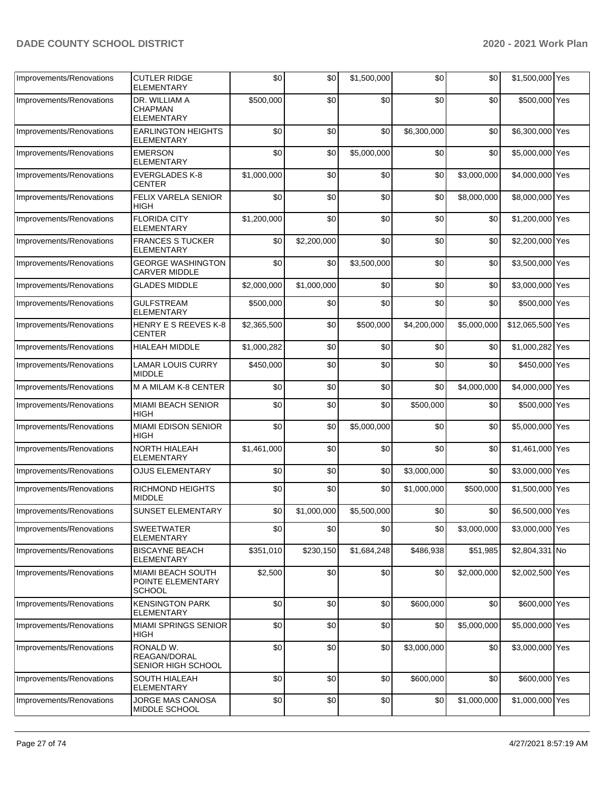| Improvements/Renovations | <b>CUTLER RIDGE</b><br>ELEMENTARY                       | \$0         | \$0         | \$1,500,000 | \$0         | \$0         | \$1,500,000 Yes  |  |
|--------------------------|---------------------------------------------------------|-------------|-------------|-------------|-------------|-------------|------------------|--|
| Improvements/Renovations | DR. WILLIAM A<br><b>CHAPMAN</b><br><b>ELEMENTARY</b>    | \$500,000   | \$0         | \$0         | \$0         | \$0         | \$500,000 Yes    |  |
| Improvements/Renovations | <b>EARLINGTON HEIGHTS</b><br>ELEMENTARY                 | \$0         | \$0         | \$0         | \$6,300,000 | \$0         | \$6,300,000 Yes  |  |
| Improvements/Renovations | <b>EMERSON</b><br><b>ELEMENTARY</b>                     | \$0         | \$0         | \$5,000,000 | \$0         | \$0         | \$5,000,000 Yes  |  |
| Improvements/Renovations | <b>EVERGLADES K-8</b><br><b>CENTER</b>                  | \$1,000,000 | \$0         | \$0         | \$0         | \$3,000,000 | \$4,000,000 Yes  |  |
| Improvements/Renovations | <b>FELIX VARELA SENIOR</b><br>HIGH                      | \$0         | \$0         | \$0         | \$0         | \$8,000,000 | \$8,000,000 Yes  |  |
| Improvements/Renovations | <b>FLORIDA CITY</b><br><b>ELEMENTARY</b>                | \$1,200,000 | \$0         | \$0         | \$0         | \$0         | \$1,200,000 Yes  |  |
| Improvements/Renovations | <b>FRANCES S TUCKER</b><br><b>ELEMENTARY</b>            | \$0         | \$2,200,000 | \$0         | \$0         | \$0         | \$2,200,000 Yes  |  |
| Improvements/Renovations | <b>GEORGE WASHINGTON</b><br><b>CARVER MIDDLE</b>        | \$0         | \$0         | \$3,500,000 | \$0         | \$0         | \$3,500,000 Yes  |  |
| Improvements/Renovations | <b>GLADES MIDDLE</b>                                    | \$2,000,000 | \$1,000,000 | \$0         | \$0         | \$0         | \$3,000,000 Yes  |  |
| Improvements/Renovations | <b>GULFSTREAM</b><br><b>ELEMENTARY</b>                  | \$500,000   | \$0         | \$0         | \$0         | \$0         | \$500,000 Yes    |  |
| Improvements/Renovations | <b>HENRY E S REEVES K-8</b><br><b>CENTER</b>            | \$2,365,500 | \$0         | \$500.000   | \$4,200,000 | \$5,000,000 | \$12,065,500 Yes |  |
| Improvements/Renovations | HIALEAH MIDDLE                                          | \$1,000,282 | \$0         | \$0         | \$0         | \$0         | \$1,000,282 Yes  |  |
| Improvements/Renovations | <b>LAMAR LOUIS CURRY</b><br><b>MIDDLE</b>               | \$450,000   | \$0         | \$0         | \$0         | \$0         | \$450,000 Yes    |  |
| Improvements/Renovations | M A MILAM K-8 CENTER                                    | \$0         | \$0         | \$0         | \$0         | \$4,000,000 | \$4,000,000 Yes  |  |
| Improvements/Renovations | <b>MIAMI BEACH SENIOR</b><br>HIGH                       | \$0         | \$0         | \$0         | \$500,000   | \$0         | \$500,000 Yes    |  |
| Improvements/Renovations | <b>MIAMI EDISON SENIOR</b><br>HIGH                      | \$0         | \$0         | \$5,000,000 | \$0         | \$0         | \$5,000,000 Yes  |  |
| Improvements/Renovations | NORTH HIALEAH<br><b>ELEMENTARY</b>                      | \$1,461,000 | \$0         | \$0         | \$0         | \$0         | \$1,461,000 Yes  |  |
| Improvements/Renovations | <b>OJUS ELEMENTARY</b>                                  | \$0         | \$0         | \$0         | \$3,000,000 | \$0         | \$3,000,000 Yes  |  |
| Improvements/Renovations | RICHMOND HEIGHTS<br><b>MIDDLE</b>                       | \$0         | \$0         | \$0         | \$1,000,000 | \$500,000   | \$1,500,000 Yes  |  |
| Improvements/Renovations | <b>SUNSET ELEMENTARY</b>                                | \$0         | \$1,000,000 | \$5,500,000 | \$0         | \$0         | \$6,500,000 Yes  |  |
| Improvements/Renovations | <b>SWEETWATER</b><br><b>ELEMENTARY</b>                  | \$0         | \$0         | \$0         | \$0         | \$3,000,000 | \$3,000,000 Yes  |  |
| Improvements/Renovations | <b>BISCAYNE BEACH</b><br>ELEMENTARY                     | \$351,010   | \$230,150   | \$1,684,248 | \$486,938   | \$51,985    | \$2,804,331 No   |  |
| Improvements/Renovations | MIAMI BEACH SOUTH<br>POINTE ELEMENTARY<br><b>SCHOOL</b> | \$2,500     | \$0         | \$0         | \$0         | \$2,000,000 | \$2,002,500 Yes  |  |
| Improvements/Renovations | <b>KENSINGTON PARK</b><br>ELEMENTARY                    | \$0         | \$0         | \$0         | \$600,000   | \$0         | \$600,000 Yes    |  |
| Improvements/Renovations | MIAMI SPRINGS SENIOR<br>HIGH                            | \$0         | \$0         | \$0         | \$0         | \$5,000,000 | \$5,000,000 Yes  |  |
| Improvements/Renovations | RONALD W.<br>REAGAN/DORAL<br>SENIOR HIGH SCHOOL         | \$0         | \$0         | \$0         | \$3,000,000 | \$0         | \$3,000,000 Yes  |  |
| Improvements/Renovations | <b>SOUTH HIALEAH</b><br>ELEMENTARY                      | \$0         | \$0         | \$0         | \$600,000   | \$0         | \$600,000 Yes    |  |
| Improvements/Renovations | JORGE MAS CANOSA<br>MIDDLE SCHOOL                       | \$0         | \$0         | \$0         | \$0         | \$1,000,000 | \$1,000,000 Yes  |  |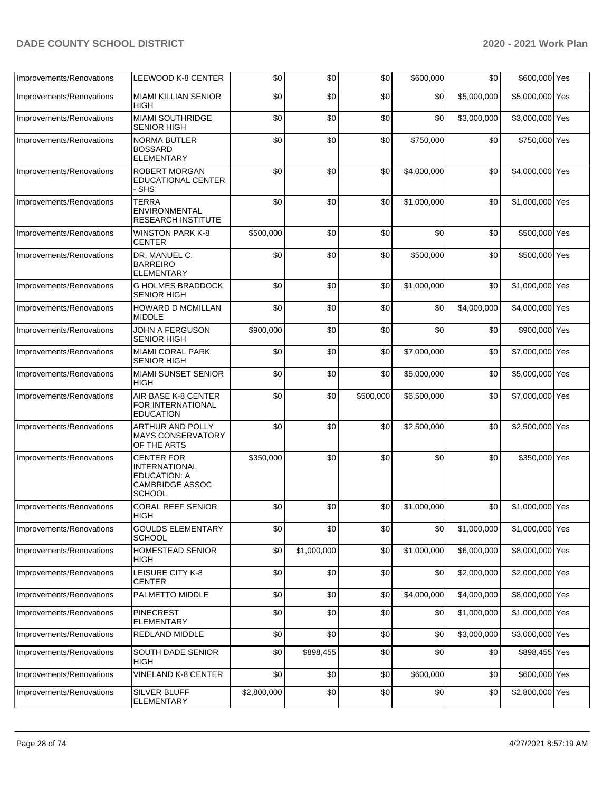| Improvements/Renovations | LEEWOOD K-8 CENTER                                                                                          | \$0         | \$0         | \$0       | \$600,000   | \$0         | \$600,000 Yes   |  |
|--------------------------|-------------------------------------------------------------------------------------------------------------|-------------|-------------|-----------|-------------|-------------|-----------------|--|
| Improvements/Renovations | <b>MIAMI KILLIAN SENIOR</b><br><b>HIGH</b>                                                                  | \$0         | \$0         | \$0       | \$0         | \$5,000,000 | \$5,000,000 Yes |  |
| Improvements/Renovations | <b>MIAMI SOUTHRIDGE</b><br><b>SENIOR HIGH</b>                                                               | \$0         | \$0         | \$0       | \$0         | \$3,000,000 | \$3,000,000 Yes |  |
| Improvements/Renovations | <b>NORMA BUTLER</b><br><b>BOSSARD</b><br><b>ELEMENTARY</b>                                                  | \$0         | \$0         | \$0       | \$750,000   | \$0         | \$750,000 Yes   |  |
| Improvements/Renovations | <b>ROBERT MORGAN</b><br>EDUCATIONAL CENTER<br>· SHS                                                         | \$0         | \$0         | \$0       | \$4,000,000 | \$0         | \$4,000,000 Yes |  |
| Improvements/Renovations | <b>TERRA</b><br>ENVIRONMENTAL<br><b>RESEARCH INSTITUTE</b>                                                  | \$0         | \$0         | \$0       | \$1,000,000 | \$0         | \$1,000,000 Yes |  |
| Improvements/Renovations | <b>WINSTON PARK K-8</b><br><b>CENTER</b>                                                                    | \$500,000   | \$0         | \$0       | \$0         | \$0         | \$500,000 Yes   |  |
| Improvements/Renovations | DR. MANUEL C.<br><b>BARREIRO</b><br><b>ELEMENTARY</b>                                                       | \$0         | \$0         | \$0       | \$500,000   | \$0         | \$500,000 Yes   |  |
| Improvements/Renovations | <b>G HOLMES BRADDOCK</b><br><b>SENIOR HIGH</b>                                                              | \$0         | \$0         | \$0       | \$1,000,000 | \$0         | \$1,000,000 Yes |  |
| Improvements/Renovations | HOWARD D MCMILLAN<br><b>MIDDLE</b>                                                                          | \$0         | \$0         | \$0       | \$0         | \$4,000,000 | \$4,000,000 Yes |  |
| Improvements/Renovations | <b>JOHN A FERGUSON</b><br><b>SENIOR HIGH</b>                                                                | \$900,000   | \$0         | \$0       | \$0         | \$0         | \$900,000 Yes   |  |
| Improvements/Renovations | <b>MIAMI CORAL PARK</b><br><b>SENIOR HIGH</b>                                                               | \$0         | \$0         | \$0       | \$7,000,000 | \$0         | \$7,000,000 Yes |  |
| Improvements/Renovations | <b>MIAMI SUNSET SENIOR</b><br><b>HIGH</b>                                                                   | \$0         | \$0         | \$0       | \$5,000,000 | \$0         | \$5,000,000 Yes |  |
| Improvements/Renovations | AIR BASE K-8 CENTER<br>FOR INTERNATIONAL<br><b>EDUCATION</b>                                                | \$0         | \$0         | \$500,000 | \$6,500,000 | \$0         | \$7,000,000 Yes |  |
| Improvements/Renovations | ARTHUR AND POLLY<br><b>MAYS CONSERVATORY</b><br>OF THE ARTS                                                 | \$0         | \$0         | \$0       | \$2,500,000 | \$0         | \$2,500,000 Yes |  |
| Improvements/Renovations | <b>CENTER FOR</b><br><b>INTERNATIONAL</b><br><b>EDUCATION: A</b><br><b>CAMBRIDGE ASSOC</b><br><b>SCHOOL</b> | \$350,000   | \$0         | \$0       | \$0         | \$0         | \$350,000 Yes   |  |
| Improvements/Renovations | <b>CORAL REEF SENIOR</b><br><b>HIGH</b>                                                                     | \$0         | \$0         | \$0       | \$1,000,000 | \$0         | \$1,000,000 Yes |  |
| Improvements/Renovations | <b>GOULDS ELEMENTARY</b><br><b>SCHOOL</b>                                                                   | \$0         | \$0         | \$0       | \$0         | \$1,000,000 | \$1,000,000 Yes |  |
| Improvements/Renovations | HOMESTEAD SENIOR<br><b>HIGH</b>                                                                             | \$0         | \$1,000,000 | \$0       | \$1,000,000 | \$6,000,000 | \$8,000,000 Yes |  |
| Improvements/Renovations | LEISURE CITY K-8<br><b>CENTER</b>                                                                           | \$0         | \$0         | \$0       | \$0         | \$2,000,000 | \$2,000,000 Yes |  |
| Improvements/Renovations | PALMETTO MIDDLE                                                                                             | \$0         | \$0         | \$0       | \$4,000,000 | \$4,000,000 | \$8,000,000 Yes |  |
| Improvements/Renovations | <b>PINECREST</b><br><b>ELEMENTARY</b>                                                                       | \$0         | \$0         | \$0       | \$0         | \$1,000,000 | \$1,000,000 Yes |  |
| Improvements/Renovations | REDLAND MIDDLE                                                                                              | \$0         | \$0         | \$0       | \$0         | \$3,000,000 | \$3,000,000 Yes |  |
| Improvements/Renovations | SOUTH DADE SENIOR<br><b>HIGH</b>                                                                            | \$0         | \$898,455   | \$0       | \$0         | \$0         | \$898,455 Yes   |  |
| Improvements/Renovations | <b>VINELAND K-8 CENTER</b>                                                                                  | \$0         | \$0         | \$0       | \$600,000   | \$0         | \$600,000 Yes   |  |
| Improvements/Renovations | SILVER BLUFF<br><b>ELEMENTARY</b>                                                                           | \$2,800,000 | \$0         | \$0       | \$0         | \$0         | \$2,800,000 Yes |  |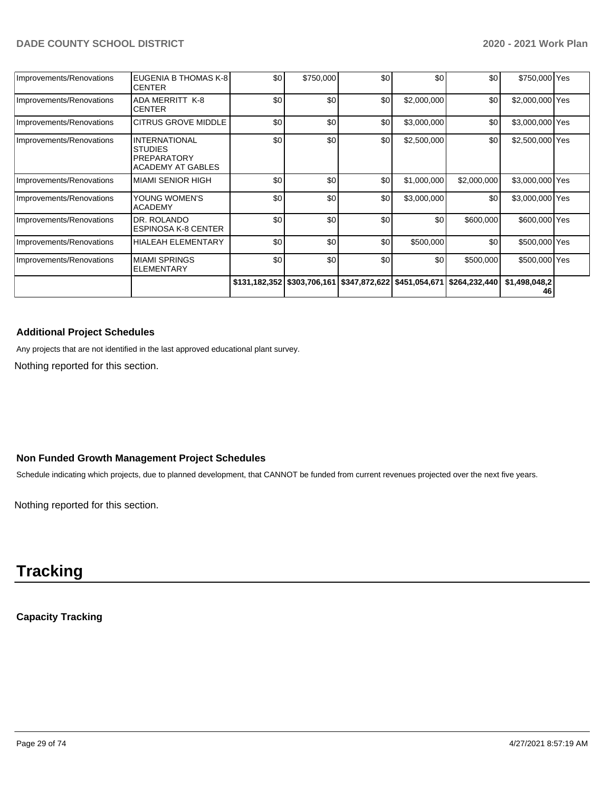| Improvements/Renovations | EUGENIA B THOMAS K-8<br><b>CENTER</b>                                                    | \$0 | \$750,000        | \$0 <sub>1</sub> | \$0         | \$0                                                                   | \$750,000 Yes       |  |
|--------------------------|------------------------------------------------------------------------------------------|-----|------------------|------------------|-------------|-----------------------------------------------------------------------|---------------------|--|
| Improvements/Renovations | <b>ADA MERRITT K-8</b><br><b>CENTER</b>                                                  | \$0 | \$0 <sub>1</sub> | \$0              | \$2,000,000 | \$0                                                                   | \$2,000,000 Yes     |  |
| Improvements/Renovations | <b>CITRUS GROVE MIDDLE</b>                                                               | \$0 | \$0              | \$0              | \$3,000,000 | \$0                                                                   | \$3,000,000 Yes     |  |
| Improvements/Renovations | <b>INTERNATIONAL</b><br><b>STUDIES</b><br><b>PREPARATORY</b><br><b>ACADEMY AT GABLES</b> | \$0 | \$0              | \$0              | \$2,500,000 | \$0                                                                   | \$2,500,000 Yes     |  |
| Improvements/Renovations | <b>MIAMI SENIOR HIGH</b>                                                                 | \$0 | \$0              | \$0              | \$1,000,000 | \$2,000,000                                                           | \$3,000,000 Yes     |  |
| Improvements/Renovations | YOUNG WOMEN'S<br><b>ACADEMY</b>                                                          | \$0 | \$0 <sub>1</sub> | \$0              | \$3,000,000 | \$0                                                                   | \$3,000,000 Yes     |  |
| Improvements/Renovations | DR. ROLANDO<br><b>ESPINOSA K-8 CENTER</b>                                                | \$0 | \$0              | \$0              | \$0         | \$600,000                                                             | \$600,000 Yes       |  |
| Improvements/Renovations | <b>HIALEAH ELEMENTARY</b>                                                                | \$0 | \$0              | \$0              | \$500,000   | \$0                                                                   | \$500,000 Yes       |  |
| Improvements/Renovations | <b>MIAMI SPRINGS</b><br><b>ELEMENTARY</b>                                                | \$0 | \$0 <sub>1</sub> | \$0              | \$0         | \$500,000                                                             | \$500,000 Yes       |  |
|                          |                                                                                          |     |                  |                  |             | \$131,182,352 \$303,706,161 \$347,872,622 \$451,054,671 \$264,232,440 | \$1,498,048,2<br>46 |  |

#### **Additional Project Schedules**

Any projects that are not identified in the last approved educational plant survey.

Nothing reported for this section.

#### **Non Funded Growth Management Project Schedules**

Schedule indicating which projects, due to planned development, that CANNOT be funded from current revenues projected over the next five years.

Nothing reported for this section.

# **Tracking**

**Capacity Tracking**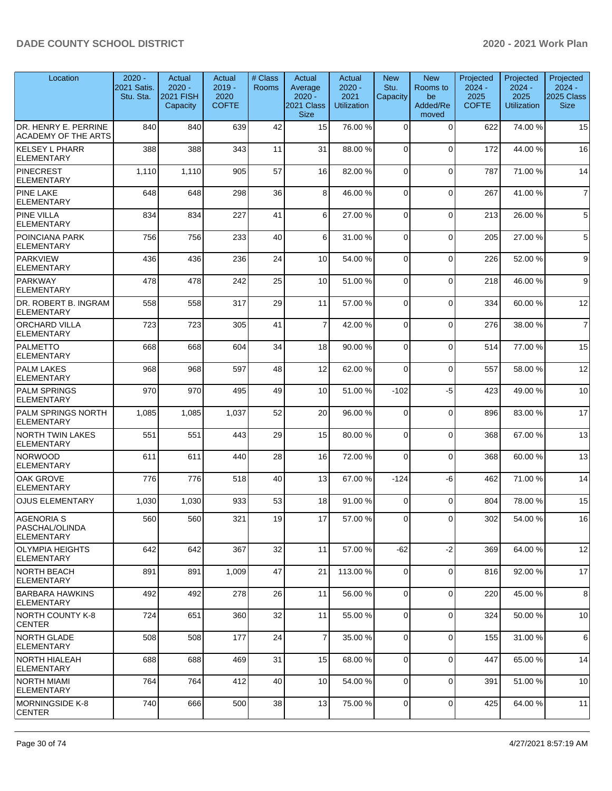| Location                                                 | $2020 -$<br>2021 Satis.<br>Stu. Sta. | Actual<br>$2020 -$<br><b>2021 FISH</b><br>Capacity | Actual<br>$2019 -$<br>2020<br><b>COFTE</b> | # Class<br>Rooms | Actual<br>Average<br>$2020 -$<br>2021 Class<br><b>Size</b> | Actual<br>$2020 -$<br>2021<br><b>Utilization</b> | <b>New</b><br>Stu.<br>Capacity | <b>New</b><br>Rooms to<br>be<br>Added/Re<br>moved | Projected<br>$2024 -$<br>2025<br><b>COFTE</b> | Projected<br>$2024 -$<br>2025<br><b>Utilization</b> | Projected<br>$2024 -$<br><b>2025 Class</b><br><b>Size</b> |
|----------------------------------------------------------|--------------------------------------|----------------------------------------------------|--------------------------------------------|------------------|------------------------------------------------------------|--------------------------------------------------|--------------------------------|---------------------------------------------------|-----------------------------------------------|-----------------------------------------------------|-----------------------------------------------------------|
| DR. HENRY E. PERRINE<br>ACADEMY OF THE ARTS              | 840                                  | 840                                                | 639                                        | 42               | 15                                                         | 76.00 %                                          | $\Omega$                       | $\Omega$                                          | 622                                           | 74.00 %                                             | 15                                                        |
| KELSEY L PHARR<br><b>ELEMENTARY</b>                      | 388                                  | 388                                                | 343                                        | 11               | 31                                                         | 88.00 %                                          | $\Omega$                       | $\Omega$                                          | 172                                           | 44.00 %                                             | 16                                                        |
| <b>PINECREST</b><br><b>ELEMENTARY</b>                    | 1,110                                | 1,110                                              | 905                                        | 57               | 16                                                         | 82.00 %                                          | $\Omega$                       | $\Omega$                                          | 787                                           | 71.00 %                                             | 14                                                        |
| <b>PINE LAKE</b><br><b>ELEMENTARY</b>                    | 648                                  | 648                                                | 298                                        | 36               | 8                                                          | 46.00 %                                          | $\Omega$                       | $\mathbf 0$                                       | 267                                           | 41.00%                                              | $\overline{7}$                                            |
| <b>PINE VILLA</b><br><b>ELEMENTARY</b>                   | 834                                  | 834                                                | 227                                        | 41               | 6                                                          | 27.00 %                                          | $\Omega$                       | $\mathbf 0$                                       | 213                                           | 26.00 %                                             | $5\phantom{.0}$                                           |
| <b>POINCIANA PARK</b><br><b>ELEMENTARY</b>               | 756                                  | 756                                                | 233                                        | 40               | 6                                                          | 31.00 %                                          | $\Omega$                       | $\Omega$                                          | 205                                           | 27.00 %                                             | 5 <sup>1</sup>                                            |
| <b>PARKVIEW</b><br><b>ELEMENTARY</b>                     | 436                                  | 436                                                | 236                                        | 24               | 10                                                         | 54.00 %                                          | $\Omega$                       | $\Omega$                                          | 226                                           | 52.00 %                                             | 9                                                         |
| <b>PARKWAY</b><br><b>ELEMENTARY</b>                      | 478                                  | 478                                                | 242                                        | 25               | 10                                                         | 51.00 %                                          | $\Omega$                       | $\Omega$                                          | 218                                           | 46.00 %                                             | 9 <sup>1</sup>                                            |
| DR. ROBERT B. INGRAM<br><b>ELEMENTARY</b>                | 558                                  | 558                                                | 317                                        | 29               | 11                                                         | 57.00 %                                          | $\Omega$                       | $\Omega$                                          | 334                                           | 60.00%                                              | 12                                                        |
| ORCHARD VILLA<br><b>ELEMENTARY</b>                       | 723                                  | 723                                                | 305                                        | 41               | $\overline{7}$                                             | 42.00 %                                          | $\Omega$                       | $\mathbf 0$                                       | 276                                           | 38.00 %                                             | $\overline{7}$                                            |
| <b>PALMETTO</b><br><b>ELEMENTARY</b>                     | 668                                  | 668                                                | 604                                        | 34               | 18                                                         | 90.00 %                                          | $\Omega$                       | $\Omega$                                          | 514                                           | 77.00 %                                             | 15                                                        |
| <b>PALM LAKES</b><br><b>ELEMENTARY</b>                   | 968                                  | 968                                                | 597                                        | 48               | 12                                                         | 62.00 %                                          | $\Omega$                       | $\Omega$                                          | 557                                           | 58.00 %                                             | 12                                                        |
| <b>PALM SPRINGS</b><br><b>ELEMENTARY</b>                 | 970                                  | 970                                                | 495                                        | 49               | 10                                                         | 51.00 %                                          | $-102$                         | -5                                                | 423                                           | 49.00 %                                             | 10                                                        |
| <b>PALM SPRINGS NORTH</b><br><b>ELEMENTARY</b>           | 1,085                                | 1,085                                              | 1,037                                      | 52               | 20                                                         | 96.00 %                                          | $\Omega$                       | 0                                                 | 896                                           | 83.00 %                                             | 17                                                        |
| <b>NORTH TWIN LAKES</b><br><b>ELEMENTARY</b>             | 551                                  | 551                                                | 443                                        | 29               | 15                                                         | 80.00 %                                          | $\Omega$                       | $\Omega$                                          | 368                                           | 67.00 %                                             | 13                                                        |
| <b>NORWOOD</b><br><b>ELEMENTARY</b>                      | 611                                  | 611                                                | 440                                        | 28               | 16                                                         | 72.00 %                                          | $\Omega$                       | $\Omega$                                          | 368                                           | 60.00%                                              | 13                                                        |
| OAK GROVE<br><b>ELEMENTARY</b>                           | 776                                  | 776                                                | 518                                        | 40               | 13                                                         | 67.00 %                                          | $-124$                         | -6                                                | 462                                           | 71.00 %                                             | 14                                                        |
| <b>OJUS ELEMENTARY</b>                                   | 1,030                                | 1,030                                              | 933                                        | 53               | 18                                                         | 91.00 %                                          | $\Omega$                       | $\Omega$                                          | 804                                           | 78.00 %                                             | 15                                                        |
| <b>AGENORIA S</b><br>PASCHAL/OLINDA<br><b>ELEMENTARY</b> | 560                                  | 560                                                | 321                                        | 19               | 17                                                         | 57.00 %                                          | $\overline{0}$                 | 0                                                 | 302                                           | 54.00 %                                             | $16\,$                                                    |
| <b>OLYMPIA HEIGHTS</b><br>ELEMENTARY                     | 642                                  | 642                                                | 367                                        | 32               | 11                                                         | 57.00 %                                          | $-62$                          | $-2$                                              | 369                                           | 64.00%                                              | 12                                                        |
| <b>NORTH BEACH</b><br><b>ELEMENTARY</b>                  | 891                                  | 891                                                | 1,009                                      | 47               | 21                                                         | 113.00 %                                         | $\Omega$                       | 0                                                 | 816                                           | 92.00 %                                             | 17                                                        |
| <b>BARBARA HAWKINS</b><br><b>ELEMENTARY</b>              | 492                                  | 492                                                | 278                                        | 26               | 11                                                         | 56.00 %                                          | $\Omega$                       | $\Omega$                                          | 220                                           | 45.00 %                                             | 8                                                         |
| NORTH COUNTY K-8<br><b>CENTER</b>                        | 724                                  | 651                                                | 360                                        | 32               | 11                                                         | 55.00 %                                          | $\Omega$                       | 0                                                 | 324                                           | 50.00 %                                             | 10                                                        |
| NORTH GLADE<br><b>ELEMENTARY</b>                         | 508                                  | 508                                                | 177                                        | 24               | $\overline{7}$                                             | 35.00 %                                          | $\Omega$                       | $\Omega$                                          | 155                                           | 31.00 %                                             | $6 \,$                                                    |
| NORTH HIALEAH<br>ELEMENTARY                              | 688                                  | 688                                                | 469                                        | 31               | 15                                                         | 68.00 %                                          | $\Omega$                       | $\mathbf 0$                                       | 447                                           | 65.00 %                                             | 14                                                        |
| NORTH MIAMI<br><b>ELEMENTARY</b>                         | 764                                  | 764                                                | 412                                        | 40               | 10                                                         | 54.00 %                                          | $\overline{0}$                 | 0                                                 | 391                                           | 51.00 %                                             | 10                                                        |
| MORNINGSIDE K-8<br><b>CENTER</b>                         | 740                                  | 666                                                | 500                                        | 38               | 13                                                         | 75.00 %                                          | $\overline{0}$                 | 0                                                 | 425                                           | 64.00%                                              | 11                                                        |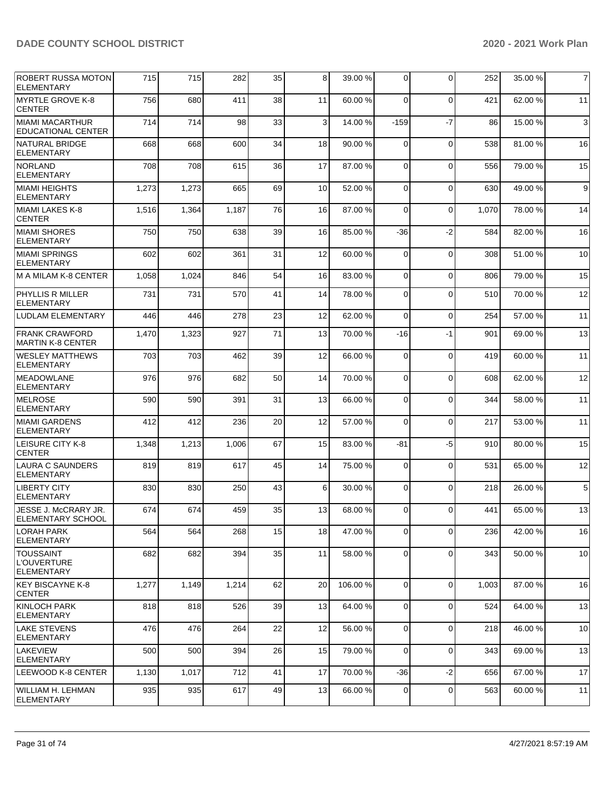| <b>ROBERT RUSSA MOTON</b><br><b>ELEMENTARY</b>       | 715   | 715   | 282   | 35 | 8  | 39.00 % | $\Omega$    | $\Omega$    | 252   | 35.00 % | $\overline{7}$   |
|------------------------------------------------------|-------|-------|-------|----|----|---------|-------------|-------------|-------|---------|------------------|
| MYRTLE GROVE K-8<br><b>CENTER</b>                    | 756   | 680   | 411   | 38 | 11 | 60.00%  | $\Omega$    | $\Omega$    | 421   | 62.00%  | 11               |
| MIAMI MACARTHUR<br><b>EDUCATIONAL CENTER</b>         | 714   | 714   | 98    | 33 | 3  | 14.00 % | $-159$      | $-7$        | 86    | 15.00 % | $\mathbf{3}$     |
| NATURAL BRIDGE<br><b>ELEMENTARY</b>                  | 668   | 668   | 600   | 34 | 18 | 90.00 % | $\Omega$    | $\mathbf 0$ | 538   | 81.00 % | 16               |
| <b>NORLAND</b><br><b>ELEMENTARY</b>                  | 708   | 708   | 615   | 36 | 17 | 87.00 % | $\mathbf 0$ | $\Omega$    | 556   | 79.00 % | 15               |
| <b>MIAMI HEIGHTS</b><br><b>ELEMENTARY</b>            | 1,273 | 1,273 | 665   | 69 | 10 | 52.00 % | 0           | $\mathbf 0$ | 630   | 49.00 % | $\boldsymbol{9}$ |
| MIAMI LAKES K-8<br><b>CENTER</b>                     | 1,516 | 1,364 | 1,187 | 76 | 16 | 87.00 % | $\Omega$    | $\mathbf 0$ | 1,070 | 78.00 % | 14               |
| <b>MIAMI SHORES</b><br><b>ELEMENTARY</b>             | 750   | 750   | 638   | 39 | 16 | 85.00 % | $-36$       | $-2$        | 584   | 82.00 % | 16               |
| MIAMI SPRINGS<br><b>ELEMENTARY</b>                   | 602   | 602   | 361   | 31 | 12 | 60.00 % | 0           | $\mathbf 0$ | 308   | 51.00 % | 10               |
| M A MILAM K-8 CENTER                                 | 1,058 | 1,024 | 846   | 54 | 16 | 83.00 % | $\Omega$    | $\mathbf 0$ | 806   | 79.00 % | 15               |
| <b>PHYLLIS R MILLER</b><br><b>ELEMENTARY</b>         | 731   | 731   | 570   | 41 | 14 | 78.00 % | $\Omega$    | $\mathbf 0$ | 510   | 70.00 % | 12               |
| LUDLAM ELEMENTARY                                    | 446   | 446   | 278   | 23 | 12 | 62.00%  | $\Omega$    | $\Omega$    | 254   | 57.00 % | 11               |
| <b>FRANK CRAWFORD</b><br><b>MARTIN K-8 CENTER</b>    | 1,470 | 1,323 | 927   | 71 | 13 | 70.00 % | $-16$       | $-1$        | 901   | 69.00 % | 13               |
| <b>WESLEY MATTHEWS</b><br><b>ELEMENTARY</b>          | 703   | 703   | 462   | 39 | 12 | 66.00 % | 0           | $\mathbf 0$ | 419   | 60.00 % | 11               |
| MEADOWLANE<br><b>ELEMENTARY</b>                      | 976   | 976   | 682   | 50 | 14 | 70.00 % | $\Omega$    | $\mathbf 0$ | 608   | 62.00 % | 12               |
| <b>IMELROSE</b><br><b>ELEMENTARY</b>                 | 590   | 590   | 391   | 31 | 13 | 66.00%  | 0           | $\Omega$    | 344   | 58.00 % | 11               |
| MIAMI GARDENS<br><b>ELEMENTARY</b>                   | 412   | 412   | 236   | 20 | 12 | 57.00 % | 0           | $\mathbf 0$ | 217   | 53.00 % | 11               |
| LEISURE CITY K-8<br><b>CENTER</b>                    | 1,348 | 1,213 | 1,006 | 67 | 15 | 83.00 % | -81         | $-5$        | 910   | 80.00 % | 15               |
| LAURA C SAUNDERS<br><b>ELEMENTARY</b>                | 819   | 819   | 617   | 45 | 14 | 75.00 % | 0           | $\Omega$    | 531   | 65.00 % | 12               |
| <b>LIBERTY CITY</b><br><b>ELEMENTARY</b>             | 830   | 830   | 250   | 43 | 6  | 30.00 % | $\mathbf 0$ | $\mathbf 0$ | 218   | 26.00 % | $\,$ 5 $\,$      |
| JESSE J. McCRARY JR.<br><b>ELEMENTARY SCHOOL</b>     | 674   | 674   | 459   | 35 | 13 | 68.00 % | $\Omega$    | $\Omega$    | 441   | 65.00 % | 13               |
| <b>LORAH PARK</b><br><b>ELEMENTARY</b>               | 564   | 564   | 268   | 15 | 18 | 47.00 % | 0           | 0           | 236   | 42.00 % | 16               |
| <b>TOUSSAINT</b><br>L'OUVERTURE<br><b>ELEMENTARY</b> | 682   | 682   | 394   | 35 | 11 | 58.00 % | $\mathbf 0$ | $\mathbf 0$ | 343   | 50.00 % | 10               |
| KEY BISCAYNE K-8<br><b>CENTER</b>                    | 1,277 | 1,149 | 1,214 | 62 | 20 | 106.00% | $\mathbf 0$ | $\mathbf 0$ | 1,003 | 87.00 % | 16               |
| KINLOCH PARK<br>ELEMENTARY                           | 818   | 818   | 526   | 39 | 13 | 64.00 % | 0           | $\mathbf 0$ | 524   | 64.00 % | 13               |
| LAKE STEVENS<br> ELEMENTARY                          | 476   | 476   | 264   | 22 | 12 | 56.00 % | 0           | $\mathbf 0$ | 218   | 46.00 % | 10               |
| <b>LAKEVIEW</b><br>ELEMENTARY                        | 500   | 500   | 394   | 26 | 15 | 79.00 % | $\mathbf 0$ | $\mathbf 0$ | 343   | 69.00 % | 13               |
| LEEWOOD K-8 CENTER                                   | 1,130 | 1,017 | 712   | 41 | 17 | 70.00 % | -36         | $-2$        | 656   | 67.00 % | 17               |
| WILLIAM H. LEHMAN<br><b>ELEMENTARY</b>               | 935   | 935   | 617   | 49 | 13 | 66.00 % | 0           | 0           | 563   | 60.00 % | 11               |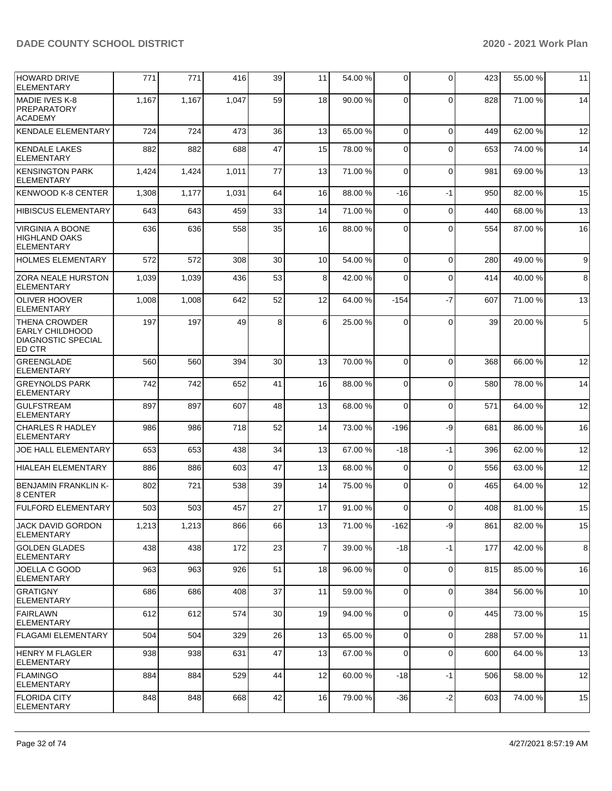| <b>HOWARD DRIVE</b><br><b>ELEMENTARY</b>                                              | 771   | 771   | 416   | 39 | 11             | 54.00 % | $\Omega$    | $\Omega$    | 423 | 55.00 % | 11              |
|---------------------------------------------------------------------------------------|-------|-------|-------|----|----------------|---------|-------------|-------------|-----|---------|-----------------|
| <b>MADIE IVES K-8</b><br>PREPARATORY<br><b>ACADEMY</b>                                | 1,167 | 1,167 | 1,047 | 59 | 18             | 90.00 % | $\Omega$    | $\Omega$    | 828 | 71.00%  | 14              |
| <b>KENDALE ELEMENTARY</b>                                                             | 724   | 724   | 473   | 36 | 13             | 65.00 % | $\Omega$    | $\mathbf 0$ | 449 | 62.00 % | 12              |
| <b>KENDALE LAKES</b><br>ELEMENTARY                                                    | 882   | 882   | 688   | 47 | 15             | 78.00 % | $\Omega$    | $\Omega$    | 653 | 74.00 % | 14              |
| <b>KENSINGTON PARK</b><br><b>ELEMENTARY</b>                                           | 1,424 | 1,424 | 1,011 | 77 | 13             | 71.00 % | $\Omega$    | $\Omega$    | 981 | 69.00 % | 13              |
| <b>KENWOOD K-8 CENTER</b>                                                             | 1,308 | 1,177 | 1,031 | 64 | 16             | 88.00 % | -16         | -1          | 950 | 82.00 % | 15              |
| <b>HIBISCUS ELEMENTARY</b>                                                            | 643   | 643   | 459   | 33 | 14             | 71.00 % | 0           | $\Omega$    | 440 | 68.00 % | 13              |
| <b>VIRGINIA A BOONE</b><br><b>HIGHLAND OAKS</b><br><b>ELEMENTARY</b>                  | 636   | 636   | 558   | 35 | 16             | 88.00 % | $\Omega$    | $\Omega$    | 554 | 87.00 % | 16              |
| <b>HOLMES ELEMENTARY</b>                                                              | 572   | 572   | 308   | 30 | 10             | 54.00 % | $\Omega$    | $\Omega$    | 280 | 49.00 % | 9 <sub>l</sub>  |
| <b>ZORA NEALE HURSTON</b><br><b>ELEMENTARY</b>                                        | 1,039 | 1,039 | 436   | 53 | 8              | 42.00 % | $\Omega$    | $\Omega$    | 414 | 40.00 % | 8               |
| <b>OLIVER HOOVER</b><br><b>ELEMENTARY</b>                                             | 1,008 | 1,008 | 642   | 52 | 12             | 64.00%  | $-154$      | $-7$        | 607 | 71.00%  | 13              |
| <b>THENA CROWDER</b><br><b>EARLY CHILDHOOD</b><br><b>DIAGNOSTIC SPECIAL</b><br>ED CTR | 197   | 197   | 49    | 8  | 6              | 25.00 % | $\Omega$    | $\Omega$    | 39  | 20.00 % | $5\overline{)}$ |
| <b>GREENGLADE</b><br><b>ELEMENTARY</b>                                                | 560   | 560   | 394   | 30 | 13             | 70.00 % | $\Omega$    | $\Omega$    | 368 | 66.00 % | 12              |
| <b>GREYNOLDS PARK</b><br><b>ELEMENTARY</b>                                            | 742   | 742   | 652   | 41 | 16             | 88.00 % | $\Omega$    | $\Omega$    | 580 | 78.00 % | 14              |
| <b>GULFSTREAM</b><br><b>ELEMENTARY</b>                                                | 897   | 897   | 607   | 48 | 13             | 68.00 % | $\Omega$    | $\Omega$    | 571 | 64.00%  | 12              |
| <b>CHARLES R HADLEY</b><br><b>ELEMENTARY</b>                                          | 986   | 986   | 718   | 52 | 14             | 73.00 % | $-196$      | -9          | 681 | 86.00 % | 16              |
| JOE HALL ELEMENTARY                                                                   | 653   | 653   | 438   | 34 | 13             | 67.00 % | $-18$       | $-1$        | 396 | 62.00%  | 12              |
| <b>HIALEAH ELEMENTARY</b>                                                             | 886   | 886   | 603   | 47 | 13             | 68.00 % | $\Omega$    | $\mathbf 0$ | 556 | 63.00 % | 12              |
| <b>BENJAMIN FRANKLIN K-</b><br>8 CENTER                                               | 802   | 721   | 538   | 39 | 14             | 75.00 % | $\Omega$    | $\Omega$    | 465 | 64.00%  | 12              |
| <b>FULFORD ELEMENTARY</b>                                                             | 503   | 503   | 457   | 27 | 17             | 91.00 % | $\Omega$    | $\Omega$    | 408 | 81.00 % | 15              |
| <b>JACK DAVID GORDON</b><br><b>ELEMENTARY</b>                                         | 1,213 | 1,213 | 866   | 66 | 13             | 71.00 % | -162        | -9          | 861 | 82.00 % | 15              |
| <b>GOLDEN GLADES</b><br><b>ELEMENTARY</b>                                             | 438   | 438   | 172   | 23 | $\overline{7}$ | 39.00 % | $-18$       | $-1$        | 177 | 42.00%  | 8               |
| JOELLA C GOOD<br><b>ELEMENTARY</b>                                                    | 963   | 963   | 926   | 51 | 18             | 96.00 % | $\Omega$    | $\mathbf 0$ | 815 | 85.00 % | 16              |
| <b>GRATIGNY</b><br><b>ELEMENTARY</b>                                                  | 686   | 686   | 408   | 37 | 11             | 59.00 % | $\mathbf 0$ | 0           | 384 | 56.00 % | 10              |
| <b>FAIRLAWN</b><br><b>ELEMENTARY</b>                                                  | 612   | 612   | 574   | 30 | 19             | 94.00 % | 0           | $\mathbf 0$ | 445 | 73.00 % | 15              |
| <b>FLAGAMI ELEMENTARY</b>                                                             | 504   | 504   | 329   | 26 | 13             | 65.00 % | $\Omega$    | 0           | 288 | 57.00 % | 11              |
| HENRY M FLAGLER<br><b>ELEMENTARY</b>                                                  | 938   | 938   | 631   | 47 | 13             | 67.00 % | $\Omega$    | $\Omega$    | 600 | 64.00 % | 13              |
| FLAMINGO<br><b>ELEMENTARY</b>                                                         | 884   | 884   | 529   | 44 | 12             | 60.00 % | $-18$       | $-1$        | 506 | 58.00 % | 12              |
| <b>FLORIDA CITY</b><br>ELEMENTARY                                                     | 848   | 848   | 668   | 42 | 16             | 79.00 % | $-36$       | $-2$        | 603 | 74.00 % | 15              |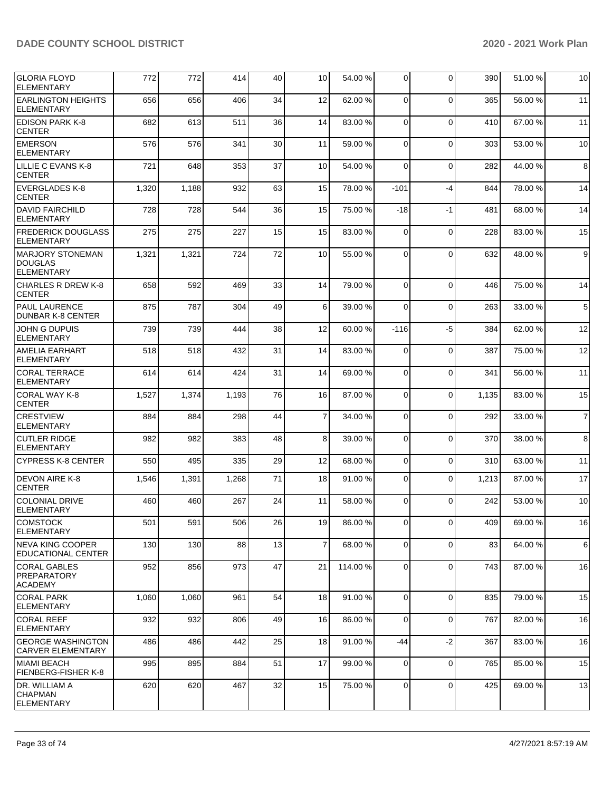| <b>GLORIA FLOYD</b><br><b>ELEMENTARY</b>                        | 772   | 772   | 414   | 40 | 10 <sup>1</sup> | 54.00 %  | 0              | $\Omega$       | 390   | 51.00 % | 10             |
|-----------------------------------------------------------------|-------|-------|-------|----|-----------------|----------|----------------|----------------|-------|---------|----------------|
| <b>EARLINGTON HEIGHTS</b><br><b>ELEMENTARY</b>                  | 656   | 656   | 406   | 34 | 12              | 62.00%   | $\Omega$       | $\Omega$       | 365   | 56.00 % | 11             |
| <b>EDISON PARK K-8</b><br><b>CENTER</b>                         | 682   | 613   | 511   | 36 | 14              | 83.00 %  | $\Omega$       | $\Omega$       | 410   | 67.00 % | 11             |
| <b>EMERSON</b><br><b>ELEMENTARY</b>                             | 576   | 576   | 341   | 30 | 11              | 59.00 %  | $\Omega$       | $\Omega$       | 303   | 53.00 % | 10             |
| LILLIE C EVANS K-8<br><b>CENTER</b>                             | 721   | 648   | 353   | 37 | 10              | 54.00 %  | $\Omega$       | $\mathbf 0$    | 282   | 44.00 % | 8              |
| <b>EVERGLADES K-8</b><br><b>CENTER</b>                          | 1,320 | 1,188 | 932   | 63 | 15              | 78.00 %  | $-101$         | $-4$           | 844   | 78.00 % | 14             |
| <b>DAVID FAIRCHILD</b><br><b>ELEMENTARY</b>                     | 728   | 728   | 544   | 36 | 15              | 75.00 %  | -18            | $-1$           | 481   | 68.00 % | 14             |
| <b>FREDERICK DOUGLASS</b><br>ELEMENTARY                         | 275   | 275   | 227   | 15 | 15              | 83.00 %  | $\Omega$       | $\mathbf 0$    | 228   | 83.00 % | 15             |
| <b>IMARJORY STONEMAN</b><br><b>DOUGLAS</b><br><b>ELEMENTARY</b> | 1,321 | 1,321 | 724   | 72 | 10              | 55.00 %  | $\Omega$       | $\Omega$       | 632   | 48.00 % | 9              |
| <b>CHARLES R DREW K-8</b><br><b>CENTER</b>                      | 658   | 592   | 469   | 33 | 14              | 79.00 %  | $\Omega$       | $\Omega$       | 446   | 75.00 % | 14             |
| <b>PAUL LAURENCE</b><br>DUNBAR K-8 CENTER                       | 875   | 787   | 304   | 49 | 6               | 39.00 %  | $\Omega$       | $\mathbf 0$    | 263   | 33.00 % | 5              |
| JOHN G DUPUIS<br><b>ELEMENTARY</b>                              | 739   | 739   | 444   | 38 | 12              | 60.00 %  | $-116$         | $-5$           | 384   | 62.00 % | 12             |
| <b>AMELIA EARHART</b><br><b>ELEMENTARY</b>                      | 518   | 518   | 432   | 31 | 14              | 83.00 %  | 0              | $\mathbf 0$    | 387   | 75.00 % | 12             |
| <b>CORAL TERRACE</b><br><b>ELEMENTARY</b>                       | 614   | 614   | 424   | 31 | 14              | 69.00 %  | $\Omega$       | $\Omega$       | 341   | 56.00 % | 11             |
| CORAL WAY K-8<br><b>CENTER</b>                                  | 1,527 | 1,374 | 1,193 | 76 | 16              | 87.00 %  | $\Omega$       | $\Omega$       | 1,135 | 83.00 % | 15             |
| <b>CRESTVIEW</b><br><b>ELEMENTARY</b>                           | 884   | 884   | 298   | 44 | $\overline{7}$  | 34.00 %  | $\mathbf 0$    | $\Omega$       | 292   | 33.00 % | $\overline{7}$ |
| <b>CUTLER RIDGE</b><br><b>ELEMENTARY</b>                        | 982   | 982   | 383   | 48 | 8               | 39.00 %  | $\Omega$       | $\Omega$       | 370   | 38.00 % | 8              |
| <b>CYPRESS K-8 CENTER</b>                                       | 550   | 495   | 335   | 29 | 12              | 68.00 %  | $\Omega$       | $\Omega$       | 310   | 63.00 % | 11             |
| DEVON AIRE K-8<br><b>CENTER</b>                                 | 1,546 | 1,391 | 1,268 | 71 | 18              | 91.00 %  | $\Omega$       | $\Omega$       | 1,213 | 87.00 % | 17             |
| COLONIAL DRIVE<br><b>ELEMENTARY</b>                             | 460   | 460   | 267   | 24 | 11              | 58.00 %  | $\Omega$       | $\Omega$       | 242   | 53.00 % | 10             |
| <b>COMSTOCK</b><br><b>ELEMENTARY</b>                            | 501   | 591   | 506   | 26 | 19 <sup>1</sup> | 86.00 %  | $\overline{0}$ | $\overline{0}$ | 409   | 69.00 % | 16             |
| INEVA KING COOPER<br>EDUCATIONAL CENTER                         | 130   | 130   | 88    | 13 | $\overline{7}$  | 68.00 %  | $\Omega$       | $\Omega$       | 83    | 64.00 % | 6              |
| CORAL GABLES<br>PREPARATORY<br><b>ACADEMY</b>                   | 952   | 856   | 973   | 47 | 21              | 114.00 % | 0              | $\mathbf 0$    | 743   | 87.00 % | 16             |
| <b>CORAL PARK</b><br><b>ELEMENTARY</b>                          | 1,060 | 1,060 | 961   | 54 | 18              | 91.00%   | 0              | $\mathbf 0$    | 835   | 79.00 % | 15             |
| <b>CORAL REEF</b><br><b>ELEMENTARY</b>                          | 932   | 932   | 806   | 49 | 16              | 86.00 %  | $\mathbf 0$    | $\mathbf 0$    | 767   | 82.00 % | 16             |
| <b>GEORGE WASHINGTON</b><br> CARVER ELEMENTARY                  | 486   | 486   | 442   | 25 | 18              | 91.00 %  | -44            | $-2$           | 367   | 83.00 % | 16             |
| MIAMI BEACH<br>FIENBERG-FISHER K-8                              | 995   | 895   | 884   | 51 | 17              | 99.00 %  | $\Omega$       | $\mathbf 0$    | 765   | 85.00 % | 15             |
| DR. WILLIAM A<br><b>ICHAPMAN</b><br><b>ELEMENTARY</b>           | 620   | 620   | 467   | 32 | 15              | 75.00 %  | $\mathbf 0$    | $\mathbf 0$    | 425   | 69.00 % | 13             |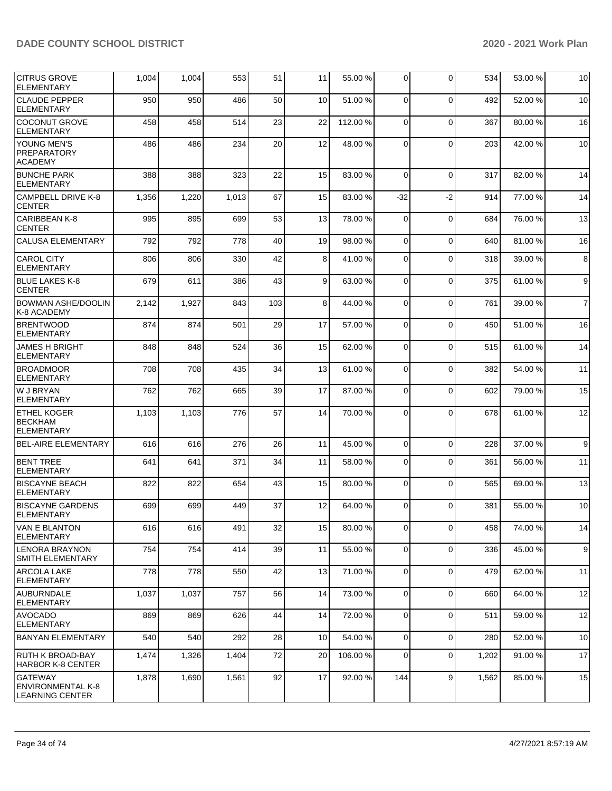| <b>CITRUS GROVE</b><br><b>ELEMENTARY</b>                      | 1,004 | 1,004 | 553   | 51  | 11              | 55.00 % | 0           | $\Omega$    | 534   | 53.00 % | 10             |
|---------------------------------------------------------------|-------|-------|-------|-----|-----------------|---------|-------------|-------------|-------|---------|----------------|
| <b>CLAUDE PEPPER</b><br><b>ELEMENTARY</b>                     | 950   | 950   | 486   | 50  | 10 <sup>1</sup> | 51.00 % | $\Omega$    | $\Omega$    | 492   | 52.00 % | 10             |
| <b>COCONUT GROVE</b><br><b>ELEMENTARY</b>                     | 458   | 458   | 514   | 23  | 22              | 112.00% | $\Omega$    | $\Omega$    | 367   | 80.00 % | 16             |
| YOUNG MEN'S<br>PREPARATORY<br><b>ACADEMY</b>                  | 486   | 486   | 234   | 20  | 12              | 48.00 % | $\Omega$    | $\Omega$    | 203   | 42.00 % | 10             |
| <b>BUNCHE PARK</b><br><b>ELEMENTARY</b>                       | 388   | 388   | 323   | 22  | 15              | 83.00 % | $\Omega$    | $\Omega$    | 317   | 82.00 % | 14             |
| CAMPBELL DRIVE K-8<br><b>CENTER</b>                           | 1,356 | 1,220 | 1,013 | 67  | 15              | 83.00 % | $-32$       | $-2$        | 914   | 77.00 % | 14             |
| <b>CARIBBEAN K-8</b><br><b>CENTER</b>                         | 995   | 895   | 699   | 53  | 13              | 78.00 % | 0           | $\mathbf 0$ | 684   | 76.00 % | 13             |
| <b>CALUSA ELEMENTARY</b>                                      | 792   | 792   | 778   | 40  | 19              | 98.00 % | $\Omega$    | $\Omega$    | 640   | 81.00 % | 16             |
| <b>CAROL CITY</b><br><b>ELEMENTARY</b>                        | 806   | 806   | 330   | 42  | 8               | 41.00%  | $\Omega$    | $\Omega$    | 318   | 39.00 % | 8              |
| <b>BLUE LAKES K-8</b><br><b>CENTER</b>                        | 679   | 611   | 386   | 43  | 9               | 63.00 % | $\Omega$    | $\Omega$    | 375   | 61.00 % | 9              |
| <b>BOWMAN ASHE/DOOLIN</b><br>K-8 ACADEMY                      | 2,142 | 1,927 | 843   | 103 | 8               | 44.00%  | $\Omega$    | $\Omega$    | 761   | 39.00 % | $\overline{7}$ |
| <b>BRENTWOOD</b><br><b>ELEMENTARY</b>                         | 874   | 874   | 501   | 29  | 17              | 57.00 % | $\Omega$    | $\Omega$    | 450   | 51.00 % | 16             |
| <b>JAMES H BRIGHT</b><br><b>ELEMENTARY</b>                    | 848   | 848   | 524   | 36  | 15              | 62.00 % | $\Omega$    | $\Omega$    | 515   | 61.00 % | 14             |
| <b>BROADMOOR</b><br><b>ELEMENTARY</b>                         | 708   | 708   | 435   | 34  | 13              | 61.00%  | $\Omega$    | $\Omega$    | 382   | 54.00 % | 11             |
| W J BRYAN<br><b>IELEMENTARY</b>                               | 762   | 762   | 665   | 39  | 17              | 87.00 % | $\Omega$    | $\mathbf 0$ | 602   | 79.00 % | 15             |
| <b>ETHEL KOGER</b><br><b>BECKHAM</b><br><b>ELEMENTARY</b>     | 1,103 | 1,103 | 776   | 57  | 14              | 70.00 % | $\Omega$    | $\Omega$    | 678   | 61.00 % | 12             |
| <b>BEL-AIRE ELEMENTARY</b>                                    | 616   | 616   | 276   | 26  | 11              | 45.00 % | $\Omega$    | $\Omega$    | 228   | 37.00 % | 9              |
| BENT TREE<br><b>ELEMENTARY</b>                                | 641   | 641   | 371   | 34  | 11              | 58.00 % | $\Omega$    | $\Omega$    | 361   | 56.00 % | 11             |
| <b>BISCAYNE BEACH</b><br><b>IELEMENTARY</b>                   | 822   | 822   | 654   | 43  | 15              | 80.00%  | $\Omega$    | $\Omega$    | 565   | 69.00 % | 13             |
| <b>BISCAYNE GARDENS</b><br><b>ELEMENTARY</b>                  | 699   | 699   | 449   | 37  | 12              | 64.00 % | $\Omega$    | $\Omega$    | 381   | 55.00 % | 10             |
| VAN E BLANTON<br><b>ELEMENTARY</b>                            | 616   | 616   | 491   | 32  | 15              | 80.00 % | 0           | $\mathbf 0$ | 458   | 74.00 % | 14             |
| <b>LENORA BRAYNON</b><br>SMITH ELEMENTARY                     | 754   | 754   | 414   | 39  | 11              | 55.00 % | $\mathbf 0$ | $\mathbf 0$ | 336   | 45.00 % | 9              |
| <b>ARCOLA LAKE</b><br><b>ELEMENTARY</b>                       | 778   | 778   | 550   | 42  | 13              | 71.00 % | $\mathbf 0$ | $\mathbf 0$ | 479   | 62.00%  | 11             |
| <b>AUBURNDALE</b><br> ELEMENTARY                              | 1,037 | 1,037 | 757   | 56  | 14              | 73.00 % | 0           | $\mathbf 0$ | 660   | 64.00 % | 12             |
| <b>AVOCADO</b><br><b>ELEMENTARY</b>                           | 869   | 869   | 626   | 44  | 14              | 72.00 % | $\Omega$    | $\mathbf 0$ | 511   | 59.00 % | 12             |
| <b>BANYAN ELEMENTARY</b>                                      | 540   | 540   | 292   | 28  | 10              | 54.00 % | $\mathbf 0$ | $\mathbf 0$ | 280   | 52.00 % | 10             |
| <b>RUTH K BROAD-BAY</b><br><b>HARBOR K-8 CENTER</b>           | 1,474 | 1,326 | 1,404 | 72  | 20              | 106.00% | $\mathbf 0$ | $\mathbf 0$ | 1,202 | 91.00 % | 17             |
| GATEWAY<br><b>ENVIRONMENTAL K-8</b><br><b>LEARNING CENTER</b> | 1,878 | 1,690 | 1,561 | 92  | 17              | 92.00 % | 144         | 9           | 1,562 | 85.00 % | 15             |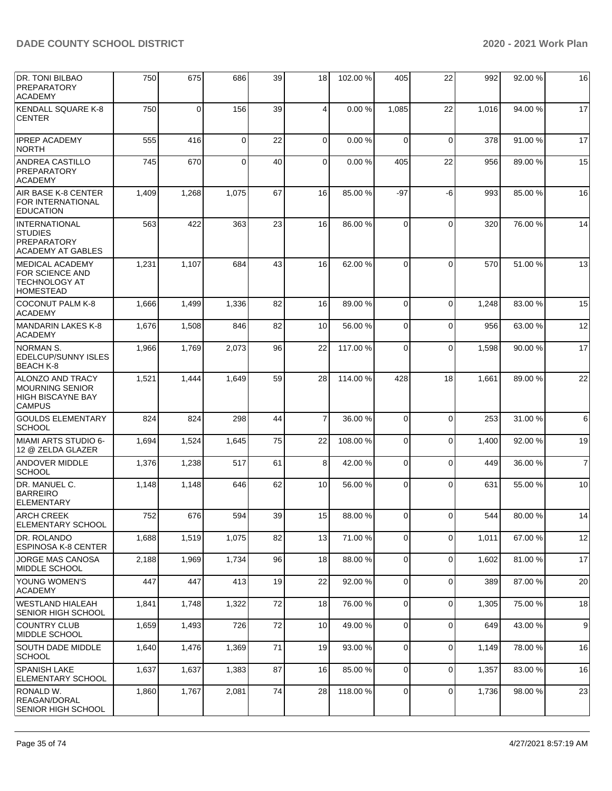| <b>DR. TONI BILBAO</b><br><b>PREPARATORY</b><br><b>ACADEMY</b>                    | 750   | 675      | 686      | 39 | 18 <sup>1</sup> | 102.00 % | 405         | 22          | 992   | 92.00 % | 16             |
|-----------------------------------------------------------------------------------|-------|----------|----------|----|-----------------|----------|-------------|-------------|-------|---------|----------------|
| <b>KENDALL SQUARE K-8</b><br><b>CENTER</b>                                        | 750   | $\Omega$ | 156      | 39 | 4               | 0.00%    | 1,085       | 22          | 1,016 | 94.00 % | 17             |
| <b>IPREP ACADEMY</b><br><b>NORTH</b>                                              | 555   | 416      | $\Omega$ | 22 | $\Omega$        | 0.00%    | $\Omega$    | $\mathbf 0$ | 378   | 91.00 % | 17             |
| ANDREA CASTILLO<br><b>PREPARATORY</b><br><b>ACADEMY</b>                           | 745   | 670      | $\Omega$ | 40 | $\overline{0}$  | 0.00%    | 405         | 22          | 956   | 89.00 % | 15             |
| AIR BASE K-8 CENTER<br>FOR INTERNATIONAL<br><b>EDUCATION</b>                      | 1,409 | 1,268    | 1,075    | 67 | 16              | 85.00 %  | $-97$       | -6          | 993   | 85.00 % | 16             |
| INTERNATIONAL<br><b>STUDIES</b><br><b>PREPARATORY</b><br><b>ACADEMY AT GABLES</b> | 563   | 422      | 363      | 23 | 16              | 86.00 %  | $\Omega$    | $\Omega$    | 320   | 76.00 % | 14             |
| IMEDICAL ACADEMY<br>FOR SCIENCE AND<br><b>TECHNOLOGY AT</b><br><b>HOMESTEAD</b>   | 1,231 | 1,107    | 684      | 43 | 16              | 62.00%   | $\Omega$    | $\Omega$    | 570   | 51.00%  | 13             |
| <b>COCONUT PALM K-8</b><br><b>ACADEMY</b>                                         | 1,666 | 1,499    | 1,336    | 82 | 16              | 89.00 %  | $\Omega$    | $\mathbf 0$ | 1,248 | 83.00 % | 15             |
| MANDARIN LAKES K-8<br><b>ACADEMY</b>                                              | 1,676 | 1,508    | 846      | 82 | 10 <sup>1</sup> | 56.00 %  | $\Omega$    | $\mathbf 0$ | 956   | 63.00 % | 12             |
| INORMAN S.<br>EDELCUP/SUNNY ISLES<br> BEACH K-8                                   | 1,966 | 1,769    | 2,073    | 96 | 22              | 117.00%  | $\Omega$    | $\mathbf 0$ | 1,598 | 90.00 % | 17             |
| ALONZO AND TRACY<br>MOURNING SENIOR<br><b>HIGH BISCAYNE BAY</b><br><b>CAMPUS</b>  | 1,521 | 1,444    | 1,649    | 59 | 28              | 114.00%  | 428         | 18          | 1,661 | 89.00 % | 22             |
| <b>GOULDS ELEMENTARY</b><br><b>SCHOOL</b>                                         | 824   | 824      | 298      | 44 | $\overline{7}$  | 36.00 %  | $\Omega$    | $\Omega$    | 253   | 31.00 % | 6              |
| <b>MIAMI ARTS STUDIO 6-</b><br>12 @ ZELDA GLAZER                                  | 1,694 | 1,524    | 1,645    | 75 | 22              | 108.00 % | 0           | 0           | 1,400 | 92.00 % | 19             |
| <b>ANDOVER MIDDLE</b><br><b>SCHOOL</b>                                            | 1,376 | 1,238    | 517      | 61 | 8               | 42.00%   | $\mathbf 0$ | $\mathbf 0$ | 449   | 36.00 % | $\overline{7}$ |
| DR. MANUEL C.<br><b>BARREIRO</b><br><b>ELEMENTARY</b>                             | 1,148 | 1,148    | 646      | 62 | 10              | 56.00 %  | $\Omega$    | $\Omega$    | 631   | 55.00 % | 10             |
| <b>ARCH CREEK</b><br>ELEMENTARY SCHOOL                                            | 752   | 676      | 594      | 39 | 15 <sup>1</sup> | 88.00 %  | 0           | $\mathbf 0$ | 544   | 80.00 % | 14             |
| DR. ROLANDO<br><b>ESPINOSA K-8 CENTER</b>                                         | 1,688 | 1,519    | 1,075    | 82 | 13              | 71.00 %  | 0           | $\mathbf 0$ | 1,011 | 67.00 % | 12             |
| JORGE MAS CANOSA<br> MIDDLE SCHOOL                                                | 2,188 | 1,969    | 1,734    | 96 | 18              | 88.00 %  | $\Omega$    | $\mathbf 0$ | 1,602 | 81.00 % | 17             |
| <b>YOUNG WOMEN'S</b><br><b>ACADEMY</b>                                            | 447   | 447      | 413      | 19 | 22              | 92.00 %  | $\mathbf 0$ | $\mathbf 0$ | 389   | 87.00 % | 20             |
| WESTLAND HIALEAH<br>SENIOR HIGH SCHOOL                                            | 1,841 | 1,748    | 1,322    | 72 | 18              | 76.00 %  | 0           | $\mathbf 0$ | 1,305 | 75.00 % | 18             |
| <b>COUNTRY CLUB</b><br> MIDDLE SCHOOL                                             | 1,659 | 1,493    | 726      | 72 | 10 <sup>1</sup> | 49.00 %  | $\Omega$    | $\mathbf 0$ | 649   | 43.00 % | 9              |
| SOUTH DADE MIDDLE<br><b>SCHOOL</b>                                                | 1,640 | 1,476    | 1,369    | 71 | 19              | 93.00 %  | 0           | $\mathbf 0$ | 1,149 | 78.00 % | 16             |
| <b>SPANISH LAKE</b><br>ELEMENTARY SCHOOL                                          | 1,637 | 1,637    | 1,383    | 87 | 16              | 85.00 %  | 0           | $\mathbf 0$ | 1,357 | 83.00 % | 16             |
| RONALD W.<br> REAGAN/DORAL<br>SENIOR HIGH SCHOOL                                  | 1,860 | 1,767    | 2,081    | 74 | 28              | 118.00%  | 0           | $\mathbf 0$ | 1,736 | 98.00 % | 23             |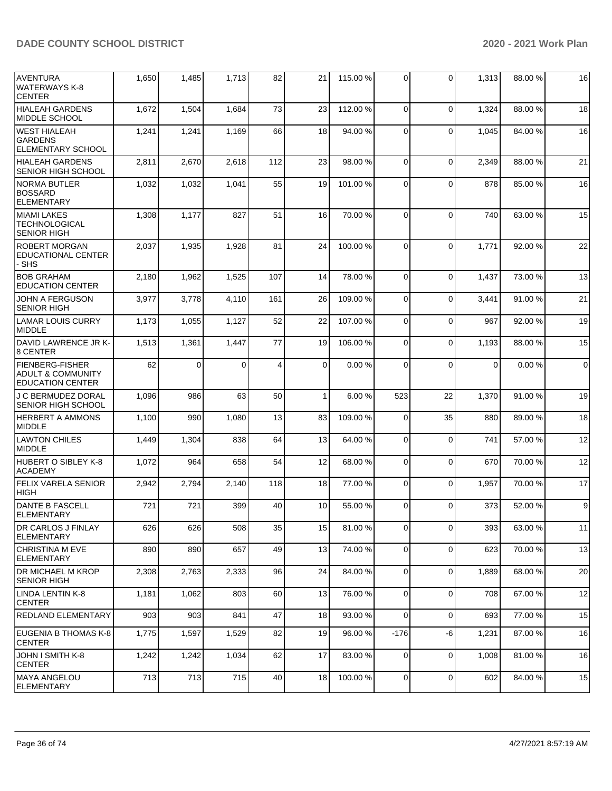| <b>AVENTURA</b><br>WATERWAYS K-8<br><b>CENTER</b>                                 | 1,650 | 1,485    | 1,713    | 82  | 21              | 115.00 % | $\Omega$       | 0           | 1,313       | 88.00 % | 16             |
|-----------------------------------------------------------------------------------|-------|----------|----------|-----|-----------------|----------|----------------|-------------|-------------|---------|----------------|
| <b>HIALEAH GARDENS</b><br>MIDDLE SCHOOL                                           | 1,672 | 1,504    | 1,684    | 73  | 23              | 112.00 % | $\Omega$       | $\Omega$    | 1,324       | 88.00 % | 18             |
| <b>WEST HIALEAH</b><br><b>GARDENS</b><br><b>ELEMENTARY SCHOOL</b>                 | 1,241 | 1,241    | 1,169    | 66  | 18              | 94.00 %  | $\Omega$       | $\Omega$    | 1,045       | 84.00 % | 16             |
| <b>HIALEAH GARDENS</b><br><b>SENIOR HIGH SCHOOL</b>                               | 2,811 | 2,670    | 2,618    | 112 | 23              | 98.00 %  | $\Omega$       | $\Omega$    | 2,349       | 88.00 % | 21             |
| <b>NORMA BUTLER</b><br><b>BOSSARD</b><br>ELEMENTARY                               | 1,032 | 1,032    | 1,041    | 55  | 19              | 101.00%  | $\Omega$       | $\Omega$    | 878         | 85.00 % | 16             |
| <b>MIAMI LAKES</b><br><b>TECHNOLOGICAL</b><br><b>SENIOR HIGH</b>                  | 1,308 | 1,177    | 827      | 51  | 16              | 70.00 %  | $\Omega$       | $\Omega$    | 740         | 63.00 % | 15             |
| <b>ROBERT MORGAN</b><br><b>EDUCATIONAL CENTER</b><br>- SHS                        | 2,037 | 1,935    | 1,928    | 81  | 24              | 100.00%  | $\Omega$       | $\Omega$    | 1,771       | 92.00 % | 22             |
| <b>BOB GRAHAM</b><br><b>EDUCATION CENTER</b>                                      | 2,180 | 1,962    | 1,525    | 107 | 14 <sup>1</sup> | 78.00 %  | $\Omega$       | $\Omega$    | 1,437       | 73.00 % | 13             |
| <b>JOHN A FERGUSON</b><br><b>SENIOR HIGH</b>                                      | 3,977 | 3,778    | 4,110    | 161 | 26              | 109.00%  | $\Omega$       | $\Omega$    | 3,441       | 91.00 % | 21             |
| LAMAR LOUIS CURRY<br><b>MIDDLE</b>                                                | 1,173 | 1,055    | 1,127    | 52  | 22              | 107.00%  | $\Omega$       | $\Omega$    | 967         | 92.00 % | 19             |
| DAVID LAWRENCE JR K-<br>8 CENTER                                                  | 1,513 | 1,361    | 1,447    | 77  | 19              | 106.00%  | $\Omega$       | $\mathbf 0$ | 1,193       | 88.00%  | 15             |
| <b>FIENBERG-FISHER</b><br><b>ADULT &amp; COMMUNITY</b><br><b>EDUCATION CENTER</b> | 62    | $\Omega$ | $\Omega$ | 4   | $\Omega$        | 0.00%    | $\Omega$       | $\Omega$    | $\mathbf 0$ | 0.00%   | $\overline{0}$ |
| J C BERMUDEZ DORAL<br><b>SENIOR HIGH SCHOOL</b>                                   | 1,096 | 986      | 63       | 50  | $\mathbf{1}$    | 6.00 %   | 523            | 22          | 1,370       | 91.00%  | 19             |
| <b>HERBERT A AMMONS</b><br>MIDDLE                                                 | 1,100 | 990      | 1,080    | 13  | 83              | 109.00%  | $\Omega$       | 35          | 880         | 89.00 % | 18             |
| <b>LAWTON CHILES</b><br>MIDDLE                                                    | 1,449 | 1,304    | 838      | 64  | 13              | 64.00%   | $\Omega$       | $\Omega$    | 741         | 57.00 % | 12             |
| HUBERT O SIBLEY K-8<br><b>ACADEMY</b>                                             | 1,072 | 964      | 658      | 54  | 12              | 68.00 %  | $\Omega$       | $\mathbf 0$ | 670         | 70.00 % | 12             |
| <b>FELIX VARELA SENIOR</b><br>HIGH                                                | 2,942 | 2,794    | 2,140    | 118 | 18              | 77.00 %  | $\Omega$       | $\mathbf 0$ | 1,957       | 70.00 % | 17             |
| <b>DANTE B FASCELL</b><br><b>ELEMENTARY</b>                                       | 721   | 721      | 399      | 40  | 10              | 55.00 %  | $\Omega$       | $\Omega$    | 373         | 52.00 % | 9 <sub>l</sub> |
| <b>DR CARLOS J FINLAY</b><br><b>ELEMENTARY</b>                                    | 626   | 626      | 508      | 35  | 15              | 81.00 %  | $\overline{0}$ | $\mathbf 0$ | 393         | 63.00 % | 11             |
| CHRISTINA M EVE<br><b>ELEMENTARY</b>                                              | 890   | 890      | 657      | 49  | 13              | 74.00 %  | $\overline{0}$ | 0           | 623         | 70.00%  | 13             |
| <b>DR MICHAEL M KROP</b><br><b>SENIOR HIGH</b>                                    | 2,308 | 2,763    | 2,333    | 96  | 24              | 84.00 %  | 0              | $\mathbf 0$ | 1,889       | 68.00 % | 20             |
| LINDA LENTIN K-8<br><b>CENTER</b>                                                 | 1,181 | 1,062    | 803      | 60  | 13              | 76.00 %  | $\Omega$       | $\mathbf 0$ | 708         | 67.00 % | 12             |
| REDLAND ELEMENTARY                                                                | 903   | 903      | 841      | 47  | 18              | 93.00 %  | $\Omega$       | $\mathbf 0$ | 693         | 77.00 % | 15             |
| EUGENIA B THOMAS K-8<br><b>CENTER</b>                                             | 1,775 | 1,597    | 1,529    | 82  | 19              | 96.00 %  | $-176$         | -6          | 1,231       | 87.00 % | 16             |
| JOHN I SMITH K-8<br><b>CENTER</b>                                                 | 1,242 | 1,242    | 1,034    | 62  | 17              | 83.00 %  | 0              | $\mathbf 0$ | 1,008       | 81.00 % | 16             |
| MAYA ANGELOU<br>ELEMENTARY                                                        | 713   | 713      | 715      | 40  | 18              | 100.00%  | $\overline{0}$ | $\mathbf 0$ | 602         | 84.00%  | 15             |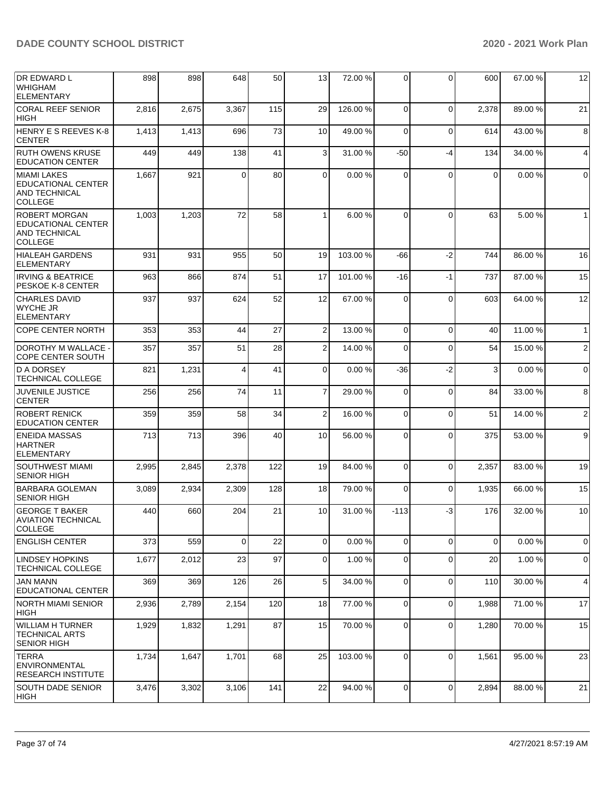| <b>DR EDWARD L</b><br> WHIGHAM<br><b>ELEMENTARY</b>                                  | 898   | 898   | 648      | 50  | 13              | 72.00 %  | 0           | 0           | 600         | 67.00 % | 12             |
|--------------------------------------------------------------------------------------|-------|-------|----------|-----|-----------------|----------|-------------|-------------|-------------|---------|----------------|
| <b>CORAL REEF SENIOR</b><br><b>HIGH</b>                                              | 2,816 | 2,675 | 3,367    | 115 | 29              | 126.00%  | $\Omega$    | $\mathbf 0$ | 2,378       | 89.00 % | 21             |
| HENRY E S REEVES K-8<br><b>CENTER</b>                                                | 1,413 | 1,413 | 696      | 73  | 10 <sup>1</sup> | 49.00 %  | $\Omega$    | $\Omega$    | 614         | 43.00 % | 8              |
| <b>RUTH OWENS KRUSE</b><br><b>EDUCATION CENTER</b>                                   | 449   | 449   | 138      | 41  | 3               | 31.00%   | $-50$       | $-4$        | 134         | 34.00 % | 4              |
| MIAMI LAKES<br>EDUCATIONAL CENTER<br>AND TECHNICAL<br><b>COLLEGE</b>                 | 1,667 | 921   | $\Omega$ | 80  | $\Omega$        | 0.00%    | $\Omega$    | $\Omega$    | $\mathbf 0$ | 0.00%   | 0              |
| <b>ROBERT MORGAN</b><br>EDUCATIONAL CENTER<br><b>AND TECHNICAL</b><br><b>COLLEGE</b> | 1,003 | 1,203 | 72       | 58  | 1               | 6.00 %   | $\Omega$    | $\Omega$    | 63          | 5.00 %  | $\mathbf{1}$   |
| <b>HIALEAH GARDENS</b><br><b>ELEMENTARY</b>                                          | 931   | 931   | 955      | 50  | 19              | 103.00 % | -66         | $-2$        | 744         | 86.00 % | 16             |
| <b>IRVING &amp; BEATRICE</b><br>PESKOE K-8 CENTER                                    | 963   | 866   | 874      | 51  | 17              | 101.00%  | $-16$       | $-1$        | 737         | 87.00 % | 15             |
| <b>CHARLES DAVID</b><br><b>WYCHE JR</b><br><b>ELEMENTARY</b>                         | 937   | 937   | 624      | 52  | 12              | 67.00 %  | $\Omega$    | $\Omega$    | 603         | 64.00 % | 12             |
| <b>COPE CENTER NORTH</b>                                                             | 353   | 353   | 44       | 27  | $\overline{2}$  | 13.00 %  | $\mathbf 0$ | $\mathbf 0$ | 40          | 11.00 % | $\mathbf{1}$   |
| DOROTHY M WALLACE -<br>COPE CENTER SOUTH                                             | 357   | 357   | 51       | 28  | $\overline{2}$  | 14.00 %  | $\mathbf 0$ | $\mathbf 0$ | 54          | 15.00 % | $\sqrt{2}$     |
| D A DORSEY<br><b>TECHNICAL COLLEGE</b>                                               | 821   | 1,231 | 4        | 41  | $\Omega$        | 0.00%    | $-36$       | $-2$        | 3           | 0.00%   | $\mathbf 0$    |
| <b>JUVENILE JUSTICE</b><br><b>CENTER</b>                                             | 256   | 256   | 74       | 11  | $\overline{7}$  | 29.00 %  | 0           | 0           | 84          | 33.00 % | 8              |
| <b>ROBERT RENICK</b><br><b>EDUCATION CENTER</b>                                      | 359   | 359   | 58       | 34  | $\overline{2}$  | 16.00 %  | $\mathbf 0$ | $\mathbf 0$ | 51          | 14.00 % | $\overline{c}$ |
| <b>ENEIDA MASSAS</b><br><b>HARTNER</b><br><b>ELEMENTARY</b>                          | 713   | 713   | 396      | 40  | 10              | 56.00 %  | $\Omega$    | $\Omega$    | 375         | 53.00 % | 9              |
| <b>SOUTHWEST MIAMI</b><br><b>SENIOR HIGH</b>                                         | 2,995 | 2,845 | 2,378    | 122 | 19              | 84.00 %  | $\Omega$    | $\Omega$    | 2,357       | 83.00 % | 19             |
| <b>BARBARA GOLEMAN</b><br><b>SENIOR HIGH</b>                                         | 3,089 | 2,934 | 2,309    | 128 | 18              | 79.00 %  | 0           | $\Omega$    | 1,935       | 66.00 % | 15             |
| <b>GEORGE T BAKER</b><br><b>AVIATION TECHNICAL</b><br><b>COLLEGE</b>                 | 440   | 660   | 204      | 21  | 10 <sup>1</sup> | 31.00 %  | $-113$      | -3          | 176         | 32.00 % | 10             |
| <b>ENGLISH CENTER</b>                                                                | 373   | 559   | 0        | 22  | $\overline{0}$  | 0.00%    | 0           | $\mathbf 0$ | 0           | 0.00%   | 0              |
| LINDSEY HOPKINS<br><b>TECHNICAL COLLEGE</b>                                          | 1,677 | 2,012 | 23       | 97  | $\overline{0}$  | 1.00 %   | 0           | 0           | 20          | 1.00 %  | 0              |
| <b>JAN MANN</b><br>EDUCATIONAL CENTER                                                | 369   | 369   | 126      | 26  | 5 <sup>5</sup>  | 34.00 %  | $\mathbf 0$ | $\mathbf 0$ | 110         | 30.00 % | 4              |
| NORTH MIAMI SENIOR<br><b>HIGH</b>                                                    | 2,936 | 2,789 | 2,154    | 120 | 18              | 77.00 %  | $\mathbf 0$ | $\mathbf 0$ | 1,988       | 71.00 % | 17             |
| <b>WILLIAM H TURNER</b><br><b>TECHNICAL ARTS</b><br><b>SENIOR HIGH</b>               | 1,929 | 1,832 | 1,291    | 87  | 15              | 70.00 %  | 0           | $\mathbf 0$ | 1,280       | 70.00 % | 15             |
| TERRA<br><b>IENVIRONMENTAL</b><br><b>RESEARCH INSTITUTE</b>                          | 1,734 | 1,647 | 1,701    | 68  | 25              | 103.00 % | $\mathbf 0$ | $\mathbf 0$ | 1,561       | 95.00 % | 23             |
| <b>SOUTH DADE SENIOR</b><br>HIGH                                                     | 3,476 | 3,302 | 3,106    | 141 | 22              | 94.00 %  | $\mathbf 0$ | $\mathbf 0$ | 2,894       | 88.00 % | 21             |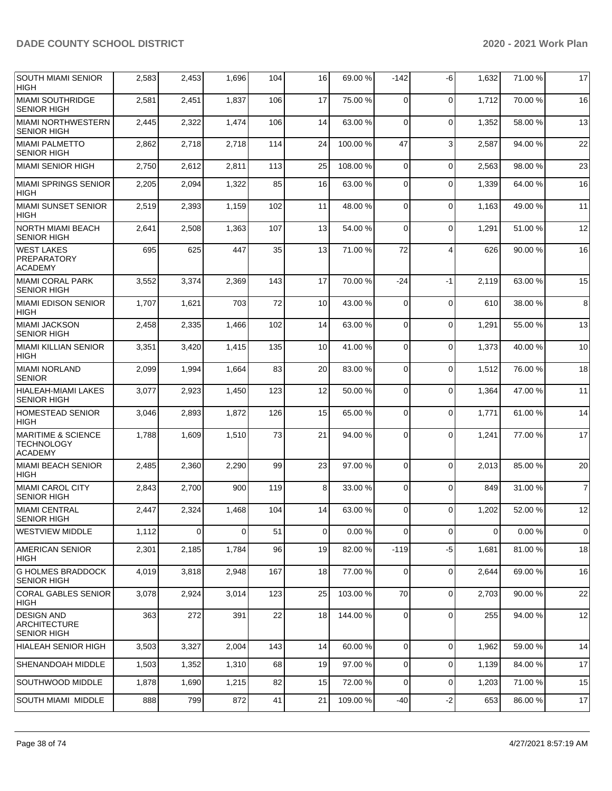| <b>SOUTH MIAMI SENIOR</b><br><b>HIGH</b>                             | 2,583 | 2,453          | 1,696       | 104 | 16             | 69.00 %  | $-142$      | -6             | 1,632    | 71.00 % | 17             |
|----------------------------------------------------------------------|-------|----------------|-------------|-----|----------------|----------|-------------|----------------|----------|---------|----------------|
| <b>MIAMI SOUTHRIDGE</b><br><b>SENIOR HIGH</b>                        | 2,581 | 2,451          | 1,837       | 106 | 17             | 75.00 %  | 0           | $\mathbf 0$    | 1,712    | 70.00%  | 16             |
| <b>MIAMI NORTHWESTERN</b><br><b>SENIOR HIGH</b>                      | 2,445 | 2,322          | 1,474       | 106 | 14             | 63.00 %  | 0           | $\Omega$       | 1,352    | 58.00 % | 13             |
| <b>MIAMI PALMETTO</b><br><b>SENIOR HIGH</b>                          | 2,862 | 2,718          | 2,718       | 114 | 24             | 100.00%  | 47          | 3              | 2,587    | 94.00 % | 22             |
| MIAMI SENIOR HIGH                                                    | 2,750 | 2,612          | 2,811       | 113 | 25             | 108.00%  | $\mathbf 0$ | $\mathbf 0$    | 2,563    | 98.00 % | 23             |
| MIAMI SPRINGS SENIOR<br><b>HIGH</b>                                  | 2,205 | 2,094          | 1,322       | 85  | 16             | 63.00 %  | $\mathbf 0$ | $\Omega$       | 1,339    | 64.00 % | 16             |
| <b>MIAMI SUNSET SENIOR</b><br><b>HIGH</b>                            | 2,519 | 2,393          | 1,159       | 102 | 11             | 48.00 %  | 0           | $\Omega$       | 1,163    | 49.00 % | 11             |
| <b>NORTH MIAMI BEACH</b><br><b>SENIOR HIGH</b>                       | 2,641 | 2,508          | 1,363       | 107 | 13             | 54.00 %  | $\Omega$    | $\mathbf 0$    | 1,291    | 51.00 % | 12             |
| <b>WEST LAKES</b><br>PREPARATORY<br><b>ACADEMY</b>                   | 695   | 625            | 447         | 35  | 13             | 71.00 %  | 72          | $\overline{4}$ | 626      | 90.00 % | 16             |
| <b>MIAMI CORAL PARK</b><br><b>SENIOR HIGH</b>                        | 3,552 | 3,374          | 2,369       | 143 | 17             | 70.00 %  | -24         | $-1$           | 2,119    | 63.00 % | 15             |
| MIAMI EDISON SENIOR<br><b>HIGH</b>                                   | 1,707 | 1,621          | 703         | 72  | 10             | 43.00 %  | $\Omega$    | $\Omega$       | 610      | 38.00 % | 8              |
| <b>MIAMI JACKSON</b><br><b>SENIOR HIGH</b>                           | 2,458 | 2,335          | 1,466       | 102 | 14             | 63.00 %  | $\Omega$    | $\Omega$       | 1,291    | 55.00 % | 13             |
| <b>MIAMI KILLIAN SENIOR</b><br><b>HIGH</b>                           | 3,351 | 3,420          | 1,415       | 135 | 10             | 41.00%   | 0           | $\Omega$       | 1,373    | 40.00%  | 10             |
| MIAMI NORLAND<br><b>SENIOR</b>                                       | 2,099 | 1,994          | 1,664       | 83  | 20             | 83.00 %  | $\Omega$    | $\Omega$       | 1,512    | 76.00 % | 18             |
| HIALEAH-MIAMI LAKES<br><b>SENIOR HIGH</b>                            | 3,077 | 2,923          | 1,450       | 123 | 12             | 50.00 %  | $\Omega$    | $\Omega$       | 1,364    | 47.00%  | 11             |
| <b>HOMESTEAD SENIOR</b><br><b>HIGH</b>                               | 3,046 | 2,893          | 1,872       | 126 | 15             | 65.00 %  | 0           | 0              | 1,771    | 61.00 % | 14             |
| <b>MARITIME &amp; SCIENCE</b><br><b>TECHNOLOGY</b><br><b>ACADEMY</b> | 1,788 | 1,609          | 1,510       | 73  | 21             | 94.00 %  | $\Omega$    | $\Omega$       | 1,241    | 77.00 % | 17             |
| MIAMI BEACH SENIOR<br><b>HIGH</b>                                    | 2,485 | 2,360          | 2,290       | 99  | 23             | 97.00 %  | $\Omega$    | $\Omega$       | 2,013    | 85.00 % | 20             |
| <b>MIAMI CAROL CITY</b><br><b>SENIOR HIGH</b>                        | 2,843 | 2,700          | 900         | 119 | 8              | 33.00 %  | $\mathbf 0$ | $\Omega$       | 849      | 31.00 % | $\overline{7}$ |
| <b>MIAMI CENTRAL</b><br><b>SENIOR HIGH</b>                           | 2,447 | 2,324          | 1,468       | 104 | 14             | 63.00%   | $\Omega$    | $\Omega$       | 1,202    | 52.00 % | 12             |
| <b>WESTVIEW MIDDLE</b>                                               | 1,112 | $\overline{0}$ | $\mathbf 0$ | 51  | $\overline{0}$ | 0.00%    | $\mathbf 0$ | 0              | $\Omega$ | 0.00%   | $\overline{0}$ |
| <b>AMERICAN SENIOR</b><br><b>HIGH</b>                                | 2,301 | 2,185          | 1,784       | 96  | 19             | 82.00 %  | $-119$      | $-5$           | 1,681    | 81.00 % | 18             |
| <b>G HOLMES BRADDOCK</b><br><b>SENIOR HIGH</b>                       | 4,019 | 3,818          | 2,948       | 167 | 18             | 77.00 %  | $\mathbf 0$ | $\mathbf 0$    | 2,644    | 69.00 % | 16             |
| <b>CORAL GABLES SENIOR</b><br>HIGH                                   | 3,078 | 2,924          | 3,014       | 123 | 25             | 103.00 % | 70          | $\mathbf 0$    | 2,703    | 90.00 % | 22             |
| <b>DESIGN AND</b><br><b>ARCHITECTURE</b><br><b>SENIOR HIGH</b>       | 363   | 272            | 391         | 22  | 18             | 144.00%  | $\mathbf 0$ | $\mathbf 0$    | 255      | 94.00 % | 12             |
| HIALEAH SENIOR HIGH                                                  | 3,503 | 3,327          | 2,004       | 143 | 14             | 60.00 %  | $\mathbf 0$ | 0              | 1,962    | 59.00 % | 14             |
| SHENANDOAH MIDDLE                                                    | 1,503 | 1,352          | 1,310       | 68  | 19             | 97.00 %  | 0           | 0              | 1,139    | 84.00 % | 17             |
| SOUTHWOOD MIDDLE                                                     | 1,878 | 1,690          | 1,215       | 82  | 15             | 72.00 %  | 0           | 0              | 1,203    | 71.00 % | 15             |
| SOUTH MIAMI MIDDLE                                                   | 888   | 799            | 872         | 41  | 21             | 109.00%  | $-40$       | $-2$           | 653      | 86.00 % | 17             |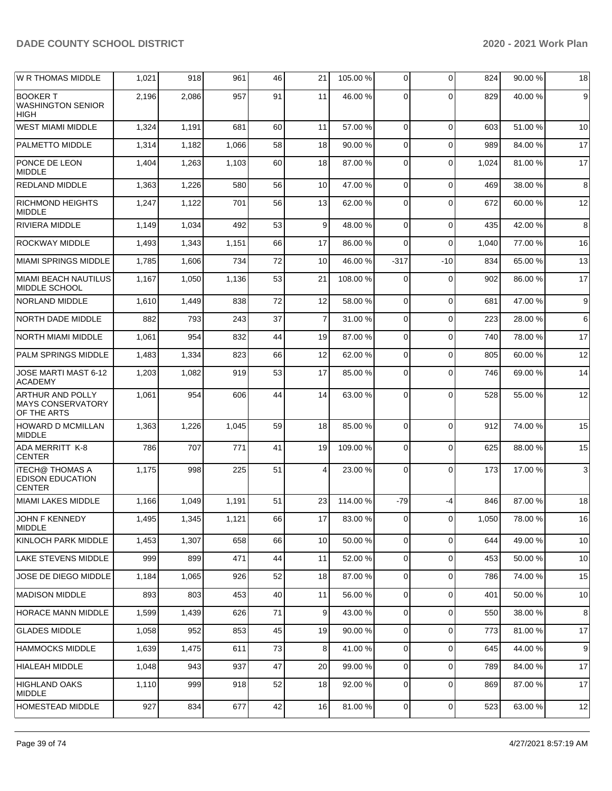| <b>W R THOMAS MIDDLE</b>                                           | 1,021 | 918   | 961   | 46 | 21             | 105.00 % | $\overline{0}$ | $\Omega$    | 824   | 90.00%  | 18     |
|--------------------------------------------------------------------|-------|-------|-------|----|----------------|----------|----------------|-------------|-------|---------|--------|
| <b>BOOKER T</b><br><b>WASHINGTON SENIOR</b><br><b>HIGH</b>         | 2,196 | 2,086 | 957   | 91 | 11             | 46.00 %  | $\Omega$       | $\Omega$    | 829   | 40.00 % | 9      |
| <b>WEST MIAMI MIDDLE</b>                                           | 1,324 | 1,191 | 681   | 60 | 11             | 57.00 %  | 0              | $\Omega$    | 603   | 51.00 % | 10     |
| PALMETTO MIDDLE                                                    | 1,314 | 1,182 | 1,066 | 58 | 18             | 90.00 %  | $\overline{0}$ | $\Omega$    | 989   | 84.00 % | 17     |
| PONCE DE LEON<br><b>MIDDLE</b>                                     | 1,404 | 1,263 | 1,103 | 60 | 18             | 87.00 %  | 0              | $\Omega$    | 1,024 | 81.00 % | 17     |
| <b>REDLAND MIDDLE</b>                                              | 1,363 | 1,226 | 580   | 56 | 10             | 47.00 %  | $\mathbf 0$    | $\Omega$    | 469   | 38.00 % | 8      |
| <b>RICHMOND HEIGHTS</b><br><b>MIDDLE</b>                           | 1,247 | 1,122 | 701   | 56 | 13             | 62.00%   | $\Omega$       | $\Omega$    | 672   | 60.00 % | 12     |
| <b>RIVIERA MIDDLE</b>                                              | 1,149 | 1,034 | 492   | 53 | 9              | 48.00 %  | $\Omega$       | $\Omega$    | 435   | 42.00 % | 8      |
| ROCKWAY MIDDLE                                                     | 1,493 | 1,343 | 1,151 | 66 | 17             | 86.00 %  | $\Omega$       | $\Omega$    | 1,040 | 77.00 % | 16     |
| <b>MIAMI SPRINGS MIDDLE</b>                                        | 1,785 | 1,606 | 734   | 72 | 10             | 46.00%   | $-317$         | $-10$       | 834   | 65.00 % | 13     |
| MIAMI BEACH NAUTILUS<br>MIDDLE SCHOOL                              | 1,167 | 1,050 | 1,136 | 53 | 21             | 108.00%  | $\Omega$       | $\Omega$    | 902   | 86.00 % | 17     |
| NORLAND MIDDLE                                                     | 1,610 | 1,449 | 838   | 72 | 12             | 58.00 %  | 0              | $\Omega$    | 681   | 47.00 % | 9      |
| NORTH DADE MIDDLE                                                  | 882   | 793   | 243   | 37 | $\overline{7}$ | 31.00 %  | $\overline{0}$ | $\Omega$    | 223   | 28.00 % | 6      |
| <b>NORTH MIAMI MIDDLE</b>                                          | 1,061 | 954   | 832   | 44 | 19             | 87.00 %  | $\overline{0}$ | $\Omega$    | 740   | 78.00 % | 17     |
| PALM SPRINGS MIDDLE                                                | 1,483 | 1,334 | 823   | 66 | 12             | 62.00 %  | 0              | $\Omega$    | 805   | 60.00 % | 12     |
| JOSE MARTI MAST 6-12<br><b>ACADEMY</b>                             | 1,203 | 1,082 | 919   | 53 | 17             | 85.00 %  | 0              | $\Omega$    | 746   | 69.00 % | 14     |
| <b>ARTHUR AND POLLY</b><br><b>MAYS CONSERVATORY</b><br>OF THE ARTS | 1,061 | 954   | 606   | 44 | 14             | 63.00 %  | $\Omega$       | $\Omega$    | 528   | 55.00 % | 12     |
| <b>HOWARD D MCMILLAN</b><br><b>MIDDLE</b>                          | 1,363 | 1,226 | 1,045 | 59 | 18             | 85.00 %  | $\Omega$       | $\Omega$    | 912   | 74.00 % | 15     |
| <b>ADA MERRITT K-8</b><br><b>CENTER</b>                            | 786   | 707   | 771   | 41 | 19             | 109.00%  | 0              | $\Omega$    | 625   | 88.00 % | 15     |
| <b>ITECH@ THOMAS A</b><br><b>EDISON EDUCATION</b><br><b>CENTER</b> | 1,175 | 998   | 225   | 51 | 4              | 23.00 %  | $\Omega$       | $\Omega$    | 173   | 17.00 % | 3      |
| <b>MIAMI LAKES MIDDLE</b>                                          | 1,166 | 1,049 | 1,191 | 51 | 23             | 114.00 % | $-79$          | -4          | 846   | 87.00 % | 18     |
| JOHN F KENNEDY<br><b>MIDDLE</b>                                    | 1,495 | 1,345 | 1,121 | 66 | 17             | 83.00 %  | $\overline{0}$ | $\mathbf 0$ | 1,050 | 78.00 % | $16\,$ |
| KINLOCH PARK MIDDLE                                                | 1,453 | 1,307 | 658   | 66 | 10             | 50.00 %  | $\overline{0}$ | 0           | 644   | 49.00 % | 10     |
| <b>LAKE STEVENS MIDDLE</b>                                         | 999   | 899   | 471   | 44 | 11             | 52.00 %  | $\overline{0}$ | 0           | 453   | 50.00 % | 10     |
| JOSE DE DIEGO MIDDLE                                               | 1,184 | 1,065 | 926   | 52 | 18             | 87.00 %  | 0              | 0           | 786   | 74.00 % | 15     |
| <b>MADISON MIDDLE</b>                                              | 893   | 803   | 453   | 40 | 11             | 56.00 %  | $\overline{0}$ | 0           | 401   | 50.00 % | 10     |
| <b>HORACE MANN MIDDLE</b>                                          | 1,599 | 1,439 | 626   | 71 | 9              | 43.00 %  | 0              | 0           | 550   | 38.00 % | 8      |
| <b>GLADES MIDDLE</b>                                               | 1,058 | 952   | 853   | 45 | 19             | 90.00 %  | $\overline{0}$ | 0           | 773   | 81.00 % | 17     |
| <b>HAMMOCKS MIDDLE</b>                                             | 1,639 | 1,475 | 611   | 73 | 8              | 41.00 %  | $\overline{0}$ | 0           | 645   | 44.00 % | 9      |
| <b>HIALEAH MIDDLE</b>                                              | 1,048 | 943   | 937   | 47 | 20             | 99.00 %  | $\overline{0}$ | $\Omega$    | 789   | 84.00 % | 17     |
| <b>HIGHLAND OAKS</b><br><b>MIDDLE</b>                              | 1,110 | 999   | 918   | 52 | 18             | 92.00 %  | 0              | $\Omega$    | 869   | 87.00 % | 17     |
| HOMESTEAD MIDDLE                                                   | 927   | 834   | 677   | 42 | 16             | 81.00%   | 0              | 0           | 523   | 63.00 % | 12     |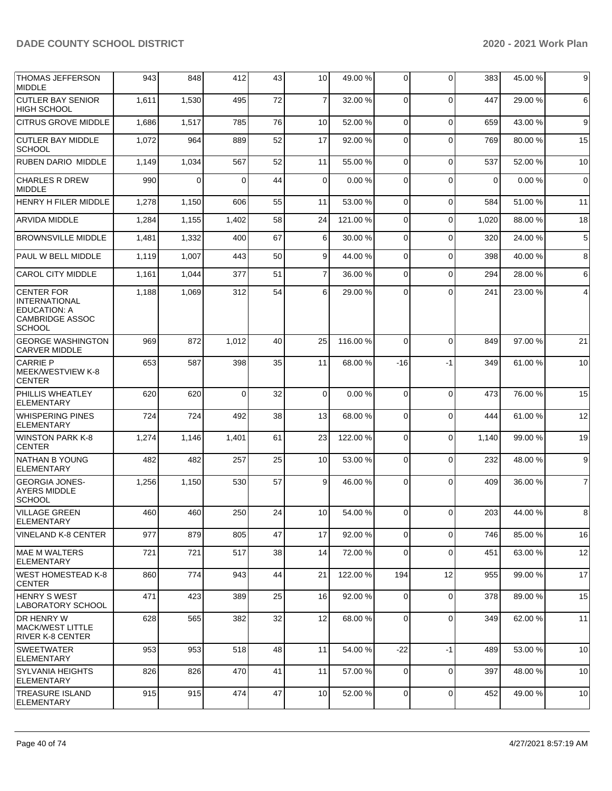| <b>THOMAS JEFFERSON</b><br><b>MIDDLE</b>                                                             | 943   | 848   | 412      | 43 | 10             | 49.00 %  | 0              | $\Omega$    | 383         | 45.00 % | 9              |
|------------------------------------------------------------------------------------------------------|-------|-------|----------|----|----------------|----------|----------------|-------------|-------------|---------|----------------|
| <b>CUTLER BAY SENIOR</b><br><b>HIGH SCHOOL</b>                                                       | 1,611 | 1,530 | 495      | 72 | $\overline{7}$ | 32.00 %  | 0              | $\Omega$    | 447         | 29.00 % | 6              |
| <b>CITRUS GROVE MIDDLE</b>                                                                           | 1,686 | 1,517 | 785      | 76 | 10             | 52.00 %  | 0              | $\Omega$    | 659         | 43.00 % | 9              |
| <b>CUTLER BAY MIDDLE</b><br><b>SCHOOL</b>                                                            | 1,072 | 964   | 889      | 52 | 17             | 92.00 %  | 0              | $\Omega$    | 769         | 80.00 % | 15             |
| <b>RUBEN DARIO MIDDLE</b>                                                                            | 1,149 | 1,034 | 567      | 52 | 11             | 55.00 %  | $\overline{0}$ | $\Omega$    | 537         | 52.00 % | 10             |
| <b>CHARLES R DREW</b><br><b>MIDDLE</b>                                                               | 990   | 0     | 0        | 44 | 0              | 0.00%    | $\Omega$       | $\Omega$    | $\mathbf 0$ | 0.00%   | $\mathbf 0$    |
| HENRY H FILER MIDDLE                                                                                 | 1,278 | 1,150 | 606      | 55 | 11             | 53.00 %  | $\overline{0}$ | 0           | 584         | 51.00 % | 11             |
| ARVIDA MIDDLE                                                                                        | 1,284 | 1,155 | 1,402    | 58 | 24             | 121.00%  | 0              | $\Omega$    | 1,020       | 88.00 % | 18             |
| <b>BROWNSVILLE MIDDLE</b>                                                                            | 1,481 | 1,332 | 400      | 67 | 6              | 30.00 %  | 0              | 0           | 320         | 24.00 % | $\,$ 5 $\,$    |
| PAUL W BELL MIDDLE                                                                                   | 1,119 | 1,007 | 443      | 50 | 9              | 44.00 %  | 0              | $\Omega$    | 398         | 40.00 % | 8              |
| <b>CAROL CITY MIDDLE</b>                                                                             | 1,161 | 1,044 | 377      | 51 | $\overline{7}$ | 36.00 %  | $\mathbf 0$    | 0           | 294         | 28.00 % | 6              |
| <b>CENTER FOR</b><br><b>INTERNATIONAL</b><br>EDUCATION: A<br><b>CAMBRIDGE ASSOC</b><br><b>SCHOOL</b> | 1,188 | 1,069 | 312      | 54 | 6              | 29.00 %  | $\Omega$       | $\Omega$    | 241         | 23.00 % | 4              |
| <b>GEORGE WASHINGTON</b><br><b>CARVER MIDDLE</b>                                                     | 969   | 872   | 1,012    | 40 | 25             | 116.00%  | 0              | $\Omega$    | 849         | 97.00 % | 21             |
| CARRIE P<br>MEEK/WESTVIEW K-8<br><b>CENTER</b>                                                       | 653   | 587   | 398      | 35 | 11             | 68.00 %  | -16            | $-1$        | 349         | 61.00 % | 10             |
| PHILLIS WHEATLEY<br><b>ELEMENTARY</b>                                                                | 620   | 620   | $\Omega$ | 32 | $\overline{0}$ | 0.00%    | $\Omega$       | $\Omega$    | 473         | 76.00 % | 15             |
| <b>WHISPERING PINES</b><br><b>ELEMENTARY</b>                                                         | 724   | 724   | 492      | 38 | 13             | 68.00 %  | 0              | $\Omega$    | 444         | 61.00 % | 12             |
| <b>WINSTON PARK K-8</b><br><b>CENTER</b>                                                             | 1,274 | 1,146 | 1,401    | 61 | 23             | 122.00%  | $\Omega$       | $\Omega$    | 1,140       | 99.00 % | 19             |
| NATHAN B YOUNG<br><b>ELEMENTARY</b>                                                                  | 482   | 482   | 257      | 25 | 10             | 53.00 %  | $\mathbf 0$    | $\Omega$    | 232         | 48.00 % | 9              |
| <b>GEORGIA JONES-</b><br><b>AYERS MIDDLE</b><br><b>SCHOOL</b>                                        | 1,256 | 1,150 | 530      | 57 | 9              | 46.00 %  | 0              | $\Omega$    | 409         | 36.00 % | $\overline{7}$ |
| <b>VILLAGE GREEN</b><br><b>ELEMENTARY</b>                                                            | 460   | 460   | 250      | 24 | 10             | 54.00 %  | $\overline{0}$ | $\Omega$    | 203         | 44.00 % | 8              |
| <b>VINELAND K-8 CENTER</b>                                                                           | 977   | 879   | 805      | 47 | 17             | 92.00%   | 0              | $\Omega$    | 746         | 85.00 % | 16             |
| <b>MAE M WALTERS</b><br><b>ELEMENTARY</b>                                                            | 721   | 721   | 517      | 38 | 14             | 72.00 %  | 0              | $\Omega$    | 451         | 63.00 % | 12             |
| <b>WEST HOMESTEAD K-8</b><br><b>CENTER</b>                                                           | 860   | 774   | 943      | 44 | 21             | 122.00 % | 194            | 12          | 955         | 99.00 % | 17             |
| <b>HENRY S WEST</b><br><b>LABORATORY SCHOOL</b>                                                      | 471   | 423   | 389      | 25 | 16             | 92.00%   | $\overline{0}$ | $\mathbf 0$ | 378         | 89.00 % | 15             |
| DR HENRY W<br><b>MACK/WEST LITTLE</b><br><b>RIVER K-8 CENTER</b>                                     | 628   | 565   | 382      | 32 | 12             | 68.00 %  | 0              | $\Omega$    | 349         | 62.00 % | 11             |
| <b>SWEETWATER</b><br>ELEMENTARY                                                                      | 953   | 953   | 518      | 48 | 11             | 54.00 %  | $-22$          | $-1$        | 489         | 53.00 % | 10             |
| <b>SYLVANIA HEIGHTS</b><br><b>ELEMENTARY</b>                                                         | 826   | 826   | 470      | 41 | 11             | 57.00 %  | 0              | $\Omega$    | 397         | 48.00 % | 10             |
| <b>TREASURE ISLAND</b><br><b>ELEMENTARY</b>                                                          | 915   | 915   | 474      | 47 | 10             | 52.00 %  | $\overline{0}$ | 0           | 452         | 49.00 % | 10             |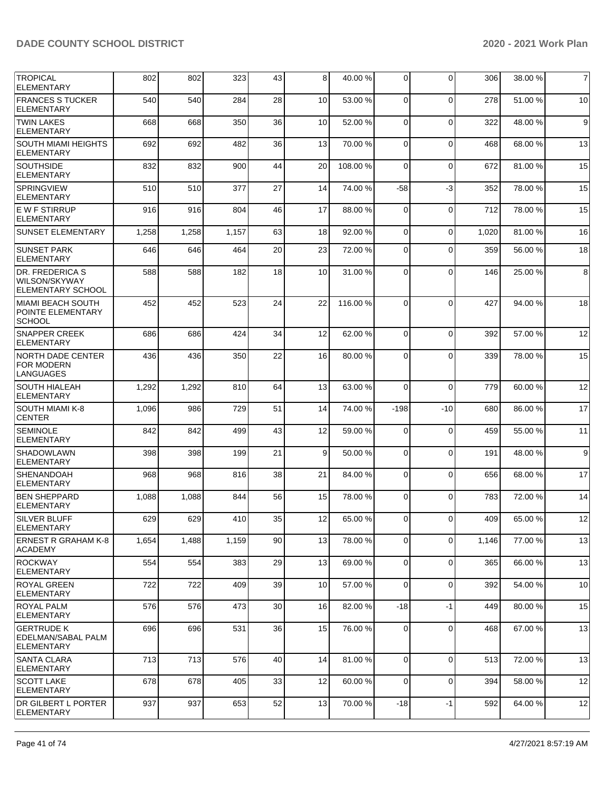| TROPICAL<br><b>ELEMENTARY</b>                                              | 802   | 802   | 323   | 43 | 8  | 40.00%  | $\Omega$       | $\Omega$    | 306   | 38.00 % | $\overline{7}$ |
|----------------------------------------------------------------------------|-------|-------|-------|----|----|---------|----------------|-------------|-------|---------|----------------|
| <b>FRANCES S TUCKER</b><br><b>ELEMENTARY</b>                               | 540   | 540   | 284   | 28 | 10 | 53.00 % | $\Omega$       | $\Omega$    | 278   | 51.00 % | 10             |
| <b>TWIN LAKES</b><br><b>ELEMENTARY</b>                                     | 668   | 668   | 350   | 36 | 10 | 52.00 % | $\mathbf 0$    | $\mathbf 0$ | 322   | 48.00 % | $9\,$          |
| <b>SOUTH MIAMI HEIGHTS</b><br><b>ELEMENTARY</b>                            | 692   | 692   | 482   | 36 | 13 | 70.00 % | $\Omega$       | $\mathbf 0$ | 468   | 68.00 % | 13             |
| <b>SOUTHSIDE</b><br><b>ELEMENTARY</b>                                      | 832   | 832   | 900   | 44 | 20 | 108.00% | $\Omega$       | $\Omega$    | 672   | 81.00%  | 15             |
| <b>SPRINGVIEW</b><br><b>ELEMENTARY</b>                                     | 510   | 510   | 377   | 27 | 14 | 74.00 % | $-58$          | $-3$        | 352   | 78.00 % | 15             |
| <b>EWFSTIRRUP</b><br><b>ELEMENTARY</b>                                     | 916   | 916   | 804   | 46 | 17 | 88.00%  | $\Omega$       | $\mathbf 0$ | 712   | 78.00 % | 15             |
| <b>SUNSET ELEMENTARY</b>                                                   | 1,258 | 1,258 | 1,157 | 63 | 18 | 92.00 % | $\Omega$       | 0           | 1,020 | 81.00 % | 16             |
| <b>SUNSET PARK</b><br><b>ELEMENTARY</b>                                    | 646   | 646   | 464   | 20 | 23 | 72.00 % | $\Omega$       | $\Omega$    | 359   | 56.00 % | 18             |
| <b>DR. FREDERICA S</b><br><b>WILSON/SKYWAY</b><br><b>ELEMENTARY SCHOOL</b> | 588   | 588   | 182   | 18 | 10 | 31.00 % | 0              | $\Omega$    | 146   | 25.00 % | 8              |
| MIAMI BEACH SOUTH<br><b>POINTE ELEMENTARY</b><br><b>SCHOOL</b>             | 452   | 452   | 523   | 24 | 22 | 116.00% | $\Omega$       | $\Omega$    | 427   | 94.00 % | 18             |
| <b>SNAPPER CREEK</b><br><b>ELEMENTARY</b>                                  | 686   | 686   | 424   | 34 | 12 | 62.00 % | $\Omega$       | $\Omega$    | 392   | 57.00 % | 12             |
| NORTH DADE CENTER<br><b>FOR MODERN</b><br>LANGUAGES                        | 436   | 436   | 350   | 22 | 16 | 80.00 % | 0              | $\Omega$    | 339   | 78.00 % | 15             |
| <b>SOUTH HIALEAH</b><br><b>ELEMENTARY</b>                                  | 1,292 | 1,292 | 810   | 64 | 13 | 63.00 % | $\Omega$       | $\Omega$    | 779   | 60.00%  | 12             |
| <b>SOUTH MIAMI K-8</b><br><b>CENTER</b>                                    | 1,096 | 986   | 729   | 51 | 14 | 74.00 % | $-198$         | $-10$       | 680   | 86.00 % | 17             |
| <b>SEMINOLE</b><br><b>ELEMENTARY</b>                                       | 842   | 842   | 499   | 43 | 12 | 59.00 % | $\Omega$       | $\mathbf 0$ | 459   | 55.00 % | 11             |
| <b>SHADOWLAWN</b><br><b>ELEMENTARY</b>                                     | 398   | 398   | 199   | 21 | 9  | 50.00 % | $\Omega$       | $\Omega$    | 191   | 48.00 % | 9 <sub>l</sub> |
| <b>SHENANDOAH</b><br><b>ELEMENTARY</b>                                     | 968   | 968   | 816   | 38 | 21 | 84.00%  | $\Omega$       | $\Omega$    | 656   | 68.00 % | 17             |
| <b>BEN SHEPPARD</b><br><b>ELEMENTARY</b>                                   | 1,088 | 1,088 | 844   | 56 | 15 | 78.00 % | $\Omega$       | $\Omega$    | 783   | 72.00 % | 14             |
| <b>SILVER BLUFF</b><br>ELEMENTARY                                          | 629   | 629   | 410   | 35 | 12 | 65.00 % | $\overline{0}$ | 0           | 409   | 65.00 % | 12             |
| ERNEST R GRAHAM K-8<br><b>ACADEMY</b>                                      | 1,654 | 1,488 | 1,159 | 90 | 13 | 78.00 % | $\Omega$       | $\Omega$    | 1,146 | 77.00 % | 13             |
| ROCKWAY<br><b>ELEMENTARY</b>                                               | 554   | 554   | 383   | 29 | 13 | 69.00 % | $\overline{0}$ | 0           | 365   | 66.00 % | 13             |
| <b>ROYAL GREEN</b><br>ELEMENTARY                                           | 722   | 722   | 409   | 39 | 10 | 57.00 % | $\Omega$       | 0           | 392   | 54.00 % | 10             |
| <b>ROYAL PALM</b><br><b>ELEMENTARY</b>                                     | 576   | 576   | 473   | 30 | 16 | 82.00 % | $-18$          | -1          | 449   | 80.00 % | 15             |
| <b>GERTRUDE K</b><br>EDELMAN/SABAL PALM<br><b>ELEMENTARY</b>               | 696   | 696   | 531   | 36 | 15 | 76.00 % | $\overline{0}$ | 0           | 468   | 67.00 % | 13             |
| <b>SANTA CLARA</b><br>ELEMENTARY                                           | 713   | 713   | 576   | 40 | 14 | 81.00%  | $\Omega$       | $\mathbf 0$ | 513   | 72.00 % | 13             |
| <b>SCOTT LAKE</b><br><b>ELEMENTARY</b>                                     | 678   | 678   | 405   | 33 | 12 | 60.00 % | $\overline{0}$ | 0           | 394   | 58.00 % | 12             |
| <b>DR GILBERT L PORTER</b><br>ELEMENTARY                                   | 937   | 937   | 653   | 52 | 13 | 70.00 % | $-18$          | $-1$        | 592   | 64.00 % | 12             |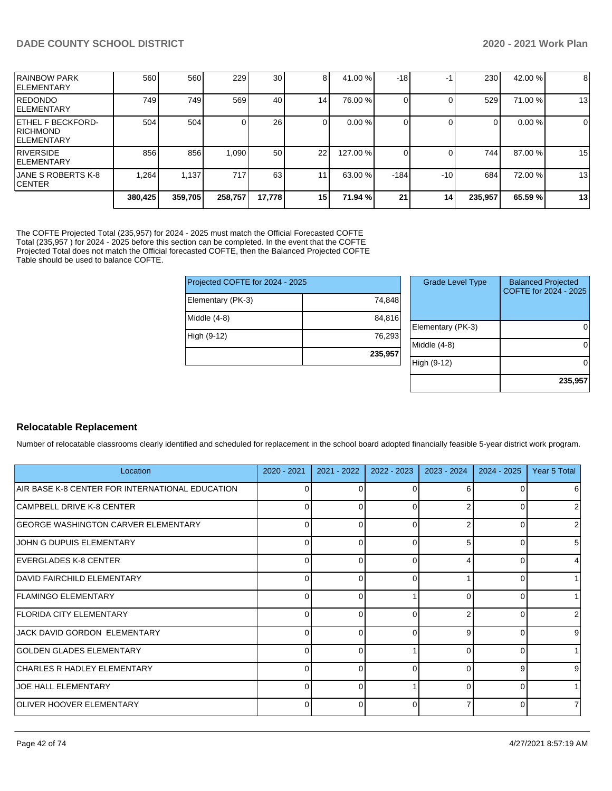|                                                                   | 380,425 | 359,705 | 258,757 | 17,778          | 15 | 71.94 %  | 21     | 14    | 235,957 | 65.59 % | 13 |
|-------------------------------------------------------------------|---------|---------|---------|-----------------|----|----------|--------|-------|---------|---------|----|
| <b>JANE S ROBERTS K-8</b><br><b>ICENTER</b>                       | .264    | 1,137   | 717     | 63              |    | 63.00 %  | $-184$ | $-10$ | 684     | 72.00 % | 13 |
| <b>RIVERSIDE</b><br><b>IELEMENTARY</b>                            | 856     | 856     | 1,090   | 50              | 22 | 127.00 % |        |       | 744     | 87.00 % | 15 |
| <b>ETHEL F BECKFORD-</b><br><b>RICHMOND</b><br><b>IELEMENTARY</b> | 504     | 504     |         | 26              |    | 0.00%    |        |       | 0       | 0.00%   | 0  |
| REDONDO<br><b>IELEMENTARY</b>                                     | 749     | 749     | 569     | 40              | 14 | 76.00 %  |        |       | 529     | 71.00 % | 13 |
| <b>IRAINBOW PARK</b><br><b>IELEMENTARY</b>                        | 560     | 560     | 229     | 30 <sub>l</sub> | 8  | 41.00 %  | $-18$  |       | 230     | 42.00 % | 8  |

The COFTE Projected Total (235,957) for 2024 - 2025 must match the Official Forecasted COFTE Total (235,957 ) for 2024 - 2025 before this section can be completed. In the event that the COFTE Projected Total does not match the Official forecasted COFTE, then the Balanced Projected COFTE Table should be used to balance COFTE.

| Projected COFTE for 2024 - 2025 |         |     |
|---------------------------------|---------|-----|
| Elementary (PK-3)               | 74,848  |     |
| Middle (4-8)                    | 84,816  | Ele |
| High (9-12)                     | 76,293  | Mio |
|                                 | 235,957 | Hic |

| <b>Grade Level Type</b> | <b>Balanced Projected</b><br>COFTE for 2024 - 2025 |
|-------------------------|----------------------------------------------------|
| Elementary (PK-3)       |                                                    |
| Middle $(4-8)$          |                                                    |
| High (9-12)             |                                                    |
|                         | 235,957                                            |

#### **Relocatable Replacement**

Number of relocatable classrooms clearly identified and scheduled for replacement in the school board adopted financially feasible 5-year district work program.

| Location                                        | 2020 - 2021 | 2021 - 2022 | 2022 - 2023 | 2023 - 2024 | 2024 - 2025 | Year 5 Total   |
|-------------------------------------------------|-------------|-------------|-------------|-------------|-------------|----------------|
| AIR BASE K-8 CENTER FOR INTERNATIONAL EDUCATION | 0           |             |             | 6           |             | 6              |
| CAMPBELL DRIVE K-8 CENTER                       | 0           |             |             |             |             | $\overline{2}$ |
| <b>GEORGE WASHINGTON CARVER ELEMENTARY</b>      | $\Omega$    |             |             |             |             | $\overline{2}$ |
| <b>JOHN G DUPUIS ELEMENTARY</b>                 | 0           |             | 0           | 5           |             | 5 <sup>5</sup> |
| <b>EVERGLADES K-8 CENTER</b>                    | $\Omega$    |             |             |             |             | $\vert$        |
| <b>DAVID FAIRCHILD ELEMENTARY</b>               | $\Omega$    | ∩           | $\Omega$    |             |             | 11             |
| <b>FLAMINGO ELEMENTARY</b>                      | 0           |             |             |             |             |                |
| <b>FLORIDA CITY ELEMENTARY</b>                  | $\Omega$    | ∩           | ∩           | 2           | n           | $\overline{2}$ |
| JACK DAVID GORDON ELEMENTARY                    | $\Omega$    | ∩           | 0           | 9           | 0           | 9              |
| <b>GOLDEN GLADES ELEMENTARY</b>                 | $\Omega$    |             |             |             |             |                |
| CHARLES R HADLEY ELEMENTARY                     | $\Omega$    | C           | ∩           | ∩           | я           | 9              |
| <b>JOE HALL ELEMENTARY</b>                      | $\Omega$    | $\Omega$    |             | $\Omega$    |             | 1 <sup>1</sup> |
| <b>OLIVER HOOVER ELEMENTARY</b>                 | $\Omega$    |             |             |             |             | $\overline{7}$ |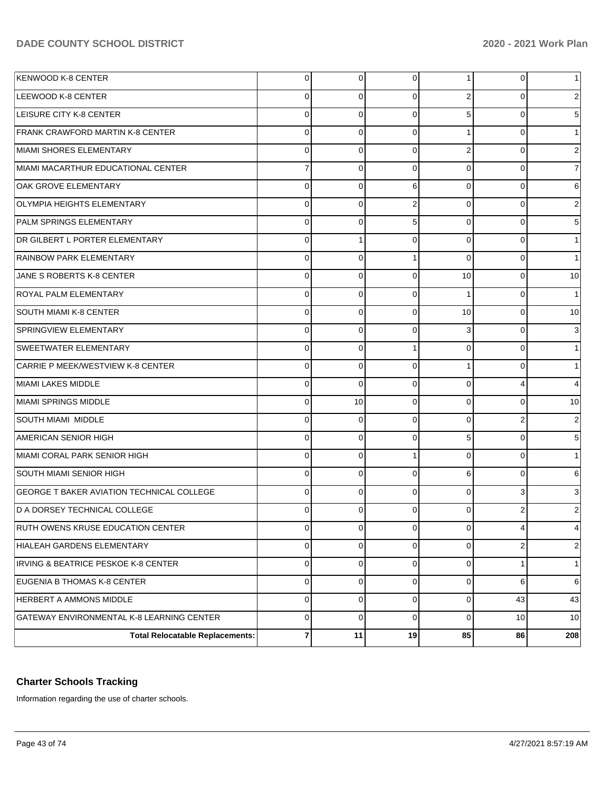| <b>KENWOOD K-8 CENTER</b>                 | 0              | 0              | $\overline{0}$ | 1              | 0        | 1               |
|-------------------------------------------|----------------|----------------|----------------|----------------|----------|-----------------|
| LEEWOOD K-8 CENTER                        | 0              | 0              | 0              | 2              | 0        | 2               |
| <b>LEISURE CITY K-8 CENTER</b>            | 0              | $\Omega$       | $\Omega$       | 5              | 0        | 5 <sup>5</sup>  |
| <b>FRANK CRAWFORD MARTIN K-8 CENTER</b>   | 0              | $\Omega$       | $\Omega$       | 1              | $\Omega$ | 1               |
| MIAMI SHORES ELEMENTARY                   | 0              | $\Omega$       | 0              | 2              | 0        | $\overline{2}$  |
| MIAMI MACARTHUR EDUCATIONAL CENTER        | $\overline{7}$ | $\Omega$       | 0              | $\overline{0}$ | $\Omega$ | $\overline{7}$  |
| OAK GROVE ELEMENTARY                      | 0              | $\Omega$       | 6              | $\overline{0}$ | 0        | $6 \mid$        |
| <b>OLYMPIA HEIGHTS ELEMENTARY</b>         | 0              | $\Omega$       | 2              | $\overline{0}$ | $\Omega$ | $\overline{c}$  |
| PALM SPRINGS ELEMENTARY                   | 0              | $\Omega$       | 5              | $\overline{0}$ | 0        | 5 <sup>5</sup>  |
| DR GILBERT L PORTER ELEMENTARY            | 0              |                | 0              | $\overline{0}$ | $\Omega$ | 1               |
| <b>RAINBOW PARK ELEMENTARY</b>            | 0              | $\Omega$       |                | $\mathbf 0$    | 0        | $\mathbf{1}$    |
| JANE S ROBERTS K-8 CENTER                 | 0              | $\Omega$       | $\Omega$       | 10             | $\Omega$ | 10 <sup>1</sup> |
| <b>ROYAL PALM ELEMENTARY</b>              | 0              | $\Omega$       | 0              | 1              | 0        | 1               |
| <b>SOUTH MIAMI K-8 CENTER</b>             | 0              | $\Omega$       | $\Omega$       | 10             | $\Omega$ | 10 <sup>1</sup> |
| <b>SPRINGVIEW ELEMENTARY</b>              | 0              | $\Omega$       | $\Omega$       | 3              | 0        | 3               |
| <b>SWEETWATER ELEMENTARY</b>              | 0              | $\Omega$       | $\overline{1}$ | $\overline{0}$ | $\Omega$ | 1               |
| <b>CARRIE P MEEK/WESTVIEW K-8 CENTER</b>  | 0              | $\Omega$       | $\Omega$       | 1              | 0        | 1               |
| MIAMI LAKES MIDDLE                        | 0              | $\Omega$       | $\Omega$       | $\mathbf 0$    | 4        | $\overline{4}$  |
| MIAMI SPRINGS MIDDLE                      | 0              | 10             | 0              | $\overline{0}$ | 0        | 10              |
| <b>SOUTH MIAMI MIDDLE</b>                 | 0              | $\Omega$       | $\Omega$       | 0              | 2        | $\overline{2}$  |
| AMERICAN SENIOR HIGH                      | 0              | $\Omega$       | 0              | 5              | 0        | 5 <sup>5</sup>  |
| MIAMI CORAL PARK SENIOR HIGH              | 0              | $\Omega$       | 1              | $\overline{0}$ | $\Omega$ | $\mathbf{1}$    |
| SOUTH MIAMI SENIOR HIGH                   | $\Omega$       | $\Omega$       | $\Omega$       | 6              | 0        | $6 \,$          |
| GEORGE T BAKER AVIATION TECHNICAL COLLEGE | 0              | $\Omega$       | 0              | $\overline{0}$ | 3        | 3               |
| D A DORSEY TECHNICAL COLLEGE              | 0              | $\Omega$       | <sup>0</sup>   | 0              |          | 2               |
| RUTH OWENS KRUSE EDUCATION CENTER         | 0              | $\overline{0}$ | $\overline{0}$ | $\mathbf 0$    | 4        | $4\vert$        |
| HIALEAH GARDENS ELEMENTARY                | 0              | 0              | 0              | $\overline{0}$ | 2        | $\overline{c}$  |
| IRVING & BEATRICE PESKOE K-8 CENTER       | 0              | 0              | $\Omega$       | $\mathbf 0$    |          | $\mathbf{1}$    |
| EUGENIA B THOMAS K-8 CENTER               | 0              | 0              | $\Omega$       | $\overline{0}$ | 6        | $6 \,$          |
| HERBERT A AMMONS MIDDLE                   | 0              | 0              | $\Omega$       | $\mathbf 0$    | 43       | 43              |
| GATEWAY ENVIRONMENTAL K-8 LEARNING CENTER | 0              | 0              | $\Omega$       | $\overline{0}$ | 10       | 10 <sup>1</sup> |
| <b>Total Relocatable Replacements:</b>    | 7              | 11             | 19             | 85             | 86       | 208             |

## **Charter Schools Tracking**

Information regarding the use of charter schools.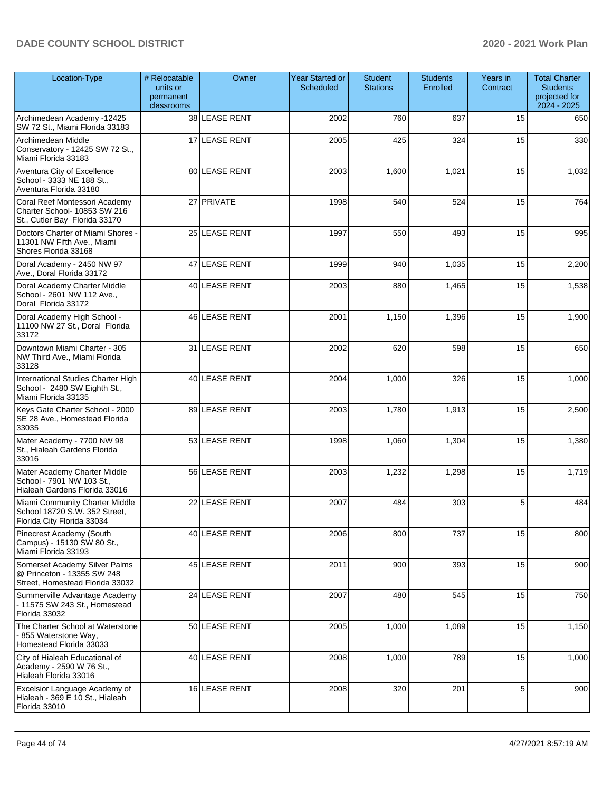| Location-Type                                                                                  | # Relocatable<br>units or<br>permanent<br>classrooms | Owner         | <b>Year Started or</b><br>Scheduled | <b>Student</b><br><b>Stations</b> | <b>Students</b><br>Enrolled | Years in<br>Contract | <b>Total Charter</b><br><b>Students</b><br>projected for<br>2024 - 2025 |
|------------------------------------------------------------------------------------------------|------------------------------------------------------|---------------|-------------------------------------|-----------------------------------|-----------------------------|----------------------|-------------------------------------------------------------------------|
| Archimedean Academy -12425<br>SW 72 St., Miami Florida 33183                                   |                                                      | 38 LEASE RENT | 2002                                | 760                               | 637                         | 15                   | 650                                                                     |
| Archimedean Middle<br>Conservatory - 12425 SW 72 St.,<br>Miami Florida 33183                   |                                                      | 17 LEASE RENT | 2005                                | 425                               | 324                         | 15                   | 330                                                                     |
| Aventura City of Excellence<br>School - 3333 NE 188 St.,<br>Aventura Florida 33180             |                                                      | 80 LEASE RENT | 2003                                | 1,600                             | 1,021                       | 15                   | 1,032                                                                   |
| Coral Reef Montessori Academy<br>Charter School- 10853 SW 216<br>St., Cutler Bay Florida 33170 |                                                      | 27 PRIVATE    | 1998                                | 540                               | 524                         | 15                   | 764                                                                     |
| Doctors Charter of Miami Shores -<br>11301 NW Fifth Ave., Miami<br>Shores Florida 33168        |                                                      | 25 LEASE RENT | 1997                                | 550                               | 493                         | 15                   | 995                                                                     |
| Doral Academy - 2450 NW 97<br>Ave., Doral Florida 33172                                        |                                                      | 47 LEASE RENT | 1999                                | 940                               | 1,035                       | 15                   | 2,200                                                                   |
| Doral Academy Charter Middle<br>School - 2601 NW 112 Ave.,<br>Doral Florida 33172              |                                                      | 40 LEASE RENT | 2003                                | 880                               | 1,465                       | 15                   | 1,538                                                                   |
| Doral Academy High School -<br>11100 NW 27 St., Doral Florida<br>33172                         |                                                      | 46 LEASE RENT | 2001                                | 1,150                             | 1,396                       | 15                   | 1,900                                                                   |
| Downtown Miami Charter - 305<br>NW Third Ave., Miami Florida<br>33128                          |                                                      | 31 LEASE RENT | 2002                                | 620                               | 598                         | 15                   | 650                                                                     |
| International Studies Charter High<br>School - 2480 SW Eighth St.,<br>Miami Florida 33135      |                                                      | 40 LEASE RENT | 2004                                | 1,000                             | 326                         | 15                   | 1,000                                                                   |
| Keys Gate Charter School - 2000<br>SE 28 Ave., Homestead Florida<br>33035                      |                                                      | 89 LEASE RENT | 2003                                | 1,780                             | 1,913                       | 15                   | 2,500                                                                   |
| Mater Academy - 7700 NW 98<br>St., Hialeah Gardens Florida<br>33016                            |                                                      | 53 LEASE RENT | 1998                                | 1,060                             | 1,304                       | 15                   | 1,380                                                                   |
| Mater Academy Charter Middle<br>School - 7901 NW 103 St.,<br>Hialeah Gardens Florida 33016     |                                                      | 56 LEASE RENT | 2003                                | 1,232                             | 1,298                       | 15                   | 1,719                                                                   |
| Miami Community Charter Middle<br>School 18720 S.W. 352 Street.<br>Florida City Florida 33034  |                                                      | 22 LEASE RENT | 2007                                | 484                               | 303                         | 5                    | 484                                                                     |
| Pinecrest Academy (South<br>Campus) - 15130 SW 80 St.,<br>Miami Florida 33193                  |                                                      | 40 LEASE RENT | 2006                                | 800                               | 737                         | 15                   | 800                                                                     |
| Somerset Academy Silver Palms<br>@ Princeton - 13355 SW 248<br>Street, Homestead Florida 33032 |                                                      | 45 LEASE RENT | 2011                                | 900                               | 393                         | 15                   | 900                                                                     |
| Summerville Advantage Academy<br>- 11575 SW 243 St., Homestead<br>Florida 33032                |                                                      | 24 LEASE RENT | 2007                                | 480                               | 545                         | 15                   | 750                                                                     |
| The Charter School at Waterstone<br>- 855 Waterstone Way,<br>Homestead Florida 33033           |                                                      | 50 LEASE RENT | 2005                                | 1,000                             | 1,089                       | 15                   | 1,150                                                                   |
| City of Hialeah Educational of<br>Academy - 2590 W 76 St.,<br>Hialeah Florida 33016            |                                                      | 40 LEASE RENT | 2008                                | 1,000                             | 789                         | 15                   | 1,000                                                                   |
| Excelsior Language Academy of<br>Hialeah - 369 E 10 St., Hialeah<br>Florida 33010              |                                                      | 16 LEASE RENT | 2008                                | 320                               | 201                         | 5                    | 900                                                                     |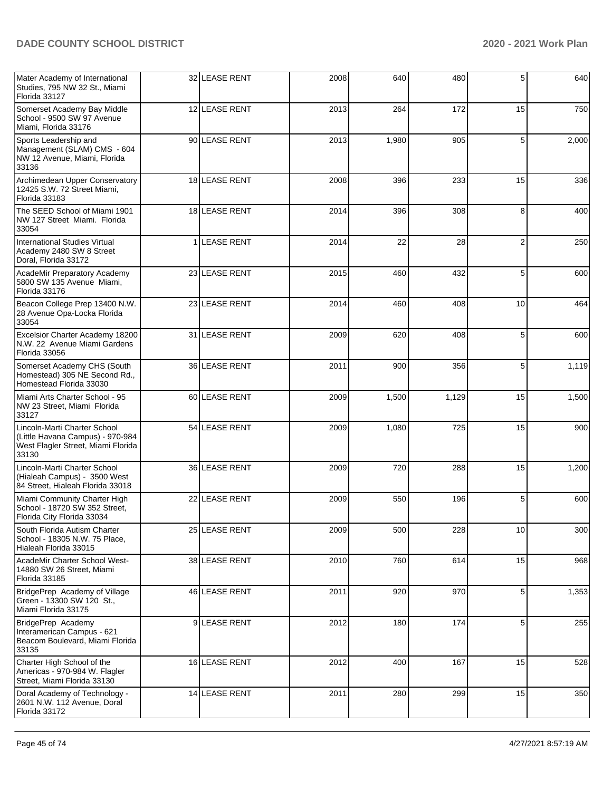| Mater Academy of International<br>Studies, 795 NW 32 St., Miami<br>Florida 33127                                | 32 LEASE RENT     | 2008 | 640   | 480   | 5  | 640   |
|-----------------------------------------------------------------------------------------------------------------|-------------------|------|-------|-------|----|-------|
| Somerset Academy Bay Middle<br>School - 9500 SW 97 Avenue<br>Miami. Florida 33176                               | 12 LEASE RENT     | 2013 | 264   | 172   | 15 | 750   |
| Sports Leadership and<br>Management (SLAM) CMS - 604<br>NW 12 Avenue, Miami, Florida<br>33136                   | 90 LEASE RENT     | 2013 | 1,980 | 905   | 5  | 2,000 |
| Archimedean Upper Conservatory<br>12425 S.W. 72 Street Miami,<br>Florida 33183                                  | 18 LEASE RENT     | 2008 | 396   | 233   | 15 | 336   |
| The SEED School of Miami 1901<br>NW 127 Street Miami. Florida<br>33054                                          | 18 LEASE RENT     | 2014 | 396   | 308   | 8  | 400   |
| <b>International Studies Virtual</b><br>Academy 2480 SW 8 Street<br>Doral, Florida 33172                        | <b>LEASE RENT</b> | 2014 | 22    | 28    | 2  | 250   |
| AcadeMir Preparatory Academy<br>5800 SW 135 Avenue Miami,<br>Florida 33176                                      | 23 LEASE RENT     | 2015 | 460   | 432   | 5  | 600   |
| Beacon College Prep 13400 N.W.<br>28 Avenue Opa-Locka Florida<br>33054                                          | 23 LEASE RENT     | 2014 | 460   | 408   | 10 | 464   |
| Excelsior Charter Academy 18200<br>N.W. 22 Avenue Miami Gardens<br>Florida 33056                                | 31 LEASE RENT     | 2009 | 620   | 408   | 5  | 600   |
| Somerset Academy CHS (South<br>Homestead) 305 NE Second Rd.,<br>Homestead Florida 33030                         | 36 LEASE RENT     | 2011 | 900   | 356   | 5  | 1,119 |
| Miami Arts Charter School - 95<br>NW 23 Street, Miami Florida<br>33127                                          | 60 LEASE RENT     | 2009 | 1,500 | 1,129 | 15 | 1,500 |
| Lincoln-Marti Charter School<br>(Little Havana Campus) - 970-984<br>West Flagler Street, Miami Florida<br>33130 | 54 LEASE RENT     | 2009 | 1,080 | 725   | 15 | 900   |
| Lincoln-Marti Charter School<br>(Hialeah Campus) - 3500 West<br>84 Street, Hialeah Florida 33018                | 36 LEASE RENT     | 2009 | 720   | 288   | 15 | 1,200 |
| Miami Community Charter High<br>School - 18720 SW 352 Street,<br>Florida City Florida 33034                     | 22 LEASE RENT     | 2009 | 550   | 196   | 5  | 600   |
| South Florida Autism Charter<br>School - 18305 N.W. 75 Place,<br>Hialeah Florida 33015                          | 25 LEASE RENT     | 2009 | 500   | 228   | 10 | 300   |
| AcadeMir Charter School West-<br>14880 SW 26 Street, Miami<br>Florida 33185                                     | 38 LEASE RENT     | 2010 | 760   | 614   | 15 | 968   |
| BridgePrep Academy of Village<br>Green - 13300 SW 120 St<br>Miami Florida 33175                                 | 46 LEASE RENT     | 2011 | 920   | 970   | 5  | 1,353 |
| BridgePrep Academy<br>Interamerican Campus - 621<br>Beacom Boulevard, Miami Florida<br>33135                    | 9LEASE RENT       | 2012 | 180   | 174   | 5  | 255   |
| Charter High School of the<br>Americas - 970-984 W. Flagler<br>Street, Miami Florida 33130                      | 16 LEASE RENT     | 2012 | 400   | 167   | 15 | 528   |
| Doral Academy of Technology -<br>2601 N.W. 112 Avenue, Doral<br>Florida 33172                                   | 14 LEASE RENT     | 2011 | 280   | 299   | 15 | 350   |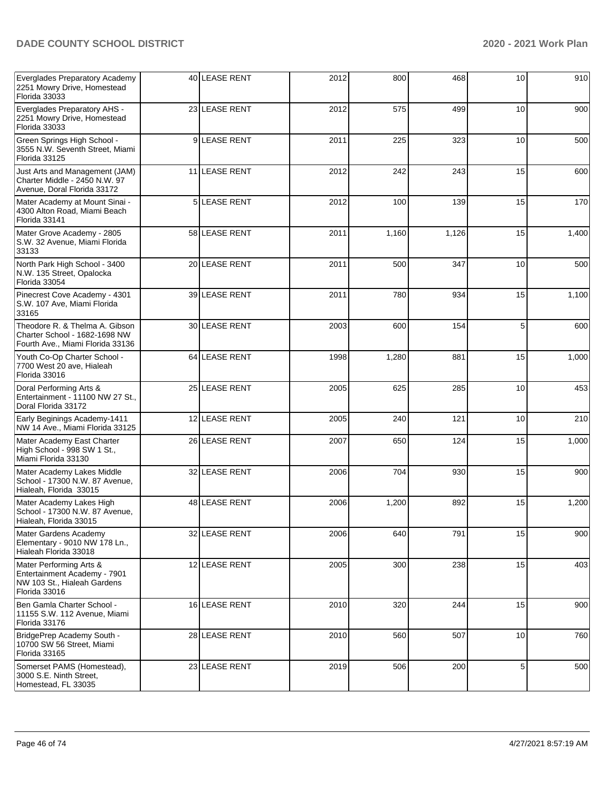| Everglades Preparatory Academy<br>2251 Mowry Drive, Homestead<br>Florida 33033                          |                | 40 LEASE RENT     | 2012 | 800   | 468   | 10 | 910   |
|---------------------------------------------------------------------------------------------------------|----------------|-------------------|------|-------|-------|----|-------|
| Everglades Preparatory AHS -<br>2251 Mowry Drive, Homestead<br>Florida 33033                            |                | 23 LEASE RENT     | 2012 | 575   | 499   | 10 | 900   |
| Green Springs High School -<br>3555 N.W. Seventh Street, Miami<br>Florida 33125                         |                | 9 LEASE RENT      | 2011 | 225   | 323   | 10 | 500   |
| Just Arts and Management (JAM)<br>Charter Middle - 2450 N.W. 97<br>Avenue, Doral Florida 33172          |                | 11 LEASE RENT     | 2012 | 242   | 243   | 15 | 600   |
| Mater Academy at Mount Sinai -<br>4300 Alton Road, Miami Beach<br>Florida 33141                         | 5 <sup>1</sup> | <b>LEASE RENT</b> | 2012 | 100   | 139   | 15 | 170   |
| Mater Grove Academy - 2805<br>S.W. 32 Avenue, Miami Florida<br>33133                                    |                | 58 LEASE RENT     | 2011 | 1,160 | 1,126 | 15 | 1,400 |
| North Park High School - 3400<br>N.W. 135 Street, Opalocka<br>Florida 33054                             |                | 20 LEASE RENT     | 2011 | 500   | 347   | 10 | 500   |
| Pinecrest Cove Academy - 4301<br>S.W. 107 Ave, Miami Florida<br>33165                                   |                | 39 LEASE RENT     | 2011 | 780   | 934   | 15 | 1,100 |
| Theodore R. & Thelma A. Gibson<br>Charter School - 1682-1698 NW<br>Fourth Ave., Miami Florida 33136     |                | 30 LEASE RENT     | 2003 | 600   | 154   | 5  | 600   |
| Youth Co-Op Charter School -<br>7700 West 20 ave, Hialeah<br>Florida 33016                              |                | 64 LEASE RENT     | 1998 | 1,280 | 881   | 15 | 1,000 |
| Doral Performing Arts &<br>Entertainment - 11100 NW 27 St.,<br>Doral Florida 33172                      |                | 25 LEASE RENT     | 2005 | 625   | 285   | 10 | 453   |
| Early Beginings Academy-1411<br>NW 14 Ave., Miami Florida 33125                                         |                | 12 LEASE RENT     | 2005 | 240   | 121   | 10 | 210   |
| Mater Academy East Charter<br>High School - 998 SW 1 St.,<br>Miami Florida 33130                        |                | 26 LEASE RENT     | 2007 | 650   | 124   | 15 | 1,000 |
| Mater Academy Lakes Middle<br>School - 17300 N.W. 87 Avenue,<br>Hialeah, Florida 33015                  |                | 32 LEASE RENT     | 2006 | 704   | 930   | 15 | 900   |
| Mater Academy Lakes High<br>School - 17300 N.W. 87 Avenue,<br>Hialeah, Florida 33015                    |                | 48 LEASE RENT     | 2006 | 1,200 | 892   | 15 | 1,200 |
| Mater Gardens Academy<br>Elementary - 9010 NW 178 Ln.,<br>Hialeah Florida 33018                         |                | 32 LEASE RENT     | 2006 | 640   | 791   | 15 | 900   |
| Mater Performing Arts &<br>Entertainment Academy - 7901<br>NW 103 St., Hialeah Gardens<br>Florida 33016 |                | 12 LEASE RENT     | 2005 | 300   | 238   | 15 | 403   |
| Ben Gamla Charter School -<br>11155 S.W. 112 Avenue, Miami<br>Florida 33176                             |                | 16 LEASE RENT     | 2010 | 320   | 244   | 15 | 900   |
| BridgePrep Academy South -<br>10700 SW 56 Street, Miami<br>Florida 33165                                |                | 28 LEASE RENT     | 2010 | 560   | 507   | 10 | 760   |
| Somerset PAMS (Homestead),<br>3000 S.E. Ninth Street,<br>Homestead, FL 33035                            |                | 23 LEASE RENT     | 2019 | 506   | 200   | 5  | 500   |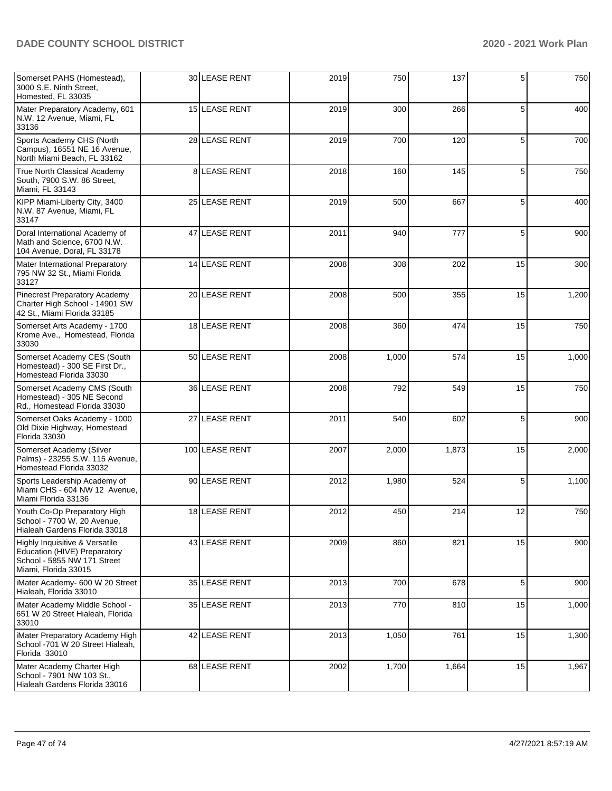| Somerset PAHS (Homestead),<br>3000 S.E. Ninth Street,<br>Homested, FL 33035                                           | 30 LEASE RENT  | 2019 | 750   | 137   | 5  | 750   |
|-----------------------------------------------------------------------------------------------------------------------|----------------|------|-------|-------|----|-------|
| Mater Preparatory Academy, 601<br>N.W. 12 Avenue, Miami, FL<br>33136                                                  | 15 LEASE RENT  | 2019 | 300   | 266   | 5  | 400   |
| Sports Academy CHS (North<br>Campus), 16551 NE 16 Avenue,<br>North Miami Beach, FL 33162                              | 28 LEASE RENT  | 2019 | 700   | 120   | 5  | 700   |
| True North Classical Academy<br>South, 7900 S.W. 86 Street,<br>Miami, FL 33143                                        | 8 LEASE RENT   | 2018 | 160   | 145   | 5  | 750   |
| KIPP Miami-Liberty City, 3400<br>N.W. 87 Avenue, Miami, FL<br>33147                                                   | 25 LEASE RENT  | 2019 | 500   | 667   | 5  | 400   |
| Doral International Academy of<br>Math and Science, 6700 N.W.<br>104 Avenue, Doral, FL 33178                          | 47 LEASE RENT  | 2011 | 940   | 777   | 5  | 900   |
| Mater International Preparatory<br>795 NW 32 St., Miami Florida<br>33127                                              | 14 LEASE RENT  | 2008 | 308   | 202   | 15 | 300   |
| Pinecrest Preparatory Academy<br>Charter High School - 14901 SW<br>42 St., Miami Florida 33185                        | 20 LEASE RENT  | 2008 | 500   | 355   | 15 | 1,200 |
| Somerset Arts Academy - 1700<br>Krome Ave., Homestead, Florida<br>33030                                               | 18 LEASE RENT  | 2008 | 360   | 474   | 15 | 750   |
| Somerset Academy CES (South<br>Homestead) - 300 SE First Dr.,<br>Homestead Florida 33030                              | 50 LEASE RENT  | 2008 | 1,000 | 574   | 15 | 1,000 |
| Somerset Academy CMS (South<br>Homestead) - 305 NE Second<br>Rd., Homestead Florida 33030                             | 36 LEASE RENT  | 2008 | 792   | 549   | 15 | 750   |
| Somerset Oaks Academy - 1000<br>Old Dixie Highway, Homestead<br>Florida 33030                                         | 27 LEASE RENT  | 2011 | 540   | 602   | 5  | 900   |
| Somerset Academy (Silver<br>Palms) - 23255 S.W. 115 Avenue,<br>Homestead Florida 33032                                | 100 LEASE RENT | 2007 | 2,000 | 1,873 | 15 | 2,000 |
| Sports Leadership Academy of<br>Miami CHS - 604 NW 12 Avenue,<br>Miami Florida 33136                                  | 90 LEASE RENT  | 2012 | 1,980 | 524   | 5  | 1,100 |
| Youth Co-Op Preparatory High<br>School - 7700 W. 20 Avenue,<br>Hialeah Gardens Florida 33018                          | 18 LEASE RENT  | 2012 | 450   | 214   | 12 | 750   |
| Highly Inquisitive & Versatile<br>Education (HIVE) Preparatory<br>School - 5855 NW 171 Street<br>Miami, Florida 33015 | 43 LEASE RENT  | 2009 | 860   | 821   | 15 | 900   |
| iMater Academy- 600 W 20 Street<br>Hialeah, Florida 33010                                                             | 35 LEASE RENT  | 2013 | 700   | 678   | 5  | 900   |
| iMater Academy Middle School -<br>651 W 20 Street Hialeah, Florida<br>33010                                           | 35 LEASE RENT  | 2013 | 770   | 810   | 15 | 1,000 |
| iMater Preparatory Academy High<br>School -701 W 20 Street Hialeah,<br>Florida 33010                                  | 42 LEASE RENT  | 2013 | 1,050 | 761   | 15 | 1,300 |
| Mater Academy Charter High<br>School - 7901 NW 103 St.,<br>Hialeah Gardens Florida 33016                              | 68 LEASE RENT  | 2002 | 1,700 | 1,664 | 15 | 1,967 |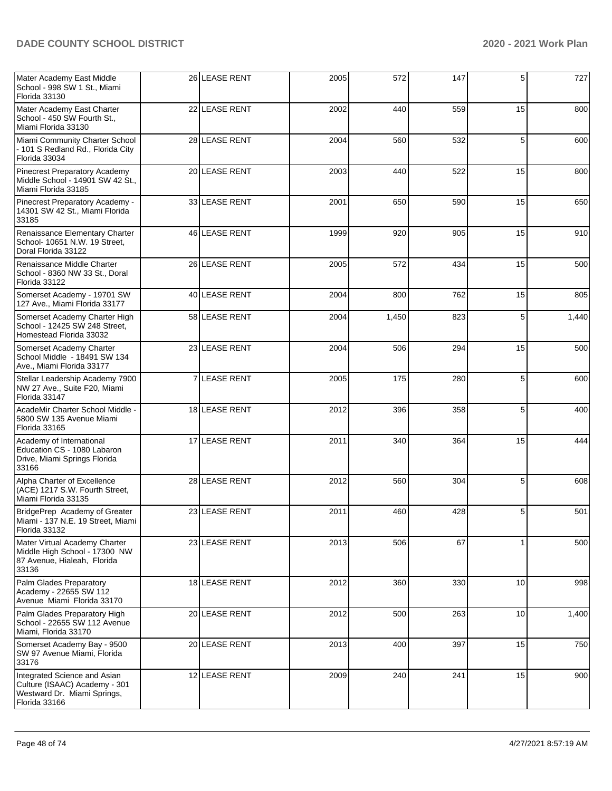| Mater Academy East Middle<br>School - 998 SW 1 St., Miami<br>Florida 33130                                    | 26 LEASE RENT | 2005 | 572   | 147 | 5  | 727   |
|---------------------------------------------------------------------------------------------------------------|---------------|------|-------|-----|----|-------|
| Mater Academy East Charter<br>School - 450 SW Fourth St.,<br>Miami Florida 33130                              | 22 LEASE RENT | 2002 | 440   | 559 | 15 | 800   |
| Miami Community Charter School<br>- 101 S Redland Rd., Florida City<br>Florida 33034                          | 28 LEASE RENT | 2004 | 560   | 532 | 5  | 600   |
| Pinecrest Preparatory Academy<br>Middle School - 14901 SW 42 St.,<br>Miami Florida 33185                      | 20 LEASE RENT | 2003 | 440   | 522 | 15 | 800   |
| Pinecrest Preparatory Academy -<br>14301 SW 42 St., Miami Florida<br>33185                                    | 33 LEASE RENT | 2001 | 650   | 590 | 15 | 650   |
| Renaissance Elementary Charter<br>School- 10651 N.W. 19 Street,<br>Doral Florida 33122                        | 46 LEASE RENT | 1999 | 920   | 905 | 15 | 910   |
| Renaissance Middle Charter<br>School - 8360 NW 33 St., Doral<br>Florida 33122                                 | 26 LEASE RENT | 2005 | 572   | 434 | 15 | 500   |
| Somerset Academy - 19701 SW<br>127 Ave., Miami Florida 33177                                                  | 40 LEASE RENT | 2004 | 800   | 762 | 15 | 805   |
| Somerset Academy Charter High<br>School - 12425 SW 248 Street.<br>Homestead Florida 33032                     | 58 LEASE RENT | 2004 | 1,450 | 823 | 5  | 1,440 |
| Somerset Academy Charter<br>School Middle - 18491 SW 134<br>Ave., Miami Florida 33177                         | 23 LEASE RENT | 2004 | 506   | 294 | 15 | 500   |
| Stellar Leadership Academy 7900<br>NW 27 Ave., Suite F20, Miami<br>Florida 33147                              | 7 LEASE RENT  | 2005 | 175   | 280 | 5  | 600   |
| AcadeMir Charter School Middle -<br>5800 SW 135 Avenue Miami<br>Florida 33165                                 | 18 LEASE RENT | 2012 | 396   | 358 | 5  | 400   |
| Academy of International<br>Education CS - 1080 Labaron<br>Drive, Miami Springs Florida<br>33166              | 17 LEASE RENT | 2011 | 340   | 364 | 15 | 444   |
| Alpha Charter of Excellence<br>(ACE) 1217 S.W. Fourth Street,<br>Miami Florida 33135                          | 28 LEASE RENT | 2012 | 560   | 304 | 5  | 608   |
| BridgePrep Academy of Greater<br>Miami - 137 N.E. 19 Street, Miami<br>Florida 33132                           | 23 LEASE RENT | 2011 | 460   | 428 | 5  | 501   |
| Mater Virtual Academy Charter<br>Middle High School - 17300 NW<br>87 Avenue, Hialeah, Florida<br>33136        | 23 LEASE RENT | 2013 | 506   | 67  |    | 500   |
| Palm Glades Preparatory<br>Academy - 22655 SW 112<br>Avenue Miami Florida 33170                               | 18 LEASE RENT | 2012 | 360   | 330 | 10 | 998   |
| Palm Glades Preparatory High<br>School - 22655 SW 112 Avenue<br>Miami, Florida 33170                          | 20 LEASE RENT | 2012 | 500   | 263 | 10 | 1,400 |
| Somerset Academy Bay - 9500<br>SW 97 Avenue Miami, Florida<br>33176                                           | 20 LEASE RENT | 2013 | 400   | 397 | 15 | 750   |
| Integrated Science and Asian<br>Culture (ISAAC) Academy - 301<br>Westward Dr. Miami Springs,<br>Florida 33166 | 12 LEASE RENT | 2009 | 240   | 241 | 15 | 900   |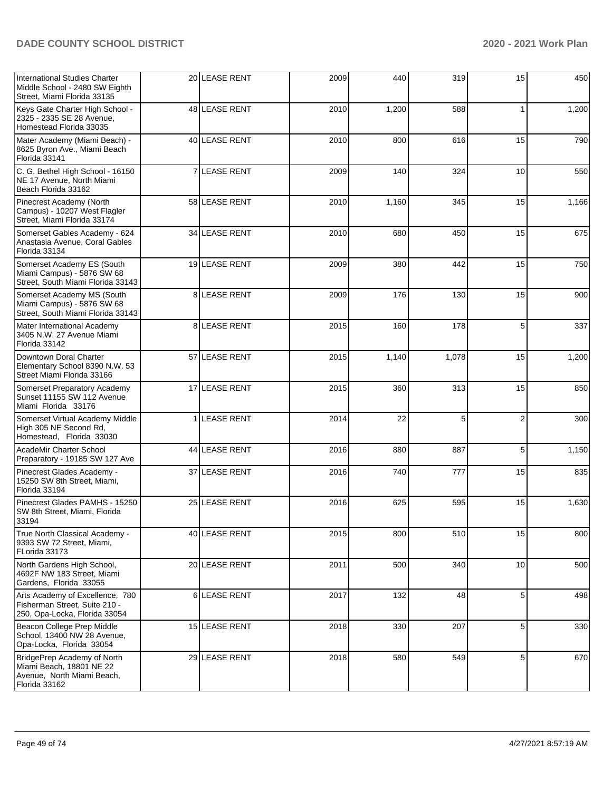| International Studies Charter<br>Middle School - 2480 SW Eighth<br>Street, Miami Florida 33135         | 20 LEASE RENT | 2009 | 440   | 319   | 15             | 450   |
|--------------------------------------------------------------------------------------------------------|---------------|------|-------|-------|----------------|-------|
| Keys Gate Charter High School -<br>2325 - 2335 SE 28 Avenue,<br>Homestead Florida 33035                | 48 LEASE RENT | 2010 | 1,200 | 588   |                | 1,200 |
| Mater Academy (Miami Beach) -<br>8625 Byron Ave., Miami Beach<br>Florida 33141                         | 40 LEASE RENT | 2010 | 800   | 616   | 15             | 790   |
| C. G. Bethel High School - 16150<br>NE 17 Avenue. North Miami<br>Beach Florida 33162                   | 7 LEASE RENT  | 2009 | 140   | 324   | 10             | 550   |
| Pinecrest Academy (North<br>Campus) - 10207 West Flagler<br>Street, Miami Florida 33174                | 58 LEASE RENT | 2010 | 1,160 | 345   | 15             | 1,166 |
| Somerset Gables Academy - 624<br>Anastasia Avenue, Coral Gables<br>Florida 33134                       | 34 LEASE RENT | 2010 | 680   | 450   | 15             | 675   |
| Somerset Academy ES (South<br>Miami Campus) - 5876 SW 68<br>Street, South Miami Florida 33143          | 19 LEASE RENT | 2009 | 380   | 442   | 15             | 750   |
| Somerset Academy MS (South<br>Miami Campus) - 5876 SW 68<br>Street, South Miami Florida 33143          | 8 LEASE RENT  | 2009 | 176   | 130   | 15             | 900   |
| Mater International Academy<br>3405 N.W. 27 Avenue Miami<br>Florida 33142                              | 8 LEASE RENT  | 2015 | 160   | 178   | 5              | 337   |
| Downtown Doral Charter<br>Elementary School 8390 N.W. 53<br>Street Miami Florida 33166                 | 57 LEASE RENT | 2015 | 1,140 | 1,078 | 15             | 1,200 |
| Somerset Preparatory Academy<br>Sunset 11155 SW 112 Avenue<br>Miami Florida 33176                      | 17 LEASE RENT | 2015 | 360   | 313   | 15             | 850   |
| Somerset Virtual Academy Middle<br>High 305 NE Second Rd,<br>Homestead, Florida 33030                  | 1 LEASE RENT  | 2014 | 22    | 5     | $\overline{2}$ | 300   |
| AcadeMir Charter School<br>Preparatory - 19185 SW 127 Ave                                              | 44 LEASE RENT | 2016 | 880   | 887   | 5              | 1,150 |
| Pinecrest Glades Academy -<br>15250 SW 8th Street, Miami,<br>Florida 33194                             | 37 LEASE RENT | 2016 | 740   | 777   | 15             | 835   |
| Pinecrest Glades PAMHS - 15250<br>SW 8th Street, Miami, Florida<br>33194                               | 25 LEASE RENT | 2016 | 625   | 595   | 15             | 1,630 |
| True North Classical Academy -<br>9393 SW 72 Street, Miami,<br>FLorida 33173                           | 40 LEASE RENT | 2015 | 800   | 510   | 15             | 800   |
| North Gardens High School,<br>4692F NW 183 Street, Miami<br>Gardens, Florida 33055                     | 20 LEASE RENT | 2011 | 500   | 340   | 10             | 500   |
| Arts Academy of Excellence, 780<br>Fisherman Street, Suite 210 -<br>250, Opa-Locka, Florida 33054      | 6 LEASE RENT  | 2017 | 132   | 48    | 5              | 498   |
| Beacon College Prep Middle<br>School, 13400 NW 28 Avenue,<br>Opa-Locka, Florida 33054                  | 15 LEASE RENT | 2018 | 330   | 207   | 5              | 330   |
| BridgePrep Academy of North<br>Miami Beach, 18801 NE 22<br>Avenue, North Miami Beach,<br>Florida 33162 | 29 LEASE RENT | 2018 | 580   | 549   | 5              | 670   |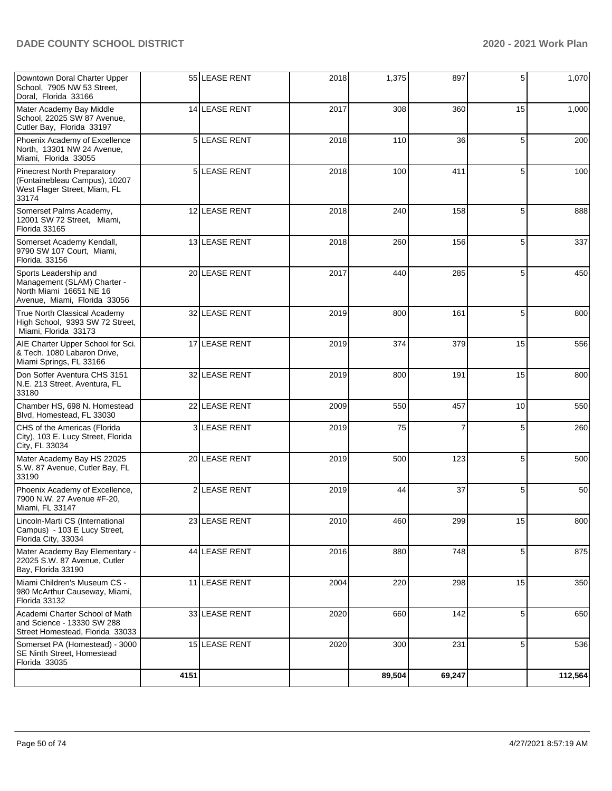| Downtown Doral Charter Upper<br>School, 7905 NW 53 Street,<br>Doral, Florida 33166                              |                | 55 LEASE RENT     | 2018 | 1,375  | 897    | 5  | 1,070   |
|-----------------------------------------------------------------------------------------------------------------|----------------|-------------------|------|--------|--------|----|---------|
| Mater Academy Bay Middle<br>School, 22025 SW 87 Avenue,<br>Cutler Bay, Florida 33197                            |                | 14 LEASE RENT     | 2017 | 308    | 360    | 15 | 1,000   |
| Phoenix Academy of Excellence<br>North, 13301 NW 24 Avenue,<br>Miami, Florida 33055                             |                | 5 LEASE RENT      | 2018 | 110    | 36     | 5  | 200     |
| <b>Pinecrest North Preparatory</b><br>(Fontainebleau Campus), 10207<br>West Flager Street, Miam, FL<br>33174    | 5 <sub>l</sub> | <b>LEASE RENT</b> | 2018 | 100    | 411    | 5  | 100     |
| Somerset Palms Academy,<br>12001 SW 72 Street, Miami,<br>Florida 33165                                          |                | 12 LEASE RENT     | 2018 | 240    | 158    | 5  | 888     |
| Somerset Academy Kendall,<br>9790 SW 107 Court, Miami,<br>Florida. 33156                                        |                | 13 LEASE RENT     | 2018 | 260    | 156    | 5  | 337     |
| Sports Leadership and<br>Management (SLAM) Charter -<br>North Miami 16651 NE 16<br>Avenue, Miami, Florida 33056 |                | 20 LEASE RENT     | 2017 | 440    | 285    | 5  | 450     |
| <b>True North Classical Academy</b><br>High School, 9393 SW 72 Street,<br>Miami, Florida 33173                  |                | 32 LEASE RENT     | 2019 | 800    | 161    | 5  | 800     |
| AIE Charter Upper School for Sci.<br>& Tech. 1080 Labaron Drive,<br>Miami Springs, FL 33166                     |                | 17 LEASE RENT     | 2019 | 374    | 379    | 15 | 556     |
| Don Soffer Aventura CHS 3151<br>N.E. 213 Street, Aventura, FL<br>33180                                          |                | 32 LEASE RENT     | 2019 | 800    | 191    | 15 | 800     |
| Chamber HS, 698 N. Homestead<br>Blvd, Homestead, FL 33030                                                       |                | 22 LEASE RENT     | 2009 | 550    | 457    | 10 | 550     |
| CHS of the Americas (Florida<br>City), 103 E. Lucy Street, Florida<br>City, FL 33034                            | 31             | <b>LEASE RENT</b> | 2019 | 75     | 7      | 5  | 260     |
| Mater Academy Bay HS 22025<br>S.W. 87 Avenue, Cutler Bay, FL<br>33190                                           |                | 20 LEASE RENT     | 2019 | 500    | 123    | 5  | 500     |
| Phoenix Academy of Excellence,<br>7900 N.W. 27 Avenue #F-20,<br>Miami, FL 33147                                 | 2 <sub>1</sub> | <b>LEASE RENT</b> | 2019 | 44     | 37     | 5  | 50      |
| Lincoln-Marti CS (International<br>Campus) - 103 E Lucy Street,<br>Florida City, 33034                          |                | 23 LEASE RENT     | 2010 | 460    | 299    | 15 | 800     |
| Mater Academy Bay Elementary -<br>22025 S.W. 87 Avenue, Cutler<br>Bay, Florida 33190                            |                | 44 LEASE RENT     | 2016 | 880    | 748    | 5  | 875     |
| Miami Children's Museum CS -<br>980 McArthur Causeway, Miami,<br>Florida 33132                                  |                | 11 LEASE RENT     | 2004 | 220    | 298    | 15 | 350     |
| Academi Charter School of Math<br>and Science - 13330 SW 288<br>Street Homestead, Florida 33033                 |                | 33 LEASE RENT     | 2020 | 660    | 142    | 5  | 650     |
| Somerset PA (Homestead) - 3000<br>SE Ninth Street, Homestead<br>Florida 33035                                   |                | 15 LEASE RENT     | 2020 | 300    | 231    | 5  | 536     |
|                                                                                                                 | 4151           |                   |      | 89,504 | 69,247 |    | 112,564 |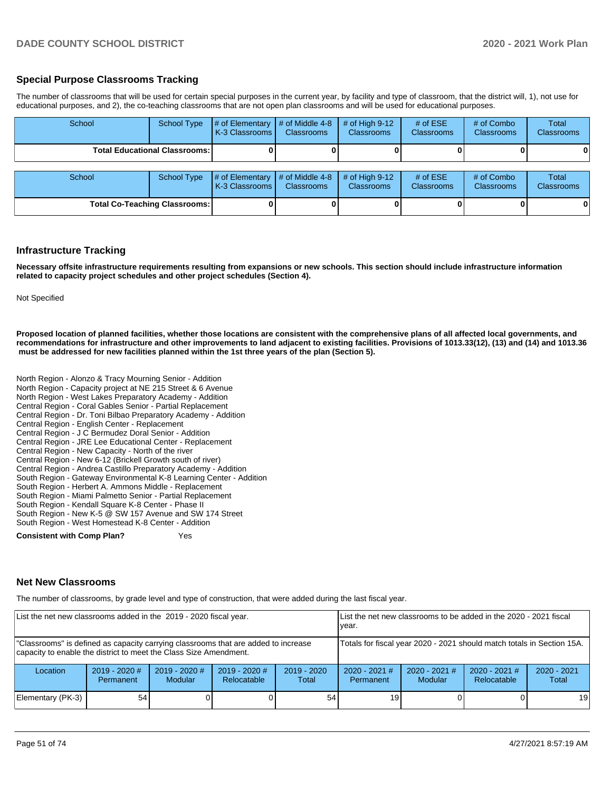#### **Special Purpose Classrooms Tracking**

The number of classrooms that will be used for certain special purposes in the current year, by facility and type of classroom, that the district will, 1), not use for educational purposes, and 2), the co-teaching classrooms that are not open plan classrooms and will be used for educational purposes.

| School | School Type                            | # of Elementary<br>K-3 Classrooms | # of Middle 4-8<br><b>Classrooms</b> | # of High $9-12$<br><b>Classrooms</b> | # of $ESE$<br><b>Classrooms</b> | # of Combo<br><b>Classrooms</b> | Total<br>Classrooms |
|--------|----------------------------------------|-----------------------------------|--------------------------------------|---------------------------------------|---------------------------------|---------------------------------|---------------------|
|        | <b>Total Educational Classrooms: I</b> |                                   |                                      |                                       |                                 |                                 | 0                   |
| School | <b>School Type</b>                     | # of Elementary<br>K-3 Classrooms | # of Middle 4-8<br><b>Classrooms</b> | # of High $9-12$<br><b>Classrooms</b> | # of $ESE$<br><b>Classrooms</b> | # of Combo<br><b>Classrooms</b> | Total<br>Classrooms |
|        | <b>Total Co-Teaching Classrooms:</b>   |                                   |                                      |                                       |                                 |                                 | 0                   |

#### **Infrastructure Tracking**

**Necessary offsite infrastructure requirements resulting from expansions or new schools. This section should include infrastructure information related to capacity project schedules and other project schedules (Section 4).** 

Not Specified

**Proposed location of planned facilities, whether those locations are consistent with the comprehensive plans of all affected local governments, and recommendations for infrastructure and other improvements to land adjacent to existing facilities. Provisions of 1013.33(12), (13) and (14) and 1013.36 must be addressed for new facilities planned within the 1st three years of the plan (Section 5).** 

North Region - Alonzo & Tracy Mourning Senior - Addition North Region - Capacity project at NE 215 Street & 6 Avenue North Region - West Lakes Preparatory Academy - Addition Central Region - Coral Gables Senior - Partial Replacement Central Region - Dr. Toni Bilbao Preparatory Academy - Addition Central Region - English Center - Replacement Central Region - J C Bermudez Doral Senior - Addition Central Region - JRE Lee Educational Center - Replacement Central Region - New Capacity - North of the river Central Region - New 6-12 (Brickell Growth south of river) Central Region - Andrea Castillo Preparatory Academy - Addition South Region - Gateway Environmental K-8 Learning Center - Addition South Region - Herbert A. Ammons Middle - Replacement South Region - Miami Palmetto Senior - Partial Replacement South Region - Kendall Square K-8 Center - Phase II South Region - New K-5 @ SW 157 Avenue and SW 174 Street South Region - West Homestead K-8 Center - Addition **Consistent with Comp Plan?** The Yes

#### **Net New Classrooms**

The number of classrooms, by grade level and type of construction, that were added during the last fiscal year.

| List the net new classrooms added in the 2019 - 2020 fiscal year.                                                                                       |                                                                        |                            |                                |                        | List the net new classrooms to be added in the 2020 - 2021 fiscal<br>vear. |                                   |                                |                        |
|---------------------------------------------------------------------------------------------------------------------------------------------------------|------------------------------------------------------------------------|----------------------------|--------------------------------|------------------------|----------------------------------------------------------------------------|-----------------------------------|--------------------------------|------------------------|
| "Classrooms" is defined as capacity carrying classrooms that are added to increase<br>capacity to enable the district to meet the Class Size Amendment. | Totals for fiscal year 2020 - 2021 should match totals in Section 15A. |                            |                                |                        |                                                                            |                                   |                                |                        |
| Location                                                                                                                                                | $2019 - 2020$ #<br>Permanent                                           | $2019 - 2020$ #<br>Modular | $2019 - 2020$ #<br>Relocatable | $2019 - 2020$<br>Total | $2020 - 2021$ #<br><b>Permanent</b>                                        | $2020 - 2021$ #<br><b>Modular</b> | $2020 - 2021$ #<br>Relocatable | $2020 - 2021$<br>Total |
| Elementary (PK-3)                                                                                                                                       | 54                                                                     |                            |                                | 54                     | 19 <sub>1</sub>                                                            |                                   |                                | 19                     |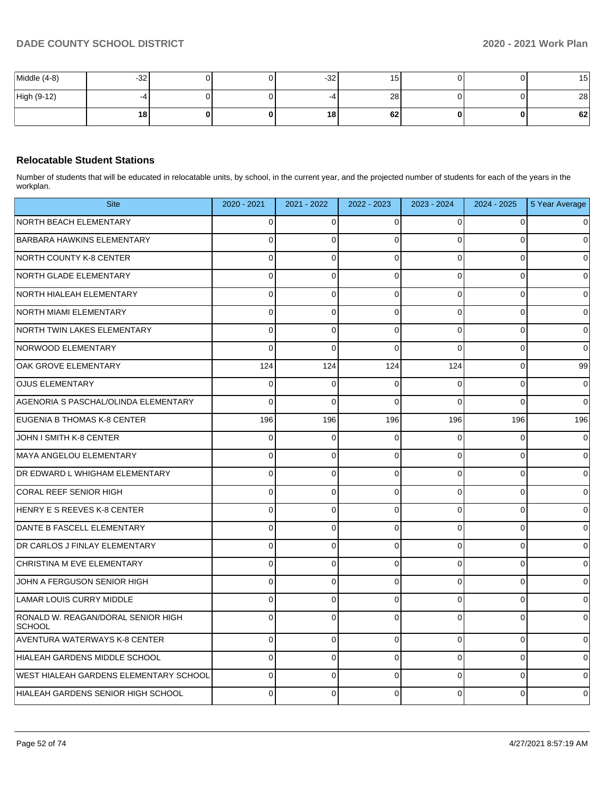| Middle (4-8) | $-32$           |  | $-32$ | 15              |   | ־<br>⊺ວ |
|--------------|-----------------|--|-------|-----------------|---|---------|
| High (9-12)  | $-4$            |  | -4    | 28              |   | 28      |
|              | 18 <sub>1</sub> |  | 18    | 62 <sub>1</sub> | 0 | 62      |

## **Relocatable Student Stations**

Number of students that will be educated in relocatable units, by school, in the current year, and the projected number of students for each of the years in the workplan.

| <b>Site</b>                                         | 2020 - 2021    | 2021 - 2022 | 2022 - 2023  | 2023 - 2024    | $2024 - 2025$  | 5 Year Average |
|-----------------------------------------------------|----------------|-------------|--------------|----------------|----------------|----------------|
| <b>NORTH BEACH ELEMENTARY</b>                       | $\Omega$       | $\Omega$    | 0            | O              | $\Omega$       |                |
| <b>BARBARA HAWKINS ELEMENTARY</b>                   | $\Omega$       | $\mathbf 0$ | 0            | $\Omega$       | $\Omega$       |                |
| NORTH COUNTY K-8 CENTER                             | $\Omega$       | $\mathbf 0$ | 0            | $\Omega$       | $\mathbf 0$    |                |
| <b>NORTH GLADE ELEMENTARY</b>                       | $\Omega$       | $\Omega$    | $\Omega$     | $\overline{0}$ | $\Omega$       | $\Omega$       |
| NORTH HIALEAH ELEMENTARY                            | 0              | 0           | 0            | 0              | $\mathbf 0$    | O              |
| NORTH MIAMI ELEMENTARY                              | $\Omega$       | $\Omega$    | $\mathbf{0}$ | $\Omega$       | $\overline{0}$ | 0              |
| NORTH TWIN LAKES ELEMENTARY                         | 0              | 0           | $\mathbf 0$  | $\Omega$       | $\mathbf 0$    | 0              |
| NORWOOD ELEMENTARY                                  | $\Omega$       | $\Omega$    | $\Omega$     | $\Omega$       | $\Omega$       | $\Omega$       |
| OAK GROVE ELEMENTARY                                | 124            | 124         | 124          | 124            | 0              | 99             |
| <b>OJUS ELEMENTARY</b>                              | 0              | $\mathbf 0$ | $\mathbf 0$  | $\Omega$       | $\mathbf 0$    | 0              |
| AGENORIA S PASCHAL/OLINDA ELEMENTARY                | $\Omega$       | $\Omega$    | $\Omega$     | $\Omega$       | $\Omega$       | $\Omega$       |
| EUGENIA B THOMAS K-8 CENTER                         | 196            | 196         | 196          | 196            | 196            | 196            |
| JOHN I SMITH K-8 CENTER                             | $\Omega$       | $\Omega$    | $\Omega$     | $\Omega$       | $\Omega$       | ∩              |
| MAYA ANGELOU ELEMENTARY                             | $\Omega$       | $\mathbf 0$ | $\Omega$     | $\Omega$       | $\Omega$       | $\Omega$       |
| DR EDWARD L WHIGHAM ELEMENTARY                      | 0              | 0           | $\mathbf 0$  | 0              | 0              | $\Omega$       |
| CORAL REEF SENIOR HIGH                              | $\mathbf{0}$   | $\mathbf 0$ | $\mathbf{0}$ | $\Omega$       | $\overline{0}$ |                |
| HENRY E S REEVES K-8 CENTER                         | $\overline{0}$ | $\mathbf 0$ | $\mathbf 0$  | $\mathbf 0$    | $\mathbf 0$    | 0              |
| DANTE B FASCELL ELEMENTARY                          | $\Omega$       | $\Omega$    | $\Omega$     | $\Omega$       | $\Omega$       | $\Omega$       |
| DR CARLOS J FINLAY ELEMENTARY                       | $\Omega$       | 0           | $\Omega$     | $\Omega$       | $\Omega$       |                |
| CHRISTINA M EVE ELEMENTARY                          | $\Omega$       | $\Omega$    | $\pmb{0}$    | 0              | $\Omega$       | 0              |
| JOHN A FERGUSON SENIOR HIGH                         | $\Omega$       | $\mathbf 0$ | $\Omega$     | $\Omega$       | $\mathbf 0$    | $\Omega$       |
| LAMAR LOUIS CURRY MIDDLE                            | 0              | 0           | 0            | $\Omega$       | 0              |                |
| RONALD W. REAGAN/DORAL SENIOR HIGH<br><b>SCHOOL</b> | $\Omega$       | $\Omega$    | $\mathbf 0$  | $\Omega$       | $\Omega$       | 0              |
| AVENTURA WATERWAYS K-8 CENTER                       | $\Omega$       | $\mathbf 0$ | $\Omega$     | $\Omega$       | $\mathbf 0$    | $\Omega$       |
| HIALEAH GARDENS MIDDLE SCHOOL                       | 0              | 0           | 0            | $\Omega$       | $\mathbf 0$    |                |
| <b>WEST HIALEAH GARDENS ELEMENTARY SCHOOL</b>       | $\Omega$       | $\Omega$    | $\Omega$     | $\Omega$       | $\Omega$       | U              |
| HIALEAH GARDENS SENIOR HIGH SCHOOL                  | $\Omega$       | $\Omega$    | $\Omega$     | 0              | $\Omega$       | 0              |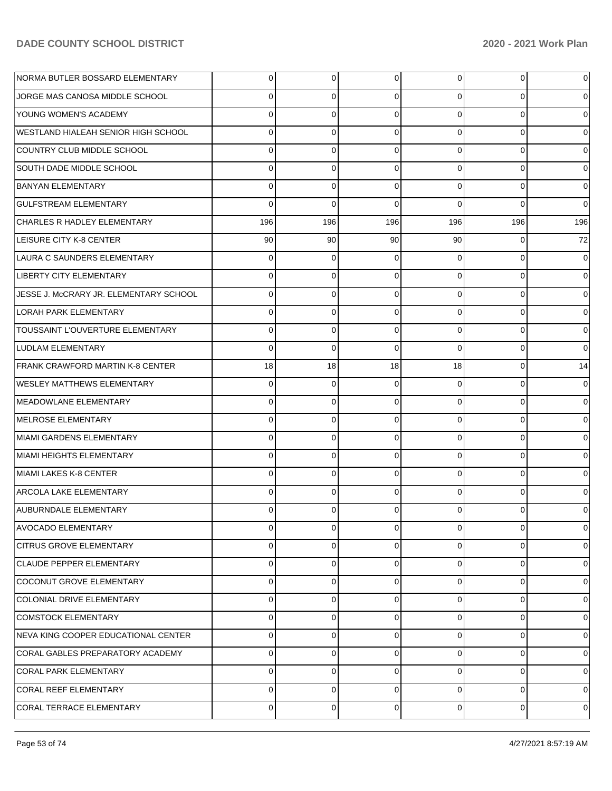| NORMA BUTLER BOSSARD ELEMENTARY         | $\overline{0}$ | 0              | 0              | $\overline{0}$ | 0         | 0              |
|-----------------------------------------|----------------|----------------|----------------|----------------|-----------|----------------|
| JORGE MAS CANOSA MIDDLE SCHOOL          | $\Omega$       | 0              | $\Omega$       | 0              | $\Omega$  | 0              |
| <b>YOUNG WOMEN'S ACADEMY</b>            | $\Omega$       | 0              | $\Omega$       | $\Omega$       | $\Omega$  | 0              |
| WESTLAND HIALEAH SENIOR HIGH SCHOOL     | 0              | 0              | 0              | 0              | $\Omega$  | 0              |
| COUNTRY CLUB MIDDLE SCHOOL              | $\Omega$       | $\Omega$       | $\Omega$       | 0              | $\Omega$  | 0              |
| SOUTH DADE MIDDLE SCHOOL                | 0              | 0              | 0              | 0              | $\Omega$  | 0              |
| <b>BANYAN ELEMENTARY</b>                | $\Omega$       | 0              | $\mathbf 0$    | 0              | $\Omega$  | $\mathbf 0$    |
| <b>GULFSTREAM ELEMENTARY</b>            | $\Omega$       | $\Omega$       | $\Omega$       | 0              | $\Omega$  | $\Omega$       |
| CHARLES R HADLEY ELEMENTARY             | 196            | 196            | 196            | 196            | 196       | 196            |
| <b>LEISURE CITY K-8 CENTER</b>          | 90             | 90             | 90             | 90             | 0         | 72             |
| LAURA C SAUNDERS ELEMENTARY             | $\Omega$       | $\Omega$       | $\Omega$       | 0              | $\Omega$  | $\Omega$       |
| <b>LIBERTY CITY ELEMENTARY</b>          | 0              | 0              | $\mathbf 0$    | 0              | $\Omega$  | 0              |
| JESSE J. MCCRARY JR. ELEMENTARY SCHOOL  | $\Omega$       | 0              | $\mathbf 0$    | 0              | $\Omega$  | 0              |
| LORAH PARK ELEMENTARY                   | 0              | 0              | $\mathbf 0$    | 0              | $\Omega$  | 0              |
| <b>TOUSSAINT L'OUVERTURE ELEMENTARY</b> | $\Omega$       | $\Omega$       | $\Omega$       | 0              | $\Omega$  | $\mathbf 0$    |
| LUDLAM ELEMENTARY                       | $\Omega$       | 0              | $\Omega$       | $\Omega$       | $\Omega$  | $\Omega$       |
| <b>FRANK CRAWFORD MARTIN K-8 CENTER</b> | 18             | 18             | 18             | 18             | $\Omega$  | 14             |
| <b>WESLEY MATTHEWS ELEMENTARY</b>       | $\mathbf 0$    | $\mathbf 0$    | $\mathbf 0$    | $\Omega$       | $\Omega$  | $\mathbf 0$    |
| MEADOWLANE ELEMENTARY                   | $\Omega$       | 0              | $\Omega$       | 0              | $\Omega$  | 0              |
| MELROSE ELEMENTARY                      | 0              | 0              | $\mathbf 0$    | 0              | $\Omega$  | 0              |
| MIAMI GARDENS ELEMENTARY                | $\Omega$       | $\Omega$       | $\Omega$       | 0              | $\Omega$  | $\Omega$       |
| MIAMI HEIGHTS ELEMENTARY                | $\Omega$       | 0              | $\mathbf 0$    | 0              | $\Omega$  | 0              |
| MIAMI LAKES K-8 CENTER                  | $\Omega$       | 0              | $\Omega$       | 0              | $\Omega$  | $\Omega$       |
| <b>ARCOLA LAKE ELEMENTARY</b>           | 0              | 0              | $\mathbf 0$    | $\Omega$       | $\Omega$  | 0              |
| AUBURNDALE ELEMENTARY                   | $\Omega$       | 0              | $\Omega$       | 0              | $\Omega$  | 0              |
| <b>AVOCADO ELEMENTARY</b>               | $\overline{0}$ | $\overline{0}$ | $\overline{0}$ | $\overline{0}$ | 0         | 0              |
| <b>CITRUS GROVE ELEMENTARY</b>          | $\Omega$       | 0              | 0              | 0              | $\Omega$  | $\mathbf 0$    |
| CLAUDE PEPPER ELEMENTARY                | $\Omega$       | 0              | $\Omega$       | $\Omega$       | $\Omega$  | $\mathbf 0$    |
| COCONUT GROVE ELEMENTARY                | $\Omega$       | 0              | $\Omega$       | $\Omega$       | $\Omega$  | 0              |
| COLONIAL DRIVE ELEMENTARY               | $\Omega$       | 0              | $\Omega$       | $\Omega$       | $\Omega$  | $\Omega$       |
| <b>COMSTOCK ELEMENTARY</b>              | $\Omega$       | 0              | $\Omega$       | $\Omega$       | $\Omega$  | 0              |
| NEVA KING COOPER EDUCATIONAL CENTER     | $\Omega$       | 0              | $\Omega$       | $\Omega$       | $\Omega$  | $\Omega$       |
| CORAL GABLES PREPARATORY ACADEMY        | $\Omega$       | 0              | $\Omega$       | $\Omega$       | $\Omega$  | $\mathbf 0$    |
| <b>CORAL PARK ELEMENTARY</b>            | $\Omega$       | 0              | $\Omega$       | $\Omega$       | $\Omega$  | $\Omega$       |
| <b>CORAL REEF ELEMENTARY</b>            | $\Omega$       | 0              | $\Omega$       | $\Omega$       | $\Omega$  | $\mathbf 0$    |
| CORAL TERRACE ELEMENTARY                | 0              | 0              | $\mathbf 0$    | $\overline{0}$ | $\pmb{0}$ | $\overline{0}$ |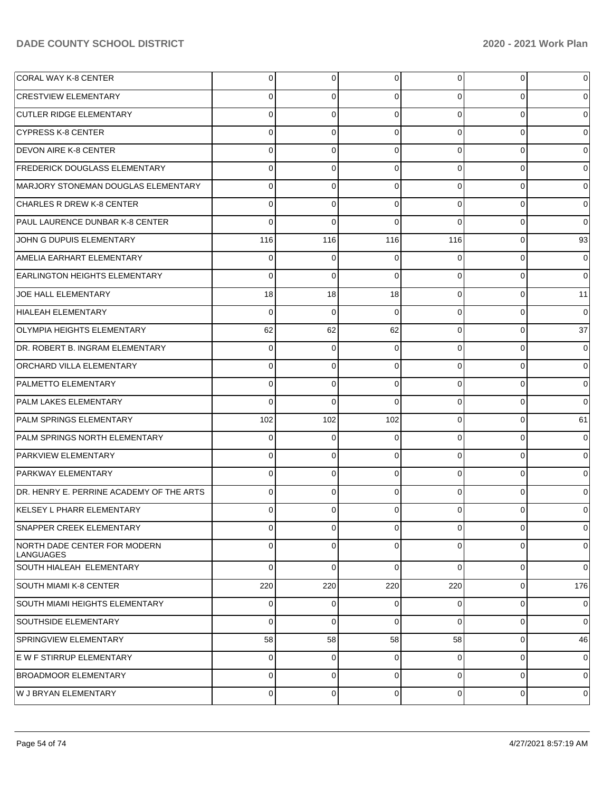| CORAL WAY K-8 CENTER                      | 0              | $\overline{0}$ | 0        | 0              | $\overline{0}$ | $\mathbf 0$    |
|-------------------------------------------|----------------|----------------|----------|----------------|----------------|----------------|
| CRESTVIEW ELEMENTARY                      | 0              | 0              | $\Omega$ | $\Omega$       | $\Omega$       | $\overline{0}$ |
| <b>CUTLER RIDGE ELEMENTARY</b>            | 0              | 0              | $\Omega$ | $\Omega$       | $\overline{0}$ | $\overline{0}$ |
| ICYPRESS K-8 CENTER                       | 0              | 0              | 0        | $\Omega$       | $\overline{0}$ | $\overline{0}$ |
| <b>DEVON AIRE K-8 CENTER</b>              | 0              | 0              | $\Omega$ | $\Omega$       | $\overline{0}$ | $\overline{0}$ |
| <b>FREDERICK DOUGLASS ELEMENTARY</b>      | 0              | 0              | 0        | $\Omega$       | $\overline{0}$ | $\overline{0}$ |
| MARJORY STONEMAN DOUGLAS ELEMENTARY       | 0              | 0              | $\Omega$ | $\Omega$       | $\overline{0}$ | $\overline{0}$ |
| CHARLES R DREW K-8 CENTER_                | $\Omega$       | 0              | 0        | $\Omega$       | $\overline{0}$ | $\overline{0}$ |
| PAUL LAURENCE DUNBAR K-8 CENTER           | 0              | $\Omega$       | $\Omega$ | $\Omega$       | $\Omega$       | $\overline{0}$ |
| JOHN G DUPUIS ELEMENTARY                  | 116            | 116            | 116      | 116            | $\overline{0}$ | 93             |
| AMELIA EARHART ELEMENTARY                 | 0              | 0              | 0        | $\Omega$       | $\overline{0}$ | $\overline{0}$ |
| <b>EARLINGTON HEIGHTS ELEMENTARY</b>      | $\Omega$       | 0              | $\Omega$ | $\Omega$       | $\overline{0}$ | $\overline{0}$ |
| UOE HALL ELEMENTARY                       | 18             | 18             | 18       | $\Omega$       | $\overline{0}$ | 11             |
| HIALEAH ELEMENTARY                        | $\Omega$       | 0              | $\Omega$ | $\Omega$       | $\overline{0}$ | $\overline{0}$ |
| OLYMPIA HEIGHTS ELEMENTARY                | 62             | 62             | 62       | $\Omega$       | $\overline{0}$ | 37             |
| DR. ROBERT B. INGRAM ELEMENTARY           | $\Omega$       | 0              | 0        | $\Omega$       | $\overline{0}$ | $\overline{0}$ |
| ORCHARD VILLA ELEMENTARY                  | 0              | 0              | 0        | $\Omega$       | $\overline{0}$ | $\overline{0}$ |
| PALMETTO ELEMENTARY                       | $\Omega$       | 0              | $\Omega$ | $\Omega$       | $\overline{0}$ | $\overline{0}$ |
| <b>PALM LAKES ELEMENTARY</b>              | $\Omega$       | $\Omega$       | $\Omega$ | $\Omega$       | $\overline{0}$ | $\overline{0}$ |
| <b>PALM SPRINGS ELEMENTARY</b>            | 102            | 102            | 102      | $\Omega$       | $\overline{0}$ | 61             |
| PALM SPRINGS NORTH ELEMENTARY             | $\Omega$       | 0              | 0        | $\Omega$       | $\Omega$       | $\overline{0}$ |
| PARKVIEW ELEMENTARY                       | $\Omega$       | 0              | $\Omega$ | $\Omega$       | $\overline{0}$ | $\overline{0}$ |
| <b>PARKWAY ELEMENTARY</b>                 | 0              | 0              | $\Omega$ | $\Omega$       | $\overline{0}$ | $\overline{0}$ |
| DR. HENRY E. PERRINE ACADEMY OF THE ARTS  | $\Omega$       | 0              | $\Omega$ | $\Omega$       | $\overline{0}$ | $\mathbf 0$    |
| KELSEY L PHARR ELEMENTARY                 | 0              | 0              | 0        | 0              | 0              | $\overline{0}$ |
| SNAPPER CREEK ELEMENTARY                  | $\overline{0}$ | $\mathbf 0$    | 0        | $\overline{0}$ | $\overline{0}$ | $\mathbf 0$    |
| NORTH DADE CENTER FOR MODERN<br>LANGUAGES | $\Omega$       | 0              | $\Omega$ | $\Omega$       | $\overline{0}$ | $\mathbf 0$    |
| SOUTH HIALEAH ELEMENTARY                  | 0              | 0              | $\Omega$ | $\Omega$       | $\mathbf 0$    | $\overline{0}$ |
| SOUTH MIAMI K-8 CENTER                    | 220            | 220            | 220      | 220            | $\mathbf 0$    | 176            |
| SOUTH MIAMI HEIGHTS ELEMENTARY            | 0              | 0              | 0        | $\Omega$       | $\mathbf 0$    | $\mathbf 0$    |
| SOUTHSIDE ELEMENTARY                      | 0              | 0              | 0        | $\overline{0}$ | $\mathbf 0$    | $\mathbf 0$    |
| SPRINGVIEW ELEMENTARY                     | 58             | 58             | 58       | 58             | $\mathbf 0$    | 46             |
| E W F STIRRUP ELEMENTARY                  | 0              | 0              | 0        | $\overline{0}$ | $\mathbf 0$    | $\mathbf 0$    |
| <b>BROADMOOR ELEMENTARY</b>               | 0              | 0              | 0        | $\overline{0}$ | $\mathbf 0$    | $\overline{0}$ |
| W J BRYAN ELEMENTARY                      | $\overline{0}$ | 0              | 0        | $\overline{0}$ | $\mathbf 0$    | $\mathbf 0$    |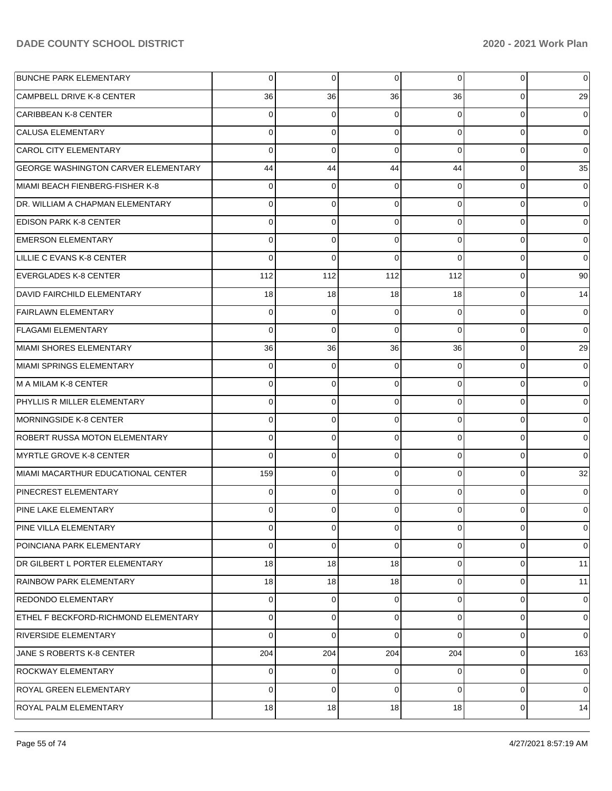| <b>BUNCHE PARK ELEMENTARY</b>               | $\overline{0}$ | 0              | $\overline{0}$ | $\Omega$        | 0              | 0              |
|---------------------------------------------|----------------|----------------|----------------|-----------------|----------------|----------------|
| <b>CAMPBELL DRIVE K-8 CENTER</b>            | 36             | 36             | 36             | 36              | 0              | 29             |
| <b>CARIBBEAN K-8 CENTER</b>                 | $\overline{0}$ | 0              | $\Omega$       | 0               | $\mathbf 0$    | 0              |
| <b>CALUSA ELEMENTARY</b>                    | $\overline{0}$ | $\mathbf 0$    | $\Omega$       | $\Omega$        | $\mathbf 0$    | 0              |
| <b>CAROL CITY ELEMENTARY</b>                | $\Omega$       | $\mathbf 0$    | $\Omega$       | $\Omega$        | $\mathbf 0$    | 0              |
| <b>GEORGE WASHINGTON CARVER ELEMENTARY</b>  | 44             | 44             | 44             | 44              | 0              | 35             |
| MIAMI BEACH FIENBERG-FISHER K-8             | $\overline{0}$ | 0              | 0              | 0               | $\mathbf 0$    | 0              |
| <b>DR. WILLIAM A CHAPMAN ELEMENTARY</b>     | $\overline{0}$ | 0              | $\Omega$       | 0               | $\mathbf 0$    | 0              |
| <b>EDISON PARK K-8 CENTER</b>               | $\Omega$       | 0              | $\Omega$       | 0               | $\mathbf 0$    | 0              |
| <b>EMERSON ELEMENTARY</b>                   | $\overline{0}$ | 0              | $\Omega$       | 0               | $\mathbf 0$    | 0              |
| LILLIE C EVANS K-8 CENTER                   | $\Omega$       | $\Omega$       | $\Omega$       | $\Omega$        | $\mathbf 0$    | 0              |
| <b>EVERGLADES K-8 CENTER</b>                | 112            | 112            | 112            | 112             | $\mathbf 0$    | 90             |
| DAVID FAIRCHILD ELEMENTARY                  | 18             | 18             | 18             | 18              | $\mathbf 0$    | 14             |
| <b>FAIRLAWN ELEMENTARY</b>                  | $\overline{0}$ | 0              | $\Omega$       | $\Omega$        | $\mathbf 0$    | 0              |
| <b>FLAGAMI ELEMENTARY</b>                   | $\Omega$       | $\mathbf 0$    | $\Omega$       | $\Omega$        | $\mathbf 0$    | $\Omega$       |
| MIAMI SHORES ELEMENTARY                     | 36             | 36             | 36             | 36              | $\mathbf 0$    | 29             |
| MIAMI SPRINGS ELEMENTARY                    | $\overline{0}$ | 0              | $\Omega$       | 0               | $\mathbf 0$    | 0              |
| M A MILAM K-8 CENTER                        | $\overline{0}$ | $\mathbf 0$    | $\Omega$       | 0               | 0              | 0              |
| PHYLLIS R MILLER ELEMENTARY                 | $\Omega$       | 0              | $\Omega$       | 0               | $\mathbf 0$    | 0              |
| MORNINGSIDE K-8 CENTER                      | $\overline{0}$ | $\mathbf 0$    | $\mathbf 0$    | 0               | $\mathbf 0$    | 0              |
| <b>ROBERT RUSSA MOTON ELEMENTARY</b>        | $\Omega$       | 0              | $\Omega$       | 0               | $\mathbf 0$    | 0              |
| MYRTLE GROVE K-8 CENTER                     | $\Omega$       | $\mathbf 0$    | $\Omega$       | 0               | $\mathbf 0$    | $\Omega$       |
| MIAMI MACARTHUR EDUCATIONAL CENTER          | 159            | 0              | $\Omega$       | $\Omega$        | $\mathbf 0$    | 32             |
| PINECREST ELEMENTARY                        | $\Omega$       | $\mathbf 0$    | $\Omega$       | 0               | $\mathbf 0$    | $\Omega$       |
| <b>PINE LAKE ELEMENTARY</b>                 | $\Omega$       | 0              | $\Omega$       | 0               | 0              | 0              |
| PINE VILLA ELEMENTARY                       | $\overline{0}$ | $\overline{0}$ | $\overline{0}$ | $\overline{0}$  | $\overline{0}$ | $\overline{0}$ |
| POINCIANA PARK ELEMENTARY                   | $\Omega$       | 0              | $\Omega$       | $\Omega$        | 0              | 0              |
| DR GILBERT L PORTER ELEMENTARY              | 18             | 18             | 18             | $\Omega$        | $\mathbf 0$    | 11             |
| RAINBOW PARK ELEMENTARY                     | 18             | 18             | 18             | $\Omega$        | $\mathbf 0$    | 11             |
| <b>REDONDO ELEMENTARY</b>                   | $\overline{0}$ | 0              | $\overline{0}$ | $\Omega$        | $\mathbf 0$    | 0              |
| <b>ETHEL F BECKFORD-RICHMOND ELEMENTARY</b> | $\overline{0}$ | 0              | $\Omega$       | 0               | $\mathbf 0$    | 0              |
| <b>RIVERSIDE ELEMENTARY</b>                 | $\Omega$       | 0              | $\Omega$       | $\Omega$        | $\mathbf 0$    | 0              |
| JANE S ROBERTS K-8 CENTER                   | 204            | 204            | 204            | 204             | $\mathbf 0$    | 163            |
| <b>ROCKWAY ELEMENTARY</b>                   | $\Omega$       | 0              | $\Omega$       | $\Omega$        | $\mathbf 0$    | 0              |
| <b>ROYAL GREEN ELEMENTARY</b>               | $\Omega$       | 0              | $\Omega$       | $\Omega$        | $\mathbf 0$    | 0              |
| ROYAL PALM ELEMENTARY                       | 18             | 18             | 18             | 18 <sup>1</sup> | 0              | 14             |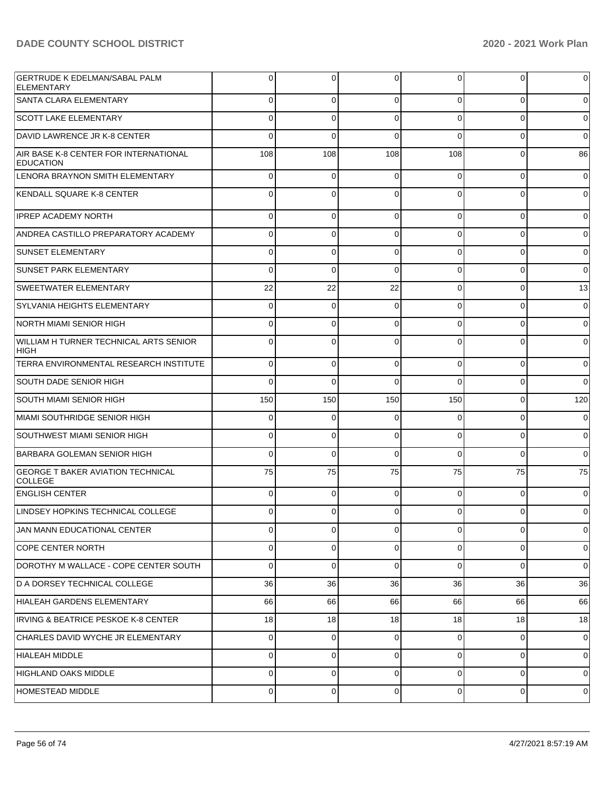| <b>GERTRUDE K EDELMAN/SABAL PALM</b><br>ELEMENTARY           | 0        | $\overline{0}$ | 0        | 0        | $\overline{0}$ | $\mathbf 0$    |
|--------------------------------------------------------------|----------|----------------|----------|----------|----------------|----------------|
| <b>SANTA CLARA ELEMENTARY</b>                                | $\Omega$ | $\Omega$       | $\Omega$ | $\Omega$ | $\Omega$       | $\overline{0}$ |
| <b>SCOTT LAKE ELEMENTARY</b>                                 | $\Omega$ | $\Omega$       | $\Omega$ | $\Omega$ | $\Omega$       | $\overline{0}$ |
| DAVID LAWRENCE JR K-8 CENTER                                 | $\Omega$ | $\Omega$       | $\Omega$ | $\Omega$ | $\Omega$       | $\overline{0}$ |
| AIR BASE K-8 CENTER FOR INTERNATIONAL<br><b>EDUCATION</b>    | 108      | 108            | 108      | 108      | $\mathbf 0$    | 86             |
| LENORA BRAYNON SMITH ELEMENTARY                              | 0        | 0              | 0        | 0        | $\overline{0}$ | $\overline{0}$ |
| KENDALL SQUARE K-8 CENTER                                    | 0        | 0              | $\Omega$ | 0        | 0              | $\overline{0}$ |
| <b>IPREP ACADEMY NORTH</b>                                   | $\Omega$ | $\mathbf 0$    | $\Omega$ | $\Omega$ | $\overline{0}$ | $\overline{0}$ |
| ANDREA CASTILLO PREPARATORY ACADEMY                          | $\Omega$ | $\Omega$       | $\Omega$ | $\Omega$ | $\Omega$       | $\overline{0}$ |
| <b>SUNSET ELEMENTARY</b>                                     | $\Omega$ | $\mathbf 0$    | $\Omega$ | $\Omega$ | $\overline{0}$ | $\overline{0}$ |
| <b>SUNSET PARK ELEMENTARY</b>                                | $\Omega$ | $\Omega$       | $\Omega$ | $\Omega$ | $\Omega$       | $\overline{0}$ |
| <b>SWEETWATER ELEMENTARY</b>                                 | 22       | 22             | 22       | $\Omega$ | $\overline{0}$ | 13             |
| SYLVANIA HEIGHTS ELEMENTARY                                  | $\Omega$ | $\mathbf 0$    | $\Omega$ | $\Omega$ | $\Omega$       | $\overline{0}$ |
| NORTH MIAMI SENIOR HIGH                                      | $\Omega$ | $\mathbf 0$    | $\Omega$ | $\Omega$ | $\overline{0}$ | $\overline{0}$ |
| <b>WILLIAM H TURNER TECHNICAL ARTS SENIOR</b><br><b>HIGH</b> | $\Omega$ | $\Omega$       | $\Omega$ | $\Omega$ | $\Omega$       | $\overline{0}$ |
| TERRA ENVIRONMENTAL RESEARCH INSTITUTE                       | $\Omega$ | $\Omega$       | $\Omega$ | $\Omega$ | $\overline{0}$ | $\overline{0}$ |
| SOUTH DADE SENIOR HIGH                                       | $\Omega$ | $\Omega$       | $\Omega$ | $\Omega$ | 0              | $\Omega$       |
| SOUTH MIAMI SENIOR HIGH                                      | 150      | 150            | 150      | 150      | $\overline{0}$ | 120            |
| MIAMI SOUTHRIDGE SENIOR HIGH                                 | $\Omega$ | $\Omega$       | ſ        | $\Omega$ | 0              | $\overline{0}$ |
| SOUTHWEST MIAMI SENIOR HIGH                                  | $\Omega$ | $\Omega$       | $\Omega$ | $\Omega$ | $\overline{0}$ | $\overline{0}$ |
| <b>BARBARA GOLEMAN SENIOR HIGH</b>                           | $\Omega$ | $\Omega$       | $\Omega$ | $\Omega$ | $\Omega$       | $\overline{0}$ |
| <b>GEORGE T BAKER AVIATION TECHNICAL</b><br><b>COLLEGE</b>   | 75       | 75             | 75       | 75       | 75             | 75             |
| <b>ENGLISH CENTER</b>                                        | 0        | 0              | 0        | $\Omega$ | $\overline{0}$ | $\overline{0}$ |
| LINDSEY HOPKINS TECHNICAL COLLEGE                            | 0        | 0              |          | 0        | 0              | $\overline{0}$ |
| JAN MANN EDUCATIONAL CENTER                                  | 0        | $\overline{0}$ | 0        | 0        | $\overline{0}$ | $\mathbf 0$    |
| <b>COPE CENTER NORTH</b>                                     | 0        | 0              | $\Omega$ | 0        | $\overline{0}$ | $\overline{0}$ |
| DOROTHY M WALLACE - COPE CENTER SOUTH                        | 0        | 0              | $\Omega$ | 0        | $\overline{0}$ | $\overline{0}$ |
| D A DORSEY TECHNICAL COLLEGE                                 | 36       | 36             | 36       | 36       | 36             | 36             |
| HIALEAH GARDENS ELEMENTARY                                   | 66       | 66             | 66       | 66       | 66             | 66             |
| <b>IRVING &amp; BEATRICE PESKOE K-8 CENTER</b>               | 18       | 18             | 18       | 18       | 18             | 18             |
| CHARLES DAVID WYCHE JR ELEMENTARY                            | 0        | 0              | 0        | 0        | $\overline{0}$ | $\overline{0}$ |
| <b>HIALEAH MIDDLE</b>                                        | 0        | 0              | $\Omega$ | 0        | $\overline{0}$ | $\overline{0}$ |
| <b>HIGHLAND OAKS MIDDLE</b>                                  | 0        | 0              | 0        | 0        | $\overline{0}$ | $\mathbf 0$    |
|                                                              |          |                |          |          |                |                |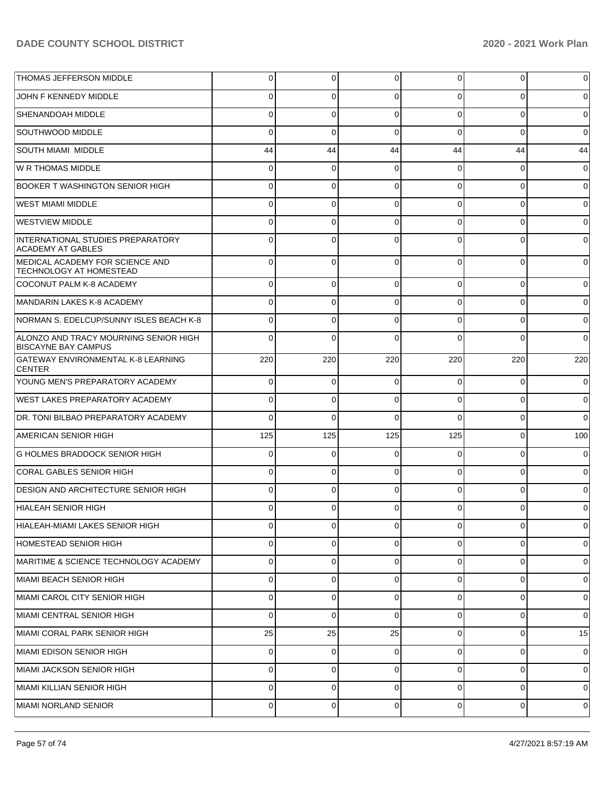| <b>THOMAS JEFFERSON MIDDLE</b>                                      | 0              | $\overline{0}$ | 0              | 0              | $\overline{0}$ | $\overline{0}$ |
|---------------------------------------------------------------------|----------------|----------------|----------------|----------------|----------------|----------------|
| JOHN F KENNEDY MIDDLE                                               | $\Omega$       | $\Omega$       | $\Omega$       | $\Omega$       | $\Omega$       | $\overline{0}$ |
| <b>SHENANDOAH MIDDLE</b>                                            | $\Omega$       | $\Omega$       | $\Omega$       | $\Omega$       | $\overline{0}$ | $\overline{0}$ |
| SOUTHWOOD MIDDLE                                                    | $\Omega$       | $\mathbf 0$    | $\Omega$       | $\Omega$       | $\Omega$       | $\overline{0}$ |
| SOUTH MIAMI MIDDLE                                                  | 44             | 44             | 44             | 44             | 44             | 44             |
| W R THOMAS MIDDLE                                                   | $\Omega$       | $\mathbf 0$    | $\Omega$       | $\Omega$       | $\overline{0}$ | $\overline{0}$ |
| BOOKER T WASHINGTON SENIOR HIGH                                     | $\Omega$       | $\Omega$       | $\Omega$       | $\Omega$       | $\overline{0}$ | $\overline{0}$ |
| <b>WEST MIAMI MIDDLE</b>                                            | $\Omega$       | $\mathbf 0$    | $\Omega$       | $\Omega$       | $\overline{0}$ | $\overline{0}$ |
| <b>WESTVIEW MIDDLE</b>                                              | $\Omega$       | $\Omega$       | $\Omega$       | $\Omega$       | $\overline{0}$ | $\overline{0}$ |
| INTERNATIONAL STUDIES PREPARATORY<br>ACADEMY AT GABLES              | $\Omega$       | $\mathbf 0$    | $\Omega$       | $\Omega$       | $\overline{0}$ | $\overline{0}$ |
| MEDICAL ACADEMY FOR SCIENCE AND<br><b>TECHNOLOGY AT HOMESTEAD</b>   | 0              | $\mathbf 0$    | $\Omega$       | $\Omega$       | $\Omega$       | $\overline{0}$ |
| COCONUT PALM K-8 ACADEMY                                            | $\Omega$       | $\overline{0}$ | $\Omega$       | $\Omega$       | $\overline{0}$ | $\overline{0}$ |
| MANDARIN LAKES K-8 ACADEMY                                          | $\Omega$       | $\overline{0}$ | $\Omega$       | $\Omega$       | $\overline{0}$ | $\overline{0}$ |
| NORMAN S. EDELCUP/SUNNY ISLES BEACH K-8                             | 0              | $\overline{0}$ | $\Omega$       | $\Omega$       | $\Omega$       | $\overline{0}$ |
| ALONZO AND TRACY MOURNING SENIOR HIGH<br><b>BISCAYNE BAY CAMPUS</b> | $\Omega$       | $\Omega$       | $\Omega$       | $\Omega$       | $\Omega$       | $\overline{0}$ |
| <b>GATEWAY ENVIRONMENTAL K-8 LEARNING</b><br><b>CENTER</b>          | 220            | 220            | 220            | 220            | 220            | 220            |
| YOUNG MEN'S PREPARATORY ACADEMY                                     | $\Omega$       | $\mathbf 0$    | $\Omega$       | $\Omega$       | $\Omega$       | $\overline{0}$ |
| <b>WEST LAKES PREPARATORY ACADEMY</b>                               | $\Omega$       | $\mathbf 0$    | $\Omega$       | $\Omega$       | $\mathbf 0$    | $\overline{0}$ |
| DR. TONI BILBAO PREPARATORY ACADEMY                                 | $\Omega$       | $\mathbf 0$    | $\Omega$       | $\Omega$       | 0              | $\overline{0}$ |
| <b>AMERICAN SENIOR HIGH</b>                                         | 125            | 125            | 125            | 125            | $\mathbf 0$    | 100            |
| <b>G HOLMES BRADDOCK SENIOR HIGH</b>                                | 0              | 0              |                | 0              | 0              | $\mathbf 0$    |
| CORAL GABLES SENIOR HIGH                                            | 0              | $\mathbf 0$    | $\Omega$       | $\Omega$       | $\mathbf 0$    | $\overline{0}$ |
| <b>DESIGN AND ARCHITECTURE SENIOR HIGH</b>                          | 0              | 0              | ∩              | $\Omega$       | 0              | $\overline{0}$ |
| HIALEAH SENIOR HIGH                                                 | 0              | 0              |                | 0              | 0              | $\overline{0}$ |
| HIALEAH-MIAMI LAKES SENIOR HIGH                                     | $\overline{0}$ | $\overline{0}$ | $\overline{0}$ | $\overline{0}$ | $\overline{0}$ | $\overline{0}$ |
| HOMESTEAD SENIOR HIGH                                               | 0              | 0              | $\Omega$       | $\Omega$       | 0              | $\mathbf 0$    |
| MARITIME & SCIENCE TECHNOLOGY ACADEMY                               | 0              | 0              | $\mathbf 0$    | 0              | $\overline{0}$ | $\overline{0}$ |
| MIAMI BEACH SENIOR HIGH                                             | 0              | $\mathbf 0$    | $\Omega$       | $\Omega$       | $\mathbf 0$    | $\overline{0}$ |
| MIAMI CAROL CITY SENIOR HIGH                                        | 0              | $\mathbf 0$    | $\mathbf 0$    | $\Omega$       | $\mathbf 0$    | $\overline{0}$ |
| MIAMI CENTRAL SENIOR HIGH                                           | 0              | $\mathbf 0$    | $\Omega$       | $\Omega$       | 0              | $\overline{0}$ |
| MIAMI CORAL PARK SENIOR HIGH                                        | 25             | 25             | 25             | $\mathbf 0$    | $\overline{0}$ | 15             |
| MIAMI EDISON SENIOR HIGH                                            | 0              | $\mathbf 0$    | $\Omega$       | $\Omega$       | 0              | $\mathbf 0$    |
| MIAMI JACKSON SENIOR HIGH                                           | 0              | $\mathbf 0$    | 0              | $\Omega$       | $\mathbf 0$    | $\overline{0}$ |
| MIAMI KILLIAN SENIOR HIGH                                           | 0              | $\mathbf 0$    | $\Omega$       | $\Omega$       | 0              | $\mathbf 0$    |
| MIAMI NORLAND SENIOR                                                | 0              | $\mathbf 0$    | 0              | 0              | $\overline{0}$ | $\overline{0}$ |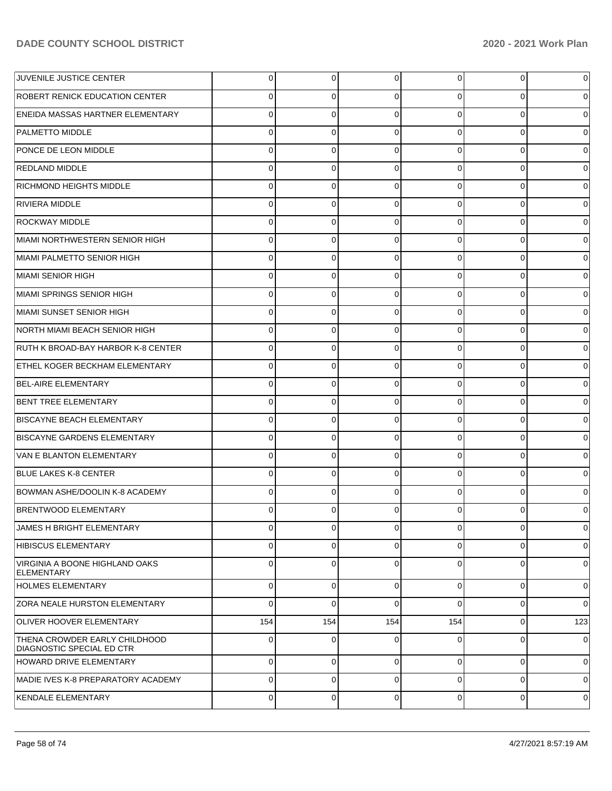| <b>JUVENILE JUSTICE CENTER</b>                                    | 0              | $\overline{0}$ | 0              | 0              | $\overline{0}$ | $\mathbf 0$    |
|-------------------------------------------------------------------|----------------|----------------|----------------|----------------|----------------|----------------|
| <b>ROBERT RENICK EDUCATION CENTER</b>                             | 0              | 0              | $\Omega$       | $\Omega$       | $\overline{0}$ | $\overline{0}$ |
| <b>ENEIDA MASSAS HARTNER ELEMENTARY</b>                           | $\Omega$       | $\mathbf 0$    | $\Omega$       | $\Omega$       | $\overline{0}$ | $\overline{0}$ |
| PALMETTO MIDDLE                                                   | 0              | $\mathbf 0$    | $\Omega$       | $\Omega$       | $\overline{0}$ | $\overline{0}$ |
| <b>PONCE DE LEON MIDDLE</b>                                       | $\Omega$       | $\mathbf 0$    | $\Omega$       | $\Omega$       | $\overline{0}$ | $\overline{0}$ |
| REDLAND MIDDLE                                                    | 0              | $\mathbf 0$    | $\Omega$       | $\Omega$       | $\overline{0}$ | $\overline{0}$ |
| RICHMOND HEIGHTS MIDDLE                                           | $\Omega$       | $\mathbf 0$    | $\Omega$       | $\Omega$       | $\overline{0}$ | $\overline{0}$ |
| RIVIERA MIDDLE                                                    | 0              | $\mathbf 0$    | $\Omega$       | $\Omega$       | $\overline{0}$ | $\overline{0}$ |
| IROCKWAY MIDDLE                                                   | $\Omega$       | $\mathbf 0$    | $\Omega$       | $\Omega$       | $\overline{0}$ | $\overline{0}$ |
| MIAMI NORTHWESTERN SENIOR HIGH                                    | 0              | $\mathbf 0$    | $\Omega$       | $\Omega$       | $\overline{0}$ | $\overline{0}$ |
| IMIAMI PALMETTO SENIOR HIGH                                       | $\Omega$       | $\mathbf 0$    | $\Omega$       | $\Omega$       | $\overline{0}$ | $\overline{0}$ |
| MIAMI SENIOR HIGH                                                 | 0              | $\mathbf 0$    | $\Omega$       | $\Omega$       | $\overline{0}$ | $\overline{0}$ |
| IMIAMI SPRINGS SENIOR HIGH                                        | $\Omega$       | $\mathbf 0$    | $\Omega$       | $\Omega$       | $\overline{0}$ | $\overline{0}$ |
| MIAMI SUNSET SENIOR HIGH                                          | 0              | $\mathbf 0$    | $\Omega$       | $\Omega$       | $\overline{0}$ | $\overline{0}$ |
| <b>INORTH MIAMI BEACH SENIOR HIGH</b>                             | $\Omega$       | 0              | $\Omega$       | $\Omega$       | $\overline{0}$ | $\overline{0}$ |
| RUTH K BROAD-BAY HARBOR K-8 CENTER                                | 0              | $\mathbf 0$    | $\Omega$       | $\Omega$       | $\overline{0}$ | $\overline{0}$ |
| ETHEL KOGER BECKHAM ELEMENTARY                                    | $\Omega$       | $\mathbf 0$    | $\Omega$       | $\Omega$       | $\overline{0}$ | $\overline{0}$ |
| BEL-AIRE ELEMENTARY                                               | 0              | $\mathbf 0$    | $\Omega$       | $\Omega$       | $\overline{0}$ | $\overline{0}$ |
| <b>BENT TREE ELEMENTARY</b>                                       | $\Omega$       | $\mathbf 0$    | $\Omega$       | $\Omega$       | $\overline{0}$ | $\overline{0}$ |
| <b>BISCAYNE BEACH ELEMENTARY</b>                                  | $\mathbf 0$    | $\mathbf 0$    | $\Omega$       | $\Omega$       | $\overline{0}$ | $\overline{0}$ |
| BISCAYNE GARDENS ELEMENTARY                                       | $\Omega$       | 0              | $\Omega$       | $\Omega$       | $\overline{0}$ | $\overline{0}$ |
| VAN E BLANTON ELEMENTARY                                          | $\mathbf 0$    | $\overline{0}$ | $\Omega$       | $\Omega$       | $\overline{0}$ | $\overline{0}$ |
| <b>BLUE LAKES K-8 CENTER</b>                                      | $\Omega$       | $\Omega$       | $\Omega$       | $\Omega$       | $\overline{0}$ | $\overline{0}$ |
| BOWMAN ASHE/DOOLIN K-8 ACADEMY                                    | 0              | $\mathbf 0$    | $\Omega$       | $\Omega$       | $\overline{0}$ | $\overline{0}$ |
| BRENTWOOD ELEMENTARY                                              | 0              | $\Omega$       | $\Omega$       | $\Omega$       | $\Omega$       | $\overline{0}$ |
| JAMES H BRIGHT ELEMENTARY                                         | $\overline{0}$ | $\overline{0}$ | $\overline{0}$ | $\overline{0}$ | $\overline{0}$ | $\mathbf 0$    |
| HIBISCUS ELEMENTARY                                               | $\Omega$       | $\overline{0}$ | $\Omega$       | $\Omega$       | $\overline{0}$ | $\overline{0}$ |
| VIRGINIA A BOONE HIGHLAND OAKS<br><b>ELEMENTARY</b>               | $\Omega$       | $\overline{0}$ | $\Omega$       | $\Omega$       | $\overline{0}$ | $\overline{0}$ |
| <b>HOLMES ELEMENTARY</b>                                          | 0              | 0              | $\Omega$       | $\Omega$       | $\mathbf 0$    | $\overline{0}$ |
| <b>ZORA NEALE HURSTON ELEMENTARY</b>                              | $\Omega$       | 0              | $\Omega$       | $\Omega$       | 0              | $\overline{0}$ |
| <b>OLIVER HOOVER ELEMENTARY</b>                                   | 154            | 154            | 154            | 154            | $\overline{0}$ | 123            |
| THENA CROWDER EARLY CHILDHOOD<br><b>DIAGNOSTIC SPECIAL ED CTR</b> | $\Omega$       | $\mathbf 0$    | ſ              | 0              | 0              | $\mathbf 0$    |
| HOWARD DRIVE ELEMENTARY                                           | $\Omega$       | $\overline{0}$ | $\Omega$       | $\Omega$       | $\overline{0}$ | $\overline{0}$ |
| IMADIE IVES K-8 PREPARATORY ACADEMY                               | $\Omega$       | $\overline{0}$ | $\Omega$       | $\Omega$       | $\overline{0}$ | $\overline{0}$ |
| <b>KENDALE ELEMENTARY</b>                                         | 0              | $\overline{0}$ | 0              | $\overline{0}$ | $\overline{0}$ | $\mathbf 0$    |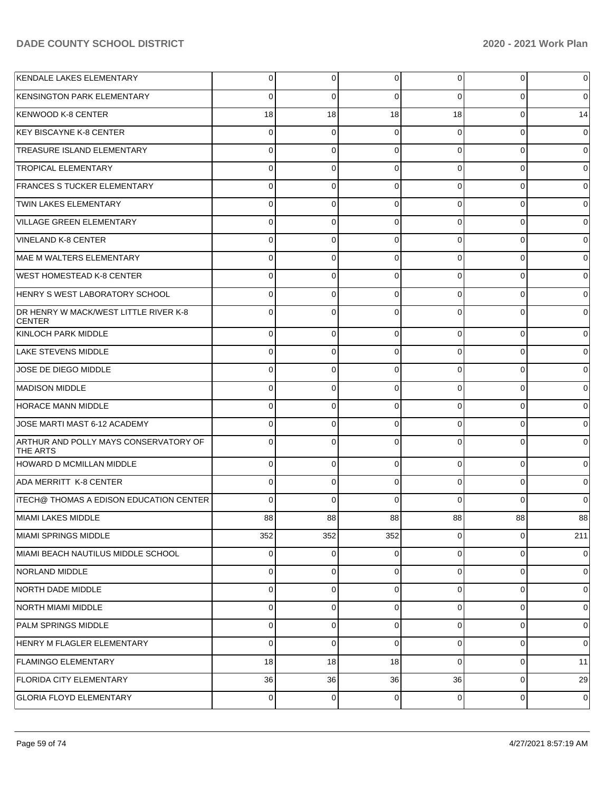| KENDALE LAKES ELEMENTARY                                 | $\overline{0}$ | 0           | 0              | 0              | 0           | 0              |
|----------------------------------------------------------|----------------|-------------|----------------|----------------|-------------|----------------|
| KENSINGTON PARK ELEMENTARY                               | $\Omega$       | 0           | $\Omega$       | 0              | $\Omega$    | 0              |
| KENWOOD K-8 CENTER                                       | 18             | 18          | 18             | 18             | $\mathbf 0$ | 14             |
| KEY BISCAYNE K-8 CENTER                                  | $\overline{0}$ | $\mathbf 0$ | $\mathbf 0$    | 0              | 0           | 0              |
| <b>TREASURE ISLAND ELEMENTARY</b>                        | 0              | $\mathbf 0$ | 0              | 0              | 0           | 0              |
| <b>TROPICAL ELEMENTARY</b>                               | $\overline{0}$ | 0           | 0              | 0              | 0           | 0              |
| <b>FRANCES S TUCKER ELEMENTARY</b>                       | 0              | 0           | 0              | 0              | 0           | 0              |
| <b>TWIN LAKES ELEMENTARY</b>                             | $\overline{0}$ | 0           | 0              | 0              | 0           | 0              |
| <b>VILLAGE GREEN ELEMENTARY</b>                          | 0              | 0           | 0              | 0              | 0           | 0              |
| VINELAND K-8 CENTER                                      | $\overline{0}$ | 0           | 0              | 0              | 0           | 0              |
| MAE M WALTERS ELEMENTARY                                 | 0              | 0           | 0              | 0              | 0           | 0              |
| <b>WEST HOMESTEAD K-8 CENTER</b>                         | $\overline{0}$ | 0           | 0              | 0              | 0           | 0              |
| HENRY S WEST LABORATORY SCHOOL                           | $\Omega$       | 0           | 0              | 0              | 0           | 0              |
| DR HENRY W MACK/WEST LITTLE RIVER K-8<br><b>CENTER</b>   | $\overline{0}$ | 0           | 0              | 0              | $\Omega$    | 0              |
| KINLOCH PARK MIDDLE                                      | 0              | 0           | 0              | 0              | $\Omega$    | 0              |
| <b>LAKE STEVENS MIDDLE</b>                               | 0              | 0           | 0              | 0              | $\mathbf 0$ | 0              |
| JOSE DE DIEGO MIDDLE                                     | 0              | 0           | $\Omega$       | 0              | $\Omega$    | 0              |
| <b>MADISON MIDDLE</b>                                    | 0              | 0           | 0              | 0              | $\mathbf 0$ | 0              |
| <b>HORACE MANN MIDDLE</b>                                | $\Omega$       | 0           | $\Omega$       | 0              | $\Omega$    | 0              |
| JOSE MARTI MAST 6-12 ACADEMY                             | 0              | 0           | 0              | 0              | 0           | 0              |
| ARTHUR AND POLLY MAYS CONSERVATORY OF<br><b>THE ARTS</b> | $\Omega$       | $\Omega$    | 0              | $\Omega$       | $\Omega$    | 0              |
| <b>HOWARD D MCMILLAN MIDDLE</b>                          | $\Omega$       | 0           | 0              | $\Omega$       | $\mathbf 0$ | $\Omega$       |
| ADA MERRITT K-8 CENTER                                   | $\overline{0}$ | 0           | 0              | $\Omega$       | $\mathbf 0$ | 0              |
| <b>ITECH@ THOMAS A EDISON EDUCATION CENTER</b>           | $\Omega$       | $\Omega$    | $\Omega$       | 0              | $\Omega$    | 0              |
| <b>MIAMI LAKES MIDDLE</b>                                | 88             | 88          | 88             | 88             | 88          | 88             |
| MIAMI SPRINGS MIDDLE                                     | 352            | 352         | 352            | 0              | 0           | 211            |
| MIAMI BEACH NAUTILUS MIDDLE SCHOOL                       | $\Omega$       | 0           | 0              | $\Omega$       | $\mathbf 0$ | 0              |
| NORLAND MIDDLE                                           | $\Omega$       | 0           | $\overline{0}$ | $\Omega$       | $\mathbf 0$ | 0              |
| NORTH DADE MIDDLE                                        | $\Omega$       | 0           | 0              | $\Omega$       | $\mathbf 0$ | 0              |
| NORTH MIAMI MIDDLE                                       | $\Omega$       | 0           | 0              | $\Omega$       | $\mathbf 0$ | 0              |
| PALM SPRINGS MIDDLE                                      | $\Omega$       | 0           | 0              | $\Omega$       | $\mathbf 0$ | 0              |
| HENRY M FLAGLER ELEMENTARY                               | $\Omega$       | 0           | 0              | $\Omega$       | 0           | 0              |
| <b>FLAMINGO ELEMENTARY</b>                               | 18             | 18          | 18             | $\Omega$       | $\mathbf 0$ | 11             |
| <b>FLORIDA CITY ELEMENTARY</b>                           | 36             | 36          | 36             | 36             | $\mathbf 0$ | 29             |
| <b>GLORIA FLOYD ELEMENTARY</b>                           | $\overline{0}$ | 0           | $\overline{0}$ | $\overline{0}$ | 0           | $\overline{0}$ |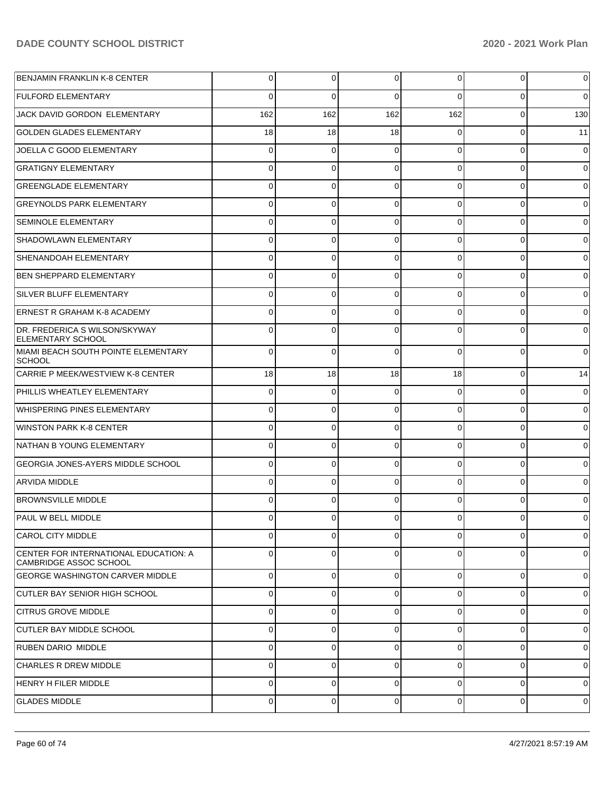| <b>BENJAMIN FRANKLIN K-8 CENTER</b>                             | 0              | 0           | 0        | 0              | 0           | 0           |
|-----------------------------------------------------------------|----------------|-------------|----------|----------------|-------------|-------------|
| <b>FULFORD ELEMENTARY</b>                                       | $\Omega$       | $\Omega$    | $\Omega$ | 0              | $\Omega$    | $\Omega$    |
| JACK DAVID GORDON ELEMENTARY                                    | 162            | 162         | 162      | 162            | 0           | 130         |
| <b>GOLDEN GLADES ELEMENTARY</b>                                 | 18             | 18          | 18       | 0              | 0           | 11          |
| JOELLA C GOOD ELEMENTARY                                        | 0              | 0           | 0        | 0              | 0           | $\Omega$    |
| <b>GRATIGNY ELEMENTARY</b>                                      | 0              | 0           | $\Omega$ | 0              | 0           | 0           |
| <b>GREENGLADE ELEMENTARY</b>                                    | $\Omega$       | 0           | $\Omega$ | 0              | 0           | 0           |
| <b>GREYNOLDS PARK ELEMENTARY</b>                                | 0              | 0           | 0        | 0              | 0           | 0           |
| <b>SEMINOLE ELEMENTARY</b>                                      | $\Omega$       | 0           | $\Omega$ | 0              | 0           | 0           |
| SHADOWLAWN ELEMENTARY                                           | 0              | 0           | 0        | 0              | 0           | 0           |
| SHENANDOAH ELEMENTARY                                           | $\Omega$       | 0           | $\Omega$ | 0              | 0           | 0           |
| <b>BEN SHEPPARD ELEMENTARY</b>                                  | 0              | 0           | 0        | 0              | 0           | 0           |
| SILVER BLUFF ELEMENTARY                                         | $\Omega$       | 0           | $\Omega$ | 0              | 0           | 0           |
| <b>ERNEST R GRAHAM K-8 ACADEMY</b>                              | $\Omega$       | 0           | 0        | 0              | $\Omega$    | 0           |
| DR. FREDERICA S WILSON/SKYWAY<br><b>ELEMENTARY SCHOOL</b>       | $\Omega$       | $\Omega$    | $\Omega$ | 0              | $\Omega$    | 0           |
| MIAMI BEACH SOUTH POINTE ELEMENTARY<br><b>SCHOOL</b>            | 0              | 0           | $\Omega$ | 0              | $\mathbf 0$ | 0           |
| CARRIE P MEEK/WESTVIEW K-8 CENTER                               | 18             | 18          | 18       | 18             | $\mathbf 0$ | 14          |
| PHILLIS WHEATLEY ELEMENTARY                                     | $\Omega$       | 0           | 0        | 0              | 0           | 0           |
| <b>WHISPERING PINES ELEMENTARY</b>                              | $\Omega$       | 0           | 0        | 0              | $\mathbf 0$ | 0           |
| <b>WINSTON PARK K-8 CENTER</b>                                  | 0              | 0           | 0        | 0              | 0           | 0           |
| NATHAN B YOUNG ELEMENTARY                                       | $\Omega$       | 0           | 0        | 0              | $\mathbf 0$ | 0           |
| <b>GEORGIA JONES-AYERS MIDDLE SCHOOL</b>                        | $\Omega$       | 0           | 0        | 0              | $\Omega$    | 0           |
| <b>ARVIDA MIDDLE</b>                                            | $\Omega$       | 0           | 0        | 0              | $\mathbf 0$ | 0           |
| <b>BROWNSVILLE MIDDLE</b>                                       | 0              | 0           | 0        | 0              | $\Omega$    |             |
| PAUL W BELL MIDDLE                                              | $\Omega$       | $\Omega$    | $\Omega$ | $\Omega$       | $\Omega$    |             |
| <b>CAROL CITY MIDDLE</b>                                        | $\Omega$       | 0           | 0        | 0              | $\Omega$    | 0           |
| CENTER FOR INTERNATIONAL EDUCATION: A<br>CAMBRIDGE ASSOC SCHOOL | $\Omega$       | $\Omega$    | $\Omega$ | $\Omega$       | $\Omega$    | $\mathbf 0$ |
| <b>GEORGE WASHINGTON CARVER MIDDLE</b>                          | $\Omega$       | $\mathbf 0$ | $\Omega$ | $\Omega$       | $\Omega$    | 0           |
| CUTLER BAY SENIOR HIGH SCHOOL                                   | $\Omega$       | 0           | $\Omega$ | 0              | $\Omega$    | 0           |
| <b>CITRUS GROVE MIDDLE</b>                                      | $\Omega$       | 0           | $\Omega$ | $\Omega$       | $\Omega$    | 0           |
| <b>CUTLER BAY MIDDLE SCHOOL</b>                                 | $\Omega$       | 0           | $\Omega$ | $\Omega$       | $\Omega$    | 0           |
| <b>RUBEN DARIO MIDDLE</b>                                       | $\Omega$       | 0           | $\Omega$ | $\Omega$       | $\Omega$    | 0           |
| <b>CHARLES R DREW MIDDLE</b>                                    | $\Omega$       | 0           | $\Omega$ | 0              | $\Omega$    | 0           |
| HENRY H FILER MIDDLE                                            | $\Omega$       | 0           | $\Omega$ | $\Omega$       | $\Omega$    | 0           |
| <b>GLADES MIDDLE</b>                                            | $\overline{0}$ | 0           | 0        | $\overline{0}$ | $\mathbf 0$ | 0           |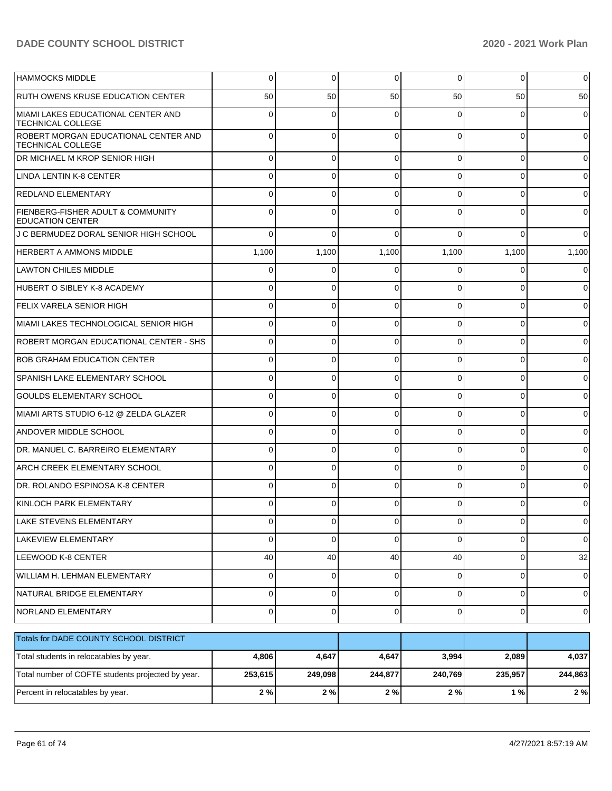| <b>HAMMOCKS MIDDLE</b>                                           | 0       | 0           | 0           | $\overline{0}$ | 0            | 0           |
|------------------------------------------------------------------|---------|-------------|-------------|----------------|--------------|-------------|
| <b>RUTH OWENS KRUSE EDUCATION CENTER</b>                         | 50      | 50          | 50          | 50             | 50           | 50          |
| MIAMI LAKES EDUCATIONAL CENTER AND<br><b>TECHNICAL COLLEGE</b>   | 0       | 0           |             | 0              | 0            |             |
| ROBERT MORGAN EDUCATIONAL CENTER AND<br><b>TECHNICAL COLLEGE</b> | 0       | $\Omega$    | $\Omega$    | $\Omega$       | $\Omega$     | $\Omega$    |
| DR MICHAEL M KROP SENIOR HIGH                                    | 0       | 0           | O           | 0              | 0            |             |
| LINDA LENTIN K-8 CENTER                                          |         | 0           |             | $\Omega$       | 0            |             |
| <b>REDLAND ELEMENTARY</b>                                        |         | 0           |             | U              | 0            |             |
| FIENBERG-FISHER ADULT & COMMUNITY<br><b>EDUCATION CENTER</b>     |         | 0           |             |                |              |             |
| J C BERMUDEZ DORAL SENIOR HIGH SCHOOL                            | 0       | $\Omega$    |             | $\Omega$       | 0            |             |
| <b>HERBERT A AMMONS MIDDLE</b>                                   | 1,100   | 1,100       | 1,100       | 1,100          | 1,100        | 1,100       |
| <b>LAWTON CHILES MIDDLE</b>                                      | 0       | 0           | 0           | $\Omega$       | 0            |             |
| HUBERT O SIBLEY K-8 ACADEMY                                      | 0       | 0           | ∩           | $\Omega$       | 0            |             |
| <b>FELIX VARELA SENIOR HIGH</b>                                  | 0       | 0           | $\Omega$    | $\Omega$       | 0            |             |
| MIAMI LAKES TECHNOLOGICAL SENIOR HIGH                            | 0       | 0           | 0           | $\Omega$       | 0            | 0           |
| ROBERT MORGAN EDUCATIONAL CENTER - SHS                           | 0       | 0           | $\Omega$    | $\Omega$       | 0            | 0           |
| <b>BOB GRAHAM EDUCATION CENTER</b>                               | 0       | 0           | $\Omega$    | $\Omega$       | 0            |             |
| <b>SPANISH LAKE ELEMENTARY SCHOOL</b>                            | 0       | 0           | $\Omega$    | $\Omega$       | 0            |             |
| <b>GOULDS ELEMENTARY SCHOOL</b>                                  | 0       | 0           | 0           | $\Omega$       | 0            |             |
| MIAMI ARTS STUDIO 6-12 @ ZELDA GLAZER                            | 0       | 0           | $\Omega$    | $\Omega$       | 0            |             |
| <b>ANDOVER MIDDLE SCHOOL</b>                                     | 0       | 0           | $\Omega$    | $\Omega$       | 0            |             |
| DR. MANUEL C. BARREIRO ELEMENTARY                                | 0       | 0           | $\Omega$    | $\Omega$       | 0            |             |
| <b>ARCH CREEK ELEMENTARY SCHOOL</b>                              | 0       | 0           | $\Omega$    | $\Omega$       | 0            |             |
| DR. ROLANDO ESPINOSA K-8 CENTER                                  | 0       | 0           | $\Omega$    | $\Omega$       | 0            |             |
| KINLOCH PARK ELEMENTARY                                          | 0       | 0           | ∩           | 0              | 0            |             |
| LAKE STEVENS ELEMENTARY                                          | U.      | υ           | U.          | υı             | <sub>U</sub> | U           |
| LAKEVIEW ELEMENTARY                                              | 0       | $\mathbf 0$ | $\Omega$    | $\overline{0}$ | 0            | $\mathbf 0$ |
| LEEWOOD K-8 CENTER                                               | 40      | 40          | 40          | 40             | 0            | 32          |
| WILLIAM H. LEHMAN ELEMENTARY                                     | 0       | 0           | 0           | $\overline{0}$ | 0            | 0           |
| NATURAL BRIDGE ELEMENTARY                                        | 0       | 0           | $\mathbf 0$ | $\overline{0}$ | 0            | 0           |
| NORLAND ELEMENTARY                                               | 0       | 0           | 0           | $\overline{0}$ | $\pmb{0}$    | 0           |
| Totals for DADE COUNTY SCHOOL DISTRICT                           |         |             |             |                |              |             |
| Total students in relocatables by year.                          | 4,806   | 4,647       | 4,647       | 3,994          | 2,089        | 4,037       |
| Total number of COFTE students projected by year.                | 253,615 | 249,098     | 244,877     | 240,769        | 235,957      | 244,863     |
| Percent in relocatables by year.                                 | $2\%$   | 2%          | $2\%$       | $2\%$          | $1%$         | $2\%$       |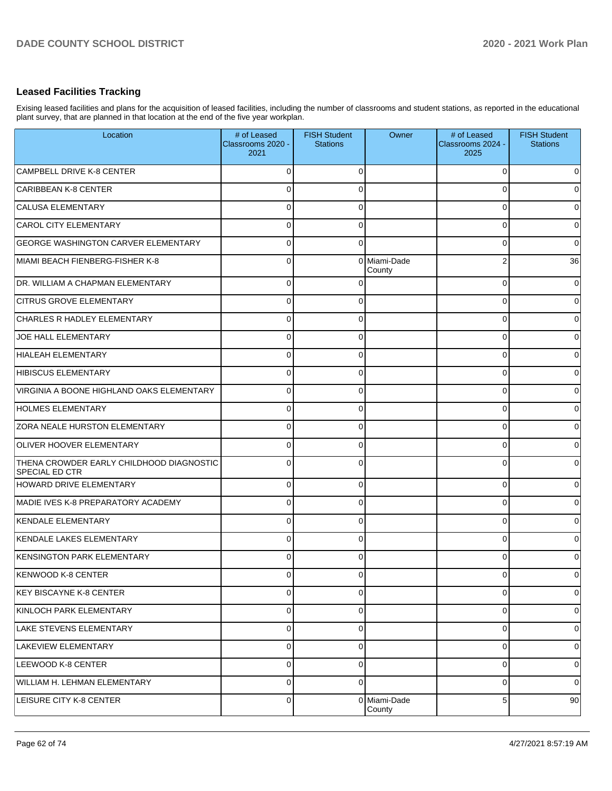## **Leased Facilities Tracking**

Exising leased facilities and plans for the acquisition of leased facilities, including the number of classrooms and student stations, as reported in the educational plant survey, that are planned in that location at the end of the five year workplan.

| Location                                                          | # of Leased<br>Classrooms 2020 -<br>2021 | <b>FISH Student</b><br><b>Stations</b> | Owner                  | # of Leased<br>Classrooms 2024 -<br>2025 | <b>FISH Student</b><br><b>Stations</b> |
|-------------------------------------------------------------------|------------------------------------------|----------------------------------------|------------------------|------------------------------------------|----------------------------------------|
| CAMPBELL DRIVE K-8 CENTER                                         | 0                                        | $\Omega$                               |                        | $\Omega$                                 | $\mathbf 0$                            |
| CARIBBEAN K-8 CENTER                                              | 0                                        | $\Omega$                               |                        | 0                                        | $\mathbf 0$                            |
| CALUSA ELEMENTARY                                                 | 0                                        | $\Omega$                               |                        | 0                                        | $\mathbf 0$                            |
| CAROL CITY ELEMENTARY                                             | 0                                        | $\Omega$                               |                        | 0                                        | $\mathbf 0$                            |
| <b>GEORGE WASHINGTON CARVER ELEMENTARY</b>                        | 0                                        | $\Omega$                               |                        | 0                                        | $\mathbf 0$                            |
| MIAMI BEACH FIENBERG-FISHER K-8                                   | $\mathbf 0$                              | $\Omega$                               | Miami-Dade<br>County   | 2                                        | 36                                     |
| DR. WILLIAM A CHAPMAN ELEMENTARY                                  | $\overline{0}$                           | 0                                      |                        | 0                                        | $\overline{0}$                         |
| <b>CITRUS GROVE ELEMENTARY</b>                                    | $\overline{0}$                           | $\Omega$                               |                        | $\Omega$                                 | $\overline{0}$                         |
| <b>CHARLES R HADLEY ELEMENTARY</b>                                | $\overline{0}$                           | $\Omega$                               |                        | 0                                        | $\overline{0}$                         |
| JOE HALL ELEMENTARY                                               | $\Omega$                                 | $\Omega$                               |                        | 0                                        | $\overline{0}$                         |
| <b>HIALEAH ELEMENTARY</b>                                         | $\overline{0}$                           | $\Omega$                               |                        | 0                                        | $\overline{0}$                         |
| HIBISCUS ELEMENTARY                                               | $\overline{0}$                           | $\Omega$                               |                        | 0                                        | $\overline{0}$                         |
| VIRGINIA A BOONE HIGHLAND OAKS ELEMENTARY                         | $\overline{0}$                           | $\Omega$                               |                        | 0                                        | $\overline{0}$                         |
| <b>HOLMES ELEMENTARY</b>                                          | $\overline{0}$                           | $\Omega$                               |                        | 0                                        | $\overline{0}$                         |
| <b>ZORA NEALE HURSTON ELEMENTARY</b>                              | $\overline{0}$                           | $\Omega$                               |                        | 0                                        | $\overline{0}$                         |
| <b>OLIVER HOOVER ELEMENTARY</b>                                   | $\Omega$                                 | $\Omega$                               |                        | 0                                        | $\overline{0}$                         |
| THENA CROWDER EARLY CHILDHOOD DIAGNOSTIC<br><b>SPECIAL ED CTR</b> | $\Omega$                                 | $\Omega$                               |                        | 0                                        | $\overline{0}$                         |
| HOWARD DRIVE ELEMENTARY                                           | $\overline{0}$                           | $\Omega$                               |                        | $\Omega$                                 | $\overline{0}$                         |
| MADIE IVES K-8 PREPARATORY ACADEMY                                | $\Omega$                                 | $\Omega$                               |                        | $\Omega$                                 | $\overline{0}$                         |
| KENDALE ELEMENTARY                                                | $\overline{0}$                           | $\Omega$                               |                        | $\Omega$                                 | $\overline{0}$                         |
| KENDALE LAKES ELEMENTARY                                          | $\Omega$                                 | $\Omega$                               |                        | $\Omega$                                 | $\overline{0}$                         |
| <b>KENSINGTON PARK ELEMENTARY</b>                                 | $\Omega$                                 | $\Omega$                               |                        | $\Omega$                                 | $\overline{0}$                         |
| KENWOOD K-8 CENTER                                                | v                                        |                                        |                        |                                          | $\mathbf 0$                            |
| KEY BISCAYNE K-8 CENTER                                           | $\overline{0}$                           | $\Omega$                               |                        | $\Omega$                                 | $\overline{0}$                         |
| KINLOCH PARK ELEMENTARY                                           | $\overline{0}$                           | $\Omega$                               |                        | $\Omega$                                 | $\overline{0}$                         |
| LAKE STEVENS ELEMENTARY                                           | $\overline{0}$                           | $\Omega$                               |                        | $\Omega$                                 | $\overline{0}$                         |
| LAKEVIEW ELEMENTARY                                               | $\overline{0}$                           | $\Omega$                               |                        | $\Omega$                                 | $\overline{0}$                         |
| LEEWOOD K-8 CENTER                                                | $\overline{0}$                           | $\Omega$                               |                        | $\Omega$                                 | $\overline{0}$                         |
| WILLIAM H. LEHMAN ELEMENTARY                                      | $\overline{0}$                           | $\Omega$                               |                        | $\Omega$                                 | $\overline{0}$                         |
| <b>LEISURE CITY K-8 CENTER</b>                                    | $\overline{0}$                           |                                        | 0 Miami-Dade<br>County | 5                                        | 90                                     |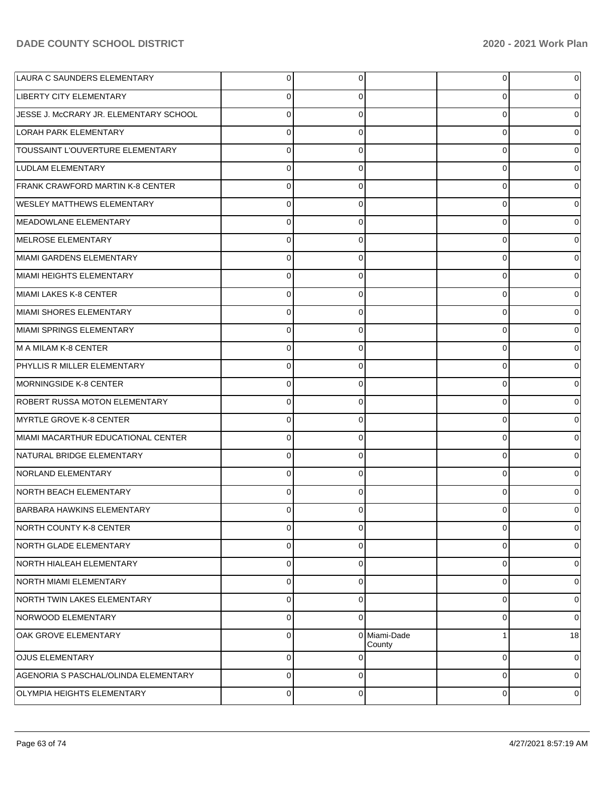| LAURA C SAUNDERS ELEMENTARY            | 0              | 0              |                        | 0              | 0  |
|----------------------------------------|----------------|----------------|------------------------|----------------|----|
| LIBERTY CITY ELEMENTARY                | 0              | 0              |                        | 0              |    |
| JESSE J. McCRARY JR. ELEMENTARY SCHOOL | $\Omega$       | 0              |                        | 0              |    |
| LORAH PARK ELEMENTARY                  | $\Omega$       | 0              |                        | 0              | 0  |
| TOUSSAINT L'OUVERTURE ELEMENTARY       | $\Omega$       | 0              |                        | 0              |    |
| LUDLAM ELEMENTARY                      | 0              | 0              |                        | 0              | 0  |
| FRANK CRAWFORD MARTIN K-8 CENTER       | $\Omega$       | 0              |                        | 0              |    |
| <b>WESLEY MATTHEWS ELEMENTARY</b>      | 0              | 0              |                        | 0              | 0  |
| MEADOWLANE ELEMENTARY                  | $\Omega$       | 0              |                        | 0              |    |
| MELROSE ELEMENTARY                     | $\Omega$       | $\Omega$       |                        | 0              | 0  |
| MIAMI GARDENS ELEMENTARY               | $\Omega$       | 0              |                        | 0              |    |
| MIAMI HEIGHTS ELEMENTARY               | 0              | 0              |                        | 0              | 0  |
| MIAMI LAKES K-8 CENTER                 | $\Omega$       | 0              |                        | 0              |    |
| MIAMI SHORES ELEMENTARY                | $\Omega$       | $\Omega$       |                        | 0              | 0  |
| MIAMI SPRINGS ELEMENTARY               | $\Omega$       | 0              |                        | 0              |    |
| M A MILAM K-8 CENTER                   | $\Omega$       | $\Omega$       |                        | 0              | 0  |
| PHYLLIS R MILLER ELEMENTARY            | $\Omega$       | 0              |                        | 0              |    |
| MORNINGSIDE K-8 CENTER                 | 0              | 0              |                        | 0              | 0  |
| ROBERT RUSSA MOTON ELEMENTARY          | $\Omega$       | 0              |                        | 0              |    |
| MYRTLE GROVE K-8 CENTER                | $\Omega$       | $\Omega$       |                        | 0              | 0  |
| MIAMI MACARTHUR EDUCATIONAL CENTER     | $\Omega$       | 0              |                        | 0              |    |
| NATURAL BRIDGE ELEMENTARY              | $\Omega$       | $\Omega$       |                        | 0              | 0  |
| NORLAND ELEMENTARY                     | 0              | 0              |                        | $\Omega$       |    |
| NORTH BEACH ELEMENTARY                 | $\Omega$       | $\Omega$       |                        | $\Omega$       |    |
| <b>BARBARA HAWKINS ELEMENTARY</b>      |                | $\Omega$       |                        | O              |    |
| NORTH COUNTY K-8 CENTER                | $\overline{0}$ | $\overline{0}$ |                        | $\overline{0}$ | 0  |
| NORTH GLADE ELEMENTARY                 | $\Omega$       | 0              |                        | 0              | 0  |
| NORTH HIALEAH ELEMENTARY               | $\Omega$       | $\Omega$       |                        | 0              | 0  |
| NORTH MIAMI ELEMENTARY                 | $\Omega$       | $\Omega$       |                        | 0              | 0  |
| NORTH TWIN LAKES ELEMENTARY            | $\Omega$       | $\Omega$       |                        | 0              | 0  |
| NORWOOD ELEMENTARY                     | $\Omega$       | $\Omega$       |                        | 0              | 0  |
| OAK GROVE ELEMENTARY                   | $\Omega$       |                | 0 Miami-Dade<br>County | 1              | 18 |
| <b>OJUS ELEMENTARY</b>                 | $\Omega$       | $\Omega$       |                        | $\mathbf 0$    | 0  |
| AGENORIA S PASCHAL/OLINDA ELEMENTARY   | $\Omega$       | $\Omega$       |                        | $\mathbf 0$    | 0  |
| OLYMPIA HEIGHTS ELEMENTARY             | 0              | $\mathbf 0$    |                        | $\mathbf 0$    | 0  |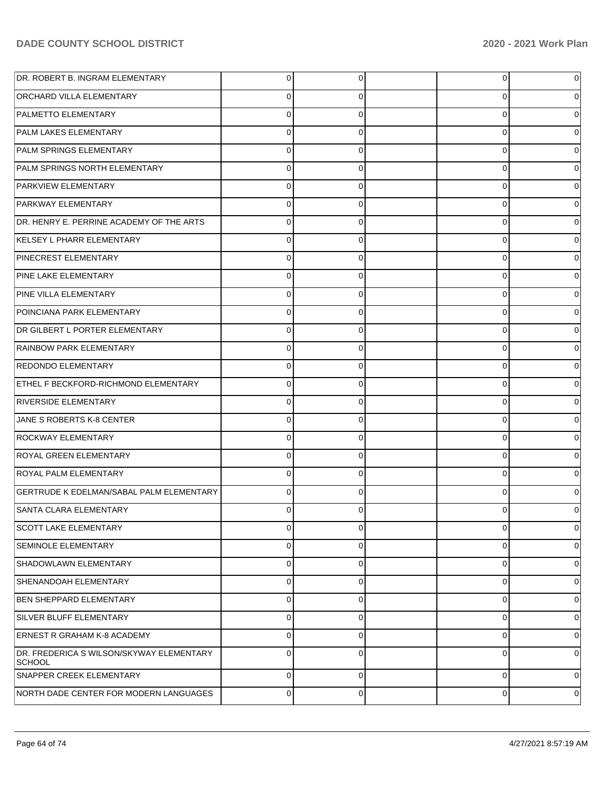| DR. ROBERT B. INGRAM ELEMENTARY                           | 0              | 0              | 0           | 0 |
|-----------------------------------------------------------|----------------|----------------|-------------|---|
| <b>ORCHARD VILLA ELEMENTARY</b>                           | 0              | 0              | 0           |   |
| PALMETTO ELEMENTARY                                       | $\Omega$       | 0              | 0           |   |
| PALM LAKES ELEMENTARY                                     | 0              | 0              | 0           | 0 |
| PALM SPRINGS ELEMENTARY                                   | $\Omega$       | 0              | 0           |   |
| PALM SPRINGS NORTH ELEMENTARY                             | 0              | 0              | 0           | 0 |
| PARKVIEW ELEMENTARY                                       | 0              | 0              | 0           |   |
| <b>PARKWAY ELEMENTARY</b>                                 | 0              | 0              | 0           | 0 |
| DR. HENRY E. PERRINE ACADEMY OF THE ARTS                  | $\Omega$       | 0              | 0           |   |
| KELSEY L PHARR ELEMENTARY                                 | 0              | 0              | 0           | 0 |
| PINECREST ELEMENTARY                                      | 0              | 0              | 0           |   |
| PINE LAKE ELEMENTARY                                      | 0              | 0              | 0           | 0 |
| PINE VILLA ELEMENTARY                                     | 0              | 0              | 0           |   |
| POINCIANA PARK ELEMENTARY                                 | 0              | 0              | 0           | 0 |
| DR GILBERT L PORTER ELEMENTARY                            | 0              | 0              | 0           |   |
| RAINBOW PARK ELEMENTARY                                   | 0              | $\Omega$       | 0           | 0 |
| <b>REDONDO ELEMENTARY</b>                                 | 0              | 0              | 0           |   |
| ETHEL F BECKFORD-RICHMOND ELEMENTARY                      | 0              | 0              | 0           | 0 |
| <b>RIVERSIDE ELEMENTARY</b>                               | 0              | 0              | 0           |   |
| JANE S ROBERTS K-8 CENTER                                 | 0              | $\Omega$       | 0           | 0 |
| <b>ROCKWAY ELEMENTARY</b>                                 | 0              | 0              | 0           |   |
| ROYAL GREEN ELEMENTARY                                    | 0              | $\Omega$       | 0           | 0 |
| <b>ROYAL PALM ELEMENTARY</b>                              | 0              | 0              | $\Omega$    |   |
| GERTRUDE K EDELMAN/SABAL PALM ELEMENTARY                  | 0              | 0              | 0           |   |
| SANTA CLARA ELEMENTARY                                    |                | 0              | O           |   |
| SCOTT LAKE ELEMENTARY                                     | $\overline{0}$ | $\overline{0}$ | 0           | 0 |
| <b>SEMINOLE ELEMENTARY</b>                                | $\Omega$       | $\Omega$       | 0           | 0 |
| SHADOWLAWN ELEMENTARY                                     | $\Omega$       | $\Omega$       | 0           | 0 |
| SHENANDOAH ELEMENTARY                                     | $\Omega$       | $\Omega$       | 0           | 0 |
| <b>BEN SHEPPARD ELEMENTARY</b>                            | $\Omega$       | $\Omega$       | 0           | 0 |
| SILVER BLUFF ELEMENTARY                                   | $\Omega$       | $\Omega$       | 0           | 0 |
| <b>ERNEST R GRAHAM K-8 ACADEMY</b>                        | $\Omega$       | $\Omega$       | 0           | 0 |
| DR. FREDERICA S WILSON/SKYWAY ELEMENTARY<br><b>SCHOOL</b> | $\Omega$       | $\Omega$       | 0           | 0 |
| SNAPPER CREEK ELEMENTARY                                  | $\Omega$       | $\Omega$       | $\mathbf 0$ | 0 |
| NORTH DADE CENTER FOR MODERN LANGUAGES                    | 0              | $\overline{0}$ | 0           | 0 |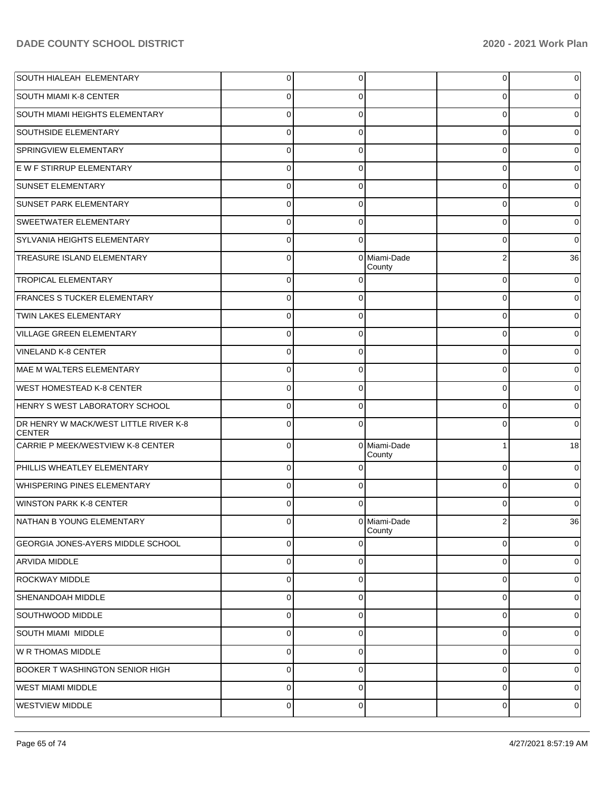| SOUTH HIALEAH ELEMENTARY                               | $\overline{0}$ | 0           |                        | $\overline{0}$ | 0        |
|--------------------------------------------------------|----------------|-------------|------------------------|----------------|----------|
| <b>SOUTH MIAMI K-8 CENTER</b>                          | 0              | 0           |                        | 0              | 0        |
| SOUTH MIAMI HEIGHTS ELEMENTARY                         | $\mathbf 0$    | $\Omega$    |                        | 0              | $\Omega$ |
| SOUTHSIDE ELEMENTARY                                   | $\mathbf 0$    | 0           |                        | 0              | 0        |
| SPRINGVIEW ELEMENTARY                                  | $\mathbf 0$    | $\Omega$    |                        | 0              | 0        |
| E W F STIRRUP ELEMENTARY                               | $\mathbf 0$    | 0           |                        | 0              | 0        |
| <b>SUNSET ELEMENTARY</b>                               | $\mathbf 0$    | $\Omega$    |                        | 0              | 0        |
| SUNSET PARK ELEMENTARY                                 | $\mathbf 0$    | 0           |                        | 0              | 0        |
| SWEETWATER ELEMENTARY                                  | $\mathbf 0$    | $\Omega$    |                        | $\Omega$       | $\Omega$ |
| SYLVANIA HEIGHTS ELEMENTARY                            | $\mathbf 0$    | $\Omega$    |                        | 0              | $\Omega$ |
| TREASURE ISLAND ELEMENTARY                             | $\Omega$       |             | 0 Miami-Dade<br>County | 2              | 36       |
| <b>TROPICAL ELEMENTARY</b>                             | $\mathbf 0$    | $\Omega$    |                        | $\mathbf 0$    | 0        |
| FRANCES S TUCKER ELEMENTARY                            | $\mathbf 0$    | $\Omega$    |                        | $\mathbf 0$    | 0        |
| TWIN LAKES ELEMENTARY                                  | $\mathbf 0$    | $\Omega$    |                        | $\Omega$       |          |
| VILLAGE GREEN ELEMENTARY                               | $\mathbf 0$    | 0           |                        | 0              | 0        |
| <b>VINELAND K-8 CENTER</b>                             | $\mathbf 0$    | $\Omega$    |                        | $\Omega$       |          |
| MAE M WALTERS ELEMENTARY                               | $\mathbf 0$    | 0           |                        | $\mathbf 0$    | 0        |
| <b>WEST HOMESTEAD K-8 CENTER</b>                       | $\Omega$       | $\Omega$    |                        | $\Omega$       |          |
| HENRY SWEST LABORATORY SCHOOL                          | $\mathbf 0$    | 0           |                        | 0              | 0        |
| DR HENRY W MACK/WEST LITTLE RIVER K-8<br><b>CENTER</b> | $\Omega$       | $\Omega$    |                        | $\Omega$       | 0        |
| CARRIE P MEEK/WESTVIEW K-8 CENTER                      | 0              | $\mathbf 0$ | Miami-Dade<br>County   | 1              | 18       |
| PHILLIS WHEATLEY ELEMENTARY                            | $\mathbf 0$    | 0           |                        | $\mathbf 0$    | 0        |
| <b>WHISPERING PINES ELEMENTARY</b>                     | $\Omega$       | 0           |                        | $\Omega$       | 0        |
| <b>WINSTON PARK K-8 CENTER</b>                         | $\Omega$       | 0           |                        | 0              | 0        |
| NATHAN B YOUNG ELEMENTARY                              | $\cup$         |             | 0 Miami-Dade<br>County | $\mathbf{z}$   | 36       |
| <b>GEORGIA JONES-AYERS MIDDLE SCHOOL</b>               | $\mathbf 0$    | $\Omega$    |                        | 0              | 0        |
| <b>ARVIDA MIDDLE</b>                                   | $\mathbf 0$    | 0           |                        | 0              | 0        |
| <b>ROCKWAY MIDDLE</b>                                  | $\mathbf 0$    | $\Omega$    |                        | 0              | 0        |
| SHENANDOAH MIDDLE                                      | $\mathbf 0$    | 0           |                        | 0              | 0        |
| SOUTHWOOD MIDDLE                                       | $\mathbf 0$    | $\Omega$    |                        | 0              | 0        |
| <b>SOUTH MIAMI MIDDLE</b>                              | $\mathbf 0$    | 0           |                        | 0              | 0        |
| W R THOMAS MIDDLE                                      | $\mathbf 0$    | 0           |                        | 0              | 0        |
| <b>BOOKER T WASHINGTON SENIOR HIGH</b>                 | $\mathbf 0$    | 0           |                        | 0              | 0        |
| <b>WEST MIAMI MIDDLE</b>                               | $\mathbf 0$    | $\Omega$    |                        | 0              | 0        |
| <b>WESTVIEW MIDDLE</b>                                 | $\pmb{0}$      | 0           |                        | 0              | 0        |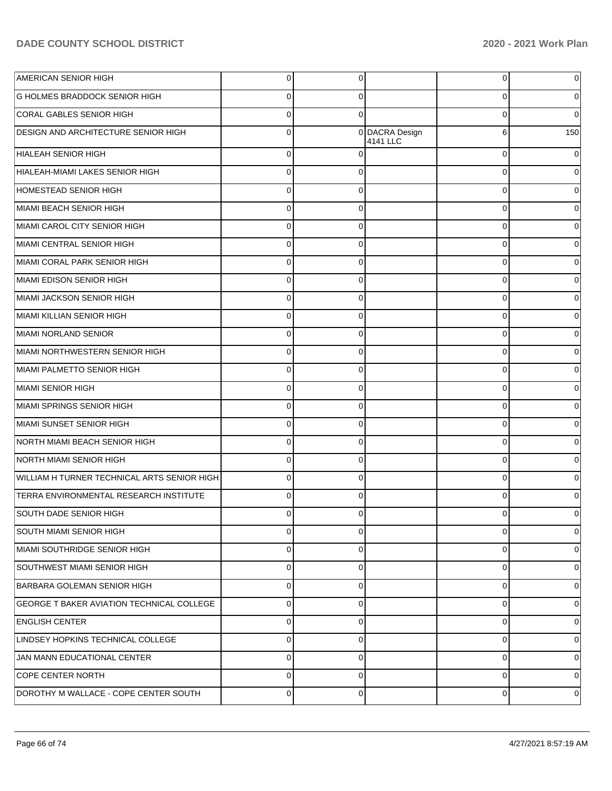| AMERICAN SENIOR HIGH                             | $\mathbf 0$ | 0        |                            | 0        | $\Omega$    |
|--------------------------------------------------|-------------|----------|----------------------------|----------|-------------|
| <b>G HOLMES BRADDOCK SENIOR HIGH</b>             | $\Omega$    | 0        |                            | 0        | 0           |
| <b>CORAL GABLES SENIOR HIGH</b>                  | $\Omega$    | $\Omega$ |                            | 0        | $\Omega$    |
| DESIGN AND ARCHITECTURE SENIOR HIGH              | $\mathbf 0$ |          | 0 DACRA Design<br>4141 LLC | 6        | 150         |
| HIALEAH SENIOR HIGH                              | $\Omega$    | $\Omega$ |                            | $\Omega$ | 0           |
| HIALEAH-MIAMI LAKES SENIOR HIGH                  | $\Omega$    | $\Omega$ |                            | $\Omega$ | $\Omega$    |
| HOMESTEAD SENIOR HIGH                            | $\Omega$    | $\Omega$ |                            | $\Omega$ | 0           |
| MIAMI BEACH SENIOR HIGH                          | $\Omega$    | $\Omega$ |                            | 0        | 0           |
| MIAMI CAROL CITY SENIOR HIGH                     | $\Omega$    | $\Omega$ |                            | 0        | 0           |
| MIAMI CENTRAL SENIOR HIGH                        | $\Omega$    | $\Omega$ |                            | 0        | 0           |
| MIAMI CORAL PARK SENIOR HIGH                     | $\Omega$    | $\Omega$ |                            | 0        | 0           |
| MIAMI EDISON SENIOR HIGH                         | $\Omega$    | $\Omega$ |                            | 0        | 0           |
| MIAMI JACKSON SENIOR HIGH                        | $\Omega$    | $\Omega$ |                            | $\Omega$ | 0           |
| MIAMI KILLIAN SENIOR HIGH                        | $\Omega$    | $\Omega$ |                            | 0        | 0           |
| MIAMI NORLAND SENIOR                             | $\Omega$    | $\Omega$ |                            | 0        | 0           |
| MIAMI NORTHWESTERN SENIOR HIGH                   | $\Omega$    | $\Omega$ |                            | 0        | 0           |
| MIAMI PALMETTO SENIOR HIGH                       | $\Omega$    | $\Omega$ |                            | 0        | 0           |
| MIAMI SENIOR HIGH                                | $\Omega$    | $\Omega$ |                            | 0        | 0           |
| MIAMI SPRINGS SENIOR HIGH                        | $\Omega$    | $\Omega$ |                            | $\Omega$ | 0           |
| MIAMI SUNSET SENIOR HIGH                         | $\Omega$    | $\Omega$ |                            | 0        | 0           |
| NORTH MIAMI BEACH SENIOR HIGH                    | $\Omega$    | $\Omega$ |                            | 0        | 0           |
| <b>NORTH MIAMI SENIOR HIGH</b>                   | $\Omega$    | $\Omega$ |                            | 0        | 0           |
| WILLIAM H TURNER TECHNICAL ARTS SENIOR HIGH      | $\Omega$    | $\Omega$ |                            | 0        | 0           |
| TERRA ENVIRONMENTAL RESEARCH INSTITUTE           | $\Omega$    | $\Omega$ |                            | 0        | 0           |
| SOUTH DADE SENIOR HIGH                           | $\Omega$    | 0        |                            | 0        | 0           |
| SOUTH MIAMI SENIOR HIGH                          | $\Omega$    | $\Omega$ |                            | 0        | $\mathbf 0$ |
| MIAMI SOUTHRIDGE SENIOR HIGH                     | $\Omega$    | $\Omega$ |                            | $\Omega$ | 0           |
| SOUTHWEST MIAMI SENIOR HIGH                      | $\Omega$    | $\Omega$ |                            | $\Omega$ | 0           |
| BARBARA GOLEMAN SENIOR HIGH                      | $\Omega$    | $\Omega$ |                            | 0        | 0           |
| <b>GEORGE T BAKER AVIATION TECHNICAL COLLEGE</b> | $\Omega$    | $\Omega$ |                            | $\Omega$ | 0           |
| <b>ENGLISH CENTER</b>                            | $\Omega$    | $\Omega$ |                            | 0        | 0           |
| LINDSEY HOPKINS TECHNICAL COLLEGE                | $\Omega$    | $\Omega$ |                            | $\Omega$ | 0           |
| JAN MANN EDUCATIONAL CENTER                      | $\Omega$    | $\Omega$ |                            | 0        | 0           |
| <b>COPE CENTER NORTH</b>                         | $\Omega$    | $\Omega$ |                            | $\Omega$ | 0           |
| DOROTHY M WALLACE - COPE CENTER SOUTH            | $\mathbf 0$ | $\Omega$ |                            | 0        | 0           |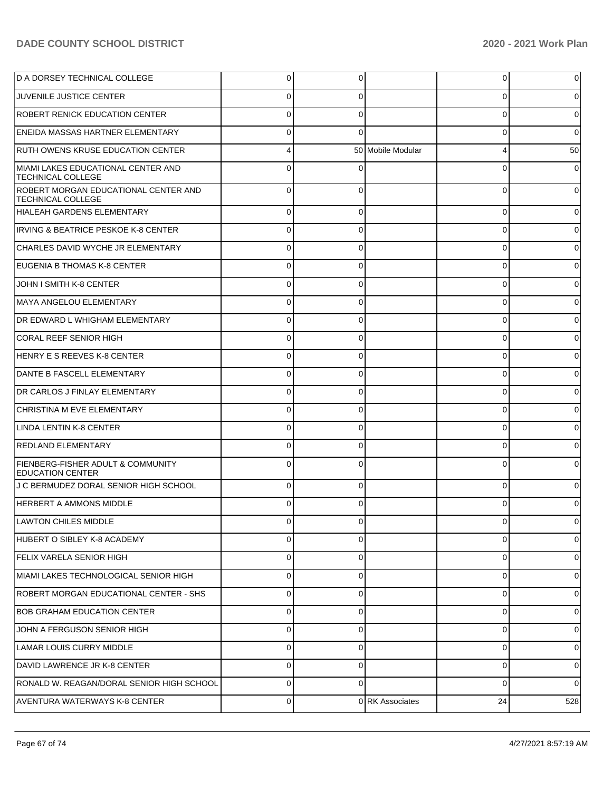| D A DORSEY TECHNICAL COLLEGE                                            | 0           | 0        |                   | $\overline{0}$ | 0        |
|-------------------------------------------------------------------------|-------------|----------|-------------------|----------------|----------|
| <b>JUVENILE JUSTICE CENTER</b>                                          | 0           | 0        |                   | 0              | 0        |
| <b>ROBERT RENICK EDUCATION CENTER</b>                                   | 0           | 0        |                   | 0              | 0        |
| ENEIDA MASSAS HARTNER ELEMENTARY                                        | 0           | 0        |                   | 0              | 0        |
| <b>RUTH OWENS KRUSE EDUCATION CENTER</b>                                | 4           |          | 50 Mobile Modular | 4              | 50       |
| MIAMI LAKES EDUCATIONAL CENTER AND<br><b>TECHNICAL COLLEGE</b>          | $\Omega$    | U        |                   | 0              | $\Omega$ |
| ROBERT MORGAN EDUCATIONAL CENTER AND<br><b>TECHNICAL COLLEGE</b>        | $\Omega$    | 0        |                   | 0              | $\Omega$ |
| HIALEAH GARDENS ELEMENTARY                                              | 0           |          |                   | 0              |          |
| <b>IRVING &amp; BEATRICE PESKOE K-8 CENTER</b>                          | U           |          |                   | 0              |          |
| CHARLES DAVID WYCHE JR ELEMENTARY                                       |             |          |                   | 0              |          |
| EUGENIA B THOMAS K-8 CENTER                                             |             |          |                   | 0              |          |
| JOHN I SMITH K-8 CENTER                                                 |             |          |                   | 0              |          |
| MAYA ANGELOU ELEMENTARY                                                 | U           |          |                   | 0              |          |
| DR EDWARD L WHIGHAM ELEMENTARY                                          |             |          |                   | 0              |          |
| CORAL REEF SENIOR HIGH                                                  |             |          |                   | 0              |          |
| HENRY E S REEVES K-8 CENTER                                             |             |          |                   | 0              |          |
| DANTE B FASCELL ELEMENTARY                                              |             |          |                   | 0              |          |
| DR CARLOS J FINLAY ELEMENTARY                                           |             |          |                   | 0              |          |
| CHRISTINA M EVE ELEMENTARY                                              | U           |          |                   | 0              |          |
| LINDA LENTIN K-8 CENTER                                                 |             |          |                   | 0              |          |
| <b>REDLAND ELEMENTARY</b>                                               | U           |          |                   | 0              |          |
| <b>FIENBERG-FISHER ADULT &amp; COMMUNITY</b><br><b>EDUCATION CENTER</b> |             |          |                   | 0              |          |
| J C BERMUDEZ DORAL SENIOR HIGH SCHOOL                                   | $\Omega$    | 0        |                   | 0              | 0        |
| <b>HERBERT A AMMONS MIDDLE</b>                                          | 0           | $\Omega$ |                   | 0              | 0        |
| LAWTON CHILES MIDDLE                                                    | U           | 0        |                   | υı             | υı       |
| HUBERT O SIBLEY K-8 ACADEMY                                             | $\Omega$    | 0        |                   | $\Omega$       | 0        |
| <b>FELIX VARELA SENIOR HIGH</b>                                         | 0           | 0        |                   | 0              | 0        |
| MIAMI LAKES TECHNOLOGICAL SENIOR HIGH                                   | 0           | 0        |                   | 0              | $\Omega$ |
| ROBERT MORGAN EDUCATIONAL CENTER - SHS                                  | $\Omega$    | 0        |                   | $\mathbf 0$    | 0        |
| <b>BOB GRAHAM EDUCATION CENTER</b>                                      | $\Omega$    | $\Omega$ |                   | 0              | $\Omega$ |
| JOHN A FERGUSON SENIOR HIGH                                             | $\Omega$    | 0        |                   | 0              | 0        |
| LAMAR LOUIS CURRY MIDDLE                                                | 0           | 0        |                   | 0              | $\Omega$ |
| DAVID LAWRENCE JR K-8 CENTER                                            | 0           | $\Omega$ |                   | 0              | 0        |
| RONALD W. REAGAN/DORAL SENIOR HIGH SCHOOL                               | 0           | $\Omega$ |                   | $\Omega$       | $\Omega$ |
| AVENTURA WATERWAYS K-8 CENTER                                           | $\mathbf 0$ |          | 0 RK Associates   | 24             | 528      |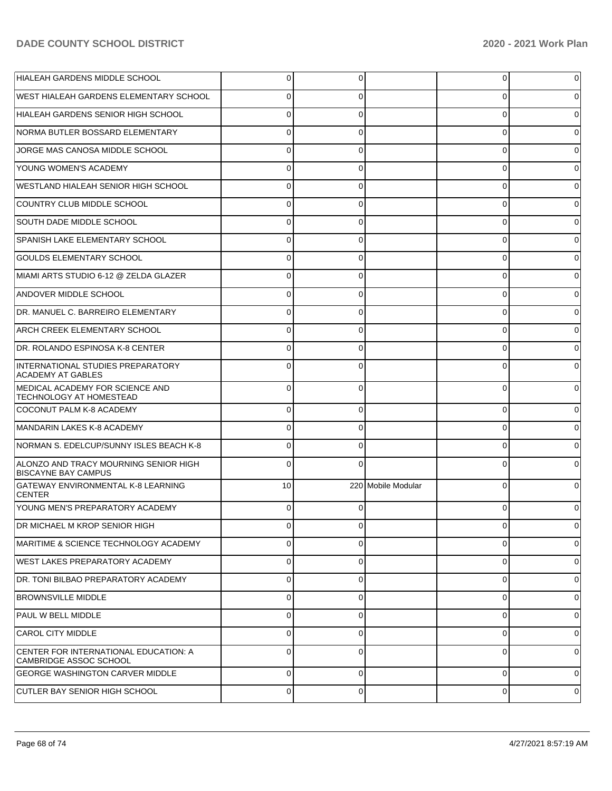| <b>HIALEAH GARDENS MIDDLE SCHOOL</b>                                   | 0           | 0        |                    | 0              | 0              |
|------------------------------------------------------------------------|-------------|----------|--------------------|----------------|----------------|
| WEST HIALEAH GARDENS ELEMENTARY SCHOOL                                 | 0           | 0        |                    | 0              | 0              |
| HIALEAH GARDENS SENIOR HIGH SCHOOL                                     | $\Omega$    | $\Omega$ |                    | 0              |                |
| NORMA BUTLER BOSSARD ELEMENTARY                                        | 0           | 0        |                    | 0              | 0              |
| JORGE MAS CANOSA MIDDLE SCHOOL                                         | $\Omega$    | $\Omega$ |                    | 0              |                |
| YOUNG WOMEN'S ACADEMY                                                  | 0           | 0        |                    | 0              | 0              |
| WESTLAND HIALEAH SENIOR HIGH SCHOOL                                    | $\Omega$    | $\Omega$ |                    | 0              |                |
| COUNTRY CLUB MIDDLE SCHOOL                                             | $\Omega$    | 0        |                    | 0              | 0              |
| SOUTH DADE MIDDLE SCHOOL                                               | $\Omega$    | $\Omega$ |                    | 0              |                |
| SPANISH LAKE ELEMENTARY SCHOOL                                         | 0           | 0        |                    | 0              | 0              |
| <b>GOULDS ELEMENTARY SCHOOL</b>                                        | $\Omega$    | $\Omega$ |                    | 0              |                |
| MIAMI ARTS STUDIO 6-12 @ ZELDA GLAZER                                  | $\Omega$    | 0        |                    | 0              | 0              |
| <b>ANDOVER MIDDLE SCHOOL</b>                                           | $\Omega$    | $\Omega$ |                    | 0              |                |
| DR. MANUEL C. BARREIRO ELEMENTARY                                      | $\Omega$    | 0        |                    | 0              | 0              |
| ARCH CREEK ELEMENTARY SCHOOL                                           | $\Omega$    | 0        |                    | 0              |                |
| DR. ROLANDO ESPINOSA K-8 CENTER                                        | 0           | 0        |                    | 0              | 0              |
| INTERNATIONAL STUDIES PREPARATORY<br><b>ACADEMY AT GABLES</b>          | U           |          |                    | $\Omega$       |                |
| MEDICAL ACADEMY FOR SCIENCE AND<br><b>TECHNOLOGY AT HOMESTEAD</b>      | $\Omega$    | $\Omega$ |                    | $\Omega$       |                |
| COCONUT PALM K-8 ACADEMY                                               | $\Omega$    | O        |                    | 0              |                |
| MANDARIN LAKES K-8 ACADEMY                                             |             |          |                    | 0              |                |
| NORMAN S. EDELCUP/SUNNY ISLES BEACH K-8                                | O           |          |                    | 0              |                |
| ALONZO AND TRACY MOURNING SENIOR HIGH<br><b>BISCAYNE BAY CAMPUS</b>    |             |          |                    | 0              |                |
| <b>GATEWAY ENVIRONMENTAL K-8 LEARNING</b><br><b>CENTER</b>             | 10          |          | 220 Mobile Modular | $\Omega$       |                |
| YOUNG MEN'S PREPARATORY ACADEMY                                        | $\Omega$    | $\Omega$ |                    | $\Omega$       |                |
| DR MICHAEL M KROP SENIOR HIGH                                          | 0           | 0        |                    | $\overline{0}$ | $\overline{0}$ |
| MARITIME & SCIENCE TECHNOLOGY ACADEMY                                  | 0           | $\Omega$ |                    | $\mathbf 0$    | 0              |
| WEST LAKES PREPARATORY ACADEMY                                         | $\mathbf 0$ | $\Omega$ |                    | $\overline{0}$ | 0              |
| DR. TONI BILBAO PREPARATORY ACADEMY                                    | 0           | $\Omega$ |                    | $\mathbf 0$    | 0              |
| <b>BROWNSVILLE MIDDLE</b>                                              | 0           | $\Omega$ |                    | $\mathbf 0$    | 0              |
| <b>PAUL W BELL MIDDLE</b>                                              | 0           | $\Omega$ |                    | $\mathbf 0$    | 0              |
| <b>CAROL CITY MIDDLE</b>                                               | 0           | $\Omega$ |                    | $\overline{0}$ | 0              |
| CENTER FOR INTERNATIONAL EDUCATION: A<br><b>CAMBRIDGE ASSOC SCHOOL</b> | $\Omega$    | $\Omega$ |                    | $\mathbf 0$    | 0              |
| <b>GEORGE WASHINGTON CARVER MIDDLE</b>                                 | $\Omega$    | 0        |                    | 0              | 0              |
| <b>CUTLER BAY SENIOR HIGH SCHOOL</b>                                   | 0           | 0        |                    | 0              | 0              |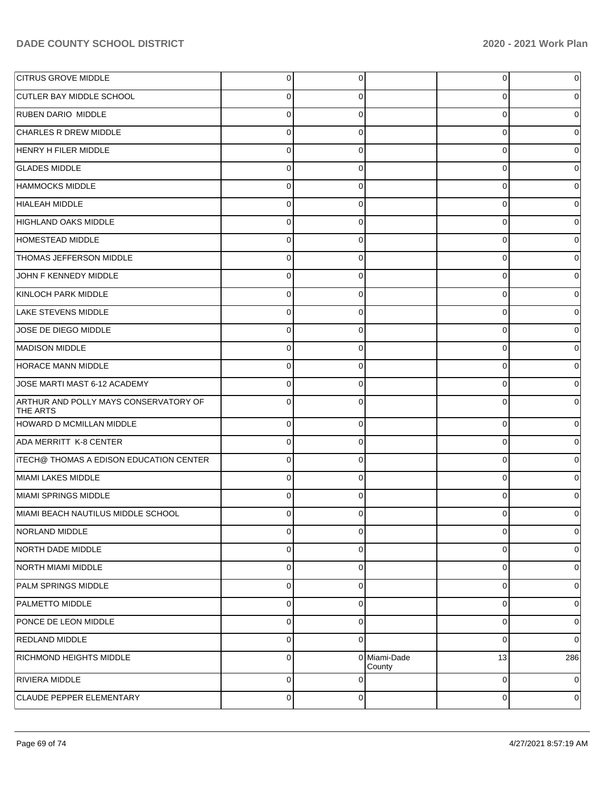| <b>CITRUS GROVE MIDDLE</b>                               | $\overline{0}$ | 0           |                        | 0           | $\overline{0}$ |
|----------------------------------------------------------|----------------|-------------|------------------------|-------------|----------------|
| <b>CUTLER BAY MIDDLE SCHOOL</b>                          | $\overline{0}$ | $\Omega$    |                        | 0           | $\overline{0}$ |
| RUBEN DARIO MIDDLE                                       | $\overline{0}$ | $\mathbf 0$ |                        | $\Omega$    | $\overline{0}$ |
| <b>CHARLES R DREW MIDDLE</b>                             | $\overline{0}$ | $\mathbf 0$ |                        | 0           | $\overline{0}$ |
| HENRY H FILER MIDDLE                                     | $\Omega$       | $\Omega$    |                        | $\Omega$    | $\overline{0}$ |
| <b>GLADES MIDDLE</b>                                     | $\overline{0}$ | $\mathbf 0$ |                        | $\Omega$    | $\overline{0}$ |
| HAMMOCKS MIDDLE                                          | $\Omega$       | $\Omega$    |                        | $\Omega$    | $\overline{0}$ |
| HIALEAH MIDDLE                                           | $\overline{0}$ | $\mathbf 0$ |                        | 0           | $\mathbf 0$    |
| HIGHLAND OAKS MIDDLE                                     | $\overline{0}$ | $\Omega$    |                        | $\Omega$    | $\overline{0}$ |
| HOMESTEAD MIDDLE                                         | $\overline{0}$ | $\mathbf 0$ |                        | 0           | $\mathbf 0$    |
| <b>THOMAS JEFFERSON MIDDLE</b>                           | $\Omega$       | $\Omega$    |                        | $\Omega$    | $\overline{0}$ |
| JOHN F KENNEDY MIDDLE                                    | $\overline{0}$ | $\mathbf 0$ |                        | $\Omega$    | $\mathbf 0$    |
| KINLOCH PARK MIDDLE                                      | $\Omega$       | $\Omega$    |                        | $\Omega$    | $\overline{0}$ |
| <b>LAKE STEVENS MIDDLE</b>                               | $\overline{0}$ | $\mathbf 0$ |                        | 0           | $\mathbf 0$    |
| JOSE DE DIEGO MIDDLE                                     | $\overline{0}$ | $\Omega$    |                        | $\Omega$    | $\overline{0}$ |
| MADISON MIDDLE                                           | $\overline{0}$ | $\mathbf 0$ |                        | 0           | $\mathbf 0$    |
| HORACE MANN MIDDLE                                       | $\Omega$       | $\Omega$    |                        | $\Omega$    | $\overline{0}$ |
| JOSE MARTI MAST 6-12 ACADEMY                             | $\overline{0}$ | $\mathbf 0$ |                        | 0           | $\overline{0}$ |
| ARTHUR AND POLLY MAYS CONSERVATORY OF<br><b>THE ARTS</b> | $\Omega$       | $\Omega$    |                        | C           | $\Omega$       |
| HOWARD D MCMILLAN MIDDLE                                 | $\overline{0}$ | $\Omega$    |                        | $\Omega$    | $\overline{0}$ |
| ADA MERRITT K-8 CENTER                                   | $\overline{0}$ | $\Omega$    |                        | $\Omega$    | $\overline{0}$ |
| <b>ITECH@ THOMAS A EDISON EDUCATION CENTER</b>           | $\overline{0}$ | $\Omega$    |                        | $\Omega$    | $\overline{0}$ |
| MIAMI LAKES MIDDLE                                       | $\overline{0}$ | $\Omega$    |                        | $\Omega$    | $\overline{0}$ |
| MIAMI SPRINGS MIDDLE                                     | $\overline{0}$ | $\Omega$    |                        | $\Omega$    | $\overline{0}$ |
| MIAMI BEACH NAUTILUS MIDDLE SCHOOL                       | $\Omega$       | $\Omega$    |                        | 0           | $\overline{0}$ |
| NORLAND MIDDLE                                           | $\overline{0}$ | $\Omega$    |                        | $\Omega$    | $\pmb{0}$      |
| NORTH DADE MIDDLE                                        | $\overline{0}$ | $\Omega$    |                        | 0           | 0              |
| NORTH MIAMI MIDDLE                                       | $\overline{0}$ | $\Omega$    |                        | $\Omega$    | 0              |
| PALM SPRINGS MIDDLE                                      | $\overline{0}$ | $\Omega$    |                        | $\mathbf 0$ | 0              |
| PALMETTO MIDDLE                                          | $\overline{0}$ | $\Omega$    |                        | $\mathbf 0$ | 0              |
| PONCE DE LEON MIDDLE                                     | $\overline{0}$ | $\mathbf 0$ |                        | 0           | 0              |
| <b>REDLAND MIDDLE</b>                                    | $\overline{0}$ | $\Omega$    |                        | $\mathbf 0$ | $\overline{0}$ |
| RICHMOND HEIGHTS MIDDLE                                  | $\overline{0}$ |             | 0 Miami-Dade<br>County | 13          | 286            |
| RIVIERA MIDDLE                                           | $\overline{0}$ | $\Omega$    |                        | 0           | $\overline{0}$ |
| CLAUDE PEPPER ELEMENTARY                                 | $\overline{0}$ | $\mathbf 0$ |                        | 0           | 0              |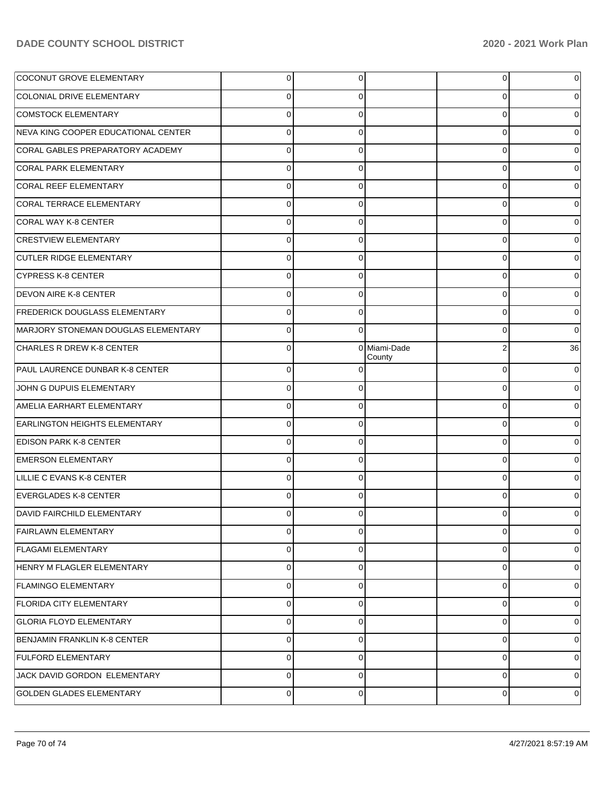| <b>COCONUT GROVE ELEMENTARY</b>      | $\overline{0}$ | $\overline{0}$ |                        | $\overline{0}$ | 0  |
|--------------------------------------|----------------|----------------|------------------------|----------------|----|
| COLONIAL DRIVE ELEMENTARY            | 0              | 0              |                        | 0              |    |
| <b>COMSTOCK ELEMENTARY</b>           | $\Omega$       | 0              |                        | 0              |    |
| NEVA KING COOPER EDUCATIONAL CENTER  | $\Omega$       | $\Omega$       |                        | 0              | 0  |
| CORAL GABLES PREPARATORY ACADEMY     | $\Omega$       | 0              |                        | 0              |    |
| <b>CORAL PARK ELEMENTARY</b>         | 0              | 0              |                        | 0              |    |
| CORAL REEF ELEMENTARY                | $\Omega$       | 0              |                        | 0              |    |
| CORAL TERRACE ELEMENTARY             | $\Omega$       | $\Omega$       |                        | 0              |    |
| CORAL WAY K-8 CENTER                 | $\Omega$       | 0              |                        | 0              |    |
| <b>CRESTVIEW ELEMENTARY</b>          | $\Omega$       | $\Omega$       |                        | 0              |    |
| <b>CUTLER RIDGE ELEMENTARY</b>       | $\Omega$       | 0              |                        | 0              |    |
| <b>CYPRESS K-8 CENTER</b>            | $\Omega$       | 0              |                        | 0              | 0  |
| <b>DEVON AIRE K-8 CENTER</b>         | $\Omega$       | 0              |                        | 0              |    |
| <b>FREDERICK DOUGLASS ELEMENTARY</b> | $\Omega$       | $\Omega$       |                        | 0              | 0  |
| MARJORY STONEMAN DOUGLAS ELEMENTARY  | $\Omega$       | $\Omega$       |                        | 0              | 0  |
| <b>CHARLES R DREW K-8 CENTER</b>     | $\Omega$       |                | 0 Miami-Dade<br>County | $\overline{2}$ | 36 |
| PAUL LAURENCE DUNBAR K-8 CENTER      | $\Omega$       | 0              |                        | 0              | 0  |
| JOHN G DUPUIS ELEMENTARY             | $\Omega$       | 0              |                        | 0              |    |
| AMELIA EARHART ELEMENTARY            | $\Omega$       | 0              |                        | 0              |    |
| <b>EARLINGTON HEIGHTS ELEMENTARY</b> | $\Omega$       | 0              |                        | $\Omega$       |    |
| <b>EDISON PARK K-8 CENTER</b>        | $\Omega$       | 0              |                        | 0              |    |
| <b>EMERSON ELEMENTARY</b>            | $\Omega$       | 0              |                        | 0              |    |
| LILLIE C EVANS K-8 CENTER            | $\Omega$       | 0              |                        | 0              |    |
| EVERGLADES K-8 CENTER                | $\Omega$       | 0              |                        | $\Omega$       |    |
| DAVID FAIRCHILD ELEMENTARY           | 0              | 0              |                        | 0              | 0  |
| <b>FAIRLAWN ELEMENTARY</b>           | 0              | 0              |                        | 0              | 0  |
| <b>FLAGAMI ELEMENTARY</b>            | 0              | $\mathbf 0$    |                        | $\mathbf 0$    | 0  |
| HENRY M FLAGLER ELEMENTARY           | 0              | $\mathbf 0$    |                        | 0              | 0  |
| <b>FLAMINGO ELEMENTARY</b>           | 0              | $\mathbf 0$    |                        | $\mathbf 0$    | 0  |
| <b>FLORIDA CITY ELEMENTARY</b>       | 0              | $\mathbf 0$    |                        | $\mathbf 0$    | 0  |
| <b>GLORIA FLOYD ELEMENTARY</b>       | 0              | $\mathbf 0$    |                        | 0              | 0  |
| BENJAMIN FRANKLIN K-8 CENTER         | 0              | $\mathbf 0$    |                        | 0              | 0  |
| <b>FULFORD ELEMENTARY</b>            | 0              | $\mathbf 0$    |                        | $\mathbf 0$    | 0  |
| JACK DAVID GORDON ELEMENTARY         | 0              | $\mathbf 0$    |                        | 0              | 0  |
| <b>GOLDEN GLADES ELEMENTARY</b>      | 0              | $\mathbf 0$    |                        | 0              | 0  |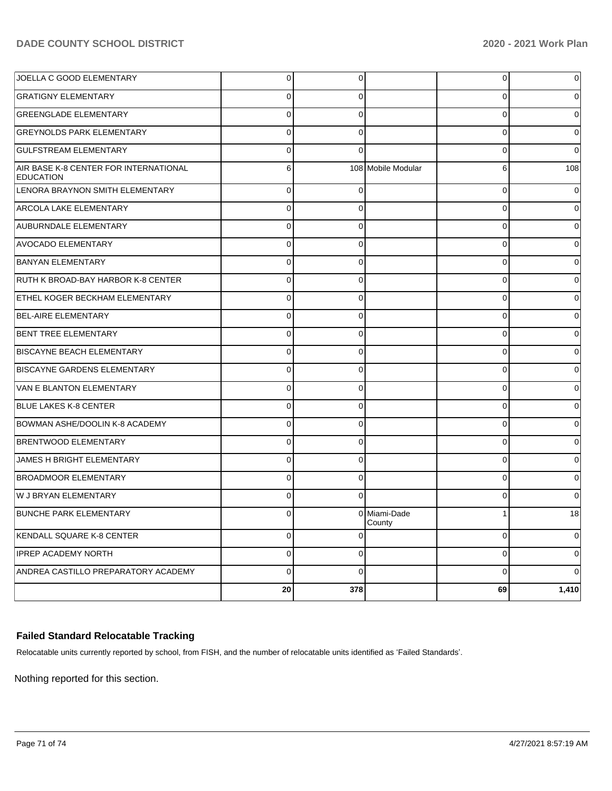| JOELLA C GOOD ELEMENTARY                                  | $\overline{0}$ | 0           |                        | 0           | 0           |
|-----------------------------------------------------------|----------------|-------------|------------------------|-------------|-------------|
| <b>GRATIGNY ELEMENTARY</b>                                | $\mathbf 0$    | 0           |                        | 0           | 0           |
| <b>GREENGLADE ELEMENTARY</b>                              | $\mathbf 0$    | 0           |                        | 0           | 0           |
| <b>GREYNOLDS PARK ELEMENTARY</b>                          | $\mathbf 0$    | 0           |                        | 0           | 0           |
| <b>GULFSTREAM ELEMENTARY</b>                              | $\mathbf 0$    | $\Omega$    |                        | 0           | $\Omega$    |
| AIR BASE K-8 CENTER FOR INTERNATIONAL<br><b>EDUCATION</b> | 6              |             | 108 Mobile Modular     | 6           | 108         |
| LENORA BRAYNON SMITH ELEMENTARY                           | $\mathbf 0$    | $\Omega$    |                        | 0           | $\Omega$    |
| <b>ARCOLA LAKE ELEMENTARY</b>                             | $\mathbf 0$    | $\Omega$    |                        | 0           | $\Omega$    |
| <b>AUBURNDALE ELEMENTARY</b>                              | $\mathbf 0$    | $\Omega$    |                        | 0           | $\Omega$    |
| <b>AVOCADO ELEMENTARY</b>                                 | $\mathbf 0$    | $\Omega$    |                        | 0           | $\Omega$    |
| <b>BANYAN ELEMENTARY</b>                                  | $\mathbf 0$    | $\Omega$    |                        | $\Omega$    | $\Omega$    |
| RUTH K BROAD-BAY HARBOR K-8 CENTER                        | $\mathbf 0$    | $\Omega$    |                        | 0           | 0           |
| <b>ETHEL KOGER BECKHAM ELEMENTARY</b>                     | $\mathbf 0$    | $\Omega$    |                        | 0           | 0           |
| <b>BEL-AIRE ELEMENTARY</b>                                | $\mathbf 0$    | $\Omega$    |                        | 0           | 0           |
| <b>BENT TREE ELEMENTARY</b>                               | $\mathbf 0$    | $\Omega$    |                        | $\Omega$    | $\Omega$    |
| <b>BISCAYNE BEACH ELEMENTARY</b>                          | $\mathbf 0$    | $\Omega$    |                        | 0           | 0           |
| <b>BISCAYNE GARDENS ELEMENTARY</b>                        | $\mathbf 0$    | $\Omega$    |                        | 0           | 0           |
| VAN E BLANTON ELEMENTARY                                  | $\mathbf 0$    | $\Omega$    |                        | 0           | 0           |
| <b>BLUE LAKES K-8 CENTER</b>                              | $\mathbf 0$    | $\Omega$    |                        | 0           | $\Omega$    |
| BOWMAN ASHE/DOOLIN K-8 ACADEMY                            | $\mathbf 0$    | $\Omega$    |                        | 0           | 0           |
| <b>BRENTWOOD ELEMENTARY</b>                               | $\mathbf 0$    | $\Omega$    |                        | 0           | $\Omega$    |
| JAMES H BRIGHT ELEMENTARY                                 | $\mathbf 0$    | $\Omega$    |                        | 0           | $\Omega$    |
| <b>BROADMOOR ELEMENTARY</b>                               | $\mathbf 0$    | $\Omega$    |                        | $\Omega$    | $\Omega$    |
| W J BRYAN ELEMENTARY                                      | $\mathbf 0$    | $\Omega$    |                        | $\Omega$    | $\Omega$    |
| <b>BUNCHE PARK ELEMENTARY</b>                             | $\Omega$       |             | 0 Miami-Dade<br>County | 1           | 18          |
| KENDALL SQUARE K-8 CENTER                                 | $\mathbf 0$    | 0           |                        | 0           | 0           |
| <b>IPREP ACADEMY NORTH</b>                                | $\pmb{0}$      | 0           |                        | 0           | 0           |
| ANDREA CASTILLO PREPARATORY ACADEMY                       | $\mathbf 0$    | $\mathbf 0$ |                        | $\mathbf 0$ | $\mathbf 0$ |
|                                                           | 20             | 378         |                        | 69          | 1,410       |

## **Failed Standard Relocatable Tracking**

Relocatable units currently reported by school, from FISH, and the number of relocatable units identified as 'Failed Standards'.

Nothing reported for this section.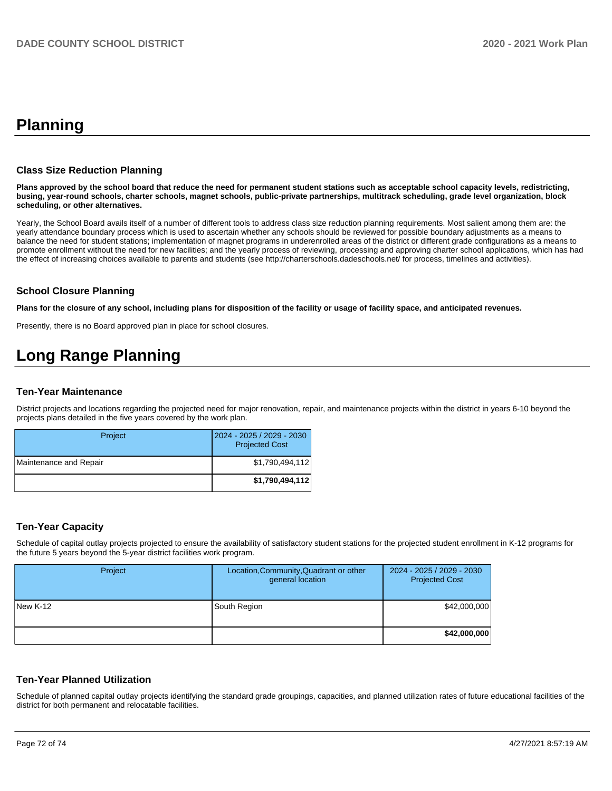## **Planning**

#### **Class Size Reduction Planning**

**Plans approved by the school board that reduce the need for permanent student stations such as acceptable school capacity levels, redistricting, busing, year-round schools, charter schools, magnet schools, public-private partnerships, multitrack scheduling, grade level organization, block scheduling, or other alternatives.**

Yearly, the School Board avails itself of a number of different tools to address class size reduction planning requirements. Most salient among them are: the yearly attendance boundary process which is used to ascertain whether any schools should be reviewed for possible boundary adjustments as a means to balance the need for student stations; implementation of magnet programs in underenrolled areas of the district or different grade configurations as a means to promote enrollment without the need for new facilities; and the yearly process of reviewing, processing and approving charter school applications, which has had the effect of increasing choices available to parents and students (see http://charterschools.dadeschools.net/ for process, timelines and activities).

#### **School Closure Planning**

**Plans for the closure of any school, including plans for disposition of the facility or usage of facility space, and anticipated revenues.** 

Presently, there is no Board approved plan in place for school closures.

# **Long Range Planning**

#### **Ten-Year Maintenance**

District projects and locations regarding the projected need for major renovation, repair, and maintenance projects within the district in years 6-10 beyond the projects plans detailed in the five years covered by the work plan.

| Project                | 2024 - 2025 / 2029 - 2030<br><b>Projected Cost</b> |
|------------------------|----------------------------------------------------|
| Maintenance and Repair | \$1.790.494.112                                    |
|                        | \$1,790,494,112                                    |

#### **Ten-Year Capacity**

Schedule of capital outlay projects projected to ensure the availability of satisfactory student stations for the projected student enrollment in K-12 programs for the future 5 years beyond the 5-year district facilities work program.

| Project  | Location, Community, Quadrant or other<br>general location | 2024 - 2025 / 2029 - 2030<br><b>Projected Cost</b> |
|----------|------------------------------------------------------------|----------------------------------------------------|
| New K-12 | South Region                                               | \$42,000,000                                       |
|          |                                                            | \$42,000,000                                       |

#### **Ten-Year Planned Utilization**

Schedule of planned capital outlay projects identifying the standard grade groupings, capacities, and planned utilization rates of future educational facilities of the district for both permanent and relocatable facilities.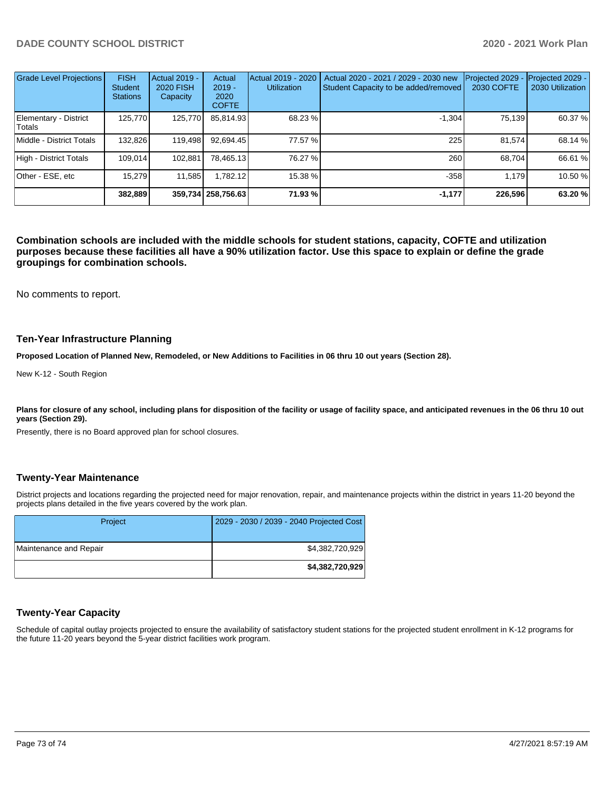| <b>Grade Level Projections</b>  | <b>FISH</b><br><b>Student</b><br><b>Stations</b> | <b>Actual 2019 -</b><br><b>2020 FISH</b><br>Capacity | Actual<br>$2019 -$<br>2020<br><b>COFTE</b> | Actual 2019 - 2020<br><b>Utilization</b> | Actual 2020 - 2021 / 2029 - 2030 new<br>Student Capacity to be added/removed | Projected 2029<br>2030 COFTE | Projected 2029 -<br>2030 Utilization |
|---------------------------------|--------------------------------------------------|------------------------------------------------------|--------------------------------------------|------------------------------------------|------------------------------------------------------------------------------|------------------------------|--------------------------------------|
| Elementary - District<br>Totals | 125.770                                          | 125,770                                              | 85,814.93                                  | 68.23 %                                  | $-1.304$                                                                     | 75,139                       | 60.37 %                              |
| Middle - District Totals        | 132.826                                          | 119.498                                              | 92.694.45                                  | 77.57 %                                  | 225                                                                          | 81.574                       | 68.14 %                              |
| High - District Totals          | 109.014                                          | 102.881                                              | 78.465.13                                  | 76.27 %                                  | 260                                                                          | 68.704                       | 66.61 %                              |
| Other - ESE, etc                | 15.279                                           | 11.585                                               | 1.782.12                                   | 15.38 %                                  | $-358$                                                                       | 1.179                        | 10.50%                               |
|                                 | 382.889                                          |                                                      | 359,734 258,756.63                         | 71.93 %                                  | $-1,177$                                                                     | 226,596                      | 63.20%                               |

**Combination schools are included with the middle schools for student stations, capacity, COFTE and utilization purposes because these facilities all have a 90% utilization factor. Use this space to explain or define the grade groupings for combination schools.** 

No comments to report.

### **Ten-Year Infrastructure Planning**

**Proposed Location of Planned New, Remodeled, or New Additions to Facilities in 06 thru 10 out years (Section 28).**

New K-12 - South Region

Plans for closure of any school, including plans for disposition of the facility or usage of facility space, and anticipated revenues in the 06 thru 10 out **years (Section 29).**

Presently, there is no Board approved plan for school closures.

#### **Twenty-Year Maintenance**

District projects and locations regarding the projected need for major renovation, repair, and maintenance projects within the district in years 11-20 beyond the projects plans detailed in the five years covered by the work plan.

| Project                | 2029 - 2030 / 2039 - 2040 Projected Cost |
|------------------------|------------------------------------------|
| Maintenance and Repair | \$4,382,720,929                          |
|                        | \$4,382,720,929                          |

# **Twenty-Year Capacity**

Schedule of capital outlay projects projected to ensure the availability of satisfactory student stations for the projected student enrollment in K-12 programs for the future 11-20 years beyond the 5-year district facilities work program.